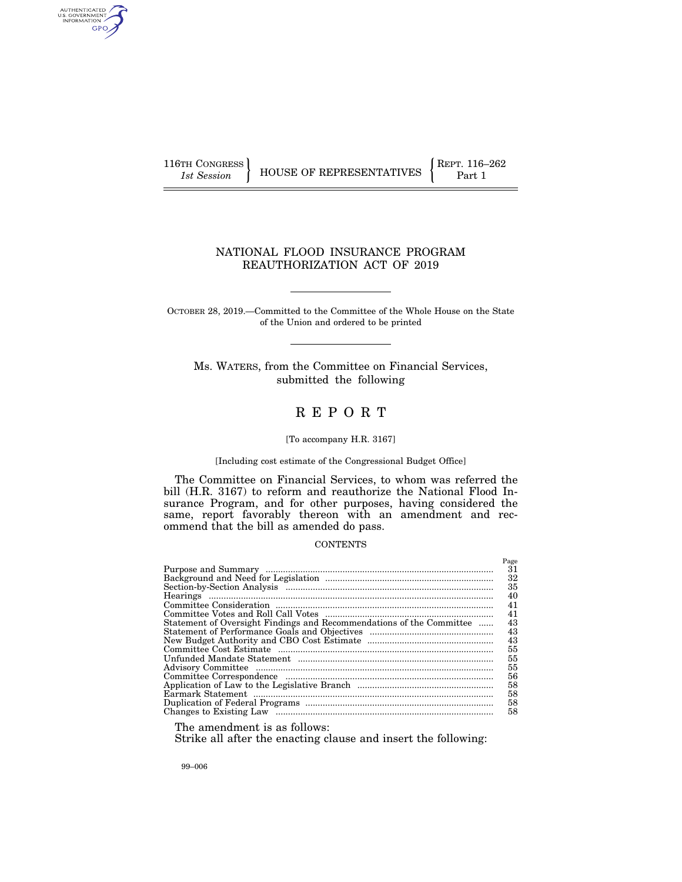AUTHENTICATED<br>U.S. GOVERNMENT<br>INFORMATION **GPC** 

116TH CONGRESS **REPRESENTATIVES** REPRESENTATIVES **Part 1** 

# NATIONAL FLOOD INSURANCE PROGRAM REAUTHORIZATION ACT OF 2019

OCTOBER 28, 2019.—Committed to the Committee of the Whole House on the State of the Union and ordered to be printed

Ms. WATERS, from the Committee on Financial Services, submitted the following

# R E P O R T

# [To accompany H.R. 3167]

# [Including cost estimate of the Congressional Budget Office]

The Committee on Financial Services, to whom was referred the bill (H.R. 3167) to reform and reauthorize the National Flood Insurance Program, and for other purposes, having considered the same, report favorably thereon with an amendment and recommend that the bill as amended do pass.

# **CONTENTS**

|                                                                      | Page |
|----------------------------------------------------------------------|------|
|                                                                      | 31   |
|                                                                      | 32   |
|                                                                      | 35   |
|                                                                      | 40   |
|                                                                      | 41   |
|                                                                      | 41   |
| Statement of Oversight Findings and Recommendations of the Committee | 43   |
|                                                                      | 43   |
|                                                                      | 43   |
|                                                                      | 55   |
|                                                                      | 55   |
|                                                                      | 55   |
|                                                                      | 56   |
|                                                                      | 58   |
|                                                                      | 58   |
|                                                                      | 58   |
|                                                                      | 58   |

The amendment is as follows:

Strike all after the enacting clause and insert the following:

99–006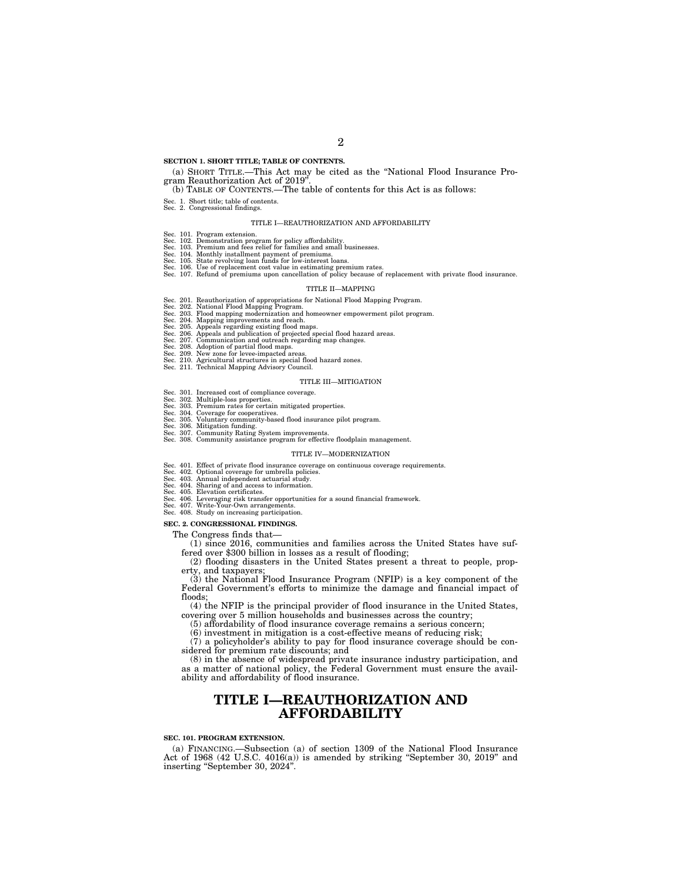### **SECTION 1. SHORT TITLE; TABLE OF CONTENTS.**

### (a) SHORT TITLE.—This Act may be cited as the ''National Flood Insurance Program Reauthorization Act of 2019''.

### (b) TABLE OF CONTENTS.—The table of contents for this Act is as follows:

- Sec. 1. Short title; table of contents. Sec. 2. Congressional findings.
	-

### TITLE I—REAUTHORIZATION AND AFFORDABILITY

- 
- Sec. 101. Program extension. Sec. 102. Demonstration program for policy affordability. Sec. 103. Premium and fees relief for families and small businesses.
- 
- 
- 
- Sec. 104. Monthly installment payment of premiums.<br>Sec. 105. State revolving loan funds for low-interest loans.<br>Sec. 106. Use of replacement cost value in estimating premium rates.<br>Sec. 107. Refund of premiums upon cancell

#### TITLE II—MAPPING

- 
- Sec. 201. Reauthorization of appropriations for National Flood Mapping Program.<br>Sec. 202. National Flood Mapping Program.<br>Sec. 203. Plood mapping modernization and homeowner empowerment pilot program.<br>Sec. 204. Mapping imp
- 
- 
- 
- 
- 
- 
- 

#### TITLE III—MITIGATION

- 
- 
- 
- Sec. 301. Increased cost of compliance coverage.<br>Sec. 302. Multiple-loss properties.<br>Sec. 303. Premium rates for certain mitigated properties.<br>Sec. 304. Coverage for cooperatives.<br>Sec. 305. Voluntary community-based flood
- 
- Sec. 308. Community assistance program for effective floodplain management.

### TITLE IV—MODERNIZATION

- Sec. 401. Effect of private flood insurance coverage on continuous coverage requirements.<br>Sec. 402. Optional coverage for umbrella policies.<br>Sec. 403. Annual independent actuarial study.<br>Sec. 404. Sharing of and access to
- 
- 
- 
- Sec. 406. Leveraging risk transfer opportunities for a sound financial framework. Sec. 407. Write-Your-Own arrangements. Sec. 408. Study on increasing participation.
- 

#### **SEC. 2. CONGRESSIONAL FINDINGS.**

The Congress finds that—

(1) since 2016, communities and families across the United States have suffered over \$300 billion in losses as a result of flooding;

(2) flooding disasters in the United States present a threat to people, property, and taxpayers;

(3) the National Flood Insurance Program (NFIP) is a key component of the Federal Government's efforts to minimize the damage and financial impact of floods;

(4) the NFIP is the principal provider of flood insurance in the United States, covering over 5 million households and businesses across the country;

(5) affordability of flood insurance coverage remains a serious concern;

(6) investment in mitigation is a cost-effective means of reducing risk;

(7) a policyholder's ability to pay for flood insurance coverage should be considered for premium rate discounts; and

(8) in the absence of widespread private insurance industry participation, and as a matter of national policy, the Federal Government must ensure the availability and affordability of flood insurance.

# **TITLE I—REAUTHORIZATION AND AFFORDABILITY**

### **SEC. 101. PROGRAM EXTENSION.**

(a) FINANCING.—Subsection (a) of section 1309 of the National Flood Insurance Act of 1968 (42 U.S.C. 4016(a)) is amended by striking ''September 30, 2019'' and inserting ''September 30, 2024''.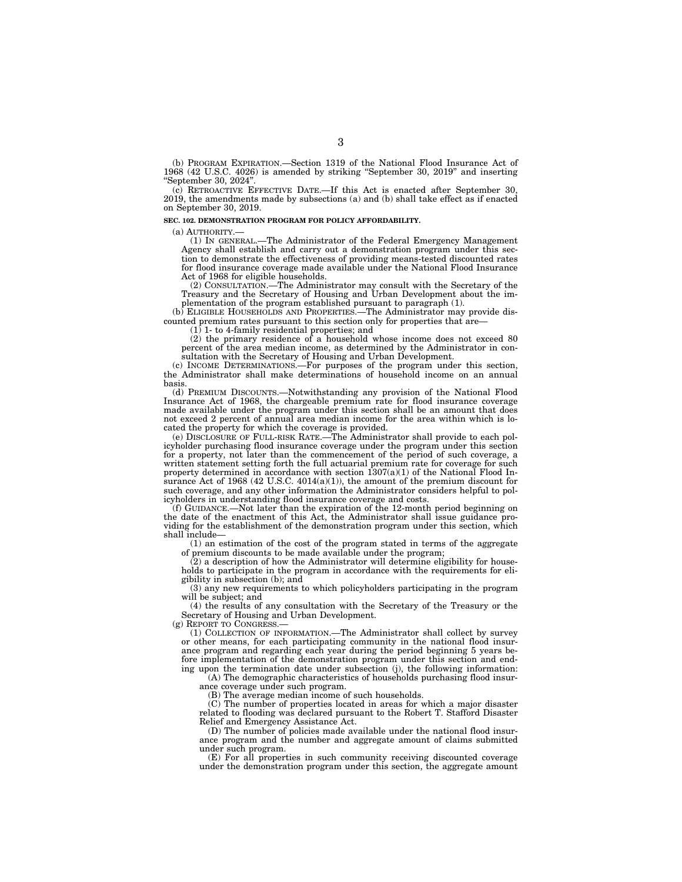(b) PROGRAM EXPIRATION.—Section 1319 of the National Flood Insurance Act of 1968 (42 U.S.C. 4026) is amended by striking ''September 30, 2019'' and inserting ''September 30, 2024''.

(c) RETROACTIVE EFFECTIVE DATE.—If this Act is enacted after September 30, 2019, the amendments made by subsections (a) and (b) shall take effect as if enacted on September 30, 2019.

### **SEC. 102. DEMONSTRATION PROGRAM FOR POLICY AFFORDABILITY.**

(a) AUTHORITY.—

(1) IN GENERAL.—The Administrator of the Federal Emergency Management Agency shall establish and carry out a demonstration program under this section to demonstrate the effectiveness of providing means-tested discounted rates for flood insurance coverage made available under the National Flood Insurance Act of 1968 for eligible households.

(2) CONSULTATION.—The Administrator may consult with the Secretary of the Treasury and the Secretary of Housing and Urban Development about the implementation of the program established pursuant to paragraph (1).

(b) ELIGIBLE HOUSEHOLDS AND PROPERTIES.—The Administrator may provide discounted premium rates pursuant to this section only for properties that are

(1) 1- to 4-family residential properties; and

(2) the primary residence of a household whose income does not exceed 80 percent of the area median income, as determined by the Administrator in consultation with the Secretary of Housing and Urban Development.

(c) INCOME DETERMINATIONS.—For purposes of the program under this section, the Administrator shall make determinations of household income on an annual basis.

(d) PREMIUM DISCOUNTS.—Notwithstanding any provision of the National Flood Insurance Act of 1968, the chargeable premium rate for flood insurance coverage made available under the program under this section shall be an amount that does not exceed 2 percent of annual area median income for the area within which is located the property for which the coverage is provided.

(e) DISCLOSURE OF FULL-RISK RATE.—The Administrator shall provide to each policyholder purchasing flood insurance coverage under the program under this section for a property, not later than the commencement of the period of such coverage, a written statement setting forth the full actuarial premium rate for coverage for such property determined in accordance with section 1307(a)(1) of the National Flood Insurance Act of 1968 (42 U.S.C.  $4014(a)(1)$ ), the amount of the premium discount for such coverage, and any other information the Administrator considers helpful to policyholders in understanding flood insurance coverage and costs.

(f) GUIDANCE.—Not later than the expiration of the 12-month period beginning on the date of the enactment of this Act, the Administrator shall issue guidance providing for the establishment of the demonstration program under this section, which shall include—

(1) an estimation of the cost of the program stated in terms of the aggregate of premium discounts to be made available under the program;

(2) a description of how the Administrator will determine eligibility for households to participate in the program in accordance with the requirements for eligibility in subsection (b); and

(3) any new requirements to which policyholders participating in the program will be subject; and

(4) the results of any consultation with the Secretary of the Treasury or the Secretary of Housing and Urban Development.

(g) REPORT TO CONGRESS.

(1) COLLECTION OF INFORMATION.—The Administrator shall collect by survey or other means, for each participating community in the national flood insurance program and regarding each year during the period beginning 5 years before implementation of the demonstration program under this section and ending upon the termination date under subsection (j), the following information:

(A) The demographic characteristics of households purchasing flood insurance coverage under such program.

(B) The average median income of such households.

(C) The number of properties located in areas for which a major disaster related to flooding was declared pursuant to the Robert T. Stafford Disaster Relief and Emergency Assistance Act.

(D) The number of policies made available under the national flood insurance program and the number and aggregate amount of claims submitted under such program.

(E) For all properties in such community receiving discounted coverage under the demonstration program under this section, the aggregate amount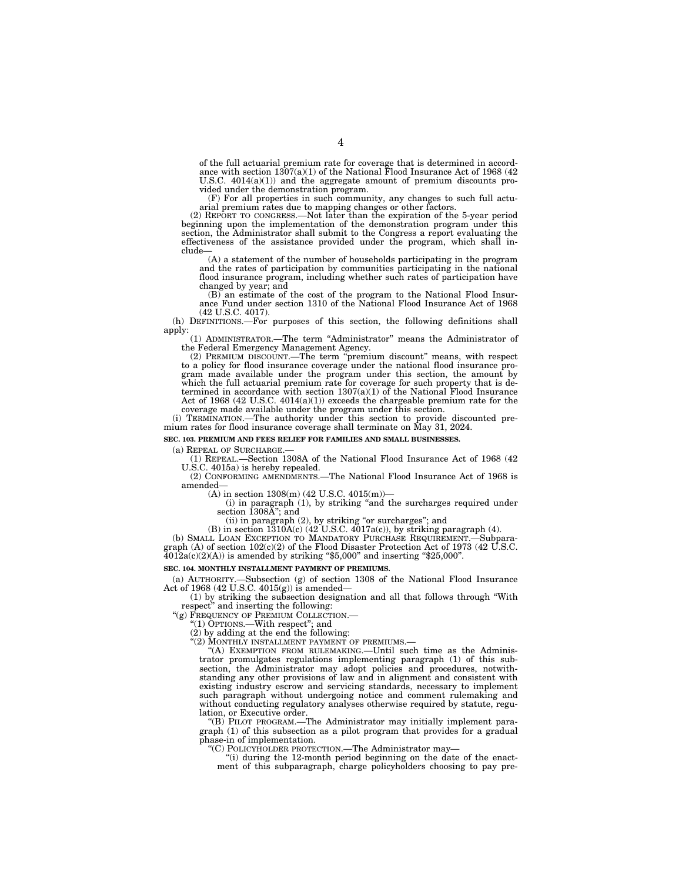of the full actuarial premium rate for coverage that is determined in accord-ance with section 1307(a)(1) of the National Flood Insurance Act of 1968 (42 U.S.C. 4014(a)(1)) and the aggregate amount of premium discounts provided under the demonstration program.

(F) For all properties in such community, any changes to such full actuarial premium rates due to mapping changes or other factors.

(2) REPORT TO CONGRESS.—Not later than the expiration of the 5-year period beginning upon the implementation of the demonstration program under this section, the Administrator shall submit to the Congress a report evaluating the effectiveness of the assistance provided under the program, which shall include—

(A) a statement of the number of households participating in the program and the rates of participation by communities participating in the national flood insurance program, including whether such rates of participation have changed by year; and

(B) an estimate of the cost of the program to the National Flood Insur-ance Fund under section 1310 of the National Flood Insurance Act of 1968 (42 U.S.C. 4017).

(h) DEFINITIONS.—For purposes of this section, the following definitions shall

apply: (1) ADMINISTRATOR.—The term ''Administrator'' means the Administrator of

the Federal Emergency Management Agency. (2) PREMIUM DISCOUNT.—The term ''premium discount'' means, with respect to a policy for flood insurance coverage under the national flood insurance program made available under the program under this section, the amount by which the full actuarial premium rate for coverage for such property that is determined in accordance with section 1307(a)(1) of the National Flood Insurance Act of 1968 (42 U.S.C. 4014(a)(1)) exceeds the chargeable premium rate for the

coverage made available under the program under this section. (i) TERMINATION.—The authority under this section to provide discounted premium rates for flood insurance coverage shall terminate on May 31, 2024.

**SEC. 103. PREMIUM AND FEES RELIEF FOR FAMILIES AND SMALL BUSINESSES.** 

(a) REPEAL OF SURCHARGE.— (1) REPEAL.—Section 1308A of the National Flood Insurance Act of 1968 (42 U.S.C. 4015a) is hereby repealed.

(2) CONFORMING AMENDMENTS.—The National Flood Insurance Act of 1968 is amended—

(A) in section 1308(m) (42 U.S.C. 4015(m))—

(i) in paragraph (1), by striking ''and the surcharges required under section 1308A''; and

(ii) in paragraph (2), by striking "or surcharges"; and

(B) in section  $1310A(c)$  (42 U.S.C.  $4017a(c)$ ), by striking paragraph (4).

(b) SMALL LOAN EXCEPTION TO MANDATORY PURCHASE REQUIREMENT.—Subparagraph (A) of section  $102(c)(2)$  of the Flood Disaster Protection Act of 1973 (42 U.S.C.  $4012a(c)(2)(A)$  is amended by striking "\$5,000" and inserting "\$25,000".

# **SEC. 104. MONTHLY INSTALLMENT PAYMENT OF PREMIUMS.**

(a) AUTHORITY.—Subsection (g) of section 1308 of the National Flood Insurance Act of 1968 (42 U.S.C.  $4015(g)$ ) is amended–

(1) by striking the subsection designation and all that follows through ''With respect'' and inserting the following:

"(g) FREQUENCY OF PREMIUM COLLECTION.

''(1) OPTIONS.—With respect''; and

(2) by adding at the end the following:

"(2) MONTHLY INSTALLMENT PAYMENT OF PREMIUMS.-

''(A) EXEMPTION FROM RULEMAKING.—Until such time as the Administrator promulgates regulations implementing paragraph (1) of this subsection, the Administrator may adopt policies and procedures, notwithstanding any other provisions of law and in alignment and consistent with existing industry escrow and servicing standards, necessary to implement such paragraph without undergoing notice and comment rulemaking and without conducting regulatory analyses otherwise required by statute, regulation, or Executive order.

''(B) PILOT PROGRAM.—The Administrator may initially implement paragraph (1) of this subsection as a pilot program that provides for a gradual phase-in of implementation.

''(C) POLICYHOLDER PROTECTION.—The Administrator may—

''(i) during the 12-month period beginning on the date of the enactment of this subparagraph, charge policyholders choosing to pay pre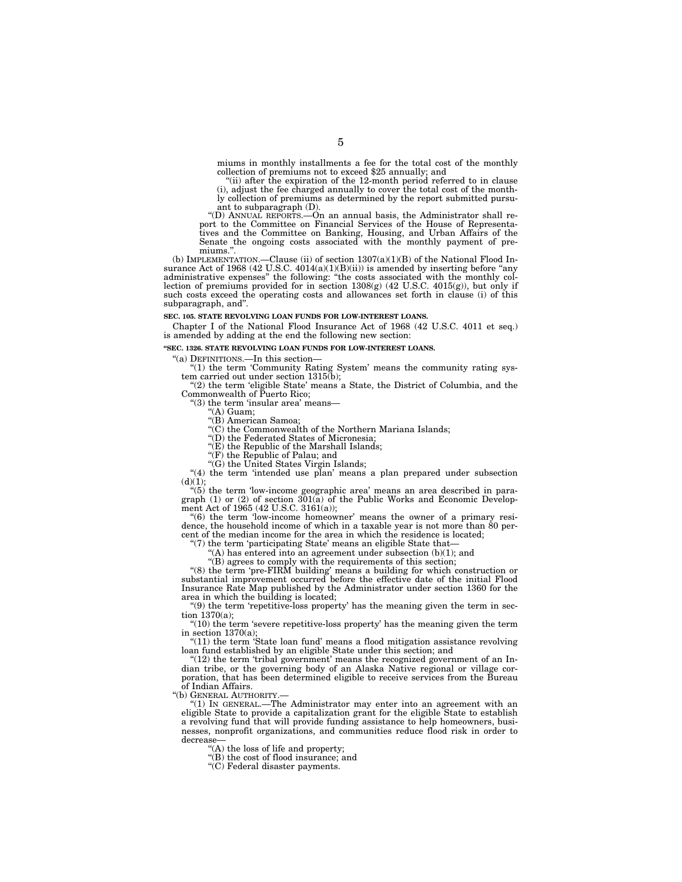miums in monthly installments a fee for the total cost of the monthly collection of premiums not to exceed \$25 annually; and

"(ii) after the expiration of the  $12$ -month period referred to in clause (i), adjust the fee charged annually to cover the total cost of the monthly collection of premiums as determined by the report submitted pursuant to subparagraph (D).

''(D) ANNUAL REPORTS.—On an annual basis, the Administrator shall report to the Committee on Financial Services of the House of Representa-tives and the Committee on Banking, Housing, and Urban Affairs of the Senate the ongoing costs associated with the monthly payment of pre-miums.''.

(b) IMPLEMENTATION.—Clause (ii) of section  $1307(a)(1)(B)$  of the National Flood Insurance Act of 1968 (42 U.S.C. 4014(a)(1)(B)(ii)) is amended by inserting before "any administrative expenses" the following: "the costs associated with the monthly collection of premiums provided for in section  $1308(g)$  (42 U.S.C. 4015(g)), but only if such costs exceed the operating costs and allowances set forth in clause (i) of this subparagraph, and''.

**SEC. 105. STATE REVOLVING LOAN FUNDS FOR LOW-INTEREST LOANS.** 

Chapter I of the National Flood Insurance Act of 1968 (42 U.S.C. 4011 et seq.) is amended by adding at the end the following new section:

**''SEC. 1326. STATE REVOLVING LOAN FUNDS FOR LOW-INTEREST LOANS.** 

''(a) DEFINITIONS.—In this section— ''(1) the term 'Community Rating System' means the community rating sys-tem carried out under section 1315(b);

 $''(2)$  the term 'eligible State' means a State, the District of Columbia, and the Commonwealth of Puerto Rico;

"(3) the term 'insular area' means-

''(A) Guam;

''(B) American Samoa;

 $\mathcal{C}(C)$  the Commonwealth of the Northern Mariana Islands;

''(D) the Federated States of Micronesia;

 $f(E)$  the Republic of the Marshall Islands;

''(F) the Republic of Palau; and ''(G) the United States Virgin Islands;

"(4) the term 'intended use plan' means a plan prepared under subsection

(d)(1); ''(5) the term 'low-income geographic area' means an area described in paragraph (1) or (2) of section 301(a) of the Public Works and Economic Develop-ment Act of 1965 (42 U.S.C. 3161(a));

''(6) the term 'low-income homeowner' means the owner of a primary residence, the household income of which in a taxable year is not more than 80 percent of the median income for the area in which the residence is located;

''(7) the term 'participating State' means an eligible State that—

 $(A)$  has entered into an agreement under subsection  $(b)(1)$ ; and

''(B) agrees to comply with the requirements of this section;

''(8) the term 'pre-FIRM building' means a building for which construction or substantial improvement occurred before the effective date of the initial Flood Insurance Rate Map published by the Administrator under section 1360 for the area in which the building is located;

 $\mathcal{L}(9)$  the term 'repetitive-loss property' has the meaning given the term in section 1370(a);

" $(10)$  the term 'severe repetitive-loss property' has the meaning given the term in section 1370(a);

''(11) the term 'State loan fund' means a flood mitigation assistance revolving loan fund established by an eligible State under this section; and

 $(12)$  the term 'tribal government' means the recognized government of an Indian tribe, or the governing body of an Alaska Native regional or village corporation, that has been determined eligible to receive services from the Bureau of Indian Affairs.

''(b) GENERAL AUTHORITY.—

" $(1)$  In GENERAL.—The Administrator may enter into an agreement with an eligible State to provide a capitalization grant for the eligible State to establish a revolving fund that will provide funding assistance to help homeowners, businesses, nonprofit organizations, and communities reduce flood risk in order to decrease—

''(A) the loss of life and property;

''(B) the cost of flood insurance; and

''(C) Federal disaster payments.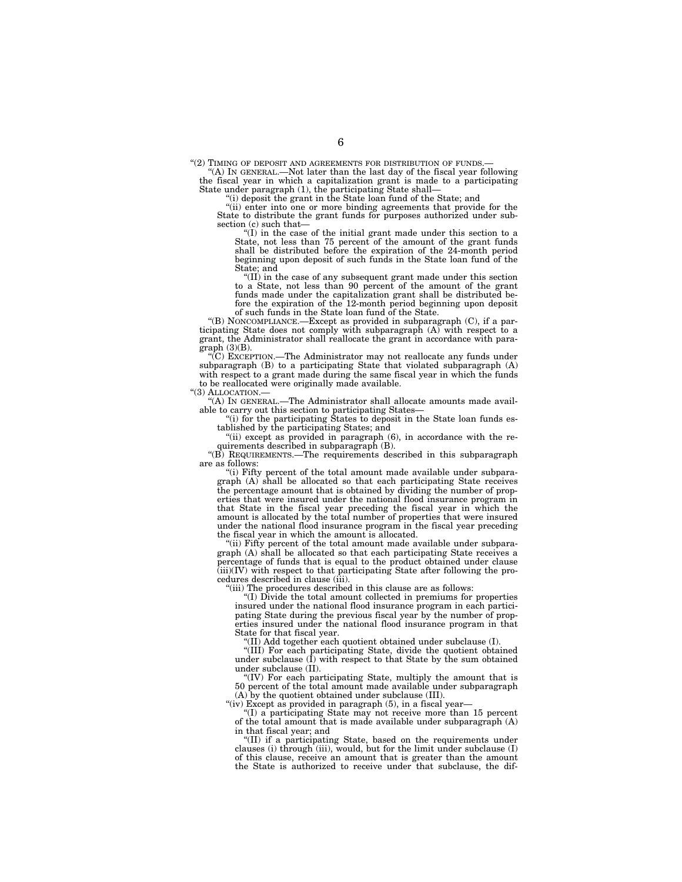''(2) TIMING OF DEPOSIT AND AGREEMENTS FOR DISTRIBUTION OF FUNDS.— ''(A) IN GENERAL.—Not later than the last day of the fiscal year following

the fiscal year in which a capitalization grant is made to a participating State under paragraph (1), the participating State shall—

''(i) deposit the grant in the State loan fund of the State; and

"(ii) enter into one or more binding agreements that provide for the State to distribute the grant funds for purposes authorized under subsection (c) such that—

''(I) in the case of the initial grant made under this section to a State, not less than 75 percent of the amount of the grant funds shall be distributed before the expiration of the 24-month period beginning upon deposit of such funds in the State loan fund of the State; and

''(II) in the case of any subsequent grant made under this section to a State, not less than 90 percent of the amount of the grant funds made under the capitalization grant shall be distributed be-fore the expiration of the 12-month period beginning upon deposit

of such funds in the State loan fund of the State. ''(B) NONCOMPLIANCE.—Except as provided in subparagraph (C), if a participating State does not comply with subparagraph (A) with respect to a grant, the Administrator shall reallocate the grant in accordance with paragraph (3)(B).

''(C) EXCEPTION.—The Administrator may not reallocate any funds under subparagraph (B) to a participating State that violated subparagraph (A) with respect to a grant made during the same fiscal year in which the funds to be reallocated were originally made available.

"(3) ALLOCATION.-

''(A) IN GENERAL.—The Administrator shall allocate amounts made available to carry out this section to participating States—

''(i) for the participating States to deposit in the State loan funds established by the participating States; and

"(ii) except as provided in paragraph (6), in accordance with the requirements described in subparagraph (B).

''(B) REQUIREMENTS.—The requirements described in this subparagraph are as follows:

''(i) Fifty percent of the total amount made available under subparagraph (A) shall be allocated so that each participating State receives the percentage amount that is obtained by dividing the number of properties that were insured under the national flood insurance program in that State in the fiscal year preceding the fiscal year in which the amount is allocated by the total number of properties that were insured under the national flood insurance program in the fiscal year preceding the fiscal year in which the amount is allocated.

"(ii) Fifty percent of the total amount made available under subparagraph (A) shall be allocated so that each participating State receives a percentage of funds that is equal to the product obtained under clause (iii)(IV) with respect to that participating State after following the procedures described in clause (iii).

''(iii) The procedures described in this clause are as follows:

''(I) Divide the total amount collected in premiums for properties insured under the national flood insurance program in each participating State during the previous fiscal year by the number of properties insured under the national flood insurance program in that State for that fiscal year.

'(II) Add together each quotient obtained under subclause (I).

''(III) For each participating State, divide the quotient obtained under subclause (I) with respect to that State by the sum obtained under subclause (II).

''(IV) For each participating State, multiply the amount that is 50 percent of the total amount made available under subparagraph (A) by the quotient obtained under subclause (III).

"(iv) Except as provided in paragraph (5), in a fiscal year-

''(I) a participating State may not receive more than 15 percent of the total amount that is made available under subparagraph (A)

in that fiscal year; and ''(II) if a participating State, based on the requirements under clauses (i) through (iii), would, but for the limit under subclause (I) of this clause, receive an amount that is greater than the amount the State is authorized to receive under that subclause, the dif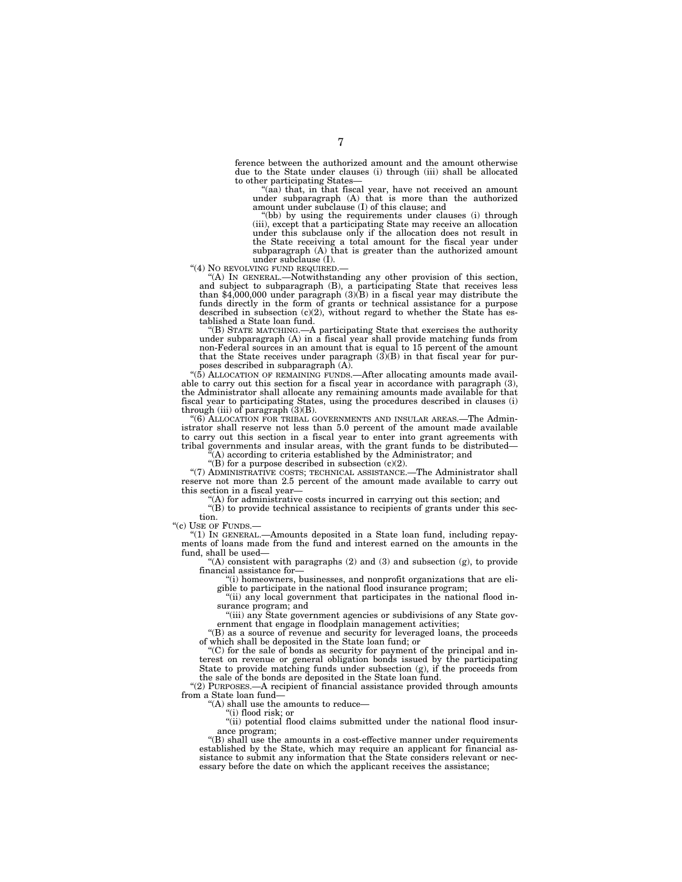ference between the authorized amount and the amount otherwise due to the State under clauses (i) through (iii) shall be allocated to other participating States—

(aa) that, in that fiscal year, have not received an amount under subparagraph (A) that is more than the authorized amount under subclause (I) of this clause; and

''(bb) by using the requirements under clauses (i) through (iii), except that a participating State may receive an allocation under this subclause only if the allocation does not result in the State receiving a total amount for the fiscal year under subparagraph (A) that is greater than the authorized amount

under subclause (I).<br>4) No revolving fund required.

"(A) IN GENERAL.—Notwithstanding any other provision of this section, and subject to subparagraph (B), a participating State that receives less than \$4,000,000 under paragraph (3)(B) in a fiscal year may distribute the funds directly in the form of grants or technical assistance for a purpose described in subsection (c)(2), without regard to whether the State has established a State loan fund.

''(B) STATE MATCHING.—A participating State that exercises the authority under subparagraph (A) in a fiscal year shall provide matching funds from non-Federal sources in an amount that is equal to 15 percent of the amount that the State receives under paragraph  $(3)(B)$  in that fiscal year for purposes described in subparagraph (A).

''(5) ALLOCATION OF REMAINING FUNDS.—After allocating amounts made available to carry out this section for a fiscal year in accordance with paragraph (3), the Administrator shall allocate any remaining amounts made available for that fiscal year to participating States, using the procedures described in clauses (i) through (iii) of paragraph  $(3)(B)$ .

 $^{4}(6)$  ALLOCATION FOR TRIBAL GOVERNMENTS AND INSULAR AREAS.—The Administrator shall reserve not less than 5.0 percent of the amount made available to carry out this section in a fiscal year to enter into grant agreements with tribal governments and insular areas, with the grant funds to be distributed—

 $\hat{f}(A)$  according to criteria established by the Administrator; and "(B) for a purpose described in subsection  $(c)(2)$ .

''(7) ADMINISTRATIVE COSTS; TECHNICAL ASSISTANCE.—The Administrator shall reserve not more than 2.5 percent of the amount made available to carry out

this section in a fiscal year—

 $(A)$  for administrative costs incurred in carrying out this section; and

 $H(B)$  to provide technical assistance to recipients of grants under this section.

"(c) USE OF FUNDS.-

''(1) IN GENERAL.—Amounts deposited in a State loan fund, including repayments of loans made from the fund and interest earned on the amounts in the fund, shall be used—

"(A) consistent with paragraphs  $(2)$  and  $(3)$  and subsection  $(g)$ , to provide financial assistance for—

''(i) homeowners, businesses, and nonprofit organizations that are eligible to participate in the national flood insurance program;

''(ii) any local government that participates in the national flood insurance program; and

"(iii) any State government agencies or subdivisions of any State government that engage in floodplain management activities;

''(B) as a source of revenue and security for leveraged loans, the proceeds of which shall be deposited in the State loan fund; or

''(C) for the sale of bonds as security for payment of the principal and interest on revenue or general obligation bonds issued by the participating State to provide matching funds under subsection (g), if the proceeds from the sale of the bonds are deposited in the State loan fund.

"(2) PURPOSES.—A recipient of financial assistance provided through amounts from a State loan fund—

''(A) shall use the amounts to reduce—

''(i) flood risk; or

''(ii) potential flood claims submitted under the national flood insurance program;

''(B) shall use the amounts in a cost-effective manner under requirements established by the State, which may require an applicant for financial assistance to submit any information that the State considers relevant or necessary before the date on which the applicant receives the assistance;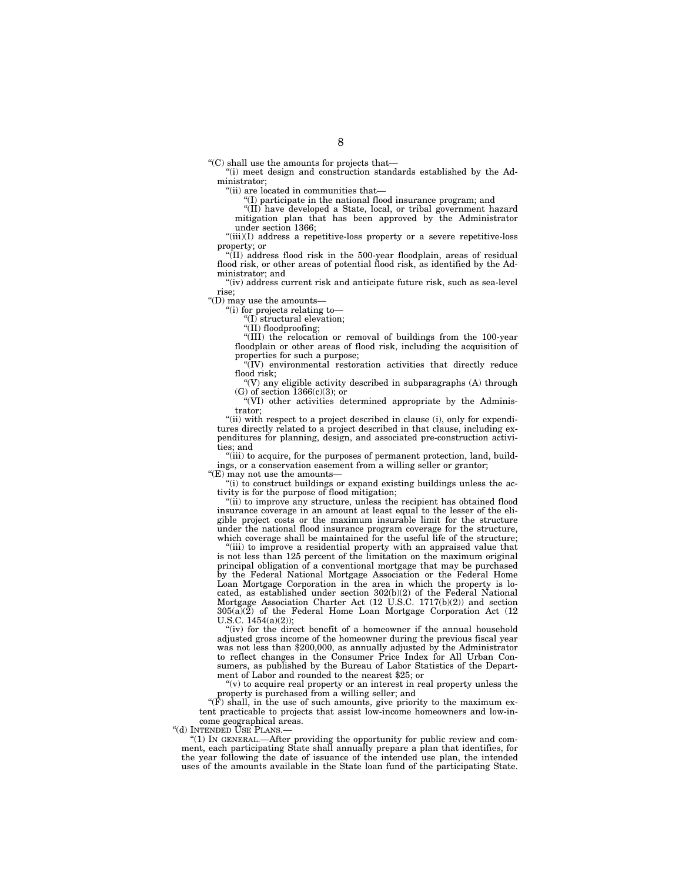''(C) shall use the amounts for projects that—

''(i) meet design and construction standards established by the Administrator;

''(ii) are located in communities that—

''(I) participate in the national flood insurance program; and

''(II) have developed a State, local, or tribal government hazard mitigation plan that has been approved by the Administrator under section 1366;

''(iii)(I) address a repetitive-loss property or a severe repetitive-loss property; or

''(II) address flood risk in the 500-year floodplain, areas of residual flood risk, or other areas of potential flood risk, as identified by the Administrator; and

"(iv) address current risk and anticipate future risk, such as sea-level rise;

''(D) may use the amounts—

''(i) for projects relating to—

''(I) structural elevation;

''(II) floodproofing;

''(III) the relocation or removal of buildings from the 100-year floodplain or other areas of flood risk, including the acquisition of properties for such a purpose;

''(IV) environmental restoration activities that directly reduce flood risk;

 $f(V)$  any eligible activity described in subparagraphs  $(A)$  through (G) of section 1366(c)(3); or

"(VI) other activities determined appropriate by the Administrator;

"(ii) with respect to a project described in clause (i), only for expenditures directly related to a project described in that clause, including expenditures for planning, design, and associated pre-construction activities; and

"(iii) to acquire, for the purposes of permanent protection, land, buildings, or a conservation easement from a willing seller or grantor;

''(E) may not use the amounts—

''(i) to construct buildings or expand existing buildings unless the activity is for the purpose of flood mitigation;

"(ii) to improve any structure, unless the recipient has obtained flood insurance coverage in an amount at least equal to the lesser of the eligible project costs or the maximum insurable limit for the structure under the national flood insurance program coverage for the structure, which coverage shall be maintained for the useful life of the structure;

"(iii) to improve a residential property with an appraised value that is not less than 125 percent of the limitation on the maximum original principal obligation of a conventional mortgage that may be purchased by the Federal National Mortgage Association or the Federal Home Loan Mortgage Corporation in the area in which the property is located, as established under section 302(b)(2) of the Federal National Mortgage Association Charter Act (12 U.S.C. 1717(b)(2)) and section  $305(a)(2)$  of the Federal Home Loan Mortgage Corporation Act (12 U.S.C. 1454(a)(2));

"(iv) for the direct benefit of a homeowner if the annual household adjusted gross income of the homeowner during the previous fiscal year was not less than \$200,000, as annually adjusted by the Administrator to reflect changes in the Consumer Price Index for All Urban Consumers, as published by the Bureau of Labor Statistics of the Department of Labor and rounded to the nearest \$25; or

 $(v)$  to acquire real property or an interest in real property unless the property is purchased from a willing seller; and

" $(F)$  shall, in the use of such amounts, give priority to the maximum extent practicable to projects that assist low-income homeowners and low-income geographical areas.

''(d) INTENDED USE PLANS.—

''(1) IN GENERAL.—After providing the opportunity for public review and comment, each participating State shall annually prepare a plan that identifies, for the year following the date of issuance of the intended use plan, the intended uses of the amounts available in the State loan fund of the participating State.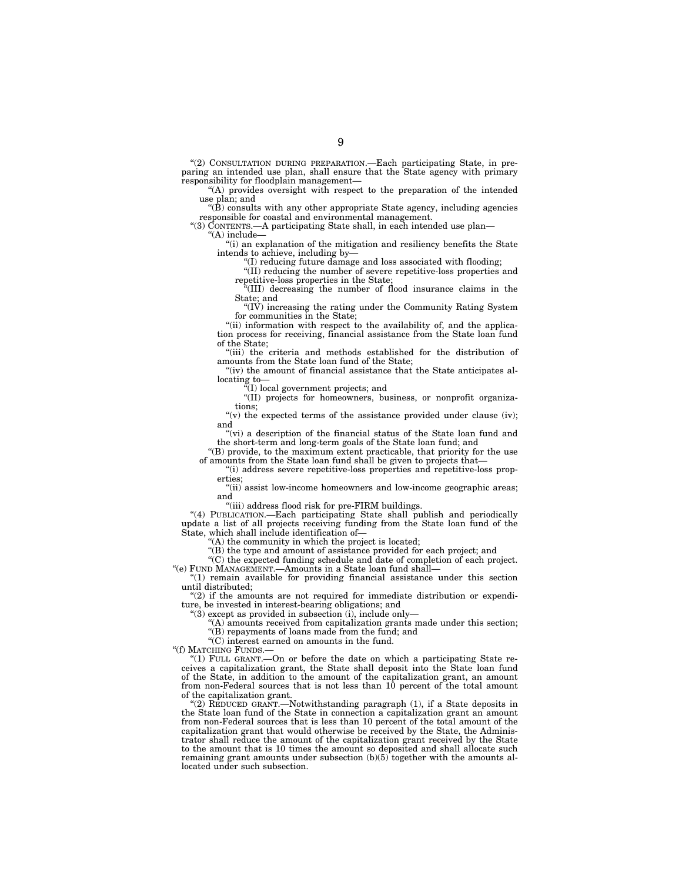''(2) CONSULTATION DURING PREPARATION.—Each participating State, in preparing an intended use plan, shall ensure that the State agency with primary responsibility for floodplain management—

''(A) provides oversight with respect to the preparation of the intended use plan; and

 $'(B)$  consults with any other appropriate State agency, including agencies responsible for coastal and environmental management.

"(3) CONTENTS.—A participating State shall, in each intended use plan-

''(A) include—

''(i) an explanation of the mitigation and resiliency benefits the State intends to achieve, including by—

''(I) reducing future damage and loss associated with flooding;

''(II) reducing the number of severe repetitive-loss properties and repetitive-loss properties in the State;

''(III) decreasing the number of flood insurance claims in the State; and

 $f(T)$  increasing the rating under the Community Rating System for communities in the State;

"(ii) information with respect to the availability of, and the application process for receiving, financial assistance from the State loan fund of the State;

"(iii) the criteria and methods established for the distribution of amounts from the State loan fund of the State;

"(iv) the amount of financial assistance that the State anticipates allocating to—

(I) local government projects; and

''(II) projects for homeowners, business, or nonprofit organizations;

"(v) the expected terms of the assistance provided under clause (iv); and

"(vi) a description of the financial status of the State loan fund and the short-term and long-term goals of the State loan fund; and

'(B) provide, to the maximum extent practicable, that priority for the use of amounts from the State loan fund shall be given to projects that—

''(i) address severe repetitive-loss properties and repetitive-loss properties;

''(ii) assist low-income homeowners and low-income geographic areas; and

''(iii) address flood risk for pre-FIRM buildings.

''(4) PUBLICATION.—Each participating State shall publish and periodically update a list of all projects receiving funding from the State loan fund of the State, which shall include identification of—

 $(A)$  the community in which the project is located;

''(B) the type and amount of assistance provided for each project; and

''(C) the expected funding schedule and date of completion of each project.

''(e) FUND MANAGEMENT.—Amounts in a State loan fund shall— ''(1) remain available for providing financial assistance under this section until distributed;

" $(2)$  if the amounts are not required for immediate distribution or expenditure, be invested in interest-bearing obligations; and

''(3) except as provided in subsection (i), include only—

''(B) repayments of loans made from the fund; and

 $\mathrm{``(C)}$  interest earned on amounts in the fund.

 $(A)$  amounts received from capitalization grants made under this section;

''(f) MATCHING FUNDS.—

''(1) FULL GRANT.—On or before the date on which a participating State receives a capitalization grant, the State shall deposit into the State loan fund of the State, in addition to the amount of the capitalization grant, an amount from non-Federal sources that is not less than 10 percent of the total amount of the capitalization grant.

''(2) REDUCED GRANT.—Notwithstanding paragraph (1), if a State deposits in the State loan fund of the State in connection a capitalization grant an amount from non-Federal sources that is less than 10 percent of the total amount of the capitalization grant that would otherwise be received by the State, the Administrator shall reduce the amount of the capitalization grant received by the State to the amount that is 10 times the amount so deposited and shall allocate such remaining grant amounts under subsection (b)(5) together with the amounts allocated under such subsection.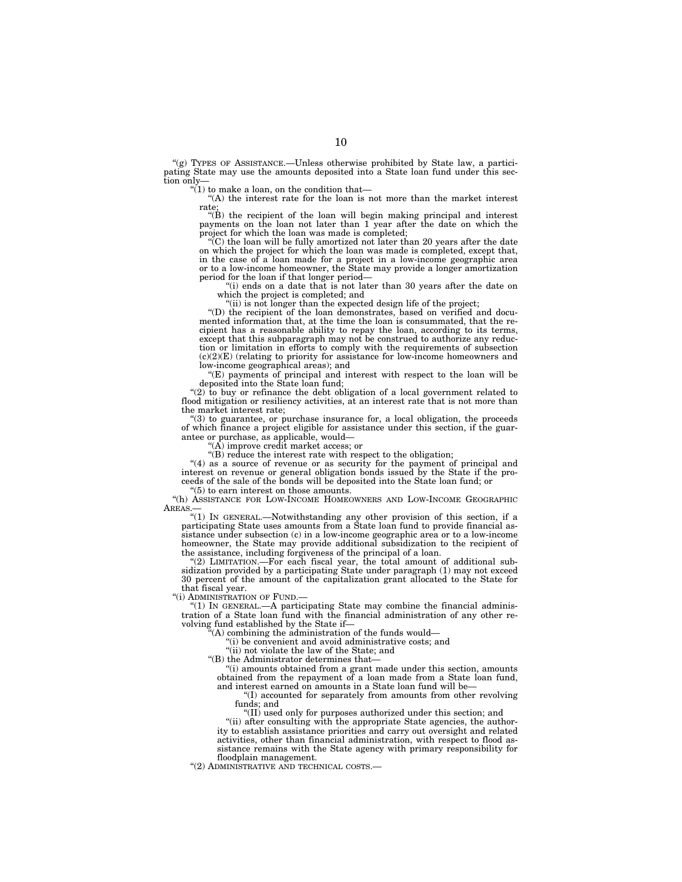"(g) TYPES OF ASSISTANCE.—Unless otherwise prohibited by State law, a participating State may use the amounts deposited into a State loan fund under this section only—

 $(1)$  to make a loan, on the condition that-

''(A) the interest rate for the loan is not more than the market interest rate;

''(B) the recipient of the loan will begin making principal and interest payments on the loan not later than 1 year after the date on which the

project for which the loan was made is completed;<br>"(C) the loan will be fully amortized not later than 20 years after the date on which the project for which the loan was made is completed, except that, in the case of a loan made for a project in a low-income geographic area or to a low-income homeowner, the State may provide a longer amortization period for the loan if that longer period—

 $(i)$  ends on a date that is not later than 30 years after the date on which the project is completed; and

"(ii) is not longer than the expected design life of the project;

''(D) the recipient of the loan demonstrates, based on verified and docu-mented information that, at the time the loan is consummated, that the recipient has a reasonable ability to repay the loan, according to its terms, except that this subparagraph may not be construed to authorize any reduction or limitation in efforts to comply with the requirements of subsection (c)(2)(E) (relating to priority for assistance for low-income homeowners and low-income geographical areas); and

''(E) payments of principal and interest with respect to the loan will be deposited into the State loan fund;

"(2) to buy or refinance the debt obligation of a local government related to flood mitigation or resiliency activities, at an interest rate that is not more than the market interest rate;

''(3) to guarantee, or purchase insurance for, a local obligation, the proceeds of which finance a project eligible for assistance under this section, if the guarantee or purchase, as applicable, would—

 $(A)$  improve credit market access; or

''(B) reduce the interest rate with respect to the obligation;

" $(4)$  as a source of revenue or as security for the payment of principal and interest on revenue or general obligation bonds issued by the State if the proceeds of the sale of the bonds will be deposited into the State loan fund; or

''(5) to earn interest on those amounts.

''(h) ASSISTANCE FOR LOW-INCOME HOMEOWNERS AND LOW-INCOME GEOGRAPHIC AREAS.

''(1) IN GENERAL.—Notwithstanding any other provision of this section, if a participating State uses amounts from a State loan fund to provide financial assistance under subsection (c) in a low-income geographic area or to a low-income homeowner, the State may provide additional subsidization to the recipient of the assistance, including forgiveness of the principal of a loan.

''(2) LIMITATION.—For each fiscal year, the total amount of additional subsidization provided by a participating State under paragraph (1) may not exceed 30 percent of the amount of the capitalization grant allocated to the State for that fiscal year.

''(i) ADMINISTRATION OF FUND.—

"(1) IN GENERAL.—A participating State may combine the financial administration of a State loan fund with the financial administration of any other revolving fund established by the State if—

''(A) combining the administration of the funds would—

''(i) be convenient and avoid administrative costs; and

"(ii) not violate the law of the State; and

''(B) the Administrator determines that—

''(i) amounts obtained from a grant made under this section, amounts obtained from the repayment of a loan made from a State loan fund, and interest earned on amounts in a State loan fund will be—

''(I) accounted for separately from amounts from other revolving funds; and

''(II) used only for purposes authorized under this section; and

"(ii) after consulting with the appropriate State agencies, the authority to establish assistance priorities and carry out oversight and related activities, other than financial administration, with respect to flood assistance remains with the State agency with primary responsibility for floodplain management.

''(2) ADMINISTRATIVE AND TECHNICAL COSTS.—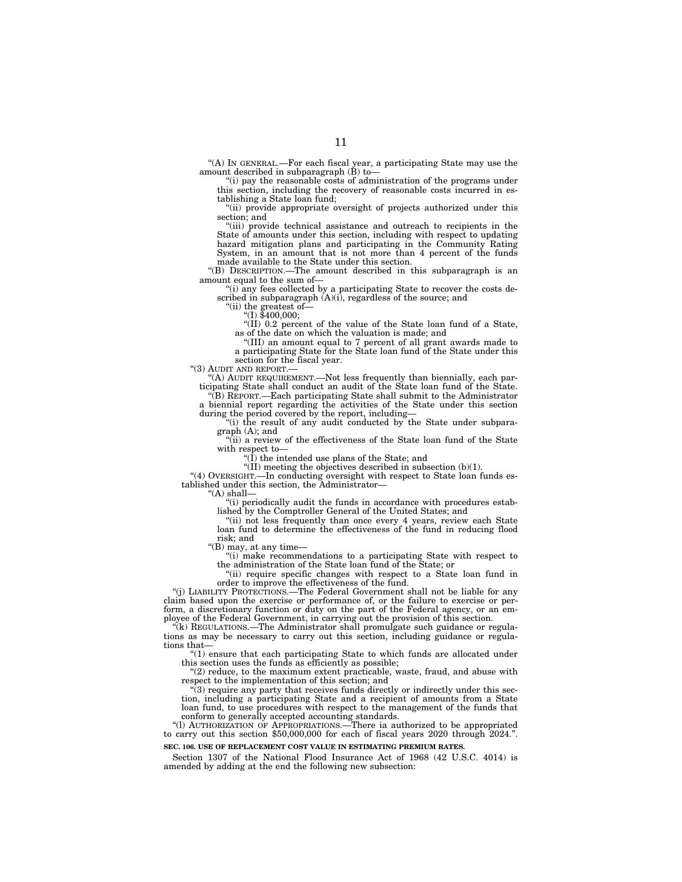''(A) IN GENERAL.—For each fiscal year, a participating State may use the amount described in subparagraph  $(\dot{B})$  to-

''(i) pay the reasonable costs of administration of the programs under this section, including the recovery of reasonable costs incurred in establishing a State loan fund;

"(ii) provide appropriate oversight of projects authorized under this section; and

"(iii) provide technical assistance and outreach to recipients in the State of amounts under this section, including with respect to updating hazard mitigation plans and participating in the Community Rating System, in an amount that is not more than 4 percent of the funds made available to the State under this section.

''(B) DESCRIPTION.—The amount described in this subparagraph is an amount equal to the sum of—

"(i) any fees collected by a participating State to recover the costs described in subparagraph  $(A)(i)$ , regardless of the source; and

''(ii) the greatest of—

''(I) \$400,000;

''(II) 0.2 percent of the value of the State loan fund of a State, as of the date on which the valuation is made; and

''(III) an amount equal to 7 percent of all grant awards made to a participating State for the State loan fund of the State under this section for the fiscal year.

''(3) AUDIT AND REPORT.—

''(A) AUDIT REQUIREMENT.—Not less frequently than biennially, each participating State shall conduct an audit of the State loan fund of the State. ''(B) REPORT.—Each participating State shall submit to the Administrator

a biennial report regarding the activities of the State under this section during the period covered by the report, including—

"(i) the result of any audit conducted by the State under subparagraph (A); and

''(ii) a review of the effectiveness of the State loan fund of the State with respect to—

" $(1)$  the intended use plans of the State; and

 $\sqrt{\text{III}}$  meeting the objectives described in subsection (b)(1).

"(4) OVERSIGHT.—In conducting oversight with respect to State loan funds established under this section, the Administrator—

''(A) shall—

''(i) periodically audit the funds in accordance with procedures established by the Comptroller General of the United States; and

"(ii) not less frequently than once every 4 years, review each State loan fund to determine the effectiveness of the fund in reducing flood risk; and

''(B) may, at any time—

"(i) make recommendations to a participating State with respect to the administration of the State loan fund of the State; or

''(ii) require specific changes with respect to a State loan fund in order to improve the effectiveness of the fund.

"(i) LIABILITY PROTECTIONS.—The Federal Government shall not be liable for any claim based upon the exercise or performance of, or the failure to exercise or perform, a discretionary function or duty on the part of the Federal agency, or an employee of the Federal Government, in carrying out the provision of this section.

''(k) REGULATIONS.—The Administrator shall promulgate such guidance or regula-tions as may be necessary to carry out this section, including guidance or regulations that—

''(1) ensure that each participating State to which funds are allocated under this section uses the funds as efficiently as possible;

"(2) reduce, to the maximum extent practicable, waste, fraud, and abuse with respect to the implementation of this section; and

 $\sqrt{3}$ ) require any party that receives funds directly or indirectly under this section, including a participating State and a recipient of amounts from a State loan fund, to use procedures with respect to the management of the funds that conform to generally accepted accounting standards.

''(l) AUTHORIZATION OF APPROPRIATIONS.—There ia authorized to be appropriated to carry out this section \$50,000,000 for each of fiscal years 2020 through 2024.''. **SEC. 106. USE OF REPLACEMENT COST VALUE IN ESTIMATING PREMIUM RATES.** 

Section 1307 of the National Flood Insurance Act of 1968 (42 U.S.C. 4014) is amended by adding at the end the following new subsection: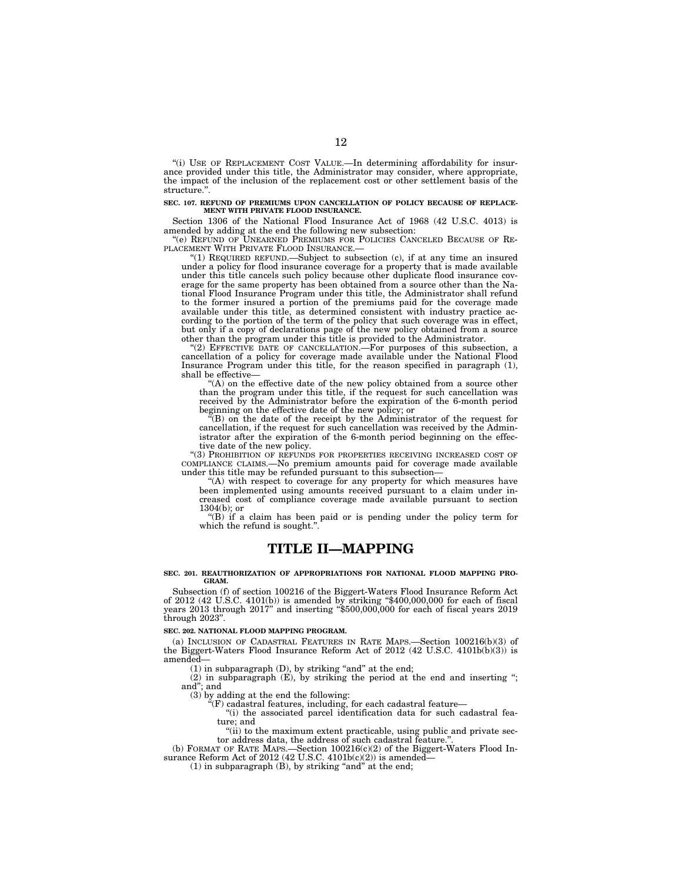"(i) USE OF REPLACEMENT COST VALUE.—In determining affordability for insurance provided under this title, the Administrator may consider, where appropriate, the impact of the inclusion of the replacement cost or other settlement basis of the structure.''.

### **SEC. 107. REFUND OF PREMIUMS UPON CANCELLATION OF POLICY BECAUSE OF REPLACE-MENT WITH PRIVATE FLOOD INSURANCE.**

Section 1306 of the National Flood Insurance Act of 1968 (42 U.S.C. 4013) is amended by adding at the end the following new subsection:

''(e) REFUND OF UNEARNED PREMIUMS FOR POLICIES CANCELED BECAUSE OF RE-PLACEMENT WITH PRIVATE FLOOD INSURANCE.—

''(1) REQUIRED REFUND.—Subject to subsection (c), if at any time an insured under a policy for flood insurance coverage for a property that is made available under this title cancels such policy because other duplicate flood insurance coverage for the same property has been obtained from a source other than the National Flood Insurance Program under this title, the Administrator shall refund to the former insured a portion of the premiums paid for the coverage made available under this title, as determined consistent with industry practice according to the portion of the term of the policy that such coverage was in effect, but only if a copy of declarations page of the new policy obtained from a source other than the program under this title is provided to the Administrator.

''(2) EFFECTIVE DATE OF CANCELLATION.—For purposes of this subsection, a cancellation of a policy for coverage made available under the National Flood Insurance Program under this title, for the reason specified in paragraph (1), shall be effective

''(A) on the effective date of the new policy obtained from a source other than the program under this title, if the request for such cancellation was received by the Administrator before the expiration of the 6-month period beginning on the effective date of the new policy; or

''(B) on the date of the receipt by the Administrator of the request for cancellation, if the request for such cancellation was received by the Administrator after the expiration of the 6-month period beginning on the effective date of the new policy.

''(3) PROHIBITION OF REFUNDS FOR PROPERTIES RECEIVING INCREASED COST OF COMPLIANCE CLAIMS.—No premium amounts paid for coverage made available under this title may be refunded pursuant to this subsection—

"(A) with respect to coverage for any property for which measures have been implemented using amounts received pursuant to a claim under increased cost of compliance coverage made available pursuant to section 1304(b); or

''(B) if a claim has been paid or is pending under the policy term for which the refund is sought.'

# **TITLE II—MAPPING**

### **SEC. 201. REAUTHORIZATION OF APPROPRIATIONS FOR NATIONAL FLOOD MAPPING PRO-GRAM.**

Subsection (f) of section 100216 of the Biggert-Waters Flood Insurance Reform Act of  $2012$  (42 U.S.C.  $4101(b)$ ) is amended by striking "\$400,000,000 for each of fiscal years 2013 through 2017'' and inserting ''\$500,000,000 for each of fiscal years 2019 through 2023''.

### **SEC. 202. NATIONAL FLOOD MAPPING PROGRAM.**

(a) INCLUSION OF CADASTRAL FEATURES IN RATE MAPS.—Section 100216(b)(3) of the Biggert-Waters Flood Insurance Reform Act of 2012 (42 U.S.C. 4101b(b)(3)) is amended—

 $(1)$  in subparagraph  $(D)$ , by striking "and" at the end;

(2) in subparagraph (E), by striking the period at the end and inserting ''; and''; and

(3) by adding at the end the following:

 $\mathrm{``(F)}$  cadastral features, including, for each cadastral feature—

''(i) the associated parcel identification data for such cadastral feature; and

''(ii) to the maximum extent practicable, using public and private sec-tor address data, the address of such cadastral feature.''.

(b) FORMAT OF RATE MAPS.—Section 100216(c)(2) of the Biggert-Waters Flood Insurance Reform Act of 2012 (42 U.S.C. 4101b(c)(2)) is amended-

 $(1)$  in subparagraph  $(B)$ , by striking "and" at the end;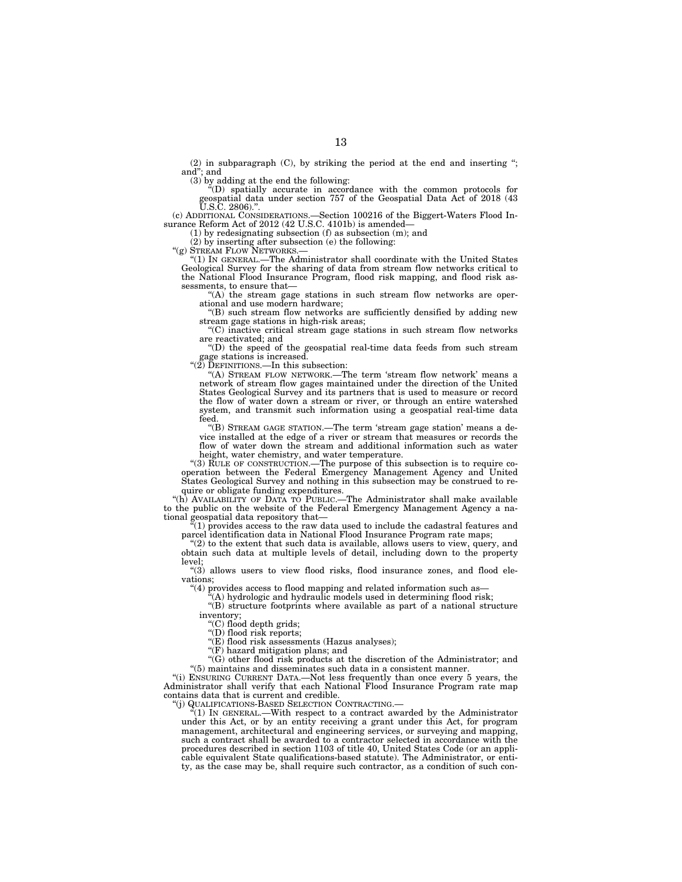(2) in subparagraph (C), by striking the period at the end and inserting ''; and''; and

(3) by adding at the end the following: ''(D) spatially accurate in accordance with the common protocols for geospatial data under section 757 of the Geospatial Data Act of 2018 (43  $\overline{U}$ .S.C. 2806)."

(c) ADDITIONAL CONSIDERATIONS.—Section 100216 of the Biggert-Waters Flood In-surance Reform Act of 2012 (42 U.S.C. 4101b) is amended— (1) by redesignating subsection (f) as subsection (m); and

(2) by inserting after subsection (e) the following: " $(g)$  STREAM FLOW NETWORKS.

''(g) STREAM FLOW NETWORKS.— ''(1) IN GENERAL.—The Administrator shall coordinate with the United States Geological Survey for the sharing of data from stream flow networks critical to the National Flood Insurance Program, flood risk mapping, and flood risk assessments, to ensure that-

''(A) the stream gage stations in such stream flow networks are oper-ational and use modern hardware;

''(B) such stream flow networks are sufficiently densified by adding new stream gage stations in high-risk areas;

''(C) inactive critical stream gage stations in such stream flow networks are reactivated; and

''(D) the speed of the geospatial real-time data feeds from such stream gage stations is increased.

''(2) DEFINITIONS.—In this subsection:

''(A) STREAM FLOW NETWORK.—The term 'stream flow network' means a network of stream flow gages maintained under the direction of the United States Geological Survey and its partners that is used to measure or record the flow of water down a stream or river, or through an entire watershed system, and transmit such information using a geospatial real-time data feed.

''(B) STREAM GAGE STATION.—The term 'stream gage station' means a device installed at the edge of a river or stream that measures or records the flow of water down the stream and additional information such as water height, water chemistry, and water temperature.

''(3) RULE OF CONSTRUCTION.—The purpose of this subsection is to require co-operation between the Federal Emergency Management Agency and United States Geological Survey and nothing in this subsection may be construed to require or obligate funding expenditures.

''(h) AVAILABILITY OF DATA TO PUBLIC.—The Administrator shall make available to the public on the website of the Federal Emergency Management Agency a national geospatial data repository that—

(1) provides access to the raw data used to include the cadastral features and parcel identification data in National Flood Insurance Program rate maps;

 $(2)$  to the extent that such data is available, allows users to view, query, and obtain such data at multiple levels of detail, including down to the property level;

 $(3)$  allows users to view flood risks, flood insurance zones, and flood elevations;

''(4) provides access to flood mapping and related information such as—

 $(A)$  hydrologic and hydraulic models used in determining flood risk;

''(B) structure footprints where available as part of a national structure inventory;

''(C) flood depth grids;

''(D) flood risk reports;

 $\mathcal{F}(E)$  flood risk assessments (Hazus analyses);

''(F) hazard mitigation plans; and

 $\mathcal{C}(G)$  other flood risk products at the discretion of the Administrator; and ''(5) maintains and disseminates such data in a consistent manner.

''(i) ENSURING CURRENT DATA.—Not less frequently than once every 5 years, the Administrator shall verify that each National Flood Insurance Program rate map contains data that is current and credible.

''(j) QUALIFICATIONS-BASED SELECTION CONTRACTING.—

''(1) IN GENERAL.—With respect to a contract awarded by the Administrator under this Act, or by an entity receiving a grant under this Act, for program management, architectural and engineering services, or surveying and mapping, such a contract shall be awarded to a contractor selected in accordance with the procedures described in section 1103 of title 40, United States Code (or an applicable equivalent State qualifications-based statute). The Administrator, or entity, as the case may be, shall require such contractor, as a condition of such con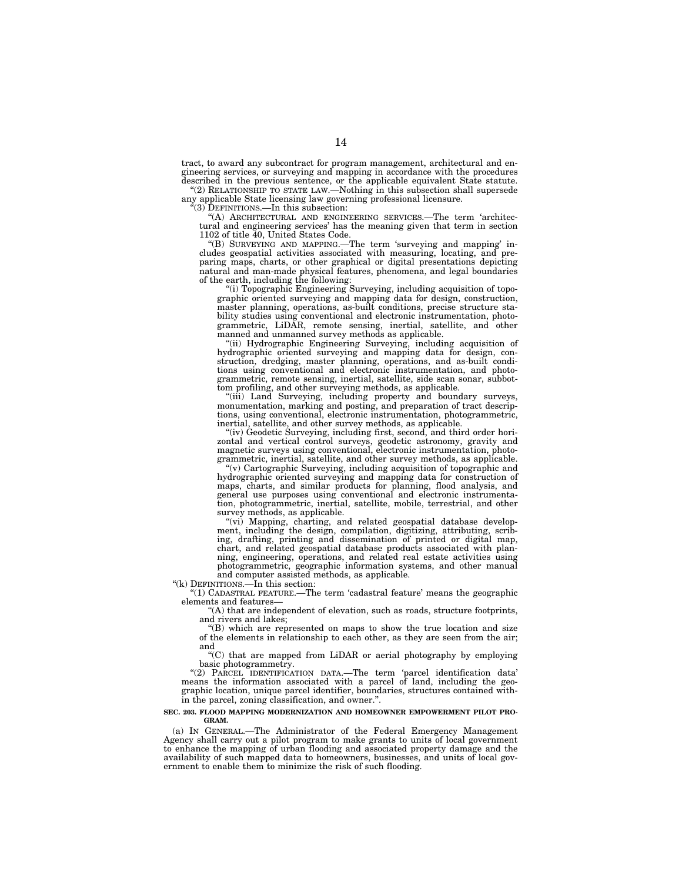tract, to award any subcontract for program management, architectural and engineering services, or surveying and mapping in accordance with the procedures described in the previous sentence, or the applicable equivalent State statute.

"(2) RELATIONSHIP TO STATE LAW.—Nothing in this subsection shall supersede any applicable State licensing law governing professional licensure.  $*(3)$  DEFINITIONS.—In this subsection:

''(A) ARCHITECTURAL AND ENGINEERING SERVICES.—The term 'architectural and engineering services' has the meaning given that term in section 1102 of title 40, United States Code.

''(B) SURVEYING AND MAPPING.—The term 'surveying and mapping' includes geospatial activities associated with measuring, locating, and preparing maps, charts, or other graphical or digital presentations depicting natural and man-made physical features, phenomena, and legal boundaries of the earth, including the following:

''(i) Topographic Engineering Surveying, including acquisition of topographic oriented surveying and mapping data for design, construction, master planning, operations, as-built conditions, precise structure stability studies using conventional and electronic instrumentation, photogrammetric, LiDAR, remote sensing, inertial, satellite, and other manned and unmanned survey methods as applicable.

''(ii) Hydrographic Engineering Surveying, including acquisition of hydrographic oriented surveying and mapping data for design, construction, dredging, master planning, operations, and as-built conditions using conventional and electronic instrumentation, and photogrammetric, remote sensing, inertial, satellite, side scan sonar, subbottom profiling, and other surveying methods, as applicable.

''(iii) Land Surveying, including property and boundary surveys, monumentation, marking and posting, and preparation of tract descriptions, using conventional, electronic instrumentation, photogrammetric, inertial, satellite, and other survey methods, as applicable.

"(iv) Geodetic Surveying, including first, second, and third order horizontal and vertical control surveys, geodetic astronomy, gravity and magnetic surveys using conventional, electronic instrumentation, photogrammetric, inertial, satellite, and other survey methods, as applicable.

''(v) Cartographic Surveying, including acquisition of topographic and hydrographic oriented surveying and mapping data for construction of maps, charts, and similar products for planning, flood analysis, and general use purposes using conventional and electronic instrumentation, photogrammetric, inertial, satellite, mobile, terrestrial, and other survey methods, as applicable.

"(vi) Mapping, charting, and related geospatial database development, including the design, compilation, digitizing, attributing, scribing, drafting, printing and dissemination of printed or digital map, chart, and related geospatial database products associated with planning, engineering, operations, and related real estate activities using photogrammetric, geographic information systems, and other manual and computer assisted methods, as applicable.

''(k) DEFINITIONS.—In this section:

''(1) CADASTRAL FEATURE.—The term 'cadastral feature' means the geographic elements and features—

''(A) that are independent of elevation, such as roads, structure footprints, and rivers and lakes;

''(B) which are represented on maps to show the true location and size of the elements in relationship to each other, as they are seen from the air; and

''(C) that are mapped from LiDAR or aerial photography by employing basic photogrammetry.

''(2) PARCEL IDENTIFICATION DATA.—The term 'parcel identification data' means the information associated with a parcel of land, including the geographic location, unique parcel identifier, boundaries, structures contained within the parcel, zoning classification, and owner.''.

### **SEC. 203. FLOOD MAPPING MODERNIZATION AND HOMEOWNER EMPOWERMENT PILOT PRO-GRAM.**

(a) IN GENERAL.—The Administrator of the Federal Emergency Management Agency shall carry out a pilot program to make grants to units of local government to enhance the mapping of urban flooding and associated property damage and the availability of such mapped data to homeowners, businesses, and units of local government to enable them to minimize the risk of such flooding.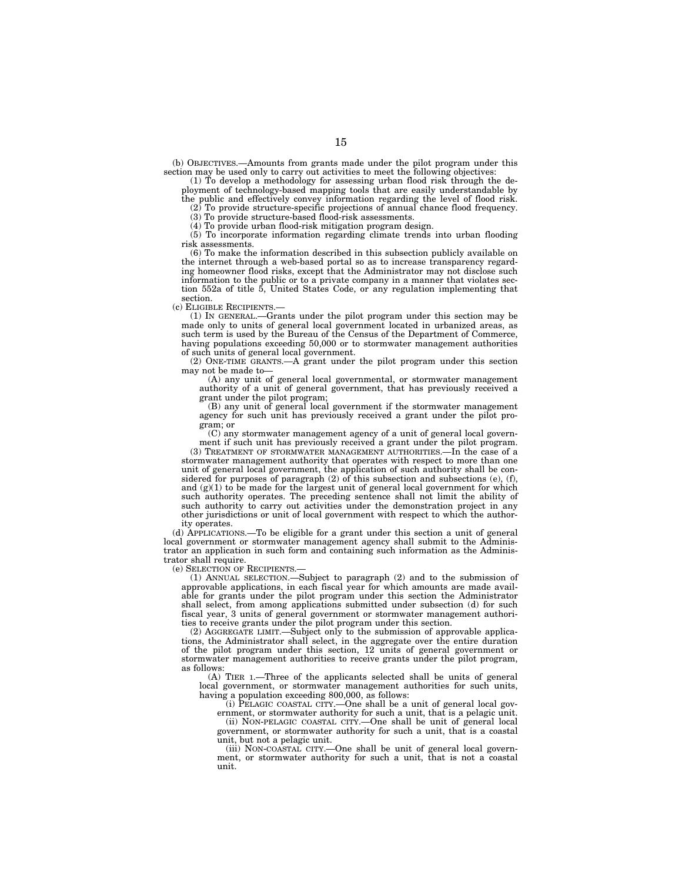(b) OBJECTIVES.—Amounts from grants made under the pilot program under this section may be used only to carry out activities to meet the following objectives:

(1) To develop a methodology for assessing urban flood risk through the deployment of technology-based mapping tools that are easily understandable by the public and effectively convey information regarding the level of flood risk.

(2) To provide structure-specific projections of annual chance flood frequency. (3) To provide structure-based flood-risk assessments.

 $(4)$  To provide urban flood-risk mitigation program design.

(5) To incorporate information regarding climate trends into urban flooding risk assessments.

(6) To make the information described in this subsection publicly available on the internet through a web-based portal so as to increase transparency regarding homeowner flood risks, except that the Administrator may not disclose such information to the public or to a private company in a manner that violates section 552a of title 5, United States Code, or any regulation implementing that section.

(c) ELIGIBLE RECIPIENTS.—

(1) IN GENERAL.—Grants under the pilot program under this section may be made only to units of general local government located in urbanized areas, as such term is used by the Bureau of the Census of the Department of Commerce, having populations exceeding 50,000 or to stormwater management authorities of such units of general local government.

(2) ONE-TIME GRANTS.—A grant under the pilot program under this section may not be made to—

(A) any unit of general local governmental, or stormwater management authority of a unit of general government, that has previously received a grant under the pilot program;

(B) any unit of general local government if the stormwater management agency for such unit has previously received a grant under the pilot program; or

(C) any stormwater management agency of a unit of general local government if such unit has previously received a grant under the pilot program.

(3) TREATMENT OF STORMWATER MANAGEMENT AUTHORITIES.—In the case of a stormwater management authority that operates with respect to more than one unit of general local government, the application of such authority shall be considered for purposes of paragraph (2) of this subsection and subsections (e), (f), and  $(g)(1)$  to be made for the largest unit of general local government for which such authority operates. The preceding sentence shall not limit the ability of such authority to carry out activities under the demonstration project in any other jurisdictions or unit of local government with respect to which the authority operates.

(d) APPLICATIONS.—To be eligible for a grant under this section a unit of general local government or stormwater management agency shall submit to the Administrator an application in such form and containing such information as the Administrator shall require.

(e) SELECTION OF RECIPIENTS.—

(1) ANNUAL SELECTION.—Subject to paragraph (2) and to the submission of approvable applications, in each fiscal year for which amounts are made available for grants under the pilot program under this section the Administrator shall select, from among applications submitted under subsection (d) for such fiscal year, 3 units of general government or stormwater management authorities to receive grants under the pilot program under this section.

(2) AGGREGATE LIMIT.—Subject only to the submission of approvable applications, the Administrator shall select, in the aggregate over the entire duration of the pilot program under this section, 12 units of general government or stormwater management authorities to receive grants under the pilot program, as follows:

(A) TIER 1.—Three of the applicants selected shall be units of general local government, or stormwater management authorities for such units, having a population exceeding 800,000, as follows:

(i) PELAGIC COASTAL CITY.—One shall be a unit of general local gov-

ernment, or stormwater authority for such a unit, that is a pelagic unit. (ii) NON-PELAGIC COASTAL CITY.—One shall be unit of general local government, or stormwater authority for such a unit, that is a coastal unit, but not a pelagic unit.

(iii) NON-COASTAL CITY.—One shall be unit of general local government, or stormwater authority for such a unit, that is not a coastal unit.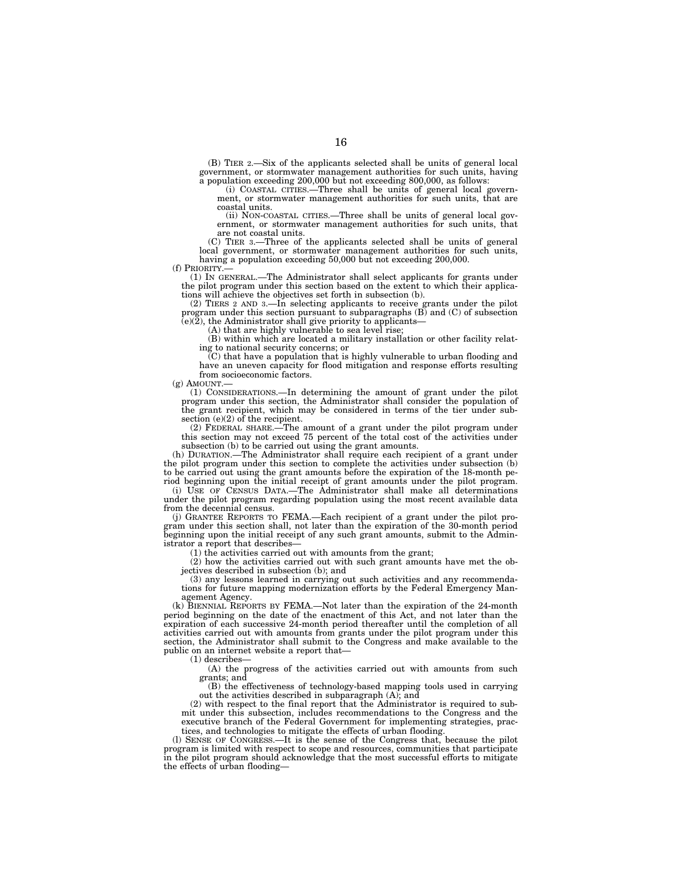(B) TIER 2.—Six of the applicants selected shall be units of general local government, or stormwater management authorities for such units, having a population exceeding 200,000 but not exceeding 800,000, as follows:

(i) COASTAL CITIES.—Three shall be units of general local government, or stormwater management authorities for such units, that are coastal units.

(ii) NON-COASTAL CITIES.—Three shall be units of general local government, or stormwater management authorities for such units, that are not coastal units.

(C) TIER 3.—Three of the applicants selected shall be units of general local government, or stormwater management authorities for such units, having a population exceeding 50,000 but not exceeding 200,000.<br>
(f) PRIORITY —

(f) PRIORITY.— (1) IN GENERAL.—The Administrator shall select applicants for grants under the pilot program under this section based on the extent to which their applications will achieve the objectives set forth in subsection (b).

(2) TIERS 2 AND 3.—In selecting applicants to receive grants under the pilot program under this section pursuant to subparagraphs  $(B)$  and  $(C)$  of subsection  $(e)(2)$ , the Administrator shall give priority to applicants—

(A) that are highly vulnerable to sea level rise; (B) within which are located a military installation or other facility relating to national security concerns; or

(C) that have a population that is highly vulnerable to urban flooding and have an uneven capacity for flood mitigation and response efforts resulting from socioeconomic factors.

 $(g)$  AMOUNT.

(1) CONSIDERATIONS.—In determining the amount of grant under the pilot program under this section, the Administrator shall consider the population of the grant recipient, which may be considered in terms of the tier under subsection (e)(2) of the recipient.

(2) FEDERAL SHARE.—The amount of a grant under the pilot program under this section may not exceed 75 percent of the total cost of the activities under subsection (b) to be carried out using the grant amounts.

(h) DURATION.—The Administrator shall require each recipient of a grant under the pilot program under this section to complete the activities under subsection (b) to be carried out using the grant amounts before the expiration of the 18-month period beginning upon the initial receipt of grant amounts under the pilot program.

(i) USE OF CENSUS DATA.—The Administrator shall make all determinations under the pilot program regarding population using the most recent available data from the decennial census.

(j) GRANTEE REPORTS TO FEMA.—Each recipient of a grant under the pilot program under this section shall, not later than the expiration of the 30-month period beginning upon the initial receipt of any such grant amounts, submit to the Administrator a report that describes-

(1) the activities carried out with amounts from the grant;

(2) how the activities carried out with such grant amounts have met the objectives described in subsection (b); and

(3) any lessons learned in carrying out such activities and any recommendations for future mapping modernization efforts by the Federal Emergency Management Agency.

(k) BIENNIAL REPORTS BY FEMA.—Not later than the expiration of the 24-month period beginning on the date of the enactment of this Act, and not later than the expiration of each successive 24-month period thereafter until the completion of all activities carried out with amounts from grants under the pilot program under this section, the Administrator shall submit to the Congress and make available to the public on an internet website a report that—

 $(1)$  describes

(A) the progress of the activities carried out with amounts from such grants; and

(B) the effectiveness of technology-based mapping tools used in carrying out the activities described in subparagraph (A); and

(2) with respect to the final report that the Administrator is required to submit under this subsection, includes recommendations to the Congress and the executive branch of the Federal Government for implementing strategies, practices, and technologies to mitigate the effects of urban flooding.

(l) SENSE OF CONGRESS.—It is the sense of the Congress that, because the pilot program is limited with respect to scope and resources, communities that participate in the pilot program should acknowledge that the most successful efforts to mitigate the effects of urban flooding—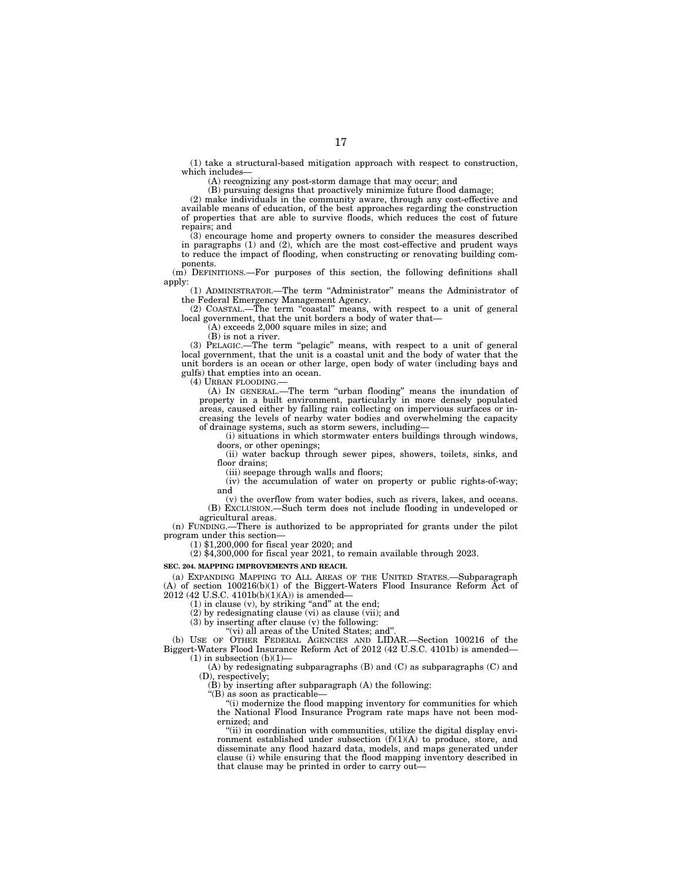(1) take a structural-based mitigation approach with respect to construction, which includes—

(A) recognizing any post-storm damage that may occur; and

(B) pursuing designs that proactively minimize future flood damage;

(2) make individuals in the community aware, through any cost-effective and available means of education, of the best approaches regarding the construction of properties that are able to survive floods, which reduces the cost of future repairs; and

(3) encourage home and property owners to consider the measures described in paragraphs (1) and (2), which are the most cost-effective and prudent ways to reduce the impact of flooding, when constructing or renovating building components.

(m) DEFINITIONS.—For purposes of this section, the following definitions shall apply:

(1) ADMINISTRATOR.—The term ''Administrator'' means the Administrator of the Federal Emergency Management Agency.

(2) COASTAL.—The term ''coastal'' means, with respect to a unit of general local government, that the unit borders a body of water that—

(A) exceeds 2,000 square miles in size; and

(B) is not a river.

(3) PELAGIC.—The term ''pelagic'' means, with respect to a unit of general local government, that the unit is a coastal unit and the body of water that the unit borders is an ocean or other large, open body of water (including bays and gulfs) that empties into an ocean.

(4) URBAN FLOODING.—

(A) IN GENERAL.—The term ''urban flooding'' means the inundation of property in a built environment, particularly in more densely populated areas, caused either by falling rain collecting on impervious surfaces or increasing the levels of nearby water bodies and overwhelming the capacity of drainage systems, such as storm sewers, including—

(i) situations in which stormwater enters buildings through windows, doors, or other openings;

(ii) water backup through sewer pipes, showers, toilets, sinks, and floor drains;

(iii) seepage through walls and floors;

(iv) the accumulation of water on property or public rights-of-way; and

(v) the overflow from water bodies, such as rivers, lakes, and oceans. (B) EXCLUSION.—Such term does not include flooding in undeveloped or agricultural areas.

(n) FUNDING.—There is authorized to be appropriated for grants under the pilot program under this section—

(1) \$1,200,000 for fiscal year 2020; and

 $(2)$  \$4,300,000 for fiscal year 2021, to remain available through 2023.

**SEC. 204. MAPPING IMPROVEMENTS AND REACH.** 

(a) EXPANDING MAPPING TO ALL AREAS OF THE UNITED STATES.—Subparagraph (A) of section 100216(b)(1) of the Biggert-Waters Flood Insurance Reform Act of 2012 (42 U.S.C. 4101b(b)(1)(A)) is amended—

 $(1)$  in clause  $(v)$ , by striking "and" at the end;

(2) by redesignating clause (vi) as clause (vii); and

(3) by inserting after clause (v) the following:

''(vi) all areas of the United States; and''.

(b) USE OF OTHER FEDERAL AGENCIES AND LIDAR.—Section 100216 of the Biggert-Waters Flood Insurance Reform Act of 2012 (42 U.S.C. 4101b) is amended—  $(1)$  in subsection  $(b)(1)$ –

(A) by redesignating subparagraphs (B) and (C) as subparagraphs (C) and (D), respectively;

 $(B)$  by inserting after subparagraph  $(A)$  the following:

''(B) as soon as practicable—

''(i) modernize the flood mapping inventory for communities for which the National Flood Insurance Program rate maps have not been modernized; and

"(ii) in coordination with communities, utilize the digital display environment established under subsection (f)(1)(A) to produce, store, and disseminate any flood hazard data, models, and maps generated under clause (i) while ensuring that the flood mapping inventory described in that clause may be printed in order to carry out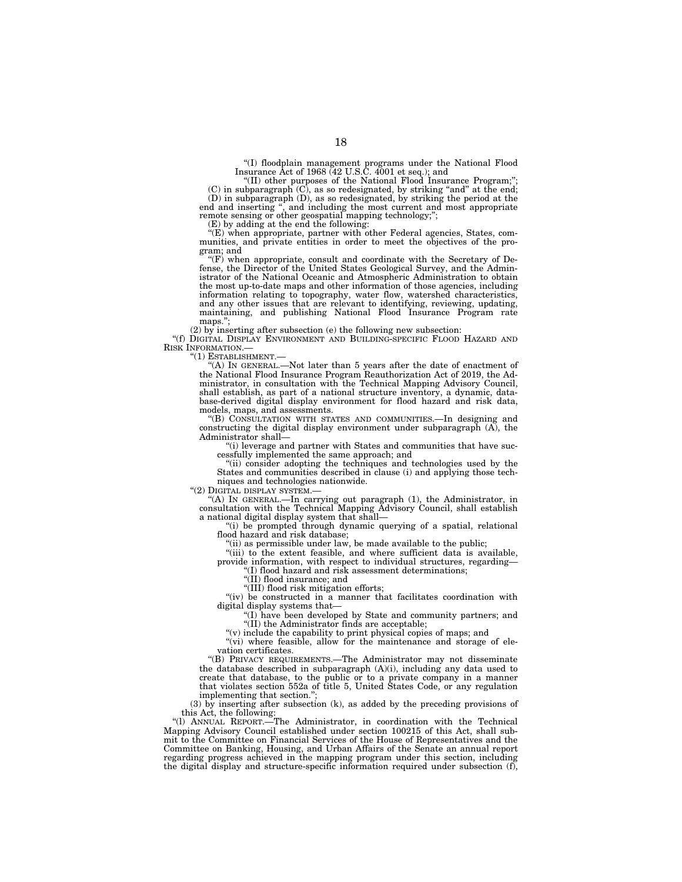''(I) floodplain management programs under the National Flood Insurance Act of 1968 (42 U.S.C. 4001 et seq.); and

"(II) other purposes of the National Flood Insurance Program;" (C) in subparagraph (C), as so redesignated, by striking ''and'' at the end; (D) in subparagraph (D), as so redesignated, by striking the period at the end and inserting ", and including the most current and most appropriate remote sensing or other geospatial mapping technology;";

(E) by adding at the end the following:

 $\mathcal{F}(E)$  when appropriate, partner with other Federal agencies, States, communities, and private entities in order to meet the objectives of the program; and

''(F) when appropriate, consult and coordinate with the Secretary of De-fense, the Director of the United States Geological Survey, and the Administrator of the National Oceanic and Atmospheric Administration to obtain the most up-to-date maps and other information of those agencies, including information relating to topography, water flow, watershed characteristics, and any other issues that are relevant to identifying, reviewing, updating, maintaining, and publishing National Flood Insurance Program rate maps.";

(2) by inserting after subsection (e) the following new subsection:

''(f) DIGITAL DISPLAY ENVIRONMENT AND BUILDING-SPECIFIC FLOOD HAZARD AND RISK INFORMATION.—

''(1) ESTABLISHMENT.—

''(A) IN GENERAL.—Not later than 5 years after the date of enactment of the National Flood Insurance Program Reauthorization Act of 2019, the Administrator, in consultation with the Technical Mapping Advisory Council, shall establish, as part of a national structure inventory, a dynamic, database-derived digital display environment for flood hazard and risk data, models, maps, and assessments.

''(B) CONSULTATION WITH STATES AND COMMUNITIES.—In designing and constructing the digital display environment under subparagraph (A), the Administrator shall—

''(i) leverage and partner with States and communities that have successfully implemented the same approach; and

''(ii) consider adopting the techniques and technologies used by the States and communities described in clause (i) and applying those techniques and technologies nationwide.

"(2) DIGITAL DISPLAY SYSTEM.-

''(A) IN GENERAL.—In carrying out paragraph (1), the Administrator, in consultation with the Technical Mapping Advisory Council, shall establish a national digital display system that shall—

''(i) be prompted through dynamic querying of a spatial, relational flood hazard and risk database;

''(ii) as permissible under law, be made available to the public;

''(iii) to the extent feasible, and where sufficient data is available, provide information, with respect to individual structures, regarding—

''(I) flood hazard and risk assessment determinations;

''(II) flood insurance; and

''(III) flood risk mitigation efforts;

"(iv) be constructed in a manner that facilitates coordination with digital display systems that—

''(I) have been developed by State and community partners; and "(II) the Administrator finds are acceptable;

''(v) include the capability to print physical copies of maps; and

"(vi) where feasible, allow for the maintenance and storage of elevation certificates.

''(B) PRIVACY REQUIREMENTS.—The Administrator may not disseminate the database described in subparagraph (A)(i), including any data used to create that database, to the public or to a private company in a manner that violates section 552a of title 5, United States Code, or any regulation implementing that section.'';

(3) by inserting after subsection (k), as added by the preceding provisions of this Act, the following:

''(l) ANNUAL REPORT.—The Administrator, in coordination with the Technical Mapping Advisory Council established under section 100215 of this Act, shall submit to the Committee on Financial Services of the House of Representatives and the Committee on Banking, Housing, and Urban Affairs of the Senate an annual report regarding progress achieved in the mapping program under this section, including the digital display and structure-specific information required under subsection (f),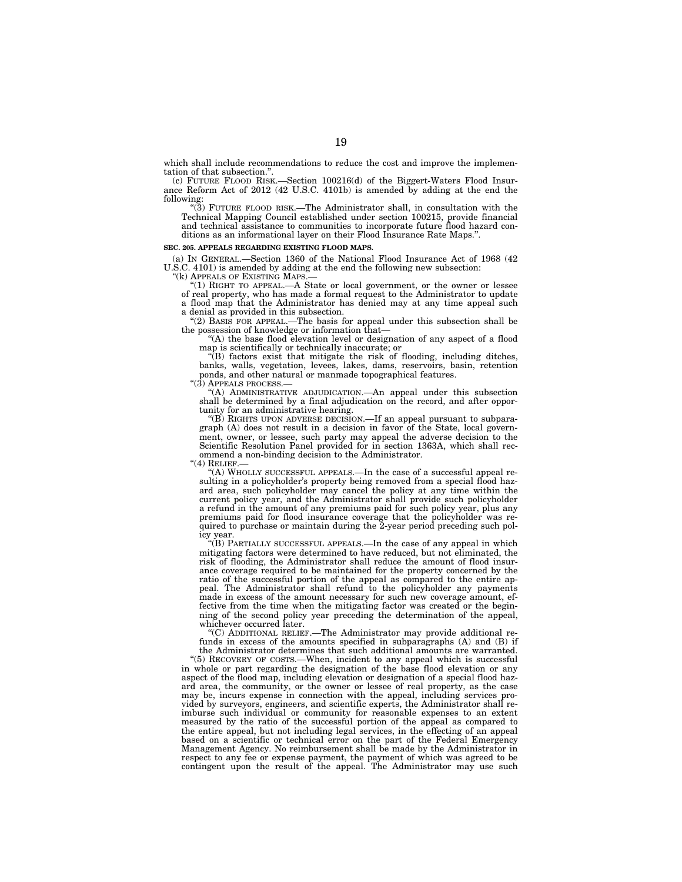which shall include recommendations to reduce the cost and improve the implementation of that subsection.''.

(c) FUTURE FLOOD RISK.—Section 100216(d) of the Biggert-Waters Flood Insurance Reform Act of 2012 (42 U.S.C. 4101b) is amended by adding at the end the following:

''(3) FUTURE FLOOD RISK.—The Administrator shall, in consultation with the Technical Mapping Council established under section 100215, provide financial and technical assistance to communities to incorporate future flood hazard conditions as an informational layer on their Flood Insurance Rate Maps.''.

# **SEC. 205. APPEALS REGARDING EXISTING FLOOD MAPS.**

(a) IN GENERAL.—Section 1360 of the National Flood Insurance Act of 1968 (42 U.S.C. 4101) is amended by adding at the end the following new subsection:

''(k) APPEALS OF EXISTING MAPS.—

"(1) RIGHT TO APPEAL.—A State or local government, or the owner or lessee of real property, who has made a formal request to the Administrator to update a flood map that the Administrator has denied may at any time appeal such a denial as provided in this subsection.

''(2) BASIS FOR APPEAL.—The basis for appeal under this subsection shall be the possession of knowledge or information that—

''(A) the base flood elevation level or designation of any aspect of a flood map is scientifically or technically inaccurate; or

''(B) factors exist that mitigate the risk of flooding, including ditches, banks, walls, vegetation, levees, lakes, dams, reservoirs, basin, retention ponds, and other natural or manmade topographical features.

 $"(3)$  APPEALS PROCESS.

''(A) ADMINISTRATIVE ADJUDICATION.—An appeal under this subsection shall be determined by a final adjudication on the record, and after opportunity for an administrative hearing.

''(B) RIGHTS UPON ADVERSE DECISION.—If an appeal pursuant to subparagraph (A) does not result in a decision in favor of the State, local government, owner, or lessee, such party may appeal the adverse decision to the Scientific Resolution Panel provided for in section 1363A, which shall recommend a non-binding decision to the Administrator.

" $(4)$  RELIEF.

''(A) WHOLLY SUCCESSFUL APPEALS.—In the case of a successful appeal resulting in a policyholder's property being removed from a special flood hazard area, such policyholder may cancel the policy at any time within the current policy year, and the Administrator shall provide such policyholder a refund in the amount of any premiums paid for such policy year, plus any premiums paid for flood insurance coverage that the policyholder was required to purchase or maintain during the 2-year period preceding such policy year.

''(B) PARTIALLY SUCCESSFUL APPEALS.—In the case of any appeal in which mitigating factors were determined to have reduced, but not eliminated, the risk of flooding, the Administrator shall reduce the amount of flood insurance coverage required to be maintained for the property concerned by the ratio of the successful portion of the appeal as compared to the entire appeal. The Administrator shall refund to the policyholder any payments made in excess of the amount necessary for such new coverage amount, effective from the time when the mitigating factor was created or the beginning of the second policy year preceding the determination of the appeal, whichever occurred later.

''(C) ADDITIONAL RELIEF.—The Administrator may provide additional refunds in excess of the amounts specified in subparagraphs (A) and (B) if

the Administrator determines that such additional amounts are warranted. ''(5) RECOVERY OF COSTS.—When, incident to any appeal which is successful in whole or part regarding the designation of the base flood elevation or any aspect of the flood map, including elevation or designation of a special flood hazard area, the community, or the owner or lessee of real property, as the case may be, incurs expense in connection with the appeal, including services provided by surveyors, engineers, and scientific experts, the Administrator shall reimburse such individual or community for reasonable expenses to an extent measured by the ratio of the successful portion of the appeal as compared to the entire appeal, but not including legal services, in the effecting of an appeal based on a scientific or technical error on the part of the Federal Emergency Management Agency. No reimbursement shall be made by the Administrator in respect to any fee or expense payment, the payment of which was agreed to be contingent upon the result of the appeal. The Administrator may use such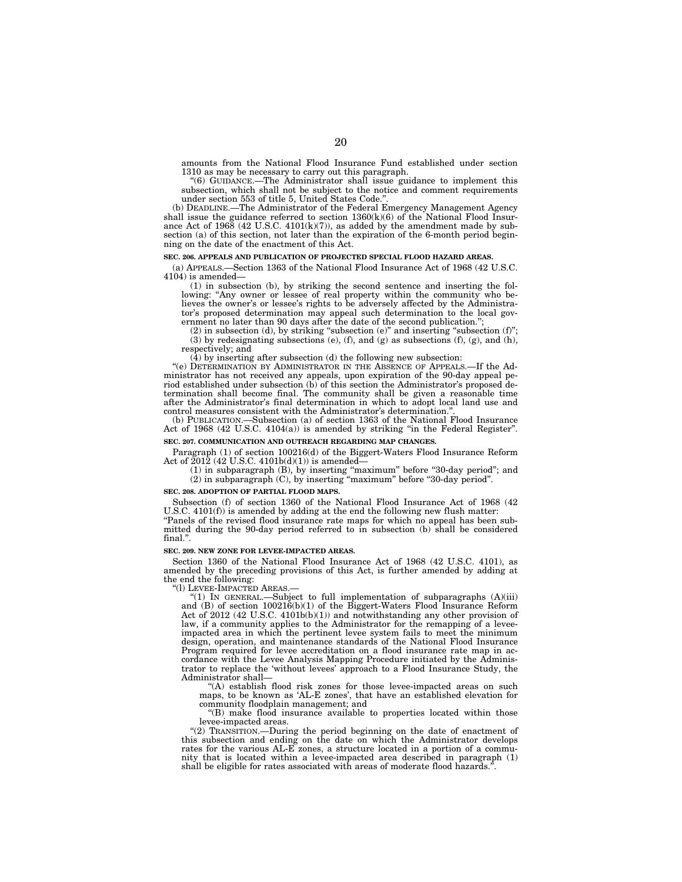amounts from the National Flood Insurance Fund established under section 1310 as may be necessary to carry out this paragraph.

''(6) GUIDANCE.—The Administrator shall issue guidance to implement this subsection, which shall not be subject to the notice and comment requirements under section 553 of title 5, United States Code.''.

(b) DEADLINE.—The Administrator of the Federal Emergency Management Agency shall issue the guidance referred to section  $1360(k)(6)$  of the National Flood Insurance Act of  $1968$  (42 U.S.C.  $4101(k)(7)$ ), as added by the amendment made by subsection (a) of this section, not later than the expiration of the 6-month period beginning on the date of the enactment of this Act.

### **SEC. 206. APPEALS AND PUBLICATION OF PROJECTED SPECIAL FLOOD HAZARD AREAS.**

(a) APPEALS.—Section 1363 of the National Flood Insurance Act of 1968 (42 U.S.C. 4104) is amended—

(1) in subsection (b), by striking the second sentence and inserting the following: "Any owner or lessee of real property within the community who believes the owner's or lessee's rights to be adversely affected by the Administrator's proposed determination may appeal such determination to the local government no later than 90 days after the date of the second publication.<sup>'</sup>

 $(2)$  in subsection  $(d)$ , by striking "subsection  $(e)$ " and inserting "subsection  $(f)$ "; (3) by redesignating subsections (e), (f), and (g) as subsections (f), (g), and (h), respectively; and

(4) by inserting after subsection (d) the following new subsection:

"(e) DETERMINATION BY ADMINISTRATOR IN THE ABSENCE OF APPEALS.—If the Administrator has not received any appeals, upon expiration of the 90-day appeal period established under subsection (b) of this section the Administrator's proposed determination shall become final. The community shall be given a reasonable time after the Administrator's final determination in which to adopt local land use and control measures consistent with the Administrator's determination.<br>(b) PUBLICATION.—Subsection (a) of section 1363 of the National

-Subsection (a) of section 1363 of the National Flood Insurance Act of 1968 (42 U.S.C. 4104(a)) is amended by striking "in the Federal Register".

# **SEC. 207. COMMUNICATION AND OUTREACH REGARDING MAP CHANGES.**

Paragraph (1) of section 100216(d) of the Biggert-Waters Flood Insurance Reform Act of  $2012$  (42 U.S.C. 4101b(d)(1)) is amended-

(1) in subparagraph (B), by inserting ''maximum'' before ''30-day period''; and (2) in subparagraph (C), by inserting ''maximum'' before ''30-day period''.

### **SEC. 208. ADOPTION OF PARTIAL FLOOD MAPS.**

Subsection (f) of section 1360 of the National Flood Insurance Act of 1968 (42 U.S.C. 4101(f)) is amended by adding at the end the following new flush matter:

''Panels of the revised flood insurance rate maps for which no appeal has been submitted during the 90-day period referred to in subsection (b) shall be considered final.''.

### **SEC. 209. NEW ZONE FOR LEVEE-IMPACTED AREAS.**

Section 1360 of the National Flood Insurance Act of 1968 (42 U.S.C. 4101), as amended by the preceding provisions of this Act, is further amended by adding at the end the following:

''(l) LEVEE-IMPACTED AREAS.—

"(1) IN GENERAL.—Subject to full implementation of subparagraphs  $(A)(iii)$  and  $(B)$  of section 100216(b)(1) of the Biggert-Waters Flood Insurance Reform Act of 2012 (42 U.S.C. 4101b(b)(1)) and notwithstanding any other provision of law, if a community applies to the Administrator for the remapping of a leveeimpacted area in which the pertinent levee system fails to meet the minimum design, operation, and maintenance standards of the National Flood Insurance Program required for levee accreditation on a flood insurance rate map in accordance with the Levee Analysis Mapping Procedure initiated by the Administrator to replace the 'without levees' approach to a Flood Insurance Study, the Administrator shall—

'(A) establish flood risk zones for those levee-impacted areas on such maps, to be known as 'AL-E zones', that have an established elevation for community floodplain management; and

''(B) make flood insurance available to properties located within those levee-impacted areas.

''(2) TRANSITION.—During the period beginning on the date of enactment of this subsection and ending on the date on which the Administrator develops rates for the various AL-E zones, a structure located in a portion of a community that is located within a levee-impacted area described in paragraph (1) shall be eligible for rates associated with areas of moderate flood hazards.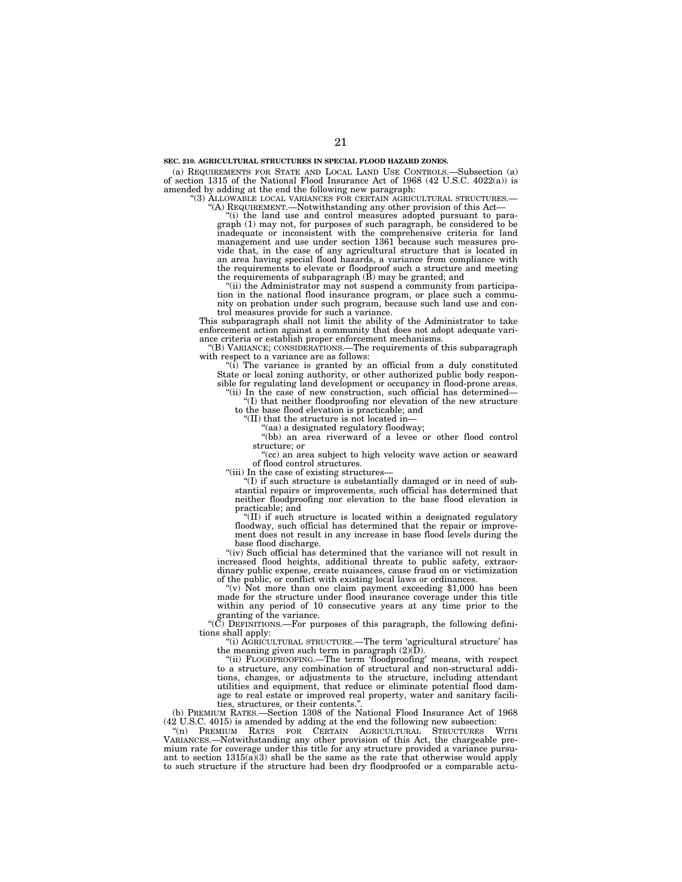(a) REQUIREMENTS FOR STATE AND LOCAL LAND USE CONTROLS.—Subsection (a) of section 1315 of the National Flood Insurance Act of 1968 (42 U.S.C. 4022(a)) is amended by adding at the end the following new paragraph:

''(3) ALLOWABLE LOCAL VARIANCES FOR CERTAIN AGRICULTURAL STRUCTURES.— ''(A) REQUIREMENT.—Notwithstanding any other provision of this Act—

''(i) the land use and control measures adopted pursuant to paragraph (1) may not, for purposes of such paragraph, be considered to be inadequate or inconsistent with the comprehensive criteria for land management and use under section 1361 because such measures provide that, in the case of any agricultural structure that is located in an area having special flood hazards, a variance from compliance with the requirements to elevate or floodproof such a structure and meeting the requirements of subparagraph (B) may be granted; and

(ii) the Administrator may not suspend a community from participation in the national flood insurance program, or place such a community on probation under such program, because such land use and con-

trol measures provide for such a variance. This subparagraph shall not limit the ability of the Administrator to take enforcement action against a community that does not adopt adequate variance criteria or establish proper enforcement mechanisms.

(B) VARIANCE; CONSIDERATIONS.—The requirements of this subparagraph with respect to a variance are as follows:

''(i) The variance is granted by an official from a duly constituted State or local zoning authority, or other authorized public body responsible for regulating land development or occupancy in flood-prone areas.

'(ii) In the case of new construction, such official has determined— ''(I) that neither floodproofing nor elevation of the new structure to the base flood elevation is practicable; and

''(II) that the structure is not located in—

'(aa) a designated regulatory floodway;

"(bb) an area riverward of a levee or other flood control structure; or

"(cc) an area subject to high velocity wave action or seaward of flood control structures.

"(iii) In the case of existing structures-

''(I) if such structure is substantially damaged or in need of substantial repairs or improvements, such official has determined that neither floodproofing nor elevation to the base flood elevation is practicable; and

''(II) if such structure is located within a designated regulatory floodway, such official has determined that the repair or improvement does not result in any increase in base flood levels during the base flood discharge.

"(iv) Such official has determined that the variance will not result in increased flood heights, additional threats to public safety, extraordinary public expense, create nuisances, cause fraud on or victimization of the public, or conflict with existing local laws or ordinances.

"(v) Not more than one claim payment exceeding \$1,000 has been made for the structure under flood insurance coverage under this title within any period of 10 consecutive years at any time prior to the granting of the variance.

''(C) DEFINITIONS.—For purposes of this paragraph, the following definitions shall apply:

''(i) AGRICULTURAL STRUCTURE.—The term 'agricultural structure' has the meaning given such term in paragraph (2)(D).

''(ii) FLOODPROOFING.—The term 'floodproofing' means, with respect to a structure, any combination of structural and non-structural additions, changes, or adjustments to the structure, including attendant utilities and equipment, that reduce or eliminate potential flood damage to real estate or improved real property, water and sanitary facilities, structures, or their contents.''.

(b) PREMIUM RATES.—Section 1308 of the National Flood Insurance Act of 1968 (42 U.S.C. 4015) is amended by adding at the end the following new subsection:

"(n) PREMIUM RATES FOR CERTAIN AGRICULTURAL STRUCTURES VARIANCES.—Notwithstanding any other provision of this Act, the chargeable premium rate for coverage under this title for any structure provided a variance pursuant to section  $1315(a)(3)$  shall be the same as the rate that otherwise would apply to such structure if the structure had been dry floodproofed or a comparable actu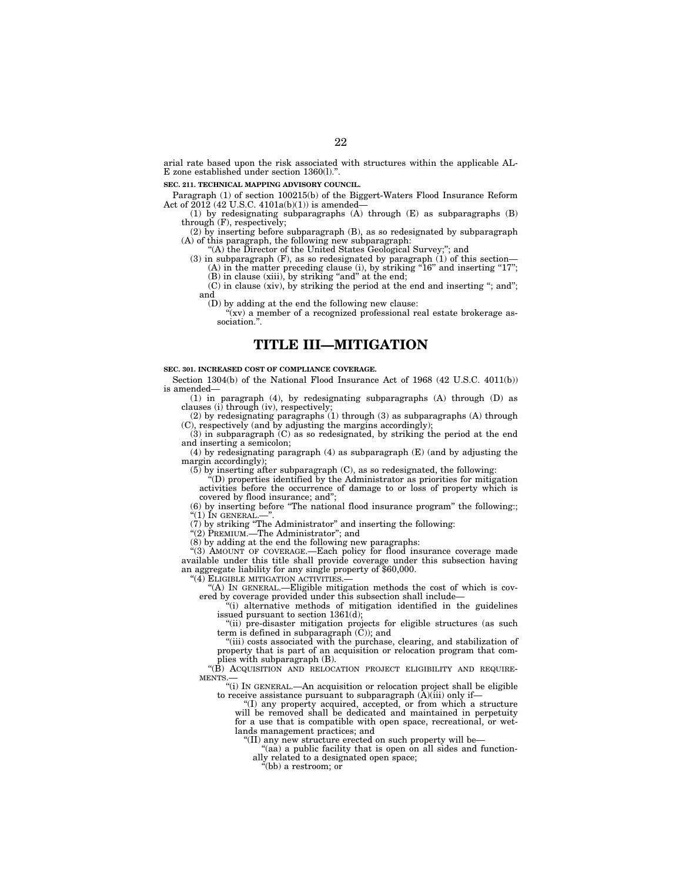arial rate based upon the risk associated with structures within the applicable AL-E zone established under section 1360(1)."

## **SEC. 211. TECHNICAL MAPPING ADVISORY COUNCIL.**

Paragraph (1) of section 100215(b) of the Biggert-Waters Flood Insurance Reform Act of  $2012$  (42 U.S.C. 4101a(b)(1)) is amended-

(1) by redesignating subparagraphs (A) through (E) as subparagraphs (B) through (F), respectively;

(2) by inserting before subparagraph (B), as so redesignated by subparagraph (A) of this paragraph, the following new subparagraph:

"(A) the Director of the United States Geological Survey;"; and

(3) in subparagraph (F), as so redesignated by paragraph  $(1)$  of this section-(A) in the matter preceding clause (i), by striking "16" and inserting "17"; (B) in clause (xiii), by striking "and" at the end;

(C) in clause (xiv), by striking the period at the end and inserting ''; and''; and

(D) by adding at the end the following new clause:

"(xv) a member of a recognized professional real estate brokerage association.''.

# **TITLE III—MITIGATION**

### **SEC. 301. INCREASED COST OF COMPLIANCE COVERAGE.**

Section 1304(b) of the National Flood Insurance Act of 1968 (42 U.S.C. 4011(b)) is amended—

(1) in paragraph (4), by redesignating subparagraphs (A) through (D) as clauses (i) through (iv), respectively;

(2) by redesignating paragraphs (1) through (3) as subparagraphs (A) through (C), respectively (and by adjusting the margins accordingly);

(3) in subparagraph (C) as so redesignated, by striking the period at the end and inserting a semicolon;

(4) by redesignating paragraph (4) as subparagraph (E) (and by adjusting the margin accordingly);

(5) by inserting after subparagraph (C), as so redesignated, the following:

''(D) properties identified by the Administrator as priorities for mitigation activities before the occurrence of damage to or loss of property which is covered by flood insurance; and'';

(6) by inserting before ''The national flood insurance program'' the following:; "(1) In general.–

(7) by striking ''The Administrator'' and inserting the following:

''(2) PREMIUM.—The Administrator''; and

(8) by adding at the end the following new paragraphs:

''(3) AMOUNT OF COVERAGE.—Each policy for flood insurance coverage made available under this title shall provide coverage under this subsection having an aggregate liability for any single property of \$60,000.

''(4) ELIGIBLE MITIGATION ACTIVITIES.—

''(A) IN GENERAL.—Eligible mitigation methods the cost of which is covered by coverage provided under this subsection shall include—

''(i) alternative methods of mitigation identified in the guidelines issued pursuant to section 1361(d);

''(ii) pre-disaster mitigation projects for eligible structures (as such term is defined in subparagraph (C)); and

''(iii) costs associated with the purchase, clearing, and stabilization of property that is part of an acquisition or relocation program that complies with subparagraph (B).

"(B) ACQUISITION AND RELOCATION PROJECT ELIGIBILITY AND REQUIRE-MENTS.—

''(i) IN GENERAL.—An acquisition or relocation project shall be eligible to receive assistance pursuant to subparagraph  $(A)(iii)$  only if-

''(I) any property acquired, accepted, or from which a structure will be removed shall be dedicated and maintained in perpetuity for a use that is compatible with open space, recreational, or wetlands management practices; and

''(II) any new structure erected on such property will be—

"(aa) a public facility that is open on all sides and functionally related to a designated open space;

''(bb) a restroom; or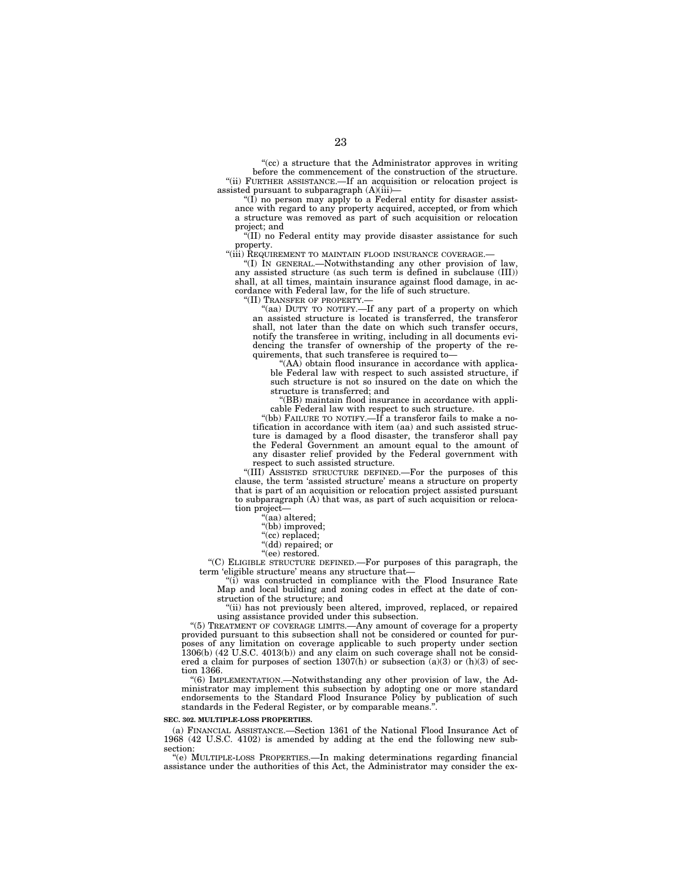"(cc) a structure that the Administrator approves in writing before the commencement of the construction of the structure. ''(ii) FURTHER ASSISTANCE.—If an acquisition or relocation project is assisted pursuant to subparagraph (A)(iii)—

"(I) no person may apply to a Federal entity for disaster assistance with regard to any property acquired, accepted, or from which a structure was removed as part of such acquisition or relocation project; and

''(II) no Federal entity may provide disaster assistance for such property.

"(iii) REQUIREMENT TO MAINTAIN FLOOD INSURANCE COVERAGE.-

''(I) IN GENERAL.—Notwithstanding any other provision of law, any assisted structure (as such term is defined in subclause (III)) shall, at all times, maintain insurance against flood damage, in accordance with Federal law, for the life of such structure.

''(II) TRANSFER OF PROPERTY.—

"(aa) DUTY TO NOTIFY.—If any part of a property on which an assisted structure is located is transferred, the transferor shall, not later than the date on which such transfer occurs, notify the transferee in writing, including in all documents evidencing the transfer of ownership of the property of the requirements, that such transferee is required to—

''(AA) obtain flood insurance in accordance with applicable Federal law with respect to such assisted structure, if such structure is not so insured on the date on which the structure is transferred; and

''(BB) maintain flood insurance in accordance with applicable Federal law with respect to such structure.

"(bb) FAILURE TO NOTIFY.—If a transferor fails to make a notification in accordance with item (aa) and such assisted structure is damaged by a flood disaster, the transferor shall pay the Federal Government an amount equal to the amount of any disaster relief provided by the Federal government with respect to such assisted structure.

''(III) ASSISTED STRUCTURE DEFINED.—For the purposes of this clause, the term 'assisted structure' means a structure on property that is part of an acquisition or relocation project assisted pursuant to subparagraph  $(A)$  that was, as part of such acquisition or relocation project—

''(aa) altered;

"(bb) improved;

''(cc) replaced;

''(dd) repaired; or

''(ee) restored.

''(C) ELIGIBLE STRUCTURE DEFINED.—For purposes of this paragraph, the term 'eligible structure' means any structure that—

"(i) was constructed in compliance with the Flood Insurance Rate Map and local building and zoning codes in effect at the date of construction of the structure; and

"(ii) has not previously been altered, improved, replaced, or repaired using assistance provided under this subsection.

"(5) TREATMENT OF COVERAGE LIMITS.—Any amount of coverage for a property provided pursuant to this subsection shall not be considered or counted for purposes of any limitation on coverage applicable to such property under section  $1306(b)$  (42 U.S.C. 4013(b)) and any claim on such coverage shall not be considered a claim for purposes of section 1307(h) or subsection (a)(3) or (h)(3) of section 1366.

''(6) IMPLEMENTATION.—Notwithstanding any other provision of law, the Administrator may implement this subsection by adopting one or more standard endorsements to the Standard Flood Insurance Policy by publication of such standards in the Federal Register, or by comparable means."

#### **SEC. 302. MULTIPLE-LOSS PROPERTIES.**

(a) FINANCIAL ASSISTANCE.—Section 1361 of the National Flood Insurance Act of 1968 (42 U.S.C. 4102) is amended by adding at the end the following new subsection:

''(e) MULTIPLE-LOSS PROPERTIES.—In making determinations regarding financial assistance under the authorities of this Act, the Administrator may consider the ex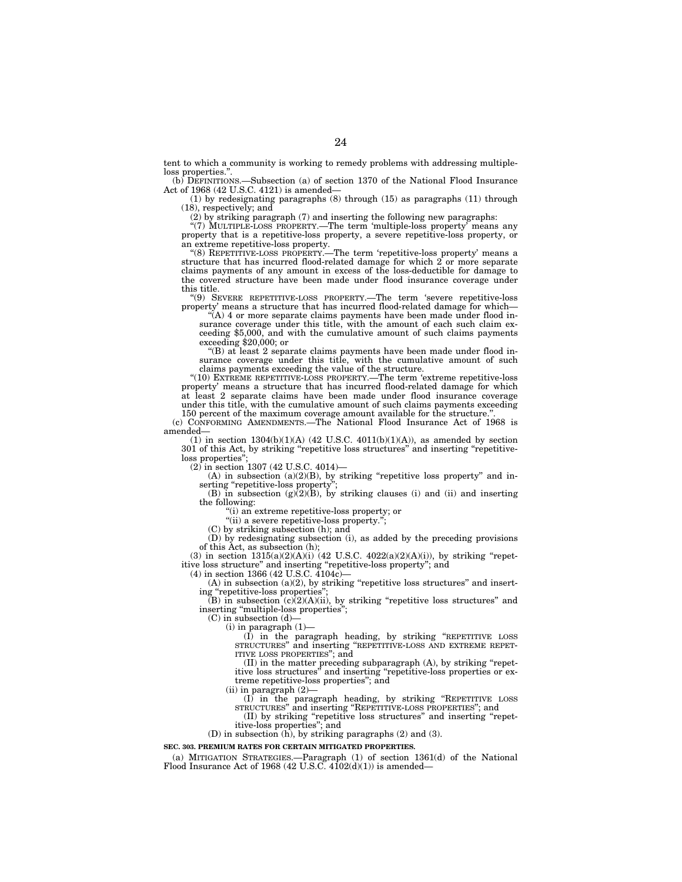tent to which a community is working to remedy problems with addressing multipleloss properties."

(b) DEFINITIONS.—Subsection (a) of section 1370 of the National Flood Insurance Act of 1968 (42 U.S.C. 4121) is amended—

(1) by redesignating paragraphs (8) through (15) as paragraphs (11) through (18), respectively; and

(2) by striking paragraph (7) and inserting the following new paragraphs:

"(7) MULTIPLE-LOSS PROPERTY.—The term 'multiple-loss property' means any property that is a repetitive-loss property, a severe repetitive-loss property, or an extreme repetitive-loss property.

''(8) REPETITIVE-LOSS PROPERTY.—The term 'repetitive-loss property' means a structure that has incurred flood-related damage for which 2 or more separate claims payments of any amount in excess of the loss-deductible for damage to the covered structure have been made under flood insurance coverage under this title.

''(9) SEVERE REPETITIVE-LOSS PROPERTY.—The term 'severe repetitive-loss property' means a structure that has incurred flood-related damage for which—

 $\mathcal{H}(A)$  4 or more separate claims payments have been made under flood insurance coverage under this title, with the amount of each such claim exceeding \$5,000, and with the cumulative amount of such claims payments exceeding \$20,000; or

''(B) at least 2 separate claims payments have been made under flood insurance coverage under this title, with the cumulative amount of such claims payments exceeding the value of the structure.

"(10) EXTREME REPETITIVE-LOSS PROPERTY.—The term 'extreme repetitive-loss property' means a structure that has incurred flood-related damage for which at least 2 separate claims have been made under flood insurance coverage under this title, with the cumulative amount of such claims payments exceeding

150 percent of the maximum coverage amount available for the structure.''. (c) CONFORMING AMENDMENTS.—The National Flood Insurance Act of 1968 is

amended— (1) in section  $1304(b)(1)(A)$  (42 U.S.C.  $4011(b)(1)(A)$ ), as amended by section

301 of this Act, by striking ''repetitive loss structures'' and inserting ''repetitiveloss properties'';

(2) in section 1307 (42 U.S.C. 4014)—

(A) in subsection (a)(2)(B), by striking "repetitive loss property" and inserting "repetitive-loss property";

(B) in subsection  $(g)(2)(B)$ , by striking clauses (i) and (ii) and inserting the following:

''(i) an extreme repetitive-loss property; or

"(ii) a severe repetitive-loss property.";

(C) by striking subsection (h); and

(D) by redesignating subsection (i), as added by the preceding provisions of this Act, as subsection (h);

(3) in section  $1315(a)(2)(A)(i)$  (42 U.S.C. 4022 $(a)(2)(A)(i)$ ), by striking "repetitive loss structure'' and inserting ''repetitive-loss property''; and  $(4)$  in section 1366 (42 U.S.C. 4104c)

 $(A)$  in subsection  $(a)(2)$ , by striking "repetitive loss structures" and inserting "repetitive-loss properties"

 $(B)$  in subsection  $(c)(2)(A)(ii)$ , by striking "repetitive loss structures" and inserting "multiple-loss properties";

 $(C)$  in subsection  $(d)$ -

(i) in paragraph (1)—

(I) in the paragraph heading, by striking ''REPETITIVE LOSS STRUCTURES'' and inserting ''REPETITIVE-LOSS AND EXTREME REPET-ITIVE LOSS PROPERTIES''; and

(II) in the matter preceding subparagraph (A), by striking ''repetitive loss structures'' and inserting ''repetitive-loss properties or extreme repetitive-loss properties''; and

(ii) in paragraph (2)—

(I) in the paragraph heading, by striking ''REPETITIVE LOSS STRUCTURES'' and inserting ''REPETITIVE-LOSS PROPERTIES''; and

(II) by striking ''repetitive loss structures'' and inserting ''repetitive-loss properties''; and

(D) in subsection (h), by striking paragraphs (2) and (3).

**SEC. 303. PREMIUM RATES FOR CERTAIN MITIGATED PROPERTIES.** 

(a) MITIGATION STRATEGIES.—Paragraph (1) of section 1361(d) of the National Flood Insurance Act of 1968 (42 U.S.C.  $4102(d)(1)$ ) is amended—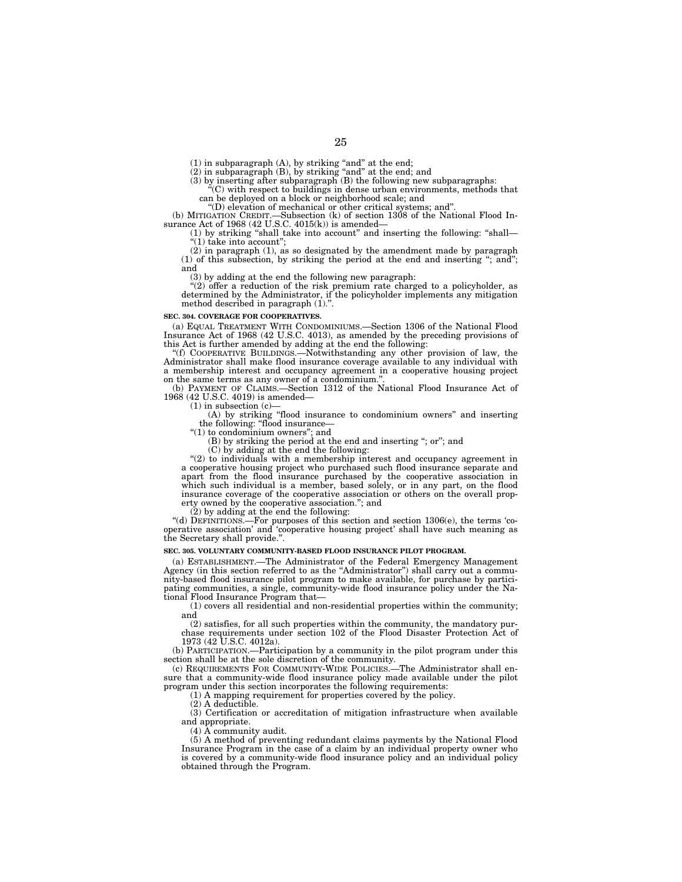(1) in subparagraph (A), by striking "and" at the end;<br>(2) in subparagraph (B), by striking "and" at the end; and<br>(3) by inserting after subparagraph (B) the following new subparagraphs:<br>"(C) with respect to buildings in

can be deployed on a block or neighborhood scale; and

''(D) elevation of mechanical or other critical systems; and''.

(b) MITIGATION CREDIT.—Subsection (k) of section 1308 of the National Flood Insurance Act of 1968 (42 U.S.C. 4015(k)) is amended—<br>(1) by striking "shall take into account" and inserting the following: "shall—

''(1) take into account'';

(2) in paragraph (1), as so designated by the amendment made by paragraph (1) of this subsection, by striking the period at the end and inserting ''; and''; and

(3) by adding at the end the following new paragraph: ''(2) offer a reduction of the risk premium rate charged to a policyholder, as determined by the Administrator, if the policyholder implements any mitigation method described in paragraph (1).''.

## **SEC. 304. COVERAGE FOR COOPERATIVES.**

(a) EQUAL TREATMENT WITH CONDOMINIUMS.—Section 1306 of the National Flood Insurance Act of 1968 (42 U.S.C. 4013), as amended by the preceding provisions of this Act is further amended by adding at the end the following:

''(f) COOPERATIVE BUILDINGS.—Notwithstanding any other provision of law, the Administrator shall make flood insurance coverage available to any individual with a membership interest and occupancy agreement in a cooperative housing project on the same terms as any owner of a condominium.

(b) PAYMENT OF CLAIMS.—Section 1312 of the National Flood Insurance Act of 1968 (42 U.S.C. 4019) is amended—

 $(1)$  in subsection  $(c)$ -

(A) by striking ''flood insurance to condominium owners'' and inserting the following: "flood insurance—<br>"(1) to condominium owners"; and

(B) by striking the period at the end and inserting ''; or''; and

(C) by adding at the end the following:

 $(2)$  to individuals with a membership interest and occupancy agreement in a cooperative housing project who purchased such flood insurance separate and apart from the flood insurance purchased by the cooperative association in which such individual is a member, based solely, or in any part, on the flood insurance coverage of the cooperative association or others on the overall property owned by the cooperative association.''; and

 $(2)$  by adding at the end the following:

"(d) DEFINITIONS.—For purposes of this section and section  $1306(e)$ , the terms 'cooperative association' and 'cooperative housing project' shall have such meaning as the Secretary shall provide.''.

## **SEC. 305. VOLUNTARY COMMUNITY-BASED FLOOD INSURANCE PILOT PROGRAM.**

(a) ESTABLISHMENT.—The Administrator of the Federal Emergency Management Agency (in this section referred to as the ''Administrator'') shall carry out a community-based flood insurance pilot program to make available, for purchase by participating communities, a single, community-wide flood insurance policy under the National Flood Insurance Program that—

(1) covers all residential and non-residential properties within the community; and

(2) satisfies, for all such properties within the community, the mandatory purchase requirements under section 102 of the Flood Disaster Protection Act of 1973 (42 U.S.C. 4012a).

(b) PARTICIPATION.—Participation by a community in the pilot program under this section shall be at the sole discretion of the community.

(c) REQUIREMENTS FOR COMMUNITY-WIDE POLICIES.—The Administrator shall ensure that a community-wide flood insurance policy made available under the pilot program under this section incorporates the following requirements:

(1) A mapping requirement for properties covered by the policy.

(2) A deductible.

(3) Certification or accreditation of mitigation infrastructure when available and appropriate.

(4) A community audit.

(5) A method of preventing redundant claims payments by the National Flood Insurance Program in the case of a claim by an individual property owner who is covered by a community-wide flood insurance policy and an individual policy obtained through the Program.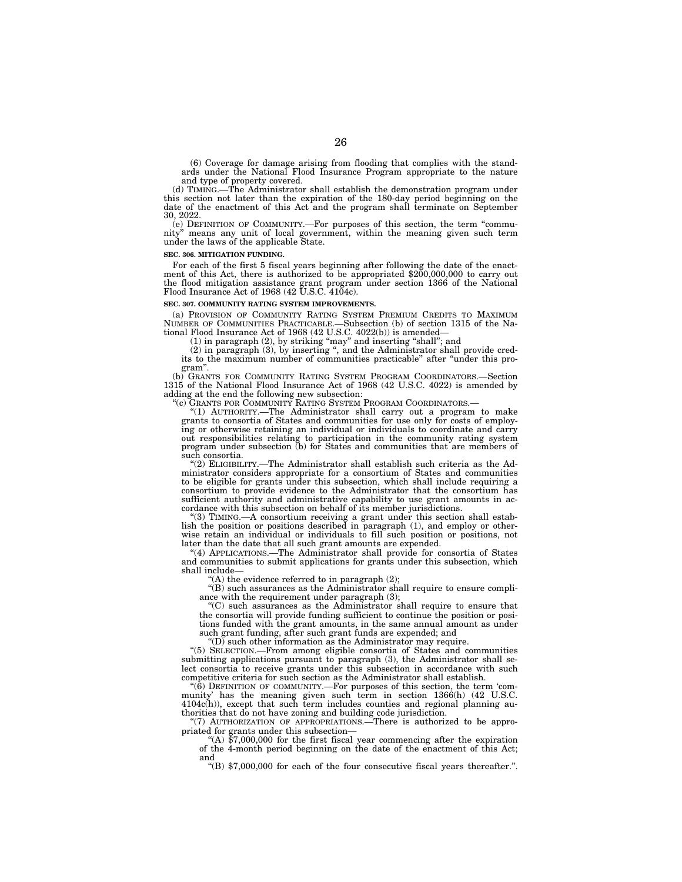(6) Coverage for damage arising from flooding that complies with the stand-ards under the National Flood Insurance Program appropriate to the nature

and type of property covered.<br>(d) TIMING.—The Administrator shall establish the demonstration program under this section not later than the expiration of the 180-day period beginning on the date of the enactment of this Act and the program shall terminate on September 30, 2022.

(e) DEFINITION OF COMMUNITY.—For purposes of this section, the term ''commu-nity'' means any unit of local government, within the meaning given such term under the laws of the applicable State.

### **SEC. 306. MITIGATION FUNDING.**

For each of the first 5 fiscal years beginning after following the date of the enact-<br>ment of this Act, there is authorized to be appropriated \$200,000,000 to carry out the flood mitigation assistance grant program under section 1366 of the National Flood Insurance Act of 1968 (42 U.S.C. 4104c).

#### **SEC. 307. COMMUNITY RATING SYSTEM IMPROVEMENTS.**

(a) PROVISION OF COMMUNITY RATING SYSTEM PREMIUM CREDITS TO MAXIMUM NUMBER OF COMMUNITIES PRACTICABLE.—Subsection (b) of section 1315 of the Na-tional Flood Insurance Act of 1968 (42 U.S.C. 4022(b)) is amended—

(1) in paragraph (2), by striking ''may'' and inserting ''shall''; and (2) in paragraph (3), by inserting '', and the Administrator shall provide credits to the maximum number of communities practicable'' after ''under this pro-

gram''. (b) GRANTS FOR COMMUNITY RATING SYSTEM PROGRAM COORDINATORS.—Section 1315 of the National Flood Insurance Act of 1968 (42 U.S.C. 4022) is amended by adding at the end the following new subsection:

''(c) GRANTS FOR COMMUNITY RATING SYSTEM PROGRAM COORDINATORS.— ''(1) AUTHORITY.—The Administrator shall carry out a program to make grants to consortia of States and communities for use only for costs of employing or otherwise retaining an individual or individuals to coordinate and carry out responsibilities relating to participation in the community rating system program under subsection (b) for States and communities that are members of such consortia.

''(2) ELIGIBILITY.—The Administrator shall establish such criteria as the Ad-ministrator considers appropriate for a consortium of States and communities to be eligible for grants under this subsection, which shall include requiring a consortium to provide evidence to the Administrator that the consortium has sufficient authority and administrative capability to use grant amounts in accordance with this subsection on behalf of its member jurisdictions.

''(3) TIMING.—A consortium receiving a grant under this section shall estab-lish the position or positions described in paragraph (1), and employ or otherwise retain an individual or individuals to fill such position or positions, not later than the date that all such grant amounts are expended.

''(4) APPLICATIONS.—The Administrator shall provide for consortia of States and communities to submit applications for grants under this subsection, which shall include—

 $f(A)$  the evidence referred to in paragraph  $(2)$ ;

 $'(B)$  such assurances as the Administrator shall require to ensure compliance with the requirement under paragraph (3);

''(C) such assurances as the Administrator shall require to ensure that the consortia will provide funding sufficient to continue the position or positions funded with the grant amounts, in the same annual amount as under such grant funding, after such grant funds are expended; and

 $\mathrm{``(D)}$  such other information as the Administrator may require.

''(5) SELECTION.—From among eligible consortia of States and communities submitting applications pursuant to paragraph (3), the Administrator shall select consortia to receive grants under this subsection in accordance with such competitive criteria for such section as the Administrator shall establish.

" $(\bar{6})$  DEFINITION OF COMMUNITY.—For purposes of this section, the term 'community' has the meaning given such term in section 1366(h) (42 U.S.C. 4104c(h)), except that such term includes counties and regional planning authorities that do not have zoning and building code jurisdiction.

''(7) AUTHORIZATION OF APPROPRIATIONS.—There is authorized to be appropriated for grants under this subsection—<br>"(A) \$7,000,000 for the first fiscal year commencing after the expiration

of the 4-month period beginning on the date of the enactment of this Act; and

''(B) \$7,000,000 for each of the four consecutive fiscal years thereafter.''.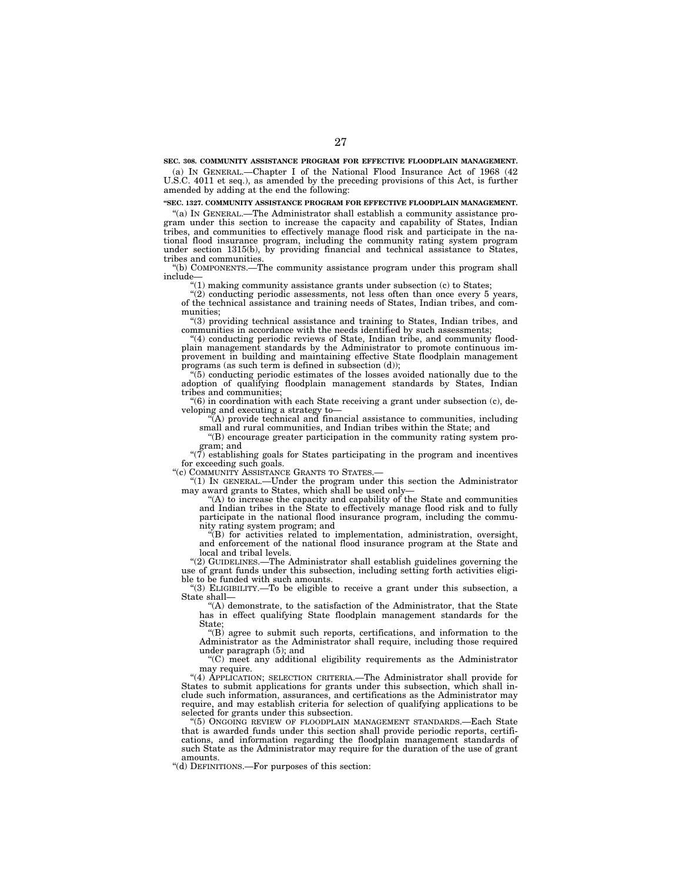**SEC. 308. COMMUNITY ASSISTANCE PROGRAM FOR EFFECTIVE FLOODPLAIN MANAGEMENT.** 

(a) IN GENERAL.—Chapter I of the National Flood Insurance Act of 1968 (42 U.S.C. 4011 et seq.), as amended by the preceding provisions of this Act, is further amended by adding at the end the following:

**''SEC. 1327. COMMUNITY ASSISTANCE PROGRAM FOR EFFECTIVE FLOODPLAIN MANAGEMENT.** 

''(a) IN GENERAL.—The Administrator shall establish a community assistance program under this section to increase the capacity and capability of States, Indian tribes, and communities to effectively manage flood risk and participate in the national flood insurance program, including the community rating system program under section 1315(b), by providing financial and technical assistance to States, tribes and communities.

''(b) COMPONENTS.—The community assistance program under this program shall include—

 $''(1)$  making community assistance grants under subsection  $(c)$  to States;

"(2) conducting periodic assessments, not less often than once every 5 years, of the technical assistance and training needs of States, Indian tribes, and communities;

''(3) providing technical assistance and training to States, Indian tribes, and communities in accordance with the needs identified by such assessments;

''(4) conducting periodic reviews of State, Indian tribe, and community floodplain management standards by the Administrator to promote continuous improvement in building and maintaining effective State floodplain management programs (as such term is defined in subsection (d));

''(5) conducting periodic estimates of the losses avoided nationally due to the adoption of qualifying floodplain management standards by States, Indian tribes and communities;

''(6) in coordination with each State receiving a grant under subsection (c), developing and executing a strategy to—

 $\widetilde{A}$ ) provide technical and financial assistance to communities, including small and rural communities, and Indian tribes within the State; and

''(B) encourage greater participation in the community rating system program; and

"(7) establishing goals for States participating in the program and incentives for exceeding such goals.

''(c) COMMUNITY ASSISTANCE GRANTS TO STATES.—

''(1) IN GENERAL.—Under the program under this section the Administrator may award grants to States, which shall be used only—

''(A) to increase the capacity and capability of the State and communities and Indian tribes in the State to effectively manage flood risk and to fully participate in the national flood insurance program, including the community rating system program; and

 $\mathcal{H}(B)$  for activities related to implementation, administration, oversight, and enforcement of the national flood insurance program at the State and local and tribal levels.

''(2) GUIDELINES.—The Administrator shall establish guidelines governing the use of grant funds under this subsection, including setting forth activities eligible to be funded with such amounts.

''(3) ELIGIBILITY.—To be eligible to receive a grant under this subsection, a State shall—

''(A) demonstrate, to the satisfaction of the Administrator, that the State has in effect qualifying State floodplain management standards for the State;

''(B) agree to submit such reports, certifications, and information to the Administrator as the Administrator shall require, including those required under paragraph (5); and

''(C) meet any additional eligibility requirements as the Administrator may require.

''(4) APPLICATION; SELECTION CRITERIA.—The Administrator shall provide for States to submit applications for grants under this subsection, which shall include such information, assurances, and certifications as the Administrator may require, and may establish criteria for selection of qualifying applications to be selected for grants under this subsection.

"(5) ONGOING REVIEW OF FLOODPLAIN MANAGEMENT STANDARDS.—Each State that is awarded funds under this section shall provide periodic reports, certifications, and information regarding the floodplain management standards of such State as the Administrator may require for the duration of the use of grant amounts.

''(d) DEFINITIONS.—For purposes of this section: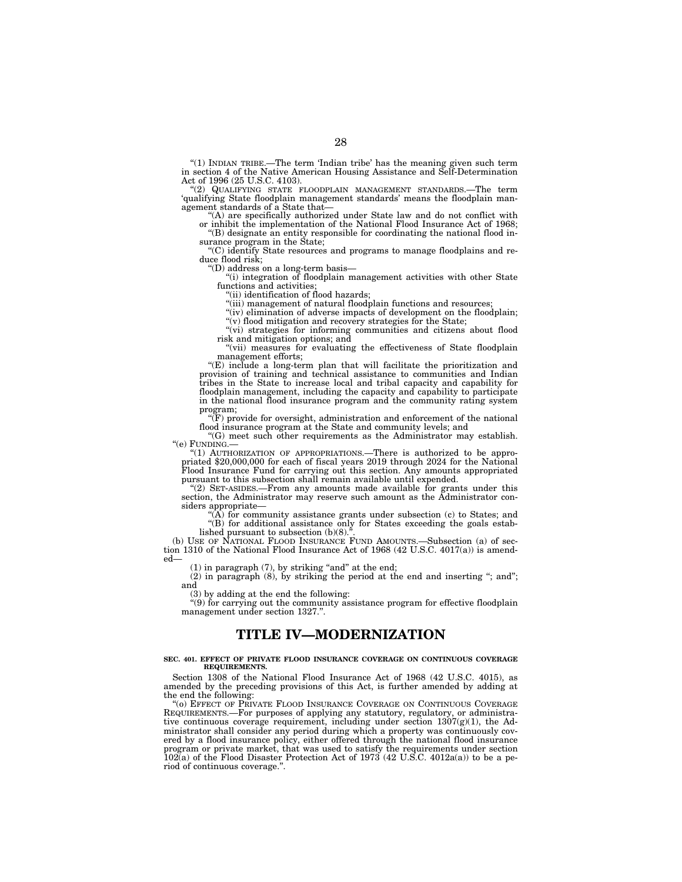''(1) INDIAN TRIBE.—The term 'Indian tribe' has the meaning given such term in section 4 of the Native American Housing Assistance and Self-Determination Act of 1996 (25 U.S.C. 4103).

''(2) QUALIFYING STATE FLOODPLAIN MANAGEMENT STANDARDS.—The term 'qualifying State floodplain management standards' means the floodplain management standards of a State that—

''(A) are specifically authorized under State law and do not conflict with or inhibit the implementation of the National Flood Insurance Act of 1968; ''(B) designate an entity responsible for coordinating the national flood in-

surance program in the State;

''(C) identify State resources and programs to manage floodplains and reduce flood risk;

''(D) address on a long-term basis—

''(i) integration of floodplain management activities with other State functions and activities

''(ii) identification of flood hazards; ''(iii) management of natural floodplain functions and resources;

"(iv) elimination of adverse impacts of development on the floodplain;  $''(v)$  flood mitigation and recovery strategies for the State;

"(vi) strategies for informing communities and citizens about flood risk and mitigation options; and

"(vii) measures for evaluating the effectiveness of State floodplain management efforts;

''(E) include a long-term plan that will facilitate the prioritization and provision of training and technical assistance to communities and Indian tribes in the State to increase local and tribal capacity and capability for floodplain management, including the capacity and capability to participate in the national flood insurance program and the community rating system

program;<br>"(F) provide for oversight, administration and enforcement of the national flood insurance program at the State and community levels; and

"(G) meet such other requirements as the Administrator may establish.<br>"(e) FUNDING.—

(e) FUNDING.—<br>
(d) AUTHORIZATION OF APPROPRIATIONS.—There is authorized to be appro-<br>
priated \$20,000,000 for each of fiscal years 2019 through 2024 for the National<br>
Flood Insurance Fund for carrying out this section. Any pursuant to this subsection shall remain available until expended.

''(2) SET-ASIDES.—From any amounts made available for grants under this section, the Administrator may reserve such amount as the Administrator considers appropriate—

''(A) for community assistance grants under subsection (c) to States; and ''(B) for additional assistance only for States exceeding the goals established pursuant to subsection  $(b)(8)$ .

(b) USE OF NATIONAL FLOOD INSURANCE FUND AMOUNTS.—Subsection (a) of section 1310 of the National Flood Insurance Act of 1968 (42 U.S.C. 4017(a)) is amended—

 $(1)$  in paragraph  $(7)$ , by striking "and" at the end;

 $(2)$  in paragraph  $(8)$ , by striking the period at the end and inserting "; and"; and

(3) by adding at the end the following:

 $\cdot$ (9) for carrying out the community assistance program for effective floodplain management under section 1327.".

# **TITLE IV—MODERNIZATION**

### **SEC. 401. EFFECT OF PRIVATE FLOOD INSURANCE COVERAGE ON CONTINUOUS COVERAGE REQUIREMENTS.**

Section 1308 of the National Flood Insurance Act of 1968 (42 U.S.C. 4015), as amended by the preceding provisions of this Act, is further amended by adding at the end the following:

''(o) EFFECT OF PRIVATE FLOOD INSURANCE COVERAGE ON CONTINUOUS COVERAGE REQUIREMENTS.—For purposes of applying any statutory, regulatory, or administrative continuous coverage requirement, including under section  $1307(g)(1)$ , the Administrator shall consider any period during which a property was continuously covered by a flood insurance policy, either offered through the national flood insurance program or private market, that was used to satisfy the requirements under section  $102(a)$  of the Flood Disaster Protection Act of 1973 (42 U.S.C. 4012a(a)) to be a period of continuous coverage.''.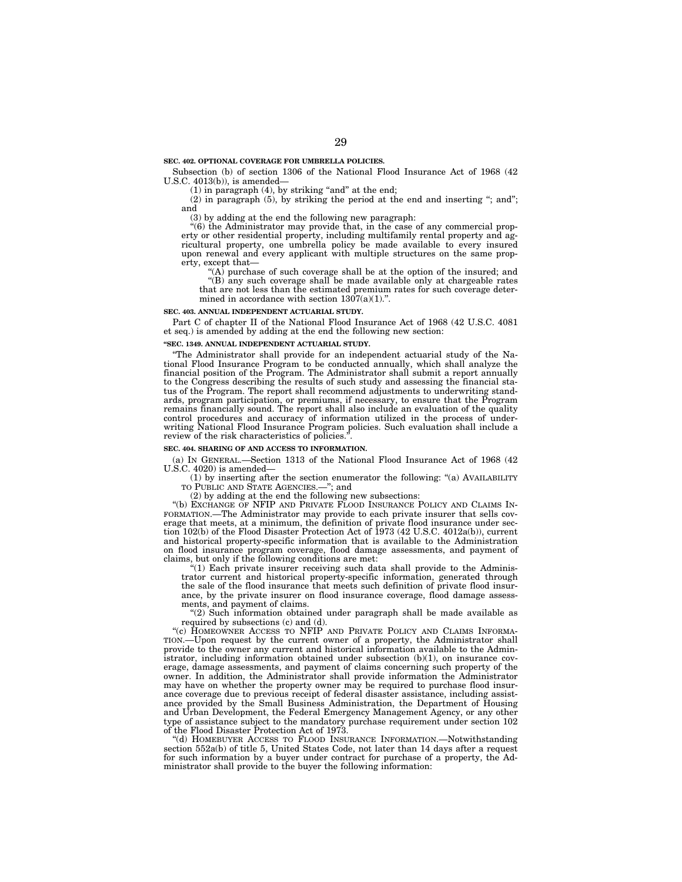### **SEC. 402. OPTIONAL COVERAGE FOR UMBRELLA POLICIES.**

Subsection (b) of section 1306 of the National Flood Insurance Act of 1968 (42 U.S.C. 4013(b)), is amended—

 $(1)$  in paragraph  $(4)$ , by striking "and" at the end;

(2) in paragraph (5), by striking the period at the end and inserting ''; and''; and

(3) by adding at the end the following new paragraph:

 $*(6)$  the Administrator may provide that, in the case of any commercial property or other residential property, including multifamily rental property and agricultural property, one umbrella policy be made available to every insured upon renewal and every applicant with multiple structures on the same property, except that—

''(A) purchase of such coverage shall be at the option of the insured; and ''(B) any such coverage shall be made available only at chargeable rates

that are not less than the estimated premium rates for such coverage deter-

mined in accordance with section  $1307(a)(1)$ .".

### **SEC. 403. ANNUAL INDEPENDENT ACTUARIAL STUDY.**

Part C of chapter II of the National Flood Insurance Act of 1968 (42 U.S.C. 4081 et seq.) is amended by adding at the end the following new section:

### **''SEC. 1349. ANNUAL INDEPENDENT ACTUARIAL STUDY.**

''The Administrator shall provide for an independent actuarial study of the National Flood Insurance Program to be conducted annually, which shall analyze the financial position of the Program. The Administrator shall submit a report annually to the Congress describing the results of such study and assessing the financial status of the Program. The report shall recommend adjustments to underwriting standards, program participation, or premiums, if necessary, to ensure that the Program remains financially sound. The report shall also include an evaluation of the quality control procedures and accuracy of information utilized in the process of underwriting National Flood Insurance Program policies. Such evaluation shall include a review of the risk characteristics of policies.

### **SEC. 404. SHARING OF AND ACCESS TO INFORMATION.**

(a) IN GENERAL.—Section 1313 of the National Flood Insurance Act of 1968 (42 U.S.C. 4020) is amended—

(1) by inserting after the section enumerator the following: ''(a) AVAILABILITY TO PUBLIC AND STATE AGENCIES.—''; and

(2) by adding at the end the following new subsections:

"(b) EXCHANGE OF NFIP AND PRIVATE FLOOD INSURANCE POLICY AND CLAIMS IN-FORMATION.—The Administrator may provide to each private insurer that sells coverage that meets, at a minimum, the definition of private flood insurance under section 102(b) of the Flood Disaster Protection Act of 1973 (42 U.S.C. 4012a(b)), current and historical property-specific information that is available to the Administration on flood insurance program coverage, flood damage assessments, and payment of claims, but only if the following conditions are met:

"(1) Each private insurer receiving such data shall provide to the Administrator current and historical property-specific information, generated through the sale of the flood insurance that meets such definition of private flood insurance, by the private insurer on flood insurance coverage, flood damage assessments, and payment of claims.

''(2) Such information obtained under paragraph shall be made available as required by subsections (c) and (d).

"(c) HOMEOWNER ACCESS TO NFIP AND PRIVATE POLICY AND CLAIMS INFORMA-TION.—Upon request by the current owner of a property, the Administrator shall provide to the owner any current and historical information available to the Administrator, including information obtained under subsection (b)(1), on insurance coverage, damage assessments, and payment of claims concerning such property of the owner. In addition, the Administrator shall provide information the Administrator may have on whether the property owner may be required to purchase flood insurance coverage due to previous receipt of federal disaster assistance, including assistance provided by the Small Business Administration, the Department of Housing and Urban Development, the Federal Emergency Management Agency, or any other type of assistance subject to the mandatory purchase requirement under section 102 of the Flood Disaster Protection Act of 1973.

''(d) HOMEBUYER ACCESS TO FLOOD INSURANCE INFORMATION.—Notwithstanding section 552a(b) of title 5, United States Code, not later than 14 days after a request for such information by a buyer under contract for purchase of a property, the Administrator shall provide to the buyer the following information: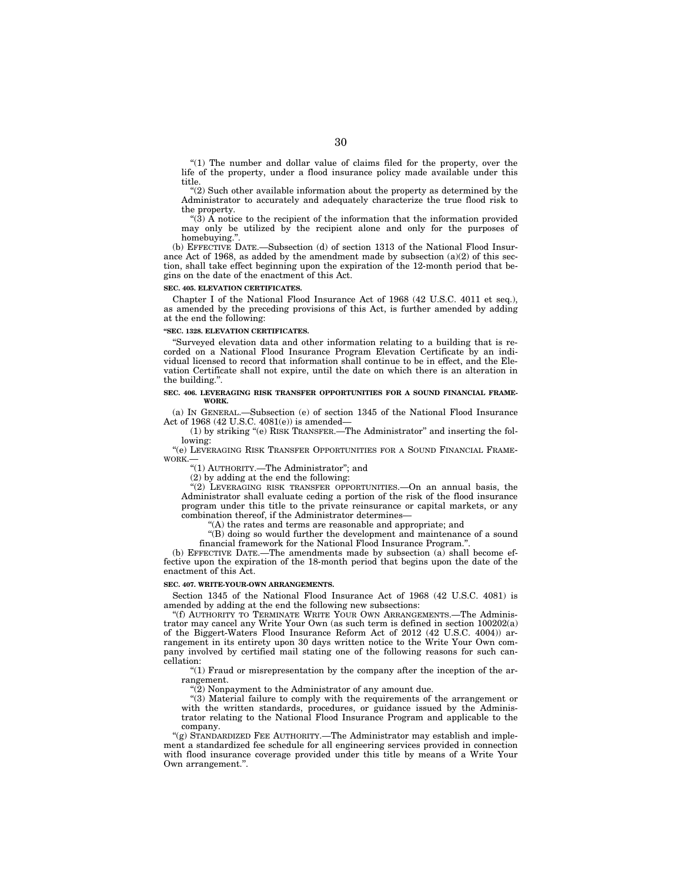"(1) The number and dollar value of claims filed for the property, over the life of the property, under a flood insurance policy made available under this title.

''(2) Such other available information about the property as determined by the Administrator to accurately and adequately characterize the true flood risk to the property.

''(3) A notice to the recipient of the information that the information provided may only be utilized by the recipient alone and only for the purposes of homebuving.'

(b) EFFECTIVE DATE.—Subsection (d) of section 1313 of the National Flood Insurance Act of 1968, as added by the amendment made by subsection (a)(2) of this section, shall take effect beginning upon the expiration of the 12-month period that begins on the date of the enactment of this Act.

### **SEC. 405. ELEVATION CERTIFICATES.**

Chapter I of the National Flood Insurance Act of 1968 (42 U.S.C. 4011 et seq.), as amended by the preceding provisions of this Act, is further amended by adding at the end the following:

### **''SEC. 1328. ELEVATION CERTIFICATES.**

''Surveyed elevation data and other information relating to a building that is recorded on a National Flood Insurance Program Elevation Certificate by an individual licensed to record that information shall continue to be in effect, and the Elevation Certificate shall not expire, until the date on which there is an alteration in the building.''.

### **SEC. 406. LEVERAGING RISK TRANSFER OPPORTUNITIES FOR A SOUND FINANCIAL FRAME-WORK.**

(a) IN GENERAL.—Subsection (e) of section 1345 of the National Flood Insurance Act of 1968 (42 U.S.C. 4081(e)) is amended—

(1) by striking ''(e) RISK TRANSFER.—The Administrator'' and inserting the following:

''(e) LEVERAGING RISK TRANSFER OPPORTUNITIES FOR A SOUND FINANCIAL FRAME-WORK.—

"(1) AUTHORITY.-The Administrator"; and

(2) by adding at the end the following:

''(2) LEVERAGING RISK TRANSFER OPPORTUNITIES.—On an annual basis, the Administrator shall evaluate ceding a portion of the risk of the flood insurance program under this title to the private reinsurance or capital markets, or any combination thereof, if the Administrator determines—

"(A) the rates and terms are reasonable and appropriate; and

''(B) doing so would further the development and maintenance of a sound financial framework for the National Flood Insurance Program.'

(b) EFFECTIVE DATE.—The amendments made by subsection (a) shall become effective upon the expiration of the 18-month period that begins upon the date of the enactment of this Act.

### **SEC. 407. WRITE-YOUR-OWN ARRANGEMENTS.**

Section 1345 of the National Flood Insurance Act of 1968 (42 U.S.C. 4081) is amended by adding at the end the following new subsections:

''(f) AUTHORITY TO TERMINATE WRITE YOUR OWN ARRANGEMENTS.—The Administrator may cancel any Write Your Own (as such term is defined in section  $100202(a)$ ) of the Biggert-Waters Flood Insurance Reform Act of 2012 (42 U.S.C. 4004)) arrangement in its entirety upon 30 days written notice to the Write Your Own company involved by certified mail stating one of the following reasons for such cancellation:

 $''(1)$  Fraud or misrepresentation by the company after the inception of the arrangement.

''(2) Nonpayment to the Administrator of any amount due.

"(3) Material failure to comply with the requirements of the arrangement or with the written standards, procedures, or guidance issued by the Administrator relating to the National Flood Insurance Program and applicable to the company.

"(g) STANDARDIZED FEE AUTHORITY.—The Administrator may establish and implement a standardized fee schedule for all engineering services provided in connection with flood insurance coverage provided under this title by means of a Write Your Own arrangement.''.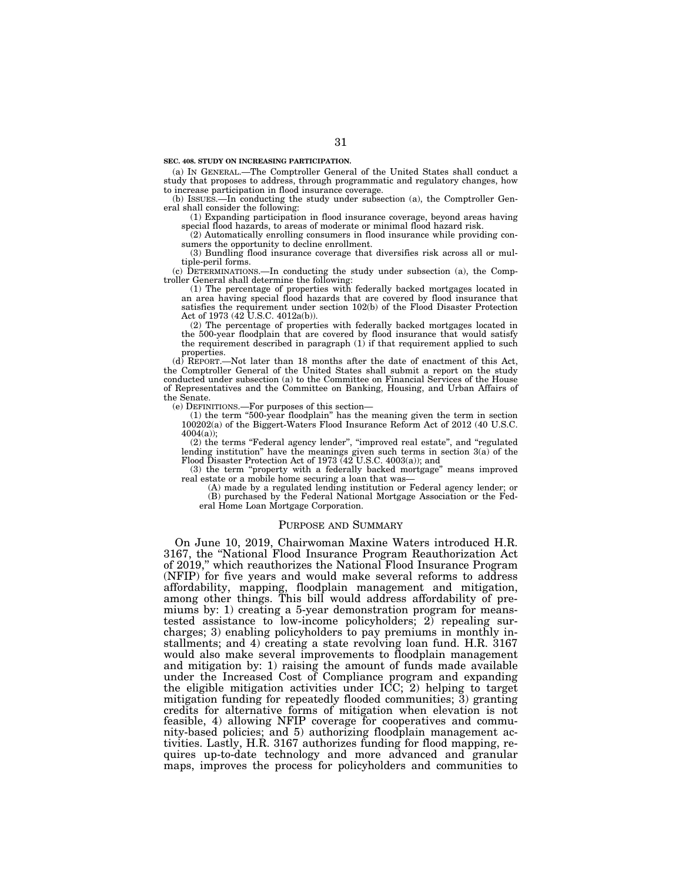**SEC. 408. STUDY ON INCREASING PARTICIPATION.** 

(a) IN GENERAL.—The Comptroller General of the United States shall conduct a study that proposes to address, through programmatic and regulatory changes, how to increase participation in flood insurance coverage.

(b) ISSUES.—In conducting the study under subsection (a), the Comptroller General shall consider the following:

(1) Expanding participation in flood insurance coverage, beyond areas having special flood hazards, to areas of moderate or minimal flood hazard risk.

(2) Automatically enrolling consumers in flood insurance while providing consumers the opportunity to decline enrollment.

(3) Bundling flood insurance coverage that diversifies risk across all or multiple-peril forms.

(c) DETERMINATIONS.—In conducting the study under subsection (a), the Comptroller General shall determine the following:

(1) The percentage of properties with federally backed mortgages located in an area having special flood hazards that are covered by flood insurance that satisfies the requirement under section 102(b) of the Flood Disaster Protection Act of 1973 (42 U.S.C. 4012a(b)).

(2) The percentage of properties with federally backed mortgages located in the 500-year floodplain that are covered by flood insurance that would satisfy the requirement described in paragraph (1) if that requirement applied to such properties.

(d) REPORT.—Not later than 18 months after the date of enactment of this Act, the Comptroller General of the United States shall submit a report on the study conducted under subsection (a) to the Committee on Financial Services of the House of Representatives and the Committee on Banking, Housing, and Urban Affairs of the Senate.

(e) DEFINITIONS.—For purposes of this section—

(1) the term ''500-year floodplain'' has the meaning given the term in section 100202(a) of the Biggert-Waters Flood Insurance Reform Act of 2012 (40 U.S.C. 4004(a));

(2) the terms ''Federal agency lender'', ''improved real estate'', and ''regulated lending institution'' have the meanings given such terms in section 3(a) of the Flood Disaster Protection Act of 1973 (42 U.S.C. 4003(a)); and

(3) the term ''property with a federally backed mortgage'' means improved real estate or a mobile home securing a loan that was—

(A) made by a regulated lending institution or Federal agency lender; or (B) purchased by the Federal National Mortgage Association or the Federal Home Loan Mortgage Corporation.

# PURPOSE AND SUMMARY

On June 10, 2019, Chairwoman Maxine Waters introduced H.R. 3167, the ''National Flood Insurance Program Reauthorization Act of 2019,'' which reauthorizes the National Flood Insurance Program (NFIP) for five years and would make several reforms to address affordability, mapping, floodplain management and mitigation, among other things. This bill would address affordability of premiums by: 1) creating a 5-year demonstration program for meanstested assistance to low-income policyholders; 2) repealing surcharges; 3) enabling policyholders to pay premiums in monthly installments; and 4) creating a state revolving loan fund. H.R. 3167 would also make several improvements to floodplain management and mitigation by: 1) raising the amount of funds made available under the Increased Cost of Compliance program and expanding the eligible mitigation activities under ICC; 2) helping to target mitigation funding for repeatedly flooded communities;  $\bar{3}$ ) granting credits for alternative forms of mitigation when elevation is not feasible, 4) allowing NFIP coverage for cooperatives and community-based policies; and 5) authorizing floodplain management activities. Lastly, H.R. 3167 authorizes funding for flood mapping, requires up-to-date technology and more advanced and granular maps, improves the process for policyholders and communities to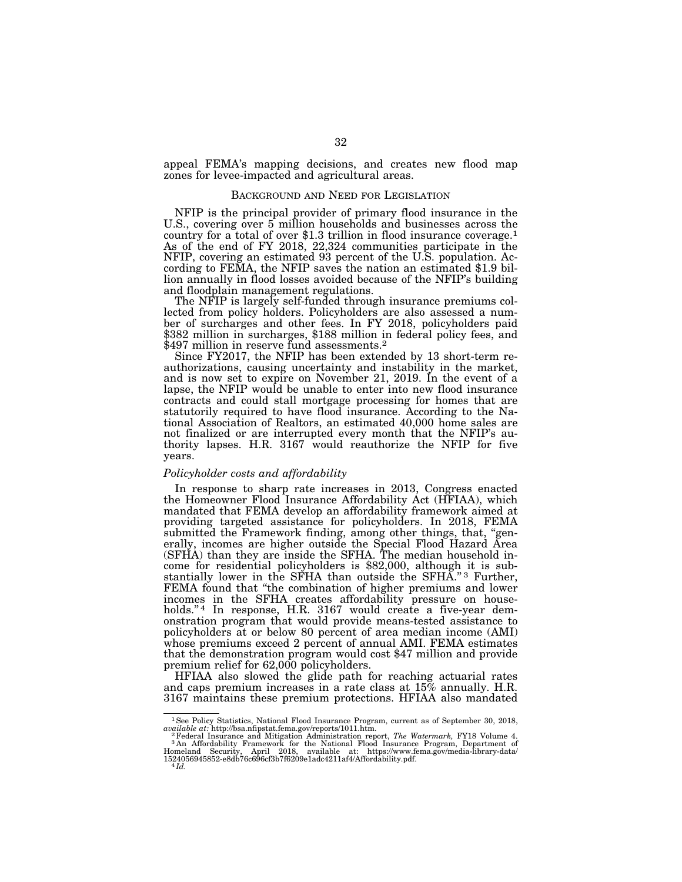appeal FEMA's mapping decisions, and creates new flood map zones for levee-impacted and agricultural areas.

# BACKGROUND AND NEED FOR LEGISLATION

NFIP is the principal provider of primary flood insurance in the U.S., covering over 5 million households and businesses across the country for a total of over \$1.3 trillion in flood insurance coverage.1 As of the end of FY 2018, 22,324 communities participate in the NFIP, covering an estimated 93 percent of the U.S. population. According to FEMA, the NFIP saves the nation an estimated \$1.9 billion annually in flood losses avoided because of the NFIP's building and floodplain management regulations.

The NFIP is largely self-funded through insurance premiums collected from policy holders. Policyholders are also assessed a number of surcharges and other fees. In FY 2018, policyholders paid \$382 million in surcharges, \$188 million in federal policy fees, and \$497 million in reserve fund assessments.<sup>2</sup>

Since FY2017, the NFIP has been extended by 13 short-term reauthorizations, causing uncertainty and instability in the market, and is now set to expire on November 21, 2019. In the event of a lapse, the NFIP would be unable to enter into new flood insurance contracts and could stall mortgage processing for homes that are statutorily required to have flood insurance. According to the National Association of Realtors, an estimated 40,000 home sales are not finalized or are interrupted every month that the NFIP's authority lapses. H.R. 3167 would reauthorize the NFIP for five years.

# *Policyholder costs and affordability*

In response to sharp rate increases in 2013, Congress enacted the Homeowner Flood Insurance Affordability Act (HFIAA), which mandated that FEMA develop an affordability framework aimed at providing targeted assistance for policyholders. In 2018, FEMA submitted the Framework finding, among other things, that, "generally, incomes are higher outside the Special Flood Hazard Area (SFHA) than they are inside the SFHA. The median household income for residential policyholders is \$82,000, although it is substantially lower in the SFHA than outside the SFHA."<sup>3</sup> Further, FEMA found that "the combination of higher premiums and lower incomes in the SFHA creates affordability pressure on households."<sup>4</sup> In response, H.R. 3167 would create a five-year demonstration program that would provide means-tested assistance to policyholders at or below 80 percent of area median income (AMI) whose premiums exceed 2 percent of annual AMI. FEMA estimates that the demonstration program would cost \$47 million and provide premium relief for 62,000 policyholders.

HFIAA also slowed the glide path for reaching actuarial rates and caps premium increases in a rate class at 15% annually. H.R. 3167 maintains these premium protections. HFIAA also mandated

<sup>&</sup>lt;sup>1</sup>See Policy Statistics, National Flood Insurance Program, current as of September 30, 2018,

 $\begin{tabular}{ll} available at: \texttt{http://bsa.nfipstat.fema.gov/reports/1011.htm.}\\ &\texttt{^2Federal Inusurance and Mitzation Administration report,} The Watermark, FY18 Volume 4.\\ &\texttt{^3An Affordability Framework for the National Flood Insurance Program, Department of Homeland Security, April 2018, available at: \texttt{https://www.fema.gov/media-library-data/} \\ &\texttt{1624056945852-e8db76c696c7b7f6209e1ade4211af4/Affordability.pdf. \end{tabular}$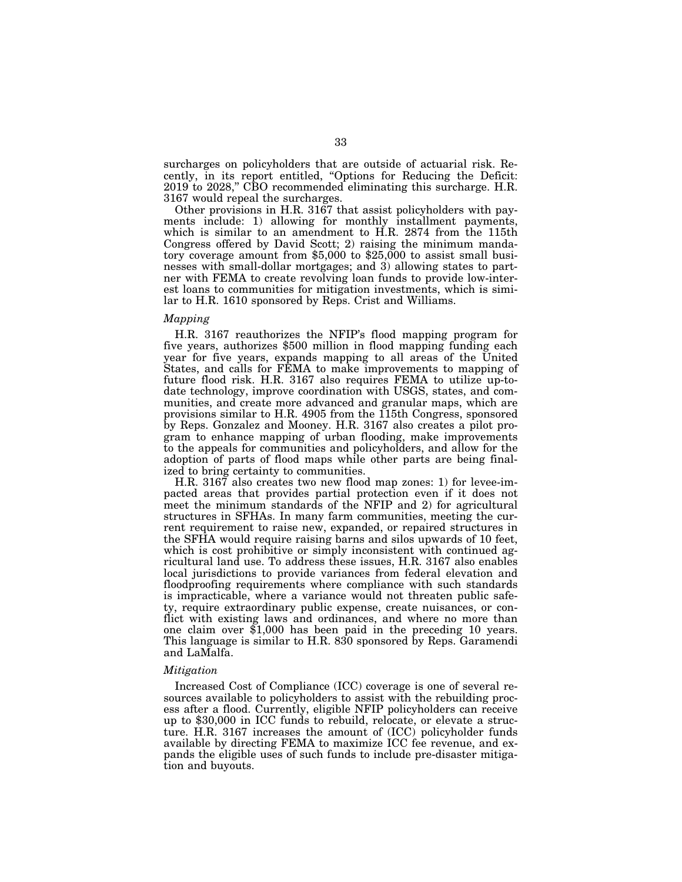surcharges on policyholders that are outside of actuarial risk. Recently, in its report entitled, ''Options for Reducing the Deficit: 2019 to 2028,'' CBO recommended eliminating this surcharge. H.R. 3167 would repeal the surcharges.

Other provisions in H.R. 3167 that assist policyholders with payments include: 1) allowing for monthly installment payments, which is similar to an amendment to H.R. 2874 from the 115th Congress offered by David Scott; 2) raising the minimum mandatory coverage amount from \$5,000 to \$25,000 to assist small businesses with small-dollar mortgages; and 3) allowing states to partner with FEMA to create revolving loan funds to provide low-interest loans to communities for mitigation investments, which is similar to H.R. 1610 sponsored by Reps. Crist and Williams.

# *Mapping*

H.R. 3167 reauthorizes the NFIP's flood mapping program for five years, authorizes \$500 million in flood mapping funding each year for five years, expands mapping to all areas of the United States, and calls for FEMA to make improvements to mapping of future flood risk. H.R. 3167 also requires FEMA to utilize up-todate technology, improve coordination with USGS, states, and communities, and create more advanced and granular maps, which are provisions similar to H.R. 4905 from the 115th Congress, sponsored by Reps. Gonzalez and Mooney. H.R. 3167 also creates a pilot program to enhance mapping of urban flooding, make improvements to the appeals for communities and policyholders, and allow for the adoption of parts of flood maps while other parts are being finalized to bring certainty to communities.

H.R. 3167 also creates two new flood map zones: 1) for levee-impacted areas that provides partial protection even if it does not meet the minimum standards of the NFIP and 2) for agricultural structures in SFHAs. In many farm communities, meeting the current requirement to raise new, expanded, or repaired structures in the SFHA would require raising barns and silos upwards of 10 feet, which is cost prohibitive or simply inconsistent with continued agricultural land use. To address these issues, H.R. 3167 also enables local jurisdictions to provide variances from federal elevation and floodproofing requirements where compliance with such standards is impracticable, where a variance would not threaten public safety, require extraordinary public expense, create nuisances, or conflict with existing laws and ordinances, and where no more than one claim over \$1,000 has been paid in the preceding 10 years. This language is similar to H.R. 830 sponsored by Reps. Garamendi and LaMalfa.

# *Mitigation*

Increased Cost of Compliance (ICC) coverage is one of several resources available to policyholders to assist with the rebuilding process after a flood. Currently, eligible NFIP policyholders can receive up to \$30,000 in ICC funds to rebuild, relocate, or elevate a structure. H.R. 3167 increases the amount of (ICC) policyholder funds available by directing FEMA to maximize ICC fee revenue, and expands the eligible uses of such funds to include pre-disaster mitigation and buyouts.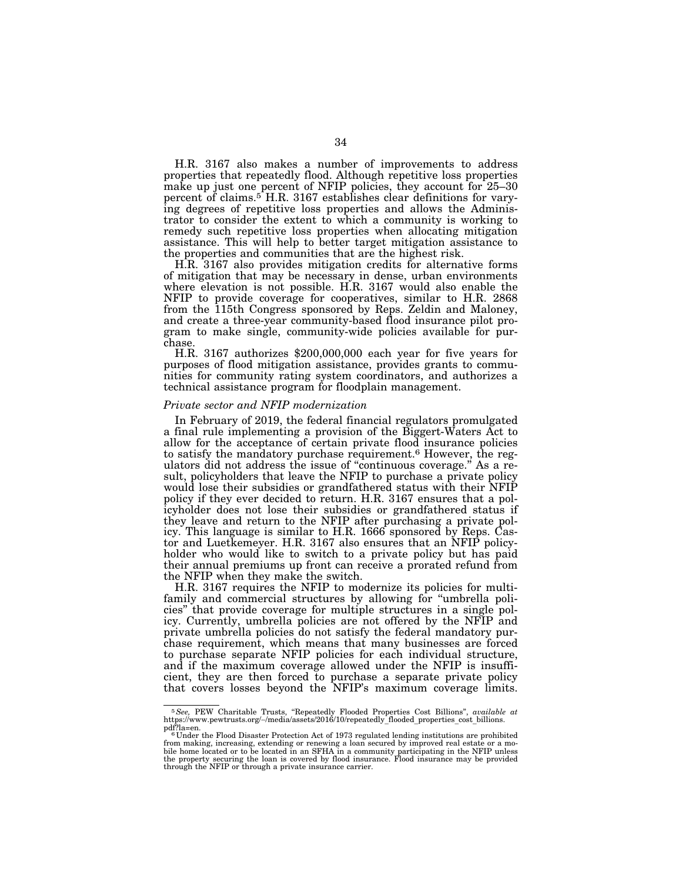H.R. 3167 also makes a number of improvements to address properties that repeatedly flood. Although repetitive loss properties make up just one percent of NFIP policies, they account for 25–30 percent of claims.<sup>5</sup> H.R. 3167 establishes clear definitions for varying degrees of repetitive loss properties and allows the Administrator to consider the extent to which a community is working to remedy such repetitive loss properties when allocating mitigation assistance. This will help to better target mitigation assistance to the properties and communities that are the highest risk.

H.R. 3167 also provides mitigation credits for alternative forms of mitigation that may be necessary in dense, urban environments where elevation is not possible. H.R. 3167 would also enable the NFIP to provide coverage for cooperatives, similar to H.R. 2868 from the 115th Congress sponsored by Reps. Zeldin and Maloney, and create a three-year community-based flood insurance pilot program to make single, community-wide policies available for purchase.

H.R. 3167 authorizes \$200,000,000 each year for five years for purposes of flood mitigation assistance, provides grants to communities for community rating system coordinators, and authorizes a technical assistance program for floodplain management.

# *Private sector and NFIP modernization*

In February of 2019, the federal financial regulators promulgated a final rule implementing a provision of the Biggert-Waters Act to allow for the acceptance of certain private flood insurance policies to satisfy the mandatory purchase requirement.<sup>6</sup> However, the regulators did not address the issue of "continuous coverage." As a result, policyholders that leave the NFIP to purchase a private policy would lose their subsidies or grandfathered status with their NFIP policy if they ever decided to return. H.R. 3167 ensures that a policyholder does not lose their subsidies or grandfathered status if they leave and return to the NFIP after purchasing a private policy. This language is similar to H.R. 1666 sponsored by Reps. Castor and Luetkemeyer. H.R. 3167 also ensures that an NFIP policyholder who would like to switch to a private policy but has paid their annual premiums up front can receive a prorated refund from the NFIP when they make the switch.

H.R. 3167 requires the NFIP to modernize its policies for multifamily and commercial structures by allowing for "umbrella policies'' that provide coverage for multiple structures in a single policy. Currently, umbrella policies are not offered by the NFIP and private umbrella policies do not satisfy the federal mandatory purchase requirement, which means that many businesses are forced to purchase separate NFIP policies for each individual structure, and if the maximum coverage allowed under the NFIP is insufficient, they are then forced to purchase a separate private policy that covers losses beyond the NFIP's maximum coverage limits.

<sup>5</sup>*See,* PEW Charitable Trusts, ''Repeatedly Flooded Properties Cost Billions'', *available at*  https://www.pewtrusts.org/∼/media/assets/2016/10/repeatedly\_flooded\_properties\_cost\_billions. pdf?la=en.<br><sup>6</sup> Under the Flood Disaster Protection Act of 1973 regulated lending institutions are prohibited

from making, increasing, extending or renewing a loan secured by improved real estate bile home located or to be located in an SFHA in a community participating in the NFIP unless<br>the property securing the loan is covered by flood insurance. Flood insurance may be provided<br>through the NFIP or through a priv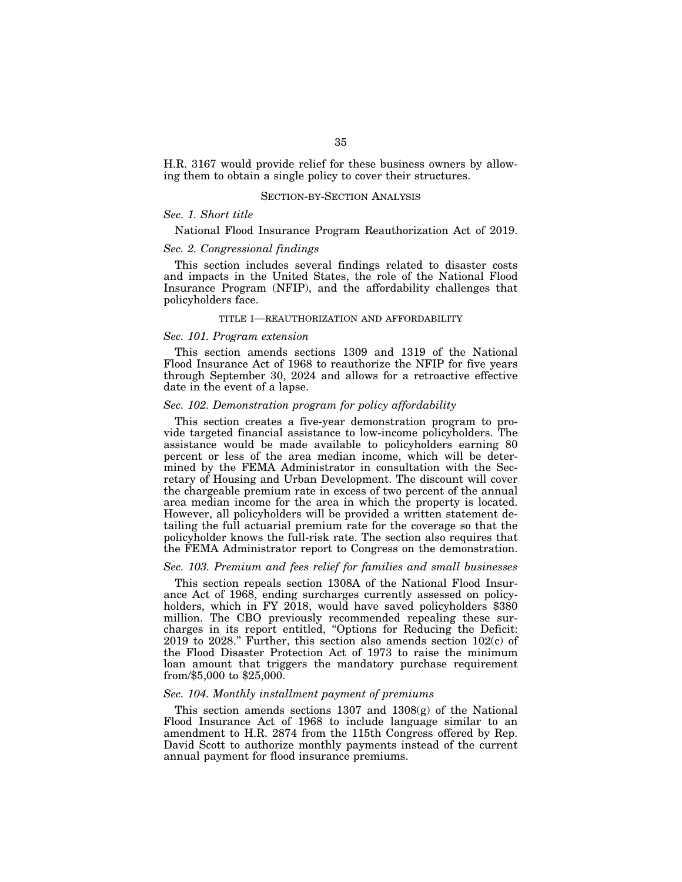H.R. 3167 would provide relief for these business owners by allowing them to obtain a single policy to cover their structures.

# SECTION-BY-SECTION ANALYSIS

# *Sec. 1. Short title*

National Flood Insurance Program Reauthorization Act of 2019.

# *Sec. 2. Congressional findings*

This section includes several findings related to disaster costs and impacts in the United States, the role of the National Flood Insurance Program (NFIP), and the affordability challenges that policyholders face.

# TITLE I—REAUTHORIZATION AND AFFORDABILITY

# *Sec. 101. Program extension*

This section amends sections 1309 and 1319 of the National Flood Insurance Act of 1968 to reauthorize the NFIP for five years through September 30, 2024 and allows for a retroactive effective date in the event of a lapse.

# *Sec. 102. Demonstration program for policy affordability*

This section creates a five-year demonstration program to provide targeted financial assistance to low-income policyholders. The assistance would be made available to policyholders earning 80 percent or less of the area median income, which will be determined by the FEMA Administrator in consultation with the Secretary of Housing and Urban Development. The discount will cover the chargeable premium rate in excess of two percent of the annual area median income for the area in which the property is located. However, all policyholders will be provided a written statement detailing the full actuarial premium rate for the coverage so that the policyholder knows the full-risk rate. The section also requires that the FEMA Administrator report to Congress on the demonstration.

### *Sec. 103. Premium and fees relief for families and small businesses*

This section repeals section 1308A of the National Flood Insurance Act of 1968, ending surcharges currently assessed on policyholders, which in FY 2018, would have saved policyholders  $$380$ million. The CBO previously recommended repealing these surcharges in its report entitled, ''Options for Reducing the Deficit: 2019 to 2028.'' Further, this section also amends section 102(c) of the Flood Disaster Protection Act of 1973 to raise the minimum loan amount that triggers the mandatory purchase requirement from/\$5,000 to \$25,000.

# *Sec. 104. Monthly installment payment of premiums*

This section amends sections 1307 and 1308(g) of the National Flood Insurance Act of 1968 to include language similar to an amendment to H.R. 2874 from the 115th Congress offered by Rep. David Scott to authorize monthly payments instead of the current annual payment for flood insurance premiums.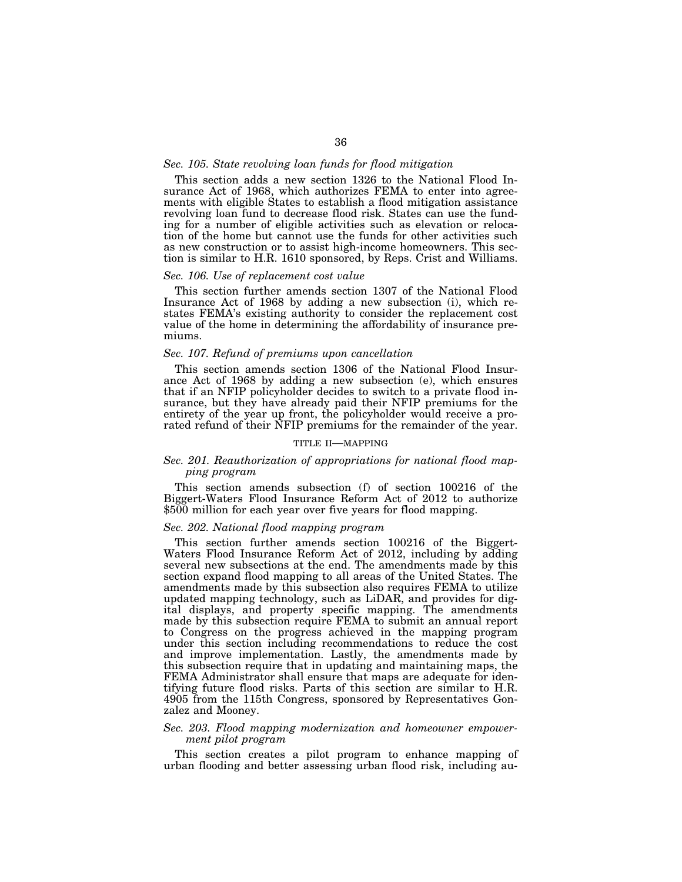# *Sec. 105. State revolving loan funds for flood mitigation*

This section adds a new section 1326 to the National Flood Insurance Act of 1968, which authorizes FEMA to enter into agreements with eligible States to establish a flood mitigation assistance revolving loan fund to decrease flood risk. States can use the funding for a number of eligible activities such as elevation or relocation of the home but cannot use the funds for other activities such as new construction or to assist high-income homeowners. This section is similar to H.R. 1610 sponsored, by Reps. Crist and Williams.

# *Sec. 106. Use of replacement cost value*

This section further amends section 1307 of the National Flood Insurance Act of 1968 by adding a new subsection (i), which restates FEMA's existing authority to consider the replacement cost value of the home in determining the affordability of insurance premiums.

# *Sec. 107. Refund of premiums upon cancellation*

This section amends section 1306 of the National Flood Insurance Act of 1968 by adding a new subsection (e), which ensures that if an NFIP policyholder decides to switch to a private flood insurance, but they have already paid their NFIP premiums for the entirety of the year up front, the policyholder would receive a prorated refund of their NFIP premiums for the remainder of the year.

# TITLE II—MAPPING

# *Sec. 201. Reauthorization of appropriations for national flood mapping program*

This section amends subsection (f) of section 100216 of the Biggert-Waters Flood Insurance Reform Act of 2012 to authorize \$500 million for each year over five years for flood mapping.

# *Sec. 202. National flood mapping program*

This section further amends section 100216 of the Biggert-Waters Flood Insurance Reform Act of 2012, including by adding several new subsections at the end. The amendments made by this section expand flood mapping to all areas of the United States. The amendments made by this subsection also requires FEMA to utilize updated mapping technology, such as LiDAR, and provides for digital displays, and property specific mapping. The amendments made by this subsection require FEMA to submit an annual report to Congress on the progress achieved in the mapping program under this section including recommendations to reduce the cost and improve implementation. Lastly, the amendments made by this subsection require that in updating and maintaining maps, the FEMA Administrator shall ensure that maps are adequate for identifying future flood risks. Parts of this section are similar to H.R. 4905 from the 115th Congress, sponsored by Representatives Gonzalez and Mooney.

# *Sec. 203. Flood mapping modernization and homeowner empowerment pilot program*

This section creates a pilot program to enhance mapping of urban flooding and better assessing urban flood risk, including au-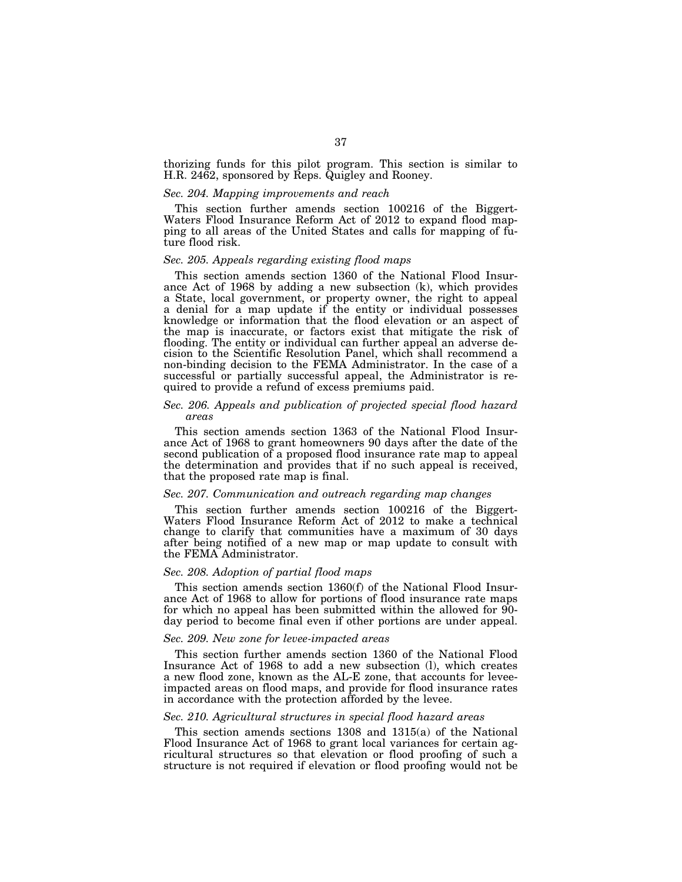thorizing funds for this pilot program. This section is similar to H.R. 2462, sponsored by Reps. Quigley and Rooney.

#### *Sec. 204. Mapping improvements and reach*

This section further amends section 100216 of the Biggert-Waters Flood Insurance Reform Act of 2012 to expand flood mapping to all areas of the United States and calls for mapping of future flood risk.

### *Sec. 205. Appeals regarding existing flood maps*

This section amends section 1360 of the National Flood Insurance Act of 1968 by adding a new subsection (k), which provides a State, local government, or property owner, the right to appeal a denial for a map update if the entity or individual possesses knowledge or information that the flood elevation or an aspect of the map is inaccurate, or factors exist that mitigate the risk of flooding. The entity or individual can further appeal an adverse decision to the Scientific Resolution Panel, which shall recommend a non-binding decision to the FEMA Administrator. In the case of a successful or partially successful appeal, the Administrator is required to provide a refund of excess premiums paid.

# *Sec. 206. Appeals and publication of projected special flood hazard areas*

This section amends section 1363 of the National Flood Insurance Act of 1968 to grant homeowners 90 days after the date of the second publication of a proposed flood insurance rate map to appeal the determination and provides that if no such appeal is received, that the proposed rate map is final.

### *Sec. 207. Communication and outreach regarding map changes*

This section further amends section 100216 of the Biggert-Waters Flood Insurance Reform Act of 2012 to make a technical change to clarify that communities have a maximum of 30 days after being notified of a new map or map update to consult with the FEMA Administrator.

## *Sec. 208. Adoption of partial flood maps*

This section amends section 1360(f) of the National Flood Insurance Act of 1968 to allow for portions of flood insurance rate maps for which no appeal has been submitted within the allowed for 90 day period to become final even if other portions are under appeal.

# *Sec. 209. New zone for levee-impacted areas*

This section further amends section 1360 of the National Flood Insurance Act of 1968 to add a new subsection (l), which creates a new flood zone, known as the AL-E zone, that accounts for leveeimpacted areas on flood maps, and provide for flood insurance rates in accordance with the protection afforded by the levee.

# *Sec. 210. Agricultural structures in special flood hazard areas*

This section amends sections 1308 and 1315(a) of the National Flood Insurance Act of 1968 to grant local variances for certain agricultural structures so that elevation or flood proofing of such a structure is not required if elevation or flood proofing would not be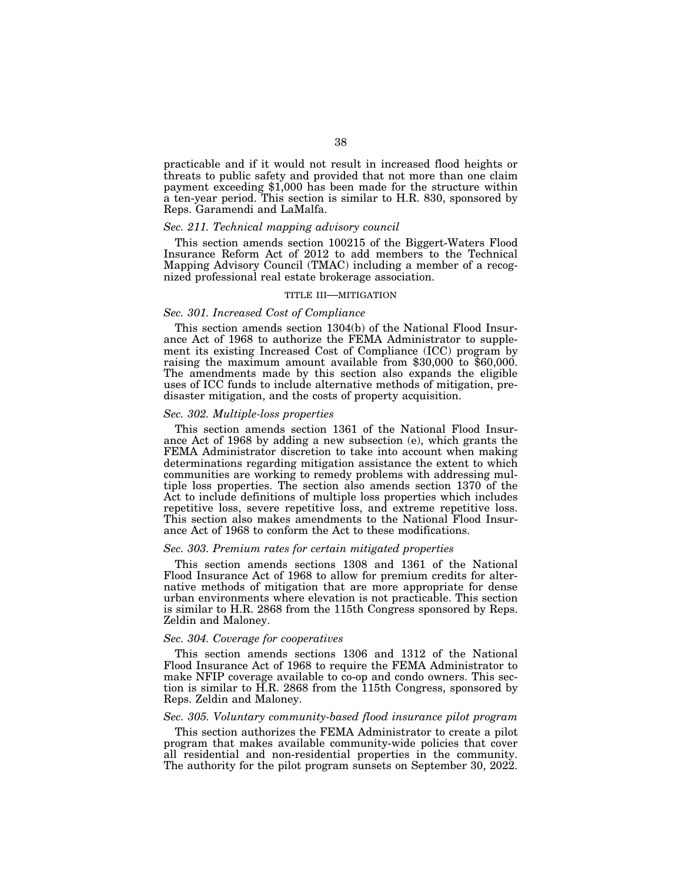practicable and if it would not result in increased flood heights or threats to public safety and provided that not more than one claim payment exceeding \$1,000 has been made for the structure within a ten-year period. This section is similar to H.R. 830, sponsored by Reps. Garamendi and LaMalfa.

### *Sec. 211. Technical mapping advisory council*

This section amends section 100215 of the Biggert-Waters Flood Insurance Reform Act of 2012 to add members to the Technical Mapping Advisory Council (TMAC) including a member of a recognized professional real estate brokerage association.

## TITLE III—MITIGATION

### *Sec. 301. Increased Cost of Compliance*

This section amends section 1304(b) of the National Flood Insurance Act of 1968 to authorize the FEMA Administrator to supplement its existing Increased Cost of Compliance (ICC) program by raising the maximum amount available from \$30,000 to \$60,000. The amendments made by this section also expands the eligible uses of ICC funds to include alternative methods of mitigation, predisaster mitigation, and the costs of property acquisition.

### *Sec. 302. Multiple-loss properties*

This section amends section 1361 of the National Flood Insurance Act of 1968 by adding a new subsection (e), which grants the FEMA Administrator discretion to take into account when making determinations regarding mitigation assistance the extent to which communities are working to remedy problems with addressing multiple loss properties. The section also amends section 1370 of the Act to include definitions of multiple loss properties which includes repetitive loss, severe repetitive loss, and extreme repetitive loss. This section also makes amendments to the National Flood Insurance Act of 1968 to conform the Act to these modifications.

### *Sec. 303. Premium rates for certain mitigated properties*

This section amends sections 1308 and 1361 of the National Flood Insurance Act of 1968 to allow for premium credits for alternative methods of mitigation that are more appropriate for dense urban environments where elevation is not practicable. This section is similar to H.R. 2868 from the 115th Congress sponsored by Reps. Zeldin and Maloney.

### *Sec. 304. Coverage for cooperatives*

This section amends sections 1306 and 1312 of the National Flood Insurance Act of 1968 to require the FEMA Administrator to make NFIP coverage available to co-op and condo owners. This section is similar to H.R. 2868 from the 115th Congress, sponsored by Reps. Zeldin and Maloney.

## *Sec. 305. Voluntary community-based flood insurance pilot program*

This section authorizes the FEMA Administrator to create a pilot program that makes available community-wide policies that cover all residential and non-residential properties in the community. The authority for the pilot program sunsets on September 30, 2022.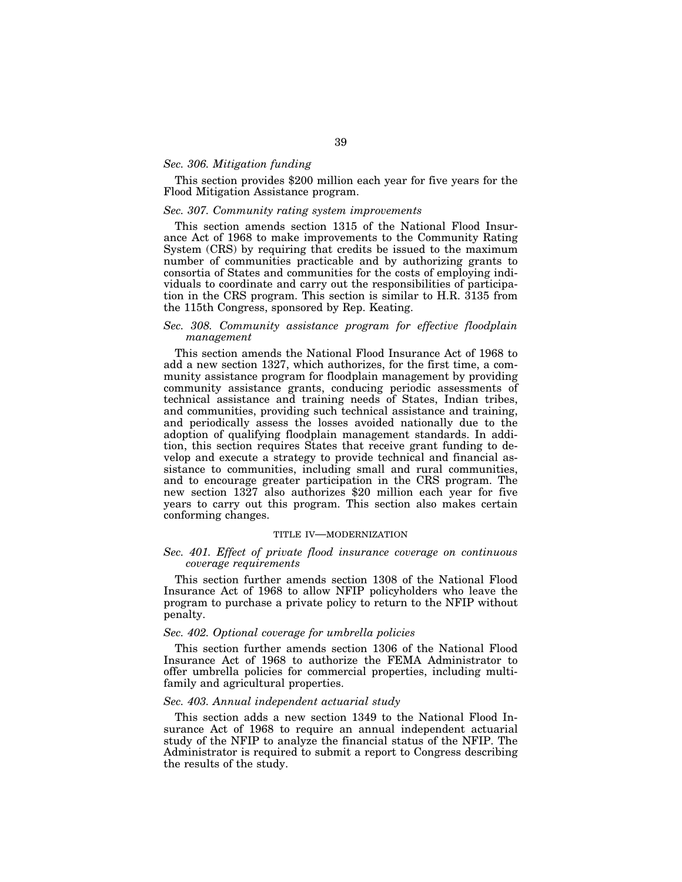### *Sec. 306. Mitigation funding*

This section provides \$200 million each year for five years for the Flood Mitigation Assistance program.

# *Sec. 307. Community rating system improvements*

This section amends section 1315 of the National Flood Insurance Act of 1968 to make improvements to the Community Rating System (CRS) by requiring that credits be issued to the maximum number of communities practicable and by authorizing grants to consortia of States and communities for the costs of employing individuals to coordinate and carry out the responsibilities of participation in the CRS program. This section is similar to H.R. 3135 from the 115th Congress, sponsored by Rep. Keating.

## *Sec. 308. Community assistance program for effective floodplain management*

This section amends the National Flood Insurance Act of 1968 to add a new section 1327, which authorizes, for the first time, a community assistance program for floodplain management by providing community assistance grants, conducing periodic assessments of technical assistance and training needs of States, Indian tribes, and communities, providing such technical assistance and training, and periodically assess the losses avoided nationally due to the adoption of qualifying floodplain management standards. In addition, this section requires States that receive grant funding to develop and execute a strategy to provide technical and financial assistance to communities, including small and rural communities, and to encourage greater participation in the CRS program. The new section 1327 also authorizes \$20 million each year for five years to carry out this program. This section also makes certain conforming changes.

# TITLE IV—MODERNIZATION

## *Sec. 401. Effect of private flood insurance coverage on continuous coverage requirements*

This section further amends section 1308 of the National Flood Insurance Act of 1968 to allow NFIP policyholders who leave the program to purchase a private policy to return to the NFIP without penalty.

## *Sec. 402. Optional coverage for umbrella policies*

This section further amends section 1306 of the National Flood Insurance Act of 1968 to authorize the FEMA Administrator to offer umbrella policies for commercial properties, including multifamily and agricultural properties.

### *Sec. 403. Annual independent actuarial study*

This section adds a new section 1349 to the National Flood Insurance Act of 1968 to require an annual independent actuarial study of the NFIP to analyze the financial status of the NFIP. The Administrator is required to submit a report to Congress describing the results of the study.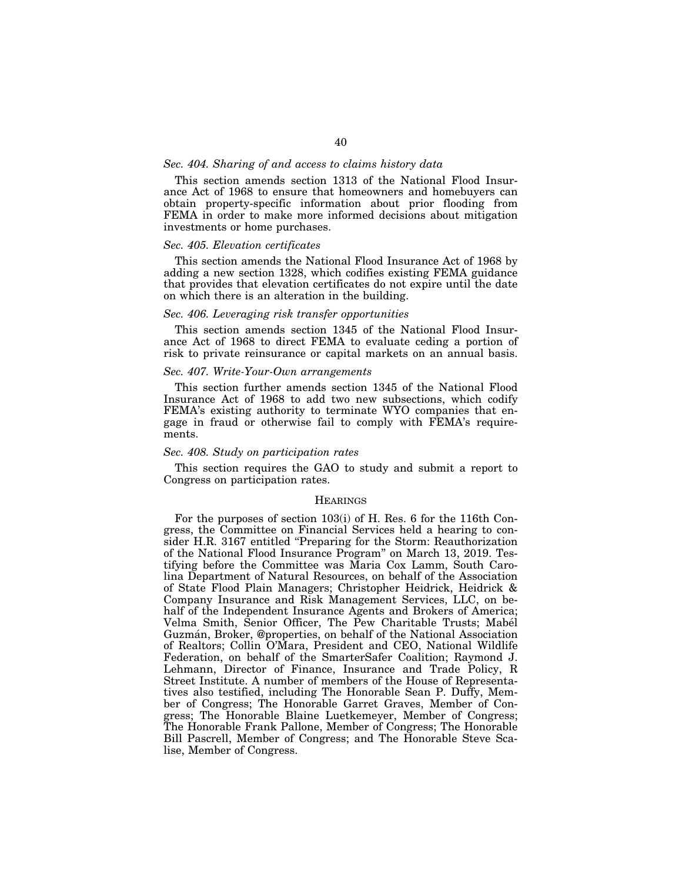### *Sec. 404. Sharing of and access to claims history data*

This section amends section 1313 of the National Flood Insurance Act of 1968 to ensure that homeowners and homebuyers can obtain property-specific information about prior flooding from FEMA in order to make more informed decisions about mitigation investments or home purchases.

### *Sec. 405. Elevation certificates*

This section amends the National Flood Insurance Act of 1968 by adding a new section 1328, which codifies existing FEMA guidance that provides that elevation certificates do not expire until the date on which there is an alteration in the building.

### *Sec. 406. Leveraging risk transfer opportunities*

This section amends section 1345 of the National Flood Insurance Act of 1968 to direct FEMA to evaluate ceding a portion of risk to private reinsurance or capital markets on an annual basis.

## *Sec. 407. Write-Your-Own arrangements*

This section further amends section 1345 of the National Flood Insurance Act of 1968 to add two new subsections, which codify FEMA's existing authority to terminate WYO companies that engage in fraud or otherwise fail to comply with FEMA's requirements.

### *Sec. 408. Study on participation rates*

This section requires the GAO to study and submit a report to Congress on participation rates.

### **HEARINGS**

For the purposes of section 103(i) of H. Res. 6 for the 116th Congress, the Committee on Financial Services held a hearing to consider H.R. 3167 entitled "Preparing for the Storm: Reauthorization of the National Flood Insurance Program'' on March 13, 2019. Testifying before the Committee was Maria Cox Lamm, South Carolina Department of Natural Resources, on behalf of the Association of State Flood Plain Managers; Christopher Heidrick, Heidrick & Company Insurance and Risk Management Services, LLC, on behalf of the Independent Insurance Agents and Brokers of America; Velma Smith, Senior Officer, The Pew Charitable Trusts; Mabél Guzma´n, Broker, @properties, on behalf of the National Association of Realtors; Collin O'Mara, President and CEO, National Wildlife Federation, on behalf of the SmarterSafer Coalition; Raymond J. Lehmann, Director of Finance, Insurance and Trade Policy, R Street Institute. A number of members of the House of Representatives also testified, including The Honorable Sean P. Duffy, Member of Congress; The Honorable Garret Graves, Member of Congress; The Honorable Blaine Luetkemeyer, Member of Congress; The Honorable Frank Pallone, Member of Congress; The Honorable Bill Pascrell, Member of Congress; and The Honorable Steve Scalise, Member of Congress.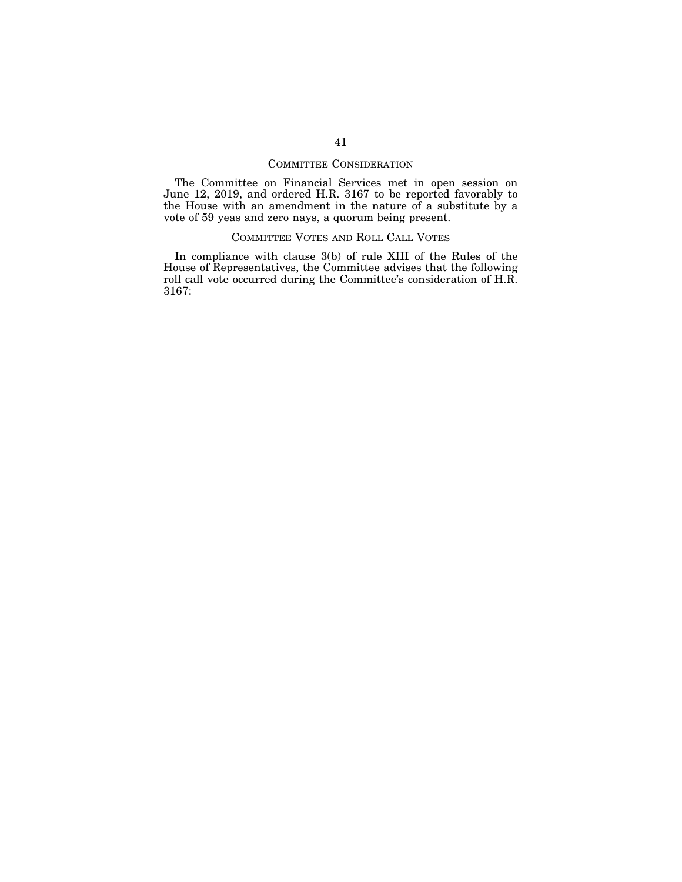# COMMITTEE CONSIDERATION

The Committee on Financial Services met in open session on June 12, 2019, and ordered H.R. 3167 to be reported favorably to the House with an amendment in the nature of a substitute by a vote of 59 yeas and zero nays, a quorum being present.

# COMMITTEE VOTES AND ROLL CALL VOTES

In compliance with clause 3(b) of rule XIII of the Rules of the House of Representatives, the Committee advises that the following roll call vote occurred during the Committee's consideration of H.R. 3167: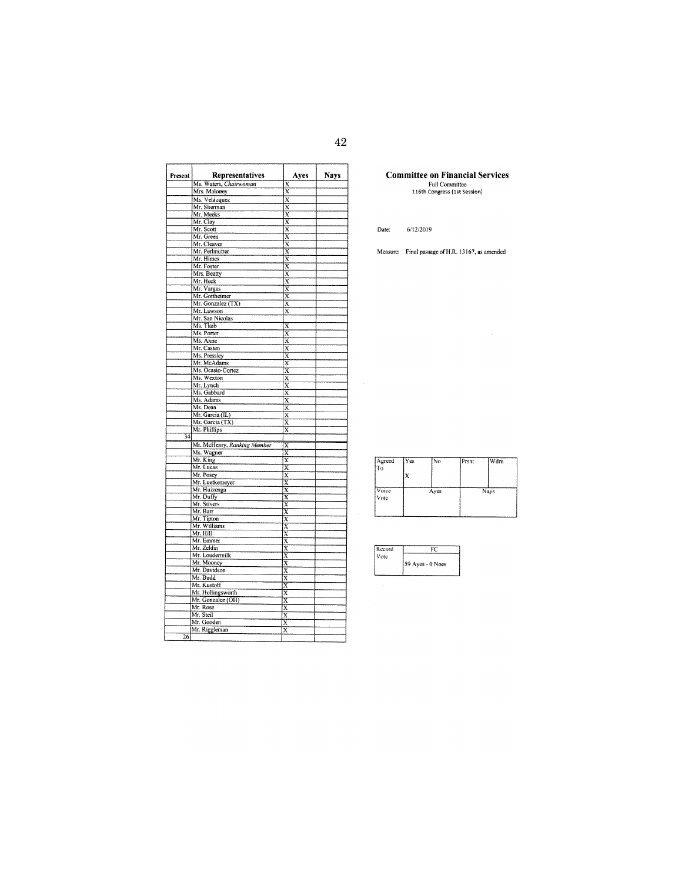| Present | Representatives                           | Ayes                                               | <b>Nays</b> |
|---------|-------------------------------------------|----------------------------------------------------|-------------|
|         | Ms. Waters, Chairwoman                    | X                                                  |             |
|         | Mrs. Maloney                              | X                                                  |             |
|         | Ms. Velázquez                             | $\overline{\mathbf{x}}$                            |             |
|         | Mr. Sherman                               | $\overline{\text{x}}$                              |             |
|         | Mr. Meeks                                 | X                                                  |             |
|         | Mr. Clay                                  | $\overline{x}$                                     |             |
|         | Mr. Scott                                 | $\overline{x}$                                     |             |
|         | Mr. Green                                 | $\overline{\mathbf{x}}$                            |             |
|         | Mr. Cleaver                               | $\overline{\textbf{x}}$                            |             |
|         | Mr. Perlmutter                            | X                                                  |             |
|         | Mr. Himes                                 | $\overline{\text{x}}$                              |             |
|         | Mr. Foster                                | $\overline{\mathbf{x}}$                            |             |
|         | Mrs. Beatty                               | $\overline{x}$                                     |             |
|         | Mr. Heck                                  | X<br>$\overline{\mathbf{x}}$                       |             |
|         | Mr. Vargas<br>Mr. Gottheimer              | $\overline{x}$                                     |             |
|         | Mr. Gonzalez (TX)                         | X                                                  |             |
|         | Mr. Lawson                                | x                                                  |             |
|         | Mr. San Nicolas                           |                                                    |             |
|         | Ms. Tlaib                                 | X                                                  |             |
|         | Ms. Porter                                | $\overline{\mathbf{x}}$                            |             |
|         | Ms. Axne                                  | X                                                  |             |
|         | Mr. Casten                                | $\overline{\mathbf{x}}$                            |             |
|         | Ms. Pressley                              | $\overline{\mathbf{x}}$                            |             |
|         | Mr. McAdams                               | X                                                  |             |
|         | Ms. Ocasio-Cortez                         | $\overline{\textbf{x}}$                            |             |
|         | Ms. Wexton                                | $\overline{\textbf{x}}$                            |             |
|         | Mr. Lynch                                 | X                                                  |             |
|         | Ms. Gabbard                               | $\overline{\mathbf{x}}$                            |             |
|         | Ms. Adams                                 | $\bar{\text{x}}$                                   |             |
|         | Ms. Dean                                  | x                                                  |             |
|         | Mr. Garcia (IL)                           | $\overline{\text{x}}$                              |             |
|         | Ms. Garcia (TX)                           | $\overline{\text{x}}$                              |             |
| 34      | Mr. Phillips                              | $\overline{\text{x}}$                              |             |
|         |                                           |                                                    |             |
|         | Mr. McHenry, Ranking Member<br>Ms. Wagner | $\overline{\text{x}}$<br>X                         |             |
|         | Mr. King                                  | $\overline{\mathbf{x}}$                            |             |
|         | Mr. Lucas                                 | $\overline{\mathbf{x}}$                            |             |
|         | Mr. Posey                                 | $\overline{\mathbf{x}}$                            |             |
|         | Mr. Luetkemeyer                           | $\overline{\mathbf{x}}$                            |             |
|         | Mr. Huizenga                              | $_{\rm x}$                                         |             |
|         | Mr. Duffy                                 | $\overline{\text{x}}$                              |             |
|         | Mr. Stivers                               | $\overline{\mathbf{x}}$                            |             |
|         | Mr. Barr                                  | $\overline{\mathbf{x}}$                            |             |
|         | Mr. Tipton                                | $\overline{\textbf{x}}$                            |             |
|         | Mr. Williams                              | $\overline{\mathbf{x}}$                            |             |
|         | Mr. Hill                                  | X                                                  |             |
|         | Mr. Emmer                                 | X                                                  |             |
|         | Mr. Zeldin                                | X                                                  |             |
|         | Mr. Loudermilk                            | X                                                  |             |
|         | Mr. Mooney<br>Mr. Davidson                | $\overline{\text{x}}$                              |             |
|         | Mr. Budd                                  | $\overline{\mathbf{x}}$<br>$\overline{\textbf{x}}$ |             |
|         | Mr. Kustoff                               | $\overline{\text{x}}$                              |             |
|         | Mr. Hollingsworth                         | X                                                  |             |
|         | Mr. Gonzalez (OH)                         | Χ                                                  |             |
|         | Mr. Rose                                  | X                                                  |             |
|         | Mr. Steil                                 | $\overline{\textbf{x}}$                            |             |
|         | Mr. Gooden                                | x                                                  |             |
|         | Mr. Riggleman                             | x                                                  |             |
| 26      |                                           |                                                    |             |
|         |                                           |                                                    |             |

**Committee on Financial Services**<br>Full Committee<br>116th Congress (1st Session)

Date:  $6/12/2019$ 

Measure: Final passage of H.R. 13167, as amended

 $\bar{\mathcal{A}}$ 

| Agreed<br>l To | Yes | N <sub>o</sub> | Prsnt | Wdrn |
|----------------|-----|----------------|-------|------|
|                |     |                |       |      |
| Voice<br>Vote  |     | Ayes           |       | Nays |
|                |     |                |       |      |

| Record |                      |
|--------|----------------------|
| Vote   |                      |
|        | $59$ Ayes - $0$ Noes |
|        |                      |
|        |                      |

42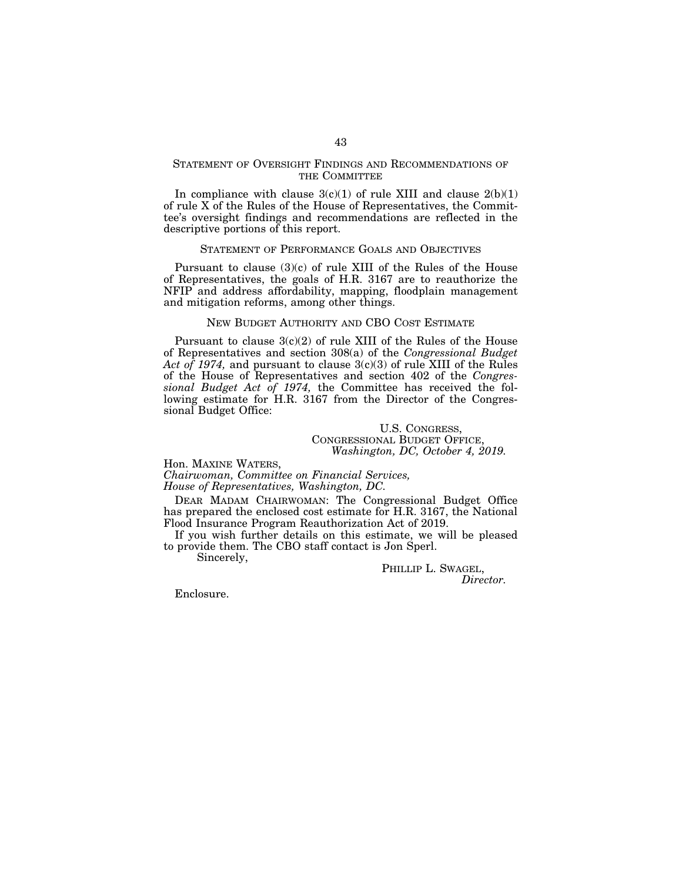## STATEMENT OF OVERSIGHT FINDINGS AND RECOMMENDATIONS OF THE COMMITTEE

In compliance with clause  $3(c)(1)$  of rule XIII and clause  $2(b)(1)$ of rule X of the Rules of the House of Representatives, the Committee's oversight findings and recommendations are reflected in the descriptive portions of this report.

### STATEMENT OF PERFORMANCE GOALS AND OBJECTIVES

Pursuant to clause  $(3)(c)$  of rule XIII of the Rules of the House of Representatives, the goals of H.R. 3167 are to reauthorize the NFIP and address affordability, mapping, floodplain management and mitigation reforms, among other things.

### NEW BUDGET AUTHORITY AND CBO COST ESTIMATE

Pursuant to clause 3(c)(2) of rule XIII of the Rules of the House of Representatives and section 308(a) of the *Congressional Budget Act of 1974,* and pursuant to clause 3(c)(3) of rule XIII of the Rules of the House of Representatives and section 402 of the *Congressional Budget Act of 1974,* the Committee has received the following estimate for H.R. 3167 from the Director of the Congressional Budget Office:

> U.S. CONGRESS, CONGRESSIONAL BUDGET OFFICE, *Washington, DC, October 4, 2019.*

Hon. MAXINE WATERS,

*Chairwoman, Committee on Financial Services, House of Representatives, Washington, DC.* 

DEAR MADAM CHAIRWOMAN: The Congressional Budget Office has prepared the enclosed cost estimate for H.R. 3167, the National Flood Insurance Program Reauthorization Act of 2019.

If you wish further details on this estimate, we will be pleased to provide them. The CBO staff contact is Jon Sperl.

Sincerely,

PHILLIP L. SWAGEL, *Director.* 

Enclosure.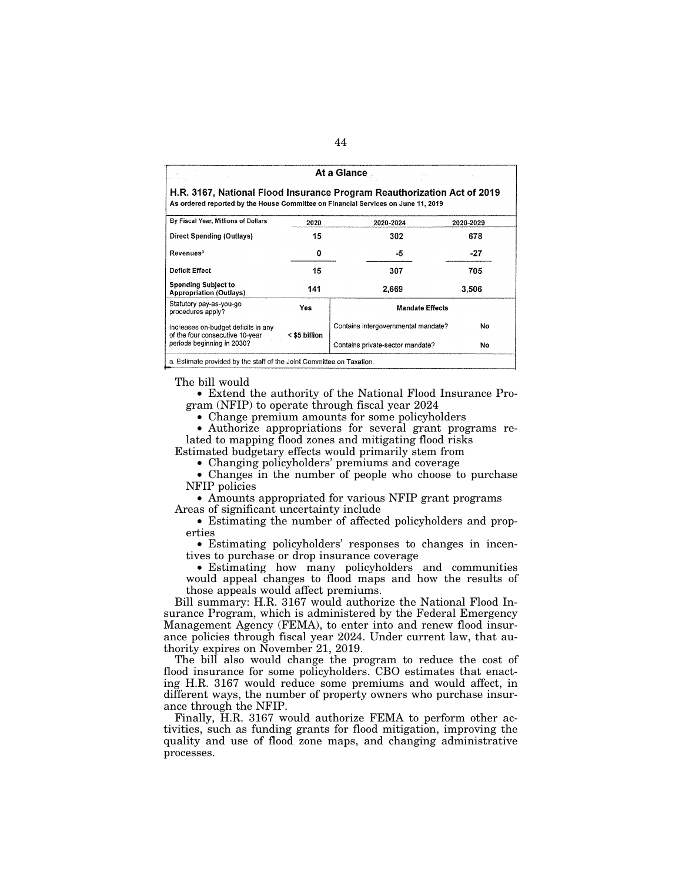| At a Glance<br>$\mathcal{L}=\mathcal{L}$<br>1950 L                     |               |                                                                                                                                                              |           |  |  |  |  |  |  |  |
|------------------------------------------------------------------------|---------------|--------------------------------------------------------------------------------------------------------------------------------------------------------------|-----------|--|--|--|--|--|--|--|
|                                                                        |               | H.R. 3167, National Flood Insurance Program Reauthorization Act of 2019<br>As ordered reported by the House Committee on Financial Services on June 11, 2019 |           |  |  |  |  |  |  |  |
| By Fiscal Year, Millions of Dollars                                    | 2020          | 2020-2024                                                                                                                                                    | 2020-2029 |  |  |  |  |  |  |  |
| Direct Spending (Outlays)                                              | 15            | 302                                                                                                                                                          | 678       |  |  |  |  |  |  |  |
| <b>Revenues<sup>a</sup></b>                                            | o             | -5                                                                                                                                                           | $-27$     |  |  |  |  |  |  |  |
| <b>Deficit Effect</b>                                                  | 15            | 307                                                                                                                                                          | 705       |  |  |  |  |  |  |  |
| <b>Spending Subject to</b><br><b>Appropriation (Outlays)</b>           |               | 2.669                                                                                                                                                        | 3.506     |  |  |  |  |  |  |  |
| Statutory pay-as-you-go<br>procedures apply?                           | Yes           | <b>Mandate Effects</b>                                                                                                                                       |           |  |  |  |  |  |  |  |
| Increases on-budget deficits in any<br>of the four consecutive 10-year | < \$5 billion | Contains intergovernmental mandate?                                                                                                                          | No        |  |  |  |  |  |  |  |
| periods beginning in 2030?                                             |               | Contains private-sector mandate?                                                                                                                             | No        |  |  |  |  |  |  |  |

The bill would

• Extend the authority of the National Flood Insurance Program (NFIP) to operate through fiscal year 2024

• Change premium amounts for some policyholders

• Authorize appropriations for several grant programs related to mapping flood zones and mitigating flood risks

Estimated budgetary effects would primarily stem from

• Changing policyholders' premiums and coverage

• Changes in the number of people who choose to purchase NFIP policies

• Amounts appropriated for various NFIP grant programs Areas of significant uncertainty include

• Estimating the number of affected policyholders and properties

• Estimating policyholders' responses to changes in incentives to purchase or drop insurance coverage

• Estimating how many policyholders and communities would appeal changes to flood maps and how the results of those appeals would affect premiums.

Bill summary: H.R. 3167 would authorize the National Flood Insurance Program, which is administered by the Federal Emergency Management Agency (FEMA), to enter into and renew flood insurance policies through fiscal year 2024. Under current law, that authority expires on November 21, 2019.

The bill also would change the program to reduce the cost of flood insurance for some policyholders. CBO estimates that enacting H.R. 3167 would reduce some premiums and would affect, in different ways, the number of property owners who purchase insurance through the NFIP.

Finally, H.R. 3167 would authorize FEMA to perform other activities, such as funding grants for flood mitigation, improving the quality and use of flood zone maps, and changing administrative processes.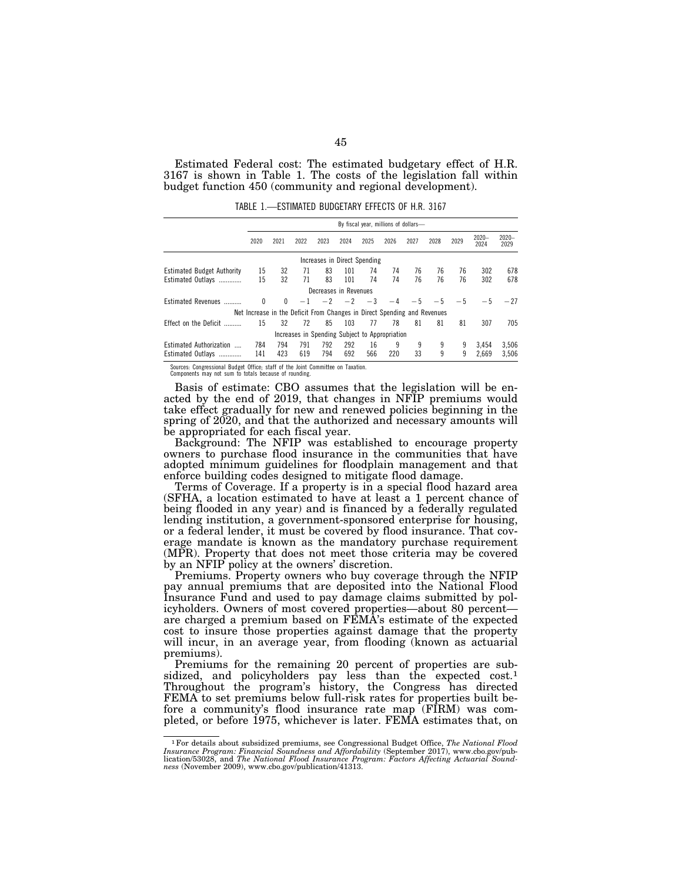Estimated Federal cost: The estimated budgetary effect of H.R. 3167 is shown in Table 1. The costs of the legislation fall within budget function 450 (community and regional development).

TABLE 1.—ESTIMATED BUDGETARY EFFECTS OF H.R. 3167

|                                   |                                                                          | By fiscal year, millions of dollars- |      |      |                       |                                                |      |      |      |      |                  |                  |
|-----------------------------------|--------------------------------------------------------------------------|--------------------------------------|------|------|-----------------------|------------------------------------------------|------|------|------|------|------------------|------------------|
|                                   | 2020                                                                     | 2021                                 | 2022 | 2023 | 2024                  | 2025                                           | 2026 | 2027 | 2028 | 2029 | $2020 -$<br>2024 | $2020 -$<br>2029 |
|                                   |                                                                          |                                      |      |      |                       | Increases in Direct Spending                   |      |      |      |      |                  |                  |
| <b>Estimated Budget Authority</b> | 15                                                                       | 32                                   | 71   | 83   | 101                   | 74                                             | 74   | 76   | 76   | 76   | 302              | 678              |
| Estimated Outlavs                 | 15                                                                       | 32                                   | 71   | 83   | 101                   | 74                                             | 74   | 76   | 76   | 76   | 302              | 678              |
|                                   |                                                                          |                                      |      |      | Decreases in Revenues |                                                |      |      |      |      |                  |                  |
| <b>Estimated Revenues</b>         | 0                                                                        | $\mathbf{0}$                         | $-1$ | $-2$ | $-2$                  | $-3$                                           |      | $-5$ | $-5$ | $-5$ | $-5$             | $-27$            |
|                                   | Net Increase in the Deficit From Changes in Direct Spending and Revenues |                                      |      |      |                       |                                                |      |      |      |      |                  |                  |
| Effect on the Deficit             | 15                                                                       | 32                                   | 72   | 85   | 103                   | 77                                             | 78   | 81   | 81   | 81   | 307              | 705              |
|                                   |                                                                          |                                      |      |      |                       | Increases in Spending Subject to Appropriation |      |      |      |      |                  |                  |
| <b>Estimated Authorization</b>    | 784                                                                      | 794                                  | 791  | 792  | 292                   | 16                                             | 9    | 9    | 9    | 9    | 3.454            | 3.506            |
| Estimated Outlays                 | 141                                                                      | 423                                  | 619  | 794  | 692                   | 566                                            | 220  | 33   | 9    | 9    | 2.669            | 3.506            |

Sources: Congressional Budget Office; staff of the Joint Committee on Taxation. Components may not sum to totals because of rounding.

Basis of estimate: CBO assumes that the legislation will be enacted by the end of 2019, that changes in NFIP premiums would take effect gradually for new and renewed policies beginning in the spring of 2020, and that the authorized and necessary amounts will be appropriated for each fiscal year.

Background: The NFIP was established to encourage property owners to purchase flood insurance in the communities that have adopted minimum guidelines for floodplain management and that enforce building codes designed to mitigate flood damage.

Terms of Coverage. If a property is in a special flood hazard area (SFHA, a location estimated to have at least a 1 percent chance of being flooded in any year) and is financed by a federally regulated lending institution, a government-sponsored enterprise for housing, or a federal lender, it must be covered by flood insurance. That coverage mandate is known as the mandatory purchase requirement (MPR). Property that does not meet those criteria may be covered by an NFIP policy at the owners' discretion.

Premiums. Property owners who buy coverage through the NFIP pay annual premiums that are deposited into the National Flood Insurance Fund and used to pay damage claims submitted by policyholders. Owners of most covered properties—about 80 percent are charged a premium based on FEMA's estimate of the expected cost to insure those properties against damage that the property will incur, in an average year, from flooding (known as actuarial premiums).

Premiums for the remaining 20 percent of properties are subsidized, and policyholders pay less than the expected cost.<sup>1</sup> Throughout the program's history, the Congress has directed FEMA to set premiums below full-risk rates for properties built before a community's flood insurance rate map (FIRM) was completed, or before 1975, whichever is later. FEMA estimates that, on

<sup>1</sup>For details about subsidized premiums, see Congressional Budget Office, *The National Flood Insurance Program: Financial Soundness and Affordability* (September 2017), www.cbo.gov/pub-lication/53028, and *The National Flood Insurance Program: Factors Affecting Actuarial Soundness* (November 2009), www.cbo.gov/publication/41313.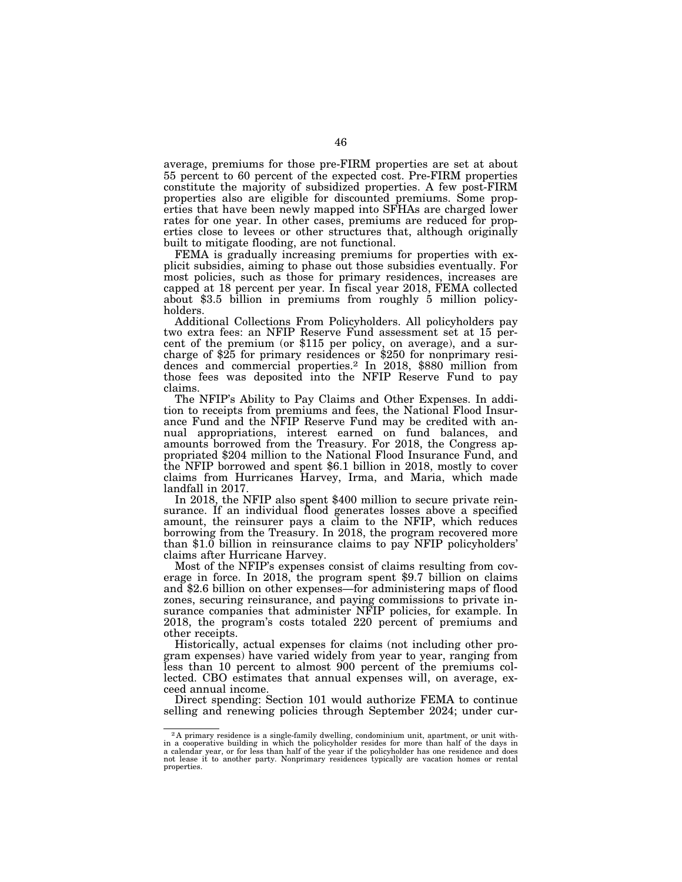average, premiums for those pre-FIRM properties are set at about 55 percent to 60 percent of the expected cost. Pre-FIRM properties constitute the majority of subsidized properties. A few post-FIRM properties also are eligible for discounted premiums. Some properties that have been newly mapped into SFHAs are charged lower rates for one year. In other cases, premiums are reduced for properties close to levees or other structures that, although originally built to mitigate flooding, are not functional.

FEMA is gradually increasing premiums for properties with explicit subsidies, aiming to phase out those subsidies eventually. For most policies, such as those for primary residences, increases are capped at 18 percent per year. In fiscal year 2018, FEMA collected about \$3.5 billion in premiums from roughly 5 million policyholders.

Additional Collections From Policyholders. All policyholders pay two extra fees: an NFIP Reserve Fund assessment set at 15 percent of the premium (or \$115 per policy, on average), and a surcharge of \$25 for primary residences or \$250 for nonprimary residences and commercial properties.2 In 2018, \$880 million from those fees was deposited into the NFIP Reserve Fund to pay claims.

The NFIP's Ability to Pay Claims and Other Expenses. In addition to receipts from premiums and fees, the National Flood Insurance Fund and the NFIP Reserve Fund may be credited with annual appropriations, interest earned on fund balances, and amounts borrowed from the Treasury. For 2018, the Congress appropriated \$204 million to the National Flood Insurance Fund, and the NFIP borrowed and spent \$6.1 billion in 2018, mostly to cover claims from Hurricanes Harvey, Irma, and Maria, which made landfall in 2017.

In 2018, the NFIP also spent \$400 million to secure private reinsurance. If an individual flood generates losses above a specified amount, the reinsurer pays a claim to the NFIP, which reduces borrowing from the Treasury. In 2018, the program recovered more than \$1.0 billion in reinsurance claims to pay NFIP policyholders' claims after Hurricane Harvey.

Most of the NFIP's expenses consist of claims resulting from coverage in force. In 2018, the program spent \$9.7 billion on claims and \$2.6 billion on other expenses—for administering maps of flood zones, securing reinsurance, and paying commissions to private insurance companies that administer NFIP policies, for example. In 2018, the program's costs totaled 220 percent of premiums and other receipts.

Historically, actual expenses for claims (not including other program expenses) have varied widely from year to year, ranging from less than 10 percent to almost 900 percent of the premiums collected. CBO estimates that annual expenses will, on average, exceed annual income.

Direct spending: Section 101 would authorize FEMA to continue selling and renewing policies through September 2024; under cur-

<sup>2</sup> A primary residence is a single-family dwelling, condominium unit, apartment, or unit with-in a cooperative building in which the policyholder resides for more than half of the days in a calendar year, or for less than half of the year if the policyholder has one residence and does not lease it to another party. Nonprimary residences typically are vacation homes or rental properties.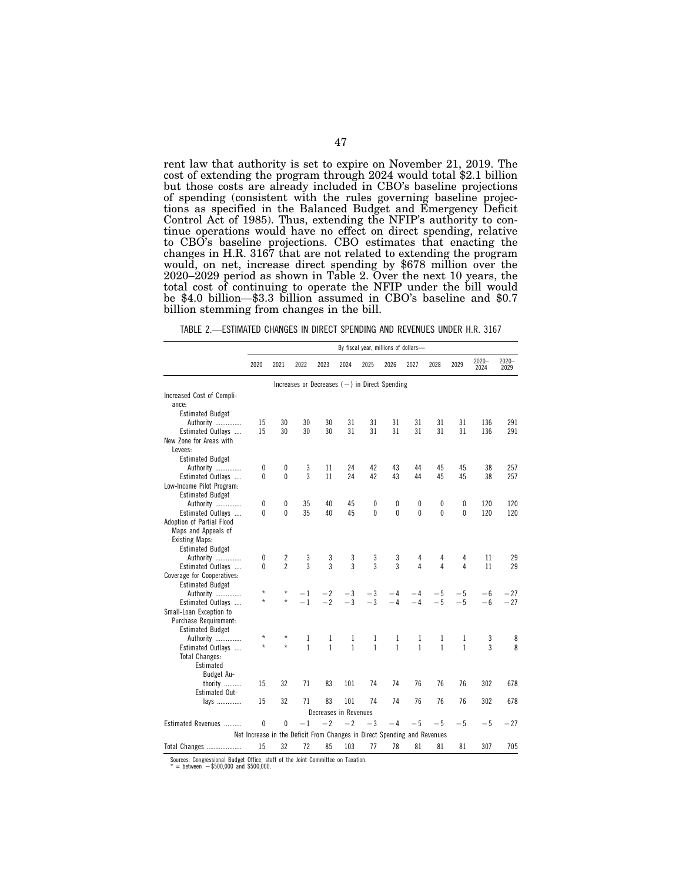rent law that authority is set to expire on November 21, 2019. The cost of extending the program through 2024 would total \$2.1 billion but those costs are already included in CBO's baseline projections of spending (consistent with the rules governing baseline projections as specified in the Balanced Budget and Emergency Deficit Control Act of 1985). Thus, extending the NFIP's authority to continue operations would have no effect on direct spending, relative to CBO's baseline projections. CBO estimates that enacting the changes in H.R. 3167 that are not related to extending the program would, on net, increase direct spending by \$678 million over the 2020–2029 period as shown in Table 2. Over the next 10 years, the total cost of continuing to operate the NFIP under the bill would be \$4.0 billion—\$3.3 billion assumed in CBO's baseline and \$0.7 billion stemming from changes in the bill.

| TABLE 2.—ESTIMATED CHANGES IN DIRECT SPENDING AND REVENUES UNDER H.R. 3167 |  |  |  |
|----------------------------------------------------------------------------|--|--|--|
|                                                                            |  |  |  |

|                            | By fiscal year, millions of dollars-                                     |                |                   |                                                 |                   |                   |                   |                   |                   |                   |                  |                  |
|----------------------------|--------------------------------------------------------------------------|----------------|-------------------|-------------------------------------------------|-------------------|-------------------|-------------------|-------------------|-------------------|-------------------|------------------|------------------|
|                            | 2020                                                                     | 2021           | 2022              | 2023                                            | 2024              | 2025              | 2026              | 2027              | 2028              | 2029              | $2020 -$<br>2024 | $2020 -$<br>2029 |
|                            |                                                                          |                |                   | Increases or Decreases $(-)$ in Direct Spending |                   |                   |                   |                   |                   |                   |                  |                  |
| Increased Cost of Compli-  |                                                                          |                |                   |                                                 |                   |                   |                   |                   |                   |                   |                  |                  |
| ance:                      |                                                                          |                |                   |                                                 |                   |                   |                   |                   |                   |                   |                  |                  |
| <b>Estimated Budget</b>    |                                                                          |                |                   |                                                 |                   |                   |                   |                   |                   |                   |                  |                  |
| Authority                  | 15                                                                       | 30             | 30                | 30                                              | 31                | 31                | 31                | 31                | 31                | 31                | 136              | 291              |
| Estimated Outlays          | 15                                                                       | 30             | 30                | 30                                              | 31                | 31                | 31                | 31                | 31                | 31                | 136              | 291              |
| New Zone for Areas with    |                                                                          |                |                   |                                                 |                   |                   |                   |                   |                   |                   |                  |                  |
| Levees:                    |                                                                          |                |                   |                                                 |                   |                   |                   |                   |                   |                   |                  |                  |
| <b>Estimated Budget</b>    |                                                                          |                |                   |                                                 |                   |                   |                   |                   |                   |                   |                  |                  |
| Authority                  | 0                                                                        | 0              | 3                 | 11                                              | 24                | 42                | 43                | 44                | 45                | 45                | 38               | 257              |
| Estimated Outlays          | $\mathbf{0}$                                                             | 0              | 3                 | 11                                              | 24                | 42                | 43                | 44                | 45                | 45                | 38               | 257              |
| Low-Income Pilot Program:  |                                                                          |                |                   |                                                 |                   |                   |                   |                   |                   |                   |                  |                  |
| <b>Estimated Budget</b>    |                                                                          |                |                   |                                                 |                   |                   |                   |                   |                   |                   |                  |                  |
| Authority                  | 0                                                                        | 0              | 35                | 40                                              | 45                | 0                 | 0                 | 0                 | 0                 | 0                 | 120              | 120              |
| Estimated Outlays          | $\mathbf{0}$                                                             | $\overline{0}$ | 35                | 40                                              | 45                | $\mathbf{0}$      | $\Omega$          | $\overline{0}$    | $\Omega$          | $\mathbf{0}$      | 120              | 120              |
| Adoption of Partial Flood  |                                                                          |                |                   |                                                 |                   |                   |                   |                   |                   |                   |                  |                  |
| Maps and Appeals of        |                                                                          |                |                   |                                                 |                   |                   |                   |                   |                   |                   |                  |                  |
| <b>Existing Maps:</b>      |                                                                          |                |                   |                                                 |                   |                   |                   |                   |                   |                   |                  |                  |
| <b>Estimated Budget</b>    |                                                                          |                |                   |                                                 |                   |                   |                   |                   |                   |                   |                  |                  |
| Authority                  | 0                                                                        | 2              | 3                 | 3                                               | 3                 | 3                 | 3                 | 4                 | 4                 | 4                 | 11               | 29               |
| Estimated Outlays          | $\mathbf{0}$                                                             | $\overline{2}$ | 3                 | 3                                               | 3                 | 3                 | 3                 | 4                 | 4                 | 4                 | 11               | 29               |
| Coverage for Cooperatives: |                                                                          |                |                   |                                                 |                   |                   |                   |                   |                   |                   |                  |                  |
| <b>Estimated Budget</b>    |                                                                          |                |                   |                                                 |                   |                   |                   |                   |                   |                   |                  |                  |
| Authority                  | $\star$                                                                  | *              | $-1$              | $-2$                                            | $-3$              | $-3$              | $-4$              | $-4$              | $-5$              | $-5$              | $-6$             | $-27$            |
| Estimated Outlays          | $\star$                                                                  | $\star$        | $-1$              | $-2$                                            | $-3$              | $-3$              | $-4$              | $-4$              | $-5$              | $-5$              | $-6$             | $-27$            |
| Small-Loan Exception to    |                                                                          |                |                   |                                                 |                   |                   |                   |                   |                   |                   |                  |                  |
| Purchase Requirement:      |                                                                          |                |                   |                                                 |                   |                   |                   |                   |                   |                   |                  |                  |
|                            |                                                                          |                |                   |                                                 |                   |                   |                   |                   |                   |                   |                  |                  |
| <b>Estimated Budget</b>    | $^{\star}$                                                               |                |                   |                                                 |                   |                   |                   |                   |                   |                   |                  |                  |
| Authority                  | $\star$                                                                  | $\star$        | 1<br>$\mathbf{1}$ | 1<br>$\mathbf{1}$                               | 1<br>$\mathbf{1}$ | 1<br>$\mathbf{1}$ | 1<br>$\mathbf{1}$ | 1<br>$\mathbf{1}$ | 1<br>$\mathbf{1}$ | 1<br>$\mathbf{1}$ | 3<br>3           | 8<br>8           |
| Estimated Outlays          |                                                                          |                |                   |                                                 |                   |                   |                   |                   |                   |                   |                  |                  |
| <b>Total Changes:</b>      |                                                                          |                |                   |                                                 |                   |                   |                   |                   |                   |                   |                  |                  |
| Estimated                  |                                                                          |                |                   |                                                 |                   |                   |                   |                   |                   |                   |                  |                  |
| Budget Au-                 |                                                                          |                |                   |                                                 |                   |                   |                   |                   |                   |                   |                  |                  |
| thority                    | 15                                                                       | 32             | 71                | 83                                              | 101               | 74                | 74                | 76                | 76                | 76                | 302              | 678              |
| <b>Estimated Out-</b>      |                                                                          |                |                   |                                                 |                   |                   |                   |                   |                   |                   |                  |                  |
| lays                       | 15                                                                       | 32             | 71                | 83                                              | 101               | 74                | 74                | 76                | 76                | 76                | 302              | 678              |
|                            |                                                                          |                |                   | Decreases in Revenues                           |                   |                   |                   |                   |                   |                   |                  |                  |
| Estimated Revenues         | 0                                                                        | 0              | $-1$              | $-2$                                            | $-2$              | $-3$              | $-4$              | $-5$              | $-5$              | $-5$              | $-5$             | $-27$            |
|                            | Net Increase in the Deficit From Changes in Direct Spending and Revenues |                |                   |                                                 |                   |                   |                   |                   |                   |                   |                  |                  |
| <b>Total Changes </b>      | 15                                                                       | 32             | 72                | 85                                              | 103               | 77                | 78                | 81                | 81                | 81                | 307              | 705              |
|                            |                                                                          |                |                   |                                                 |                   |                   |                   |                   |                   |                   |                  |                  |

Sources: Congressional Budget Office; staff of the Joint Committee on Taxation.<br>\* = between -\$500,000 and \$500,000.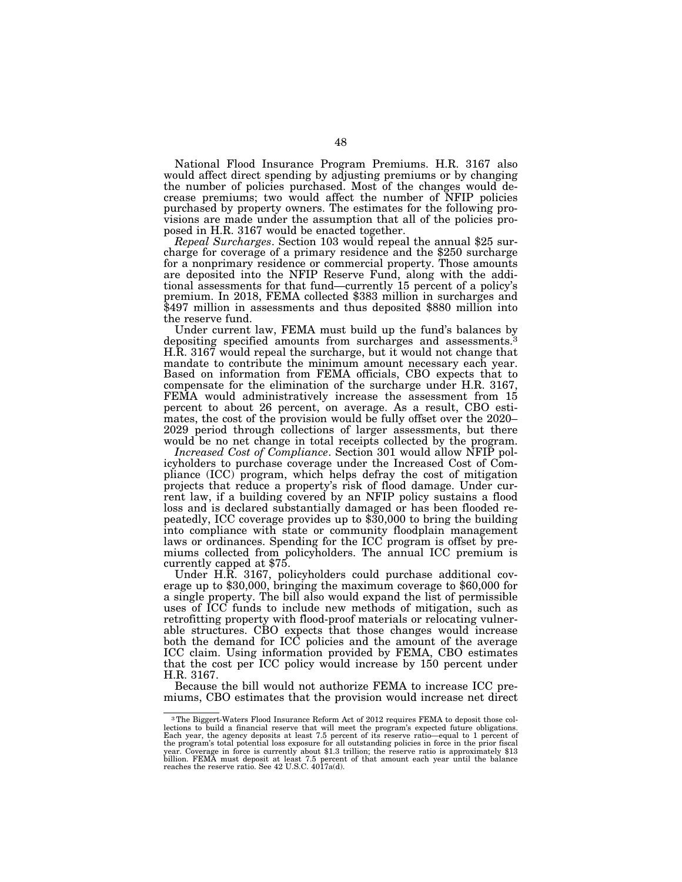National Flood Insurance Program Premiums. H.R. 3167 also would affect direct spending by adjusting premiums or by changing the number of policies purchased. Most of the changes would decrease premiums; two would affect the number of NFIP policies purchased by property owners. The estimates for the following provisions are made under the assumption that all of the policies pro-

posed in H.R. 3167 would be enacted together.<br>Repeal Surcharges. Section 103 would repeal the annual \$25 sur-*Repeal Surcharges*. Section 103 would repeal the annual \$25 sur- charge for coverage of a primary residence and the \$250 surcharge for a nonprimary residence or commercial property. Those amounts are deposited into the NFIP Reserve Fund, along with the additional assessments for that fund—currently 15 percent of a policy's premium. In 2018, FEMA collected \$383 million in surcharges and \$497 million in assessments and thus deposited \$880 million into the reserve fund.

Under current law, FEMA must build up the fund's balances by depositing specified amounts from surcharges and assessments.<sup>3</sup> H.R. 3167 would repeal the surcharge, but it would not change that mandate to contribute the minimum amount necessary each year. Based on information from FEMA officials, CBO expects that to compensate for the elimination of the surcharge under H.R. 3167, FEMA would administratively increase the assessment from 15 percent to about 26 percent, on average. As a result, CBO estimates, the cost of the provision would be fully offset over the 2020– 2029 period through collections of larger assessments, but there would be no net change in total receipts collected by the program.

*Increased Cost of Compliance*. Section 301 would allow NFIP policyholders to purchase coverage under the Increased Cost of Compliance (ICC) program, which helps defray the cost of mitigation projects that reduce a property's risk of flood damage. Under current law, if a building covered by an NFIP policy sustains a flood loss and is declared substantially damaged or has been flooded repeatedly, ICC coverage provides up to \$30,000 to bring the building into compliance with state or community floodplain management laws or ordinances. Spending for the ICC program is offset by premiums collected from policyholders. The annual ICC premium is currently capped at \$75.

Under H.R. 3167, policyholders could purchase additional coverage up to \$30,000, bringing the maximum coverage to \$60,000 for a single property. The bill also would expand the list of permissible uses of ICC funds to include new methods of mitigation, such as retrofitting property with flood-proof materials or relocating vulnerable structures. CBO expects that those changes would increase both the demand for ICC policies and the amount of the average ICC claim. Using information provided by FEMA, CBO estimates that the cost per ICC policy would increase by 150 percent under H.R. 3167.

Because the bill would not authorize FEMA to increase ICC premiums, CBO estimates that the provision would increase net direct

<sup>3</sup>The Biggert-Waters Flood Insurance Reform Act of 2012 requires FEMA to deposit those collections to build a financial reserve that will meet the program's expected future obligations.<br>Each year, the agency deposits at least 7.5 percent of its reserve ratio—equal to 1 percent of<br>the program's total potential l year. Coverage in force is currently about \$1.3 trillion; the reserve ratio is approximately \$13<br>billion. FEMA must deposit at least 7.5 percent of that amount each year until the balance<br>reaches the reserve ratio. See 42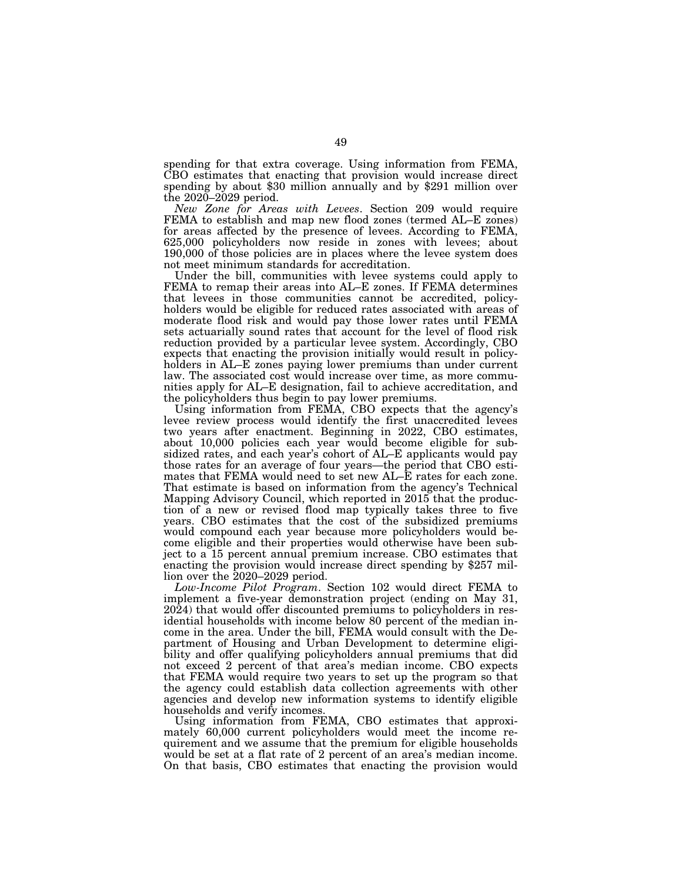spending for that extra coverage. Using information from FEMA, CBO estimates that enacting that provision would increase direct spending by about \$30 million annually and by \$291 million over the 2020–2029 period.

*New Zone for Areas with Levees*. Section 209 would require FEMA to establish and map new flood zones (termed AL–E zones) for areas affected by the presence of levees. According to FEMA, 625,000 policyholders now reside in zones with levees; about 190,000 of those policies are in places where the levee system does not meet minimum standards for accreditation.

Under the bill, communities with levee systems could apply to FEMA to remap their areas into AL–E zones. If FEMA determines that levees in those communities cannot be accredited, policyholders would be eligible for reduced rates associated with areas of moderate flood risk and would pay those lower rates until FEMA sets actuarially sound rates that account for the level of flood risk reduction provided by a particular levee system. Accordingly, CBO expects that enacting the provision initially would result in policyholders in AL–E zones paying lower premiums than under current law. The associated cost would increase over time, as more communities apply for AL–E designation, fail to achieve accreditation, and the policyholders thus begin to pay lower premiums.

Using information from FEMA, CBO expects that the agency's levee review process would identify the first unaccredited levees two years after enactment. Beginning in 2022, CBO estimates, about 10,000 policies each year would become eligible for subsidized rates, and each year's cohort of AL–E applicants would pay those rates for an average of four years—the period that CBO estimates that FEMA would need to set new AL–E rates for each zone. That estimate is based on information from the agency's Technical Mapping Advisory Council, which reported in 2015 that the production of a new or revised flood map typically takes three to five years. CBO estimates that the cost of the subsidized premiums would compound each year because more policyholders would become eligible and their properties would otherwise have been subject to a 15 percent annual premium increase. CBO estimates that enacting the provision would increase direct spending by \$257 million over the 2020–2029 period.

*Low-Income Pilot Program*. Section 102 would direct FEMA to implement a five-year demonstration project (ending on May 31, 2024) that would offer discounted premiums to policyholders in residential households with income below 80 percent of the median income in the area. Under the bill, FEMA would consult with the Department of Housing and Urban Development to determine eligibility and offer qualifying policyholders annual premiums that did not exceed 2 percent of that area's median income. CBO expects that FEMA would require two years to set up the program so that the agency could establish data collection agreements with other agencies and develop new information systems to identify eligible households and verify incomes.

Using information from FEMA, CBO estimates that approximately 60,000 current policyholders would meet the income requirement and we assume that the premium for eligible households would be set at a flat rate of 2 percent of an area's median income. On that basis, CBO estimates that enacting the provision would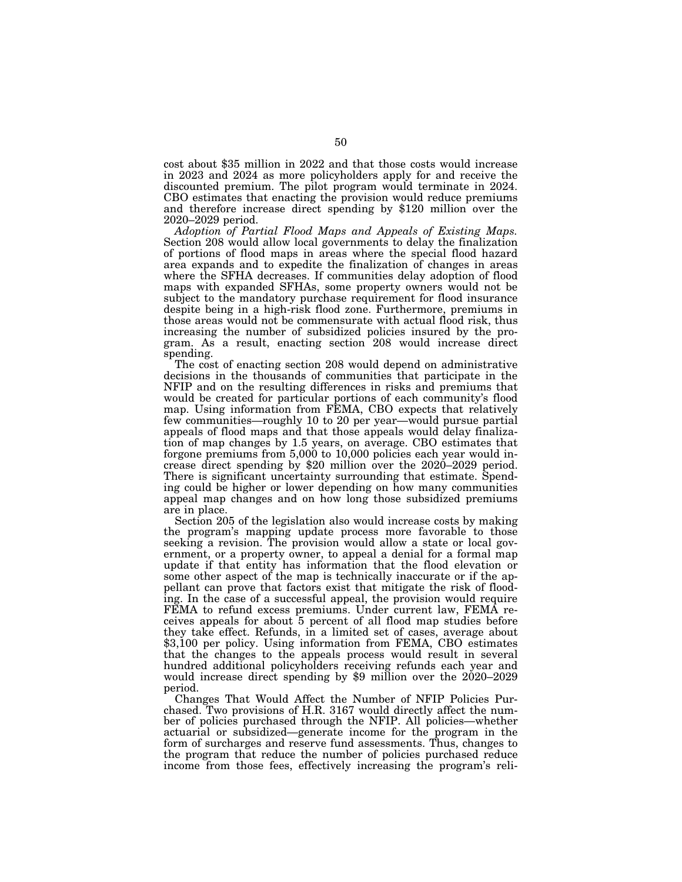cost about \$35 million in 2022 and that those costs would increase in 2023 and 2024 as more policyholders apply for and receive the discounted premium. The pilot program would terminate in 2024. CBO estimates that enacting the provision would reduce premiums and therefore increase direct spending by \$120 million over the 2020–2029 period.

*Adoption of Partial Flood Maps and Appeals of Existing Maps.*  Section 208 would allow local governments to delay the finalization of portions of flood maps in areas where the special flood hazard area expands and to expedite the finalization of changes in areas where the SFHA decreases. If communities delay adoption of flood maps with expanded SFHAs, some property owners would not be subject to the mandatory purchase requirement for flood insurance despite being in a high-risk flood zone. Furthermore, premiums in those areas would not be commensurate with actual flood risk, thus increasing the number of subsidized policies insured by the program. As a result, enacting section 208 would increase direct spending.

The cost of enacting section 208 would depend on administrative decisions in the thousands of communities that participate in the NFIP and on the resulting differences in risks and premiums that would be created for particular portions of each community's flood map. Using information from FEMA, CBO expects that relatively few communities—roughly 10 to 20 per year—would pursue partial appeals of flood maps and that those appeals would delay finalization of map changes by 1.5 years, on average. CBO estimates that forgone premiums from 5,000 to 10,000 policies each year would increase direct spending by \$20 million over the 2020–2029 period. There is significant uncertainty surrounding that estimate. Spending could be higher or lower depending on how many communities appeal map changes and on how long those subsidized premiums are in place.

Section 205 of the legislation also would increase costs by making the program's mapping update process more favorable to those seeking a revision. The provision would allow a state or local government, or a property owner, to appeal a denial for a formal map update if that entity has information that the flood elevation or some other aspect of the map is technically inaccurate or if the appellant can prove that factors exist that mitigate the risk of flooding. In the case of a successful appeal, the provision would require FEMA to refund excess premiums. Under current law, FEMA receives appeals for about 5 percent of all flood map studies before they take effect. Refunds, in a limited set of cases, average about \$3,100 per policy. Using information from FEMA, CBO estimates that the changes to the appeals process would result in several hundred additional policyholders receiving refunds each year and would increase direct spending by \$9 million over the 2020–2029 period.

Changes That Would Affect the Number of NFIP Policies Purchased. Two provisions of H.R. 3167 would directly affect the number of policies purchased through the NFIP. All policies—whether actuarial or subsidized—generate income for the program in the form of surcharges and reserve fund assessments. Thus, changes to the program that reduce the number of policies purchased reduce income from those fees, effectively increasing the program's reli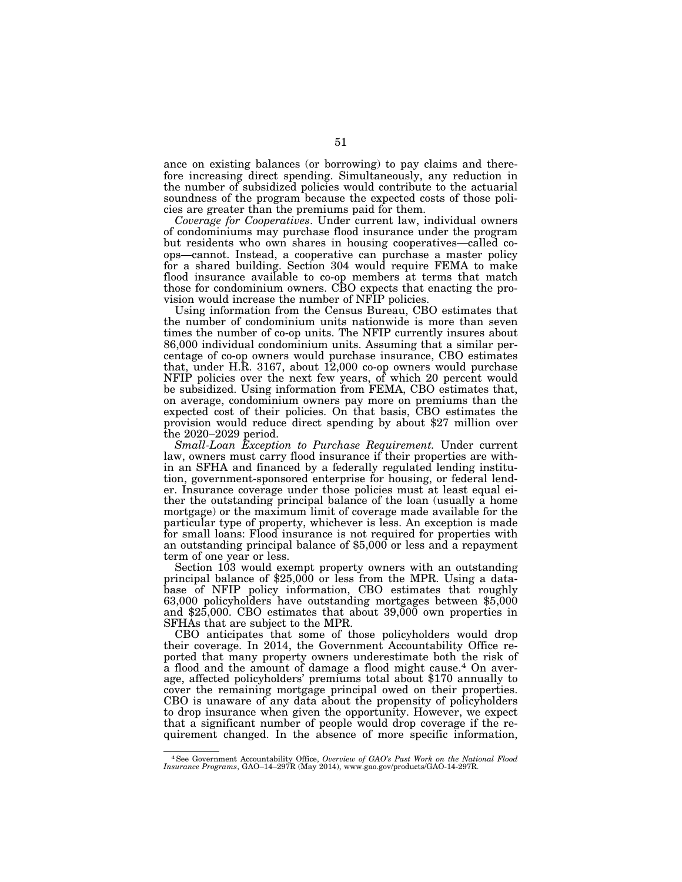ance on existing balances (or borrowing) to pay claims and therefore increasing direct spending. Simultaneously, any reduction in the number of subsidized policies would contribute to the actuarial soundness of the program because the expected costs of those policies are greater than the premiums paid for them.

*Coverage for Cooperatives*. Under current law, individual owners of condominiums may purchase flood insurance under the program but residents who own shares in housing cooperatives—called coops—cannot. Instead, a cooperative can purchase a master policy for a shared building. Section 304 would require FEMA to make flood insurance available to co-op members at terms that match those for condominium owners. CBO expects that enacting the provision would increase the number of NFIP policies.

Using information from the Census Bureau, CBO estimates that the number of condominium units nationwide is more than seven times the number of co-op units. The NFIP currently insures about 86,000 individual condominium units. Assuming that a similar percentage of co-op owners would purchase insurance, CBO estimates that, under H.R. 3167, about 12,000 co-op owners would purchase NFIP policies over the next few years, of which 20 percent would be subsidized. Using information from FEMA, CBO estimates that, on average, condominium owners pay more on premiums than the expected cost of their policies. On that basis, CBO estimates the provision would reduce direct spending by about \$27 million over the 2020–2029 period.

*Small-Loan Exception to Purchase Requirement.* Under current law, owners must carry flood insurance if their properties are within an SFHA and financed by a federally regulated lending institution, government-sponsored enterprise for housing, or federal lender. Insurance coverage under those policies must at least equal either the outstanding principal balance of the loan (usually a home mortgage) or the maximum limit of coverage made available for the particular type of property, whichever is less. An exception is made for small loans: Flood insurance is not required for properties with an outstanding principal balance of \$5,000 or less and a repayment term of one year or less.

Section 103 would exempt property owners with an outstanding principal balance of \$25,000 or less from the MPR. Using a database of NFIP policy information, CBO estimates that roughly 63,000 policyholders have outstanding mortgages between \$5,000 and \$25,000. CBO estimates that about 39,000 own properties in SFHAs that are subject to the MPR.

CBO anticipates that some of those policyholders would drop their coverage. In 2014, the Government Accountability Office reported that many property owners underestimate both the risk of a flood and the amount of damage a flood might cause.4 On average, affected policyholders' premiums total about \$170 annually to cover the remaining mortgage principal owed on their properties. CBO is unaware of any data about the propensity of policyholders to drop insurance when given the opportunity. However, we expect that a significant number of people would drop coverage if the requirement changed. In the absence of more specific information,

<sup>4</sup>See Government Accountability Office, *Overview of GAO's Past Work on the National Flood Insurance Programs*, GAO–14–297R (May 2014), www.gao.gov/products/GAO-14-297R.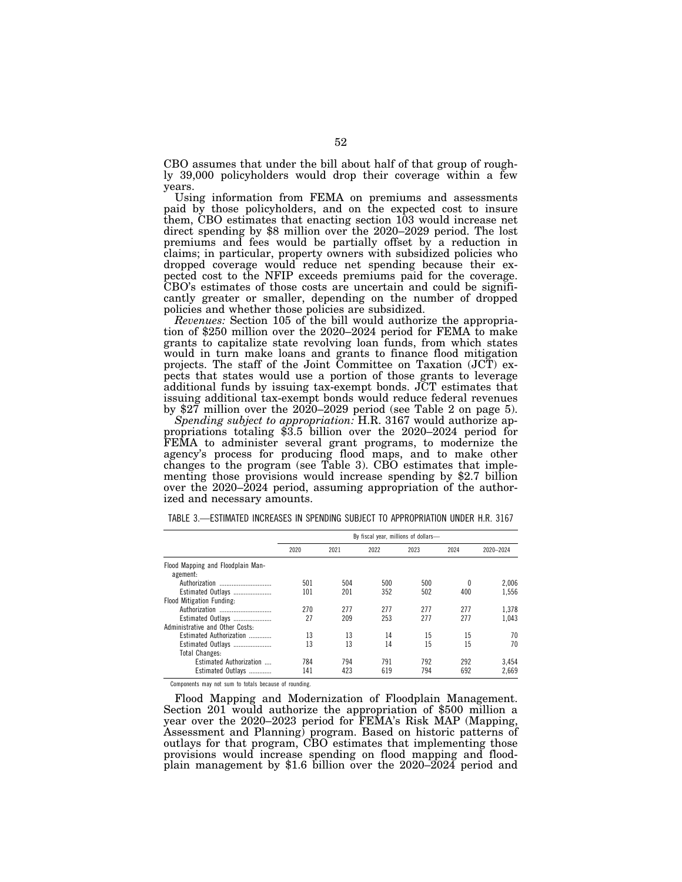CBO assumes that under the bill about half of that group of roughly 39,000 policyholders would drop their coverage within a few years.

Using information from FEMA on premiums and assessments paid by those policyholders, and on the expected cost to insure them, CBO estimates that enacting section 103 would increase net direct spending by \$8 million over the 2020–2029 period. The lost premiums and fees would be partially offset by a reduction in claims; in particular, property owners with subsidized policies who dropped coverage would reduce net spending because their expected cost to the NFIP exceeds premiums paid for the coverage. CBO's estimates of those costs are uncertain and could be significantly greater or smaller, depending on the number of dropped policies and whether those policies are subsidized.<br>Revenues: Section 105 of the bill would authorize the appropria-

tion of \$250 million over the 2020–2024 period for FEMA to make grants to capitalize state revolving loan funds, from which states would in turn make loans and grants to finance flood mitigation projects. The staff of the Joint Committee on Taxation (JCT) expects that states would use a portion of those grants to leverage additional funds by issuing tax-exempt bonds. JCT estimates that issuing additional tax-exempt bonds would reduce federal revenues by \$27 million over the 2020–2029 period (see Table 2 on page 5).

*Spending subject to appropriation:* H.R. 3167 would authorize appropriations totaling \$3.5 billion over the 2020–2024 period for FEMA to administer several grant programs, to modernize the agency's process for producing flood maps, and to make other changes to the program (see Table 3). CBO estimates that implementing those provisions would increase spending by \$2.7 billion over the 2020–2024 period, assuming appropriation of the authorized and necessary amounts.

|                                               | By fiscal year, millions of dollars- |                      |     |     |      |           |  |  |  |  |
|-----------------------------------------------|--------------------------------------|----------------------|-----|-----|------|-----------|--|--|--|--|
|                                               | 2020                                 | 2022<br>2021<br>2023 |     |     | 2024 | 2020-2024 |  |  |  |  |
| Flood Mapping and Floodplain Man-<br>agement: |                                      |                      |     |     |      |           |  |  |  |  |
|                                               | 501                                  | 504                  | 500 | 500 |      | 2.006     |  |  |  |  |
| Estimated Outlays                             | 101                                  | 201                  | 352 | 502 | 400  | 1.556     |  |  |  |  |
| Flood Mitigation Funding:                     |                                      |                      |     |     |      |           |  |  |  |  |
| Authorization                                 | 270                                  | 277                  | 277 | 277 | 277  | 1.378     |  |  |  |  |
| Estimated Outlays                             | 27                                   | 209                  | 253 | 277 | 277  | 1.043     |  |  |  |  |
| Administrative and Other Costs-               |                                      |                      |     |     |      |           |  |  |  |  |
| Estimated Authorization                       | 13                                   | 13                   | 14  | 15  | 15   | 70        |  |  |  |  |
| Estimated Outlays                             | 13                                   | 13                   | 14  | 15  | 15   | 70        |  |  |  |  |
| <b>Total Changes:</b>                         |                                      |                      |     |     |      |           |  |  |  |  |
| Estimated Authorization                       | 784                                  | 794                  | 791 | 792 | 292  | 3,454     |  |  |  |  |
| Estimated Outlays                             | 141                                  | 423                  | 619 | 794 | 692  | 2.669     |  |  |  |  |

TABLE 3.—ESTIMATED INCREASES IN SPENDING SUBJECT TO APPROPRIATION UNDER H.R. 3167

Components may not sum to totals because of rounding.

Flood Mapping and Modernization of Floodplain Management. Section 201 would authorize the appropriation of \$500 million a year over the 2020–2023 period for FEMA's Risk MAP (Mapping, Assessment and Planning) program. Based on historic patterns of outlays for that program, CBO estimates that implementing those provisions would increase spending on flood mapping and floodplain management by \$1.6 billion over the 2020–2024 period and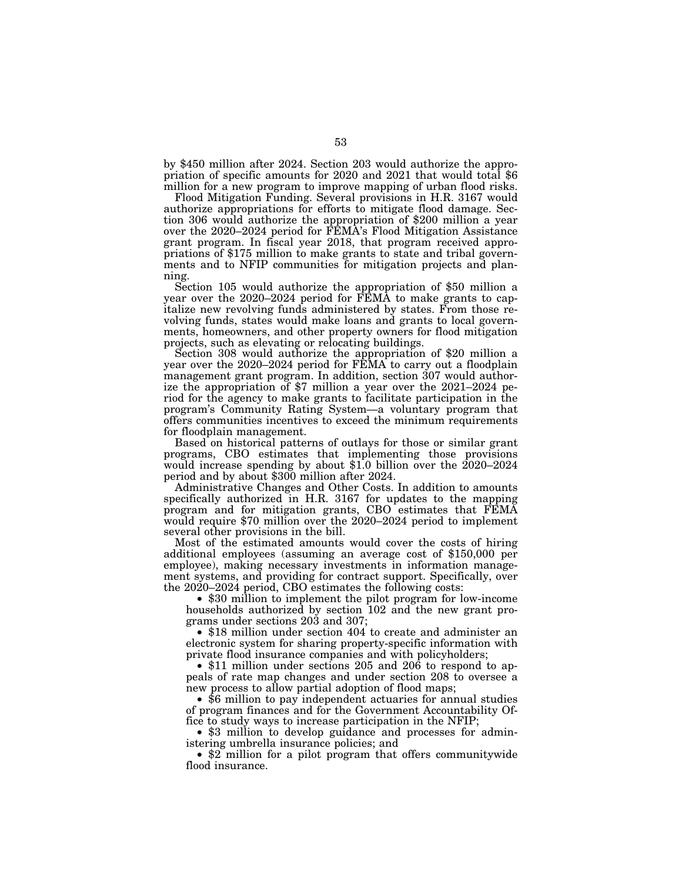by \$450 million after 2024. Section 203 would authorize the appropriation of specific amounts for 2020 and 2021 that would total \$6 million for a new program to improve mapping of urban flood risks.

Flood Mitigation Funding. Several provisions in H.R. 3167 would authorize appropriations for efforts to mitigate flood damage. Section 306 would authorize the appropriation of \$200 million a year over the 2020–2024 period for FEMA's Flood Mitigation Assistance grant program. In fiscal year 2018, that program received appropriations of \$175 million to make grants to state and tribal governments and to NFIP communities for mitigation projects and planning. Section 105 would authorize the appropriation of \$50 million a

year over the 2020–2024 period for FEMA to make grants to capitalize new revolving funds administered by states. From those revolving funds, states would make loans and grants to local governments, homeowners, and other property owners for flood mitigation

projects, such as elevating or relocating buildings. Section 308 would authorize the appropriation of \$20 million a year over the 2020–2024 period for FEMA to carry out a floodplain management grant program. In addition, section 307 would authorize the appropriation of \$7 million a year over the 2021–2024 period for the agency to make grants to facilitate participation in the program's Community Rating System—a voluntary program that offers communities incentives to exceed the minimum requirements for floodplain management.

Based on historical patterns of outlays for those or similar grant programs, CBO estimates that implementing those provisions would increase spending by about \$1.0 billion over the 2020–2024 period and by about \$300 million after 2024.

Administrative Changes and Other Costs. In addition to amounts specifically authorized in H.R. 3167 for updates to the mapping program and for mitigation grants, CBO estimates that FEMA would require \$70 million over the 2020–2024 period to implement several other provisions in the bill.

Most of the estimated amounts would cover the costs of hiring additional employees (assuming an average cost of \$150,000 per employee), making necessary investments in information management systems, and providing for contract support. Specifically, over the 2020–2024 period, CBO estimates the following costs:

• \$30 million to implement the pilot program for low-income households authorized by section 102 and the new grant programs under sections 203 and 307;

• \$18 million under section 404 to create and administer an electronic system for sharing property-specific information with private flood insurance companies and with policyholders;

• \$11 million under sections 205 and 206 to respond to appeals of rate map changes and under section 208 to oversee a new process to allow partial adoption of flood maps;

• \$6 million to pay independent actuaries for annual studies of program finances and for the Government Accountability Office to study ways to increase participation in the NFIP;

• \$3 million to develop guidance and processes for administering umbrella insurance policies; and

• \$2 million for a pilot program that offers communitywide flood insurance.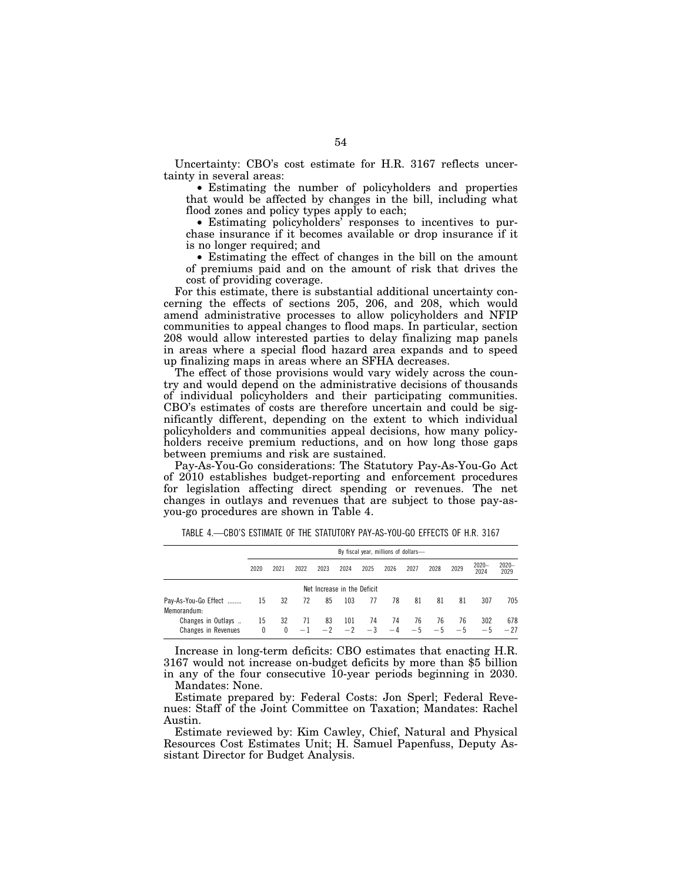Uncertainty: CBO's cost estimate for H.R. 3167 reflects uncertainty in several areas:

• Estimating the number of policyholders and properties that would be affected by changes in the bill, including what flood zones and policy types apply to each;

• Estimating policyholders' responses to incentives to purchase insurance if it becomes available or drop insurance if it is no longer required; and

• Estimating the effect of changes in the bill on the amount of premiums paid and on the amount of risk that drives the cost of providing coverage.

For this estimate, there is substantial additional uncertainty concerning the effects of sections 205, 206, and 208, which would amend administrative processes to allow policyholders and NFIP communities to appeal changes to flood maps. In particular, section 208 would allow interested parties to delay finalizing map panels in areas where a special flood hazard area expands and to speed up finalizing maps in areas where an SFHA decreases.

The effect of those provisions would vary widely across the country and would depend on the administrative decisions of thousands of individual policyholders and their participating communities. CBO's estimates of costs are therefore uncertain and could be significantly different, depending on the extent to which individual policyholders and communities appeal decisions, how many policyholders receive premium reductions, and on how long those gaps between premiums and risk are sustained.

Pay-As-You-Go considerations: The Statutory Pay-As-You-Go Act of 2010 establishes budget-reporting and enforcement procedures for legislation affecting direct spending or revenues. The net changes in outlays and revenues that are subject to those pay-asyou-go procedures are shown in Table 4.

|                                                  |         | By fiscal year, millions of dollars- |      |      |                       |            |            |            |            |            |                  |                  |
|--------------------------------------------------|---------|--------------------------------------|------|------|-----------------------|------------|------------|------------|------------|------------|------------------|------------------|
|                                                  | 2020    | 2021                                 | 2022 | 2023 | 2024                  | 2025       | 2026       | 2027       | 2028       | 2029       | $2020 -$<br>2024 | $2020 -$<br>2029 |
| Net Increase in the Deficit                      |         |                                      |      |      |                       |            |            |            |            |            |                  |                  |
| Pay-As-You-Go Effect<br>Memorandum:              | 15      | 32                                   | 72   | 85   | 103                   | 77         | 78         | 81         | 81         | 81         | 307              | 705              |
| Changes in Outlays<br><b>Changes in Revenues</b> | 15<br>0 | 32<br>$\mathbf{0}$                   | 71   | 83   | 101<br>$-1$ $-2$ $-2$ | 74<br>$-3$ | 74<br>$-4$ | 76<br>$-5$ | 76<br>$-5$ | 76<br>$-5$ | 302<br>$-5$      | 678<br>$-27$     |

TABLE 4.—CBO'S ESTIMATE OF THE STATUTORY PAY-AS-YOU-GO EFFECTS OF H.R. 3167

Increase in long-term deficits: CBO estimates that enacting H.R. 3167 would not increase on-budget deficits by more than \$5 billion in any of the four consecutive 10-year periods beginning in 2030. Mandates: None.

Estimate prepared by: Federal Costs: Jon Sperl; Federal Revenues: Staff of the Joint Committee on Taxation; Mandates: Rachel Austin.

Estimate reviewed by: Kim Cawley, Chief, Natural and Physical Resources Cost Estimates Unit; H. Samuel Papenfuss, Deputy Assistant Director for Budget Analysis.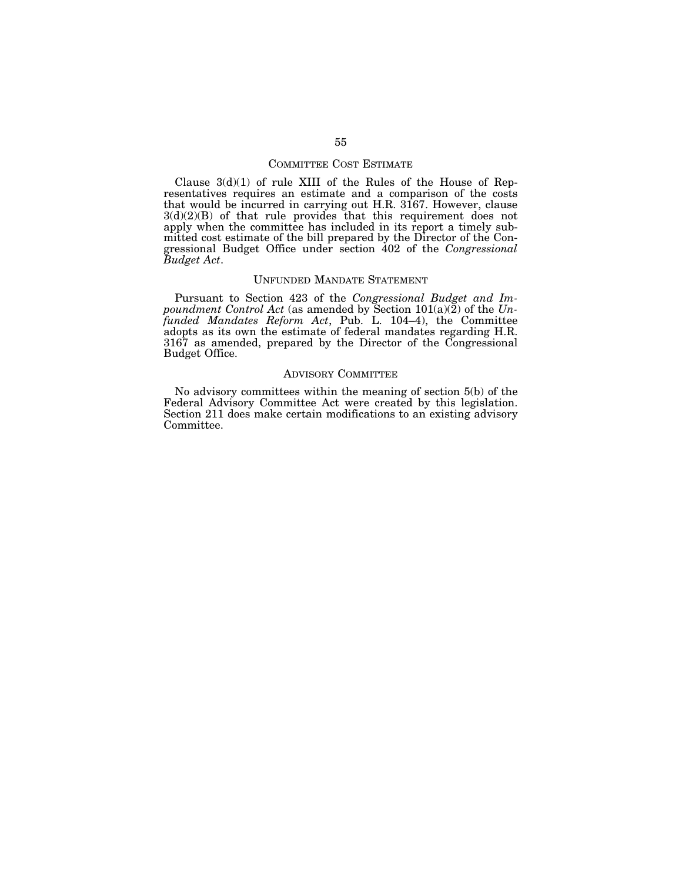## COMMITTEE COST ESTIMATE

Clause 3(d)(1) of rule XIII of the Rules of the House of Representatives requires an estimate and a comparison of the costs that would be incurred in carrying out H.R. 3167. However, clause  $3(d)(2)(B)$  of that rule provides that this requirement does not apply when the committee has included in its report a timely submitted cost estimate of the bill prepared by the Director of the Congressional Budget Office under section 402 of the *Congressional Budget Act*.

### UNFUNDED MANDATE STATEMENT

Pursuant to Section 423 of the *Congressional Budget and Impoundment Control Act* (as amended by Section 101(a)(2) of the *Unfunded Mandates Reform Act*, Pub. L. 104–4), the Committee adopts as its own the estimate of federal mandates regarding H.R. 3167 as amended, prepared by the Director of the Congressional Budget Office.

# ADVISORY COMMITTEE

No advisory committees within the meaning of section 5(b) of the Federal Advisory Committee Act were created by this legislation. Section 211 does make certain modifications to an existing advisory Committee.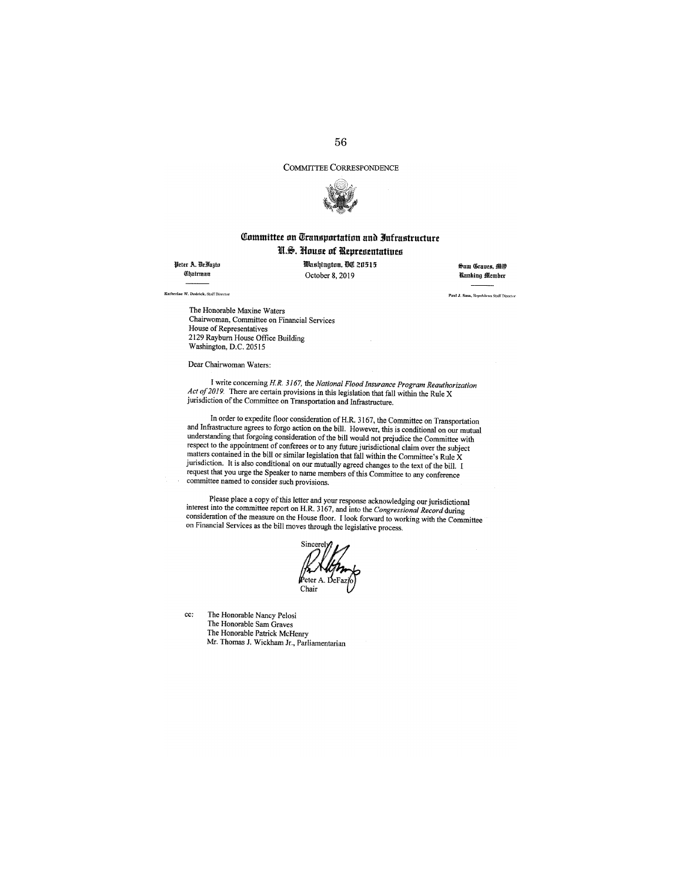# COMMITTEE CORRESPONDENCE



# Committee on Transportation and Infrastructure U.S. House of Representatives

Peter A. DeFazio Chairman

Washington, DC 20515 October 8, 2019

Sam Graues, MO **Kanking Member** 

Paul J. Sass, Republican Staff Director

.<br>Por W. Dodelak. Reff Dissour

cc:

The Honorable Maxine Waters Chairwoman, Committee on Financial Services House of Representatives 2129 Rayburn House Office Building Washington, D.C. 20515

Dear Chairwoman Waters:

I write concerning H.R. 3167, the National Flood Insurance Program Reauthorization *Act of 2019.* There are certain provisions in this legislation that fall within the Rule X jurisdiction of the Committee on Transportation and Infrastructure.

In order to expedite floor consideration of H.R. 3167, the Committee on Transportation and Infrastructure agrees to forgo action on the bill. However, this is conditional on our mutual understanding that forgoing consideration of the bill would not prejudice the Committee with respect to the appointment of conferees or to any future jurisdictional claim over the subject matters contained in the bill or similar legislation that fall within the Committee's Rule X jurisdiction. It is also conditional on our mutually agreed changes to the text of the bill. I request that you urge the Speaker to name members of this Committee to any conference committee named to consider such provisions.

Please place a copy of this letter and your response acknowledging our jurisdictional interest into the committee report on H.R. 3167, and into the Congressional Record during consideration of the measure on the House floor. I look forward to working with the Committee on Financial Services as the bill moves through the legislative process.

Sincere Chair

The Honorable Nancy Pelosi The Honorable Sam Graves The Honorable Patrick McHenry Mr. Thomas J. Wickham Jr., Parliamentarian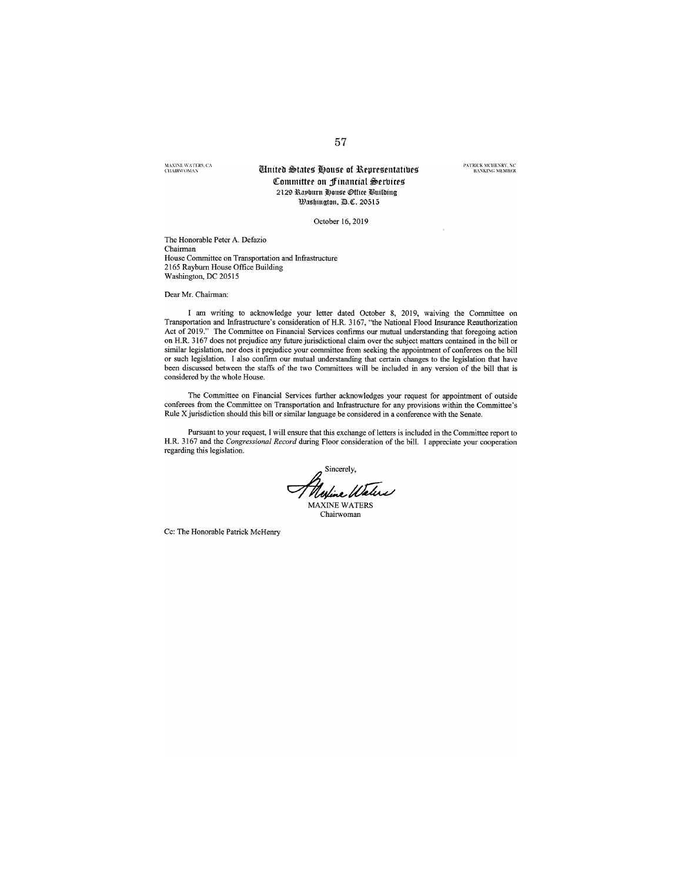MAXINE WATERS, CA<br>CHARWOMAN

### **Tinited States House of Representatives** Committee on Financial Services 2129 Rayburn House Office Building Washington, D.C. 20515

October 16, 2019

The Honorable Peter A. Defazio Chairman House Committee on Transportation and Infrastructure 2165 Rayburn House Office Building Washington, DC 20515

Dear Mr. Chairman:

I am writing to acknowledge your letter dated October 8, 2019, waiving the Committee on Transportation and Infrastructure's consideration of H.R. 3167, "the National Flood Insurance Reauthorization Act of 2019." The Committee on Financial Services confirms our mutual understanding that foregoing action on H.R. 3167 does not prejudice any future jurisdictional claim over the subject matters contained in the bill or similar legislation, nor does it prejudice your committee from seeking the appointment of conferees on the bill or such legislation. I also confirm our mutual understanding that certain changes to the legislation that have been discussed between the staffs of the two Committees will be included in any version of the bill that is considered by the whole House.

The Committee on Financial Services further acknowledges your request for appointment of outside conferees from the Committee on Transportation and Infrastructure for any provisions within the Committee's Rule X jurisdiction should this bill or similar language be considered in a conference with the Senate.

Pursuant to your request, I will ensure that this exchange of letters is included in the Committee report to H.R. 3167 and the Congressional Record during Floor consideration of the bill. I appreciate your cooperation regarding this legislation.

Sincerely,<br>Mufine Waters MAXINE WATERS

Chairwoman

Cc: The Honorable Patrick McHenry

PATRICK MCHENRY, NC<br>RANKING MEMBER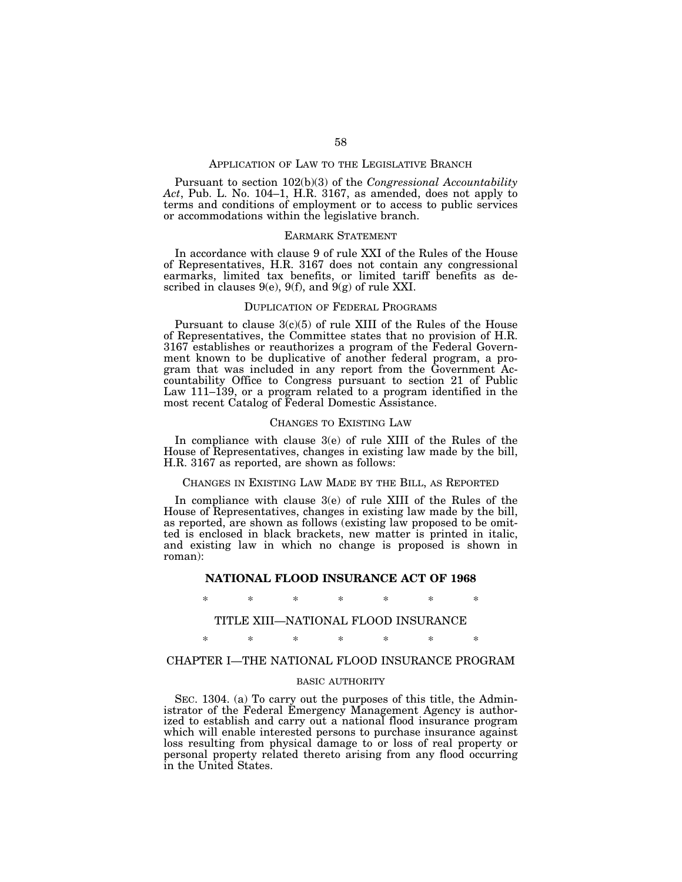### APPLICATION OF LAW TO THE LEGISLATIVE BRANCH

Pursuant to section 102(b)(3) of the *Congressional Accountability Act*, Pub. L. No. 104–1, H.R. 3167, as amended, does not apply to terms and conditions of employment or to access to public services or accommodations within the legislative branch.

# EARMARK STATEMENT

In accordance with clause 9 of rule XXI of the Rules of the House of Representatives, H.R. 3167 does not contain any congressional earmarks, limited tax benefits, or limited tariff benefits as described in clauses  $9(e)$ ,  $9(f)$ , and  $9(g)$  of rule XXI.

### DUPLICATION OF FEDERAL PROGRAMS

Pursuant to clause  $3(c)(5)$  of rule XIII of the Rules of the House of Representatives, the Committee states that no provision of H.R. 3167 establishes or reauthorizes a program of the Federal Government known to be duplicative of another federal program, a program that was included in any report from the Government Accountability Office to Congress pursuant to section 21 of Public Law 111–139, or a program related to a program identified in the most recent Catalog of Federal Domestic Assistance.

### CHANGES TO EXISTING LAW

In compliance with clause 3(e) of rule XIII of the Rules of the House of Representatives, changes in existing law made by the bill, H.R. 3167 as reported, are shown as follows:

# CHANGES IN EXISTING LAW MADE BY THE BILL, AS REPORTED

In compliance with clause 3(e) of rule XIII of the Rules of the House of Representatives, changes in existing law made by the bill, as reported, are shown as follows (existing law proposed to be omitted is enclosed in black brackets, new matter is printed in italic, and existing law in which no change is proposed is shown in roman):

## **NATIONAL FLOOD INSURANCE ACT OF 1968**

\* \* \* \* \* \* \*

## TITLE XIII—NATIONAL FLOOD INSURANCE

## \* \* \* \* \* \* \*

# CHAPTER I—THE NATIONAL FLOOD INSURANCE PROGRAM

### BASIC AUTHORITY

SEC. 1304. (a) To carry out the purposes of this title, the Administrator of the Federal Emergency Management Agency is authorized to establish and carry out a national flood insurance program which will enable interested persons to purchase insurance against loss resulting from physical damage to or loss of real property or personal property related thereto arising from any flood occurring in the United States.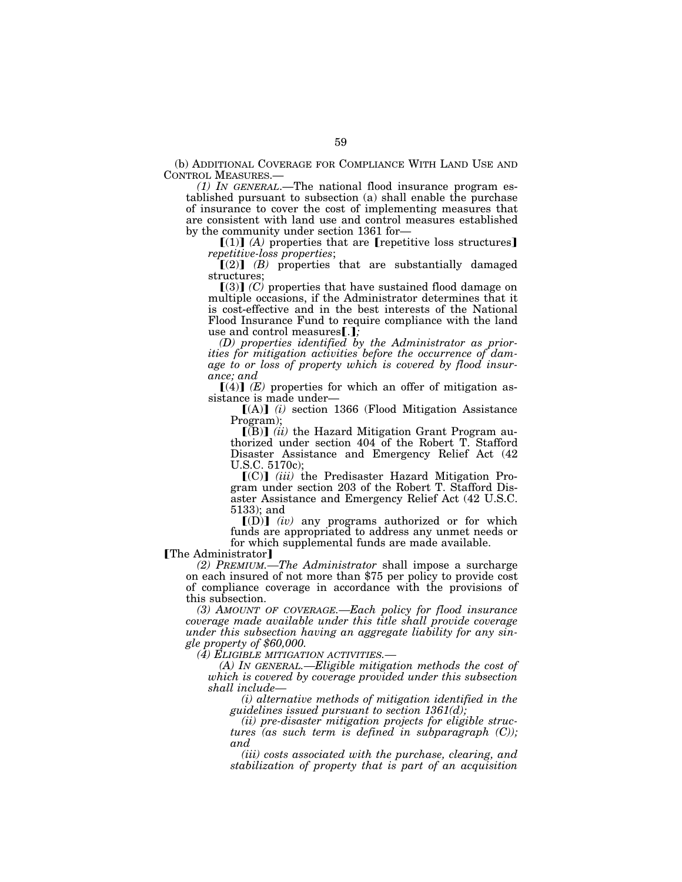(b) ADDITIONAL COVERAGE FOR COMPLIANCE WITH LAND USE AND CONTROL MEASURES.—

 $(1)$  IN GENERAL.—The national flood insurance program established pursuant to subsection (a) shall enable the purchase of insurance to cover the cost of implementing measures that are consistent with land use and control measures established by the community under section 1361 for—

 $[(1)]$   $(A)$  properties that are [repetitive loss structures] *repetitive-loss properties*;

 $\Gamma(2)$  (B) properties that are substantially damaged structures;

 $(3)$   $(C)$  properties that have sustained flood damage on multiple occasions, if the Administrator determines that it is cost-effective and in the best interests of the National Flood Insurance Fund to require compliance with the land use and control measures[.];

*(D) properties identified by the Administrator as priorities for mitigation activities before the occurrence of damage to or loss of property which is covered by flood insurance; and* 

 $\lceil (4) \rceil$  *(E)* properties for which an offer of mitigation assistance is made under—

 $[(A)]$  *(i)* section 1366 (Flood Mitigation Assistance Program);

 $\Gamma(B)$  *(ii)* the Hazard Mitigation Grant Program authorized under section 404 of the Robert T. Stafford Disaster Assistance and Emergency Relief Act (42 U.S.C. 5170c);

[(C)] (*iii*) the Predisaster Hazard Mitigation Program under section 203 of the Robert T. Stafford Disaster Assistance and Emergency Relief Act (42 U.S.C. 5133); and

 $[(D)]$   $(iv)$  any programs authorized or for which funds are appropriated to address any unmet needs or for which supplemental funds are made available.

# [The Administrator]

*(2) PREMIUM.—The Administrator* shall impose a surcharge on each insured of not more than \$75 per policy to provide cost of compliance coverage in accordance with the provisions of this subsection.

*(3) AMOUNT OF COVERAGE.—Each policy for flood insurance coverage made available under this title shall provide coverage under this subsection having an aggregate liability for any single property of \$60,000.* 

*(4) ELIGIBLE MITIGATION ACTIVITIES.—* 

*(A) IN GENERAL.—Eligible mitigation methods the cost of which is covered by coverage provided under this subsection shall include—* 

*(i) alternative methods of mitigation identified in the guidelines issued pursuant to section 1361(d);* 

*(ii) pre-disaster mitigation projects for eligible structures (as such term is defined in subparagraph (C)); and* 

*(iii) costs associated with the purchase, clearing, and stabilization of property that is part of an acquisition*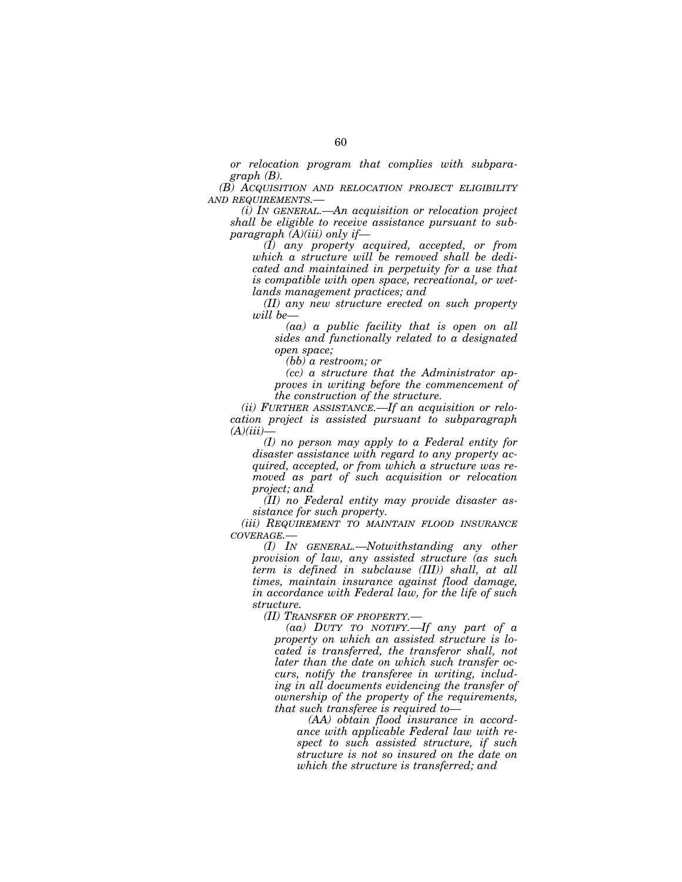*or relocation program that complies with subparagraph (B).* 

*(B) ACQUISITION AND RELOCATION PROJECT ELIGIBILITY AND REQUIREMENTS.—* 

*(i) IN GENERAL.—An acquisition or relocation project shall be eligible to receive assistance pursuant to subparagraph (A)(iii) only if—* 

*(I) any property acquired, accepted, or from which a structure will be removed shall be dedicated and maintained in perpetuity for a use that is compatible with open space, recreational, or wetlands management practices; and* 

*(II) any new structure erected on such property will be—* 

*(aa) a public facility that is open on all sides and functionally related to a designated open space;* 

*(bb) a restroom; or* 

*(cc) a structure that the Administrator approves in writing before the commencement of the construction of the structure.* 

*(ii) FURTHER ASSISTANCE.—If an acquisition or relocation project is assisted pursuant to subparagraph (A)(iii)—* 

*(I) no person may apply to a Federal entity for disaster assistance with regard to any property acquired, accepted, or from which a structure was removed as part of such acquisition or relocation project; and* 

*(II) no Federal entity may provide disaster assistance for such property.* 

*(iii) REQUIREMENT TO MAINTAIN FLOOD INSURANCE COVERAGE.—* 

*(I) IN GENERAL.—Notwithstanding any other provision of law, any assisted structure (as such term is defined in subclause (III)) shall, at all times, maintain insurance against flood damage, in accordance with Federal law, for the life of such structure.* 

*(II) TRANSFER OF PROPERTY.—* 

*(aa) DUTY TO NOTIFY.—If any part of a property on which an assisted structure is located is transferred, the transferor shall, not later than the date on which such transfer occurs, notify the transferee in writing, including in all documents evidencing the transfer of ownership of the property of the requirements, that such transferee is required to—* 

*(AA) obtain flood insurance in accordance with applicable Federal law with respect to such assisted structure, if such structure is not so insured on the date on which the structure is transferred; and*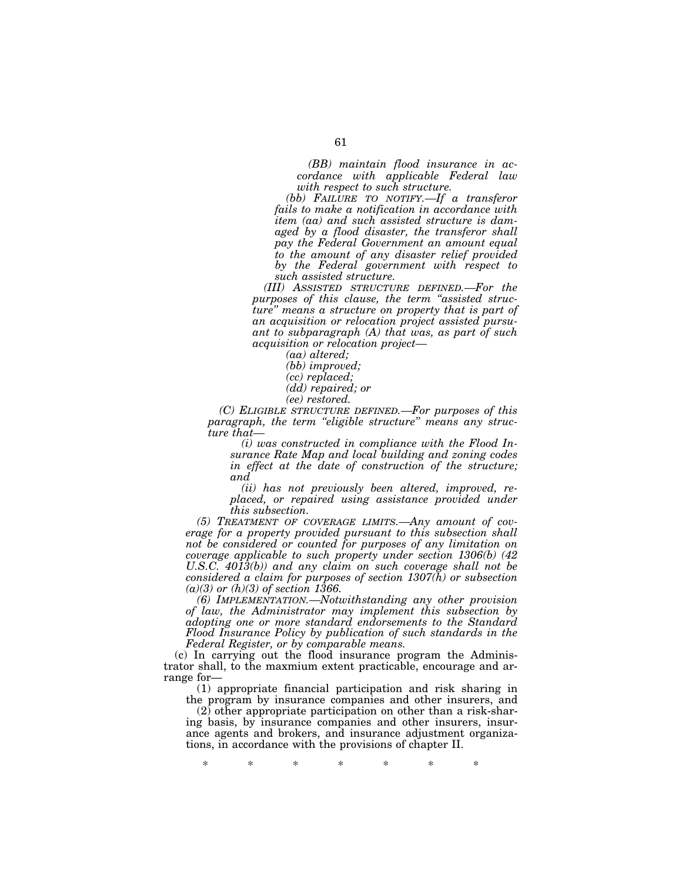*(BB) maintain flood insurance in accordance with applicable Federal law with respect to such structure.* 

*(bb) FAILURE TO NOTIFY.—If a transferor fails to make a notification in accordance with item (aa) and such assisted structure is damaged by a flood disaster, the transferor shall pay the Federal Government an amount equal to the amount of any disaster relief provided by the Federal government with respect to such assisted structure.* 

*(III) ASSISTED STRUCTURE DEFINED.—For the purposes of this clause, the term ''assisted structure'' means a structure on property that is part of an acquisition or relocation project assisted pursuant to subparagraph (A) that was, as part of such acquisition or relocation project—* 

*(aa) altered;* 

*(bb) improved;* 

*(cc) replaced;* 

*(dd) repaired; or* 

*(ee) restored.* 

*(C) ELIGIBLE STRUCTURE DEFINED.—For purposes of this paragraph, the term ''eligible structure'' means any structure that—* 

*(i) was constructed in compliance with the Flood Insurance Rate Map and local building and zoning codes in effect at the date of construction of the structure; and* 

*(ii) has not previously been altered, improved, replaced, or repaired using assistance provided under this subsection.* 

*(5) TREATMENT OF COVERAGE LIMITS.—Any amount of coverage for a property provided pursuant to this subsection shall not be considered or counted for purposes of any limitation on coverage applicable to such property under section 1306(b) (42 U.S.C. 4013(b)) and any claim on such coverage shall not be considered a claim for purposes of section 1307(h) or subsection (a)(3) or (h)(3) of section 1366.* 

*(6) IMPLEMENTATION.—Notwithstanding any other provision of law, the Administrator may implement this subsection by adopting one or more standard endorsements to the Standard Flood Insurance Policy by publication of such standards in the Federal Register, or by comparable means.* 

(c) In carrying out the flood insurance program the Administrator shall, to the maxmium extent practicable, encourage and arrange for—

(1) appropriate financial participation and risk sharing in the program by insurance companies and other insurers, and

(2) other appropriate participation on other than a risk-sharing basis, by insurance companies and other insurers, insurance agents and brokers, and insurance adjustment organizations, in accordance with the provisions of chapter II.

\* \* \* \* \* \* \*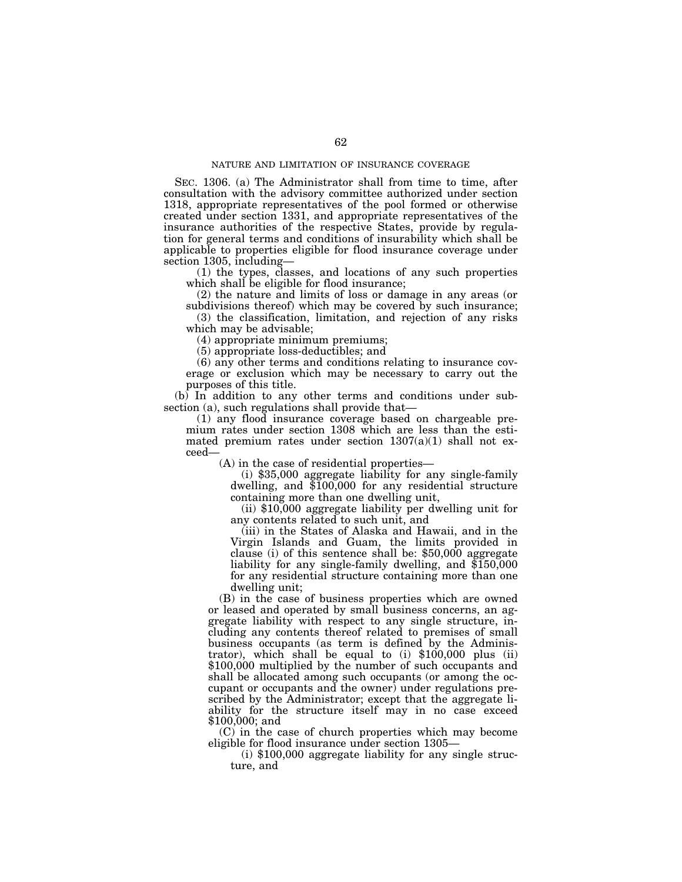SEC. 1306. (a) The Administrator shall from time to time, after consultation with the advisory committee authorized under section 1318, appropriate representatives of the pool formed or otherwise created under section 1331, and appropriate representatives of the insurance authorities of the respective States, provide by regulation for general terms and conditions of insurability which shall be applicable to properties eligible for flood insurance coverage under section 1305, including—

(1) the types, classes, and locations of any such properties which shall be eligible for flood insurance;

(2) the nature and limits of loss or damage in any areas (or subdivisions thereof) which may be covered by such insurance;

(3) the classification, limitation, and rejection of any risks which may be advisable;

(4) appropriate minimum premiums;

(5) appropriate loss-deductibles; and

(6) any other terms and conditions relating to insurance coverage or exclusion which may be necessary to carry out the purposes of this title.

(b) In addition to any other terms and conditions under subsection (a), such regulations shall provide that—

(1) any flood insurance coverage based on chargeable premium rates under section 1308 which are less than the estimated premium rates under section 1307(a)(1) shall not exceed—

(A) in the case of residential properties—

(i) \$35,000 aggregate liability for any single-family dwelling, and \$100,000 for any residential structure containing more than one dwelling unit,

(ii) \$10,000 aggregate liability per dwelling unit for any contents related to such unit, and

(iii) in the States of Alaska and Hawaii, and in the Virgin Islands and Guam, the limits provided in clause (i) of this sentence shall be: \$50,000 aggregate liability for any single-family dwelling, and \$150,000 for any residential structure containing more than one dwelling unit;

(B) in the case of business properties which are owned or leased and operated by small business concerns, an aggregate liability with respect to any single structure, including any contents thereof related to premises of small business occupants (as term is defined by the Administrator), which shall be equal to  $(i)$  \$100,000 plus  $(ii)$ \$100,000 multiplied by the number of such occupants and shall be allocated among such occupants (or among the occupant or occupants and the owner) under regulations prescribed by the Administrator; except that the aggregate liability for the structure itself may in no case exceed \$100,000; and

 $(C)$  in the case of church properties which may become eligible for flood insurance under section  $1305-$ 

(i)  $$100,000$  aggregate liability for any single structure, and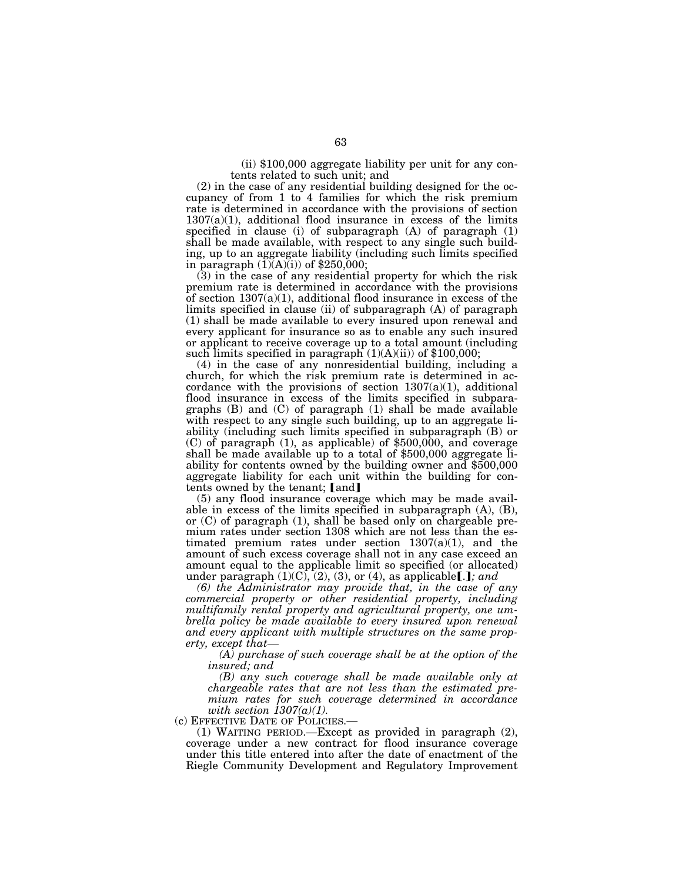(ii) \$100,000 aggregate liability per unit for any contents related to such unit; and

(2) in the case of any residential building designed for the occupancy of from 1 to 4 families for which the risk premium rate is determined in accordance with the provisions of section  $1307(a)(1)$ , additional flood insurance in excess of the limits specified in clause (i) of subparagraph (A) of paragraph (1) shall be made available, with respect to any single such building, up to an aggregate liability (including such limits specified in paragraph  $(\tilde{1})(A)(i)$  of \$250,000;

(3) in the case of any residential property for which the risk premium rate is determined in accordance with the provisions of section  $1307(a)(1)$ , additional flood insurance in excess of the limits specified in clause (ii) of subparagraph (A) of paragraph (1) shall be made available to every insured upon renewal and every applicant for insurance so as to enable any such insured or applicant to receive coverage up to a total amount (including such limits specified in paragraph  $(1)(A)(ii)$  of \$100,000;

(4) in the case of any nonresidential building, including a church, for which the risk premium rate is determined in accordance with the provisions of section  $1307(a)(1)$ , additional flood insurance in excess of the limits specified in subparagraphs (B) and (C) of paragraph (1) shall be made available with respect to any single such building, up to an aggregate liability (including such limits specified in subparagraph (B) or (C) of paragraph (1), as applicable) of \$500,000, and coverage shall be made available up to a total of \$500,000 aggregate liability for contents owned by the building owner and \$500,000 aggregate liability for each unit within the building for contents owned by the tenant; [and]

(5) any flood insurance coverage which may be made available in excess of the limits specified in subparagraph (A), (B), or (C) of paragraph (1), shall be based only on chargeable premium rates under section 1308 which are not less than the estimated premium rates under section 1307(a)(1), and the amount of such excess coverage shall not in any case exceed an amount equal to the applicable limit so specified (or allocated) under paragraph  $(1)(C)$ ,  $(2)$ ,  $(3)$ , or  $(4)$ , as applicable[.]; and

*(6) the Administrator may provide that, in the case of any commercial property or other residential property, including multifamily rental property and agricultural property, one umbrella policy be made available to every insured upon renewal and every applicant with multiple structures on the same property, except that—* 

*(A) purchase of such coverage shall be at the option of the insured; and* 

*(B) any such coverage shall be made available only at chargeable rates that are not less than the estimated premium rates for such coverage determined in accordance with section 1307(a)(1).*<br>(c) EFFECTIVE DATE OF POLICIES.—

(1) WAITING PERIOD.—Except as provided in paragraph  $(2)$ , coverage under a new contract for flood insurance coverage under this title entered into after the date of enactment of the Riegle Community Development and Regulatory Improvement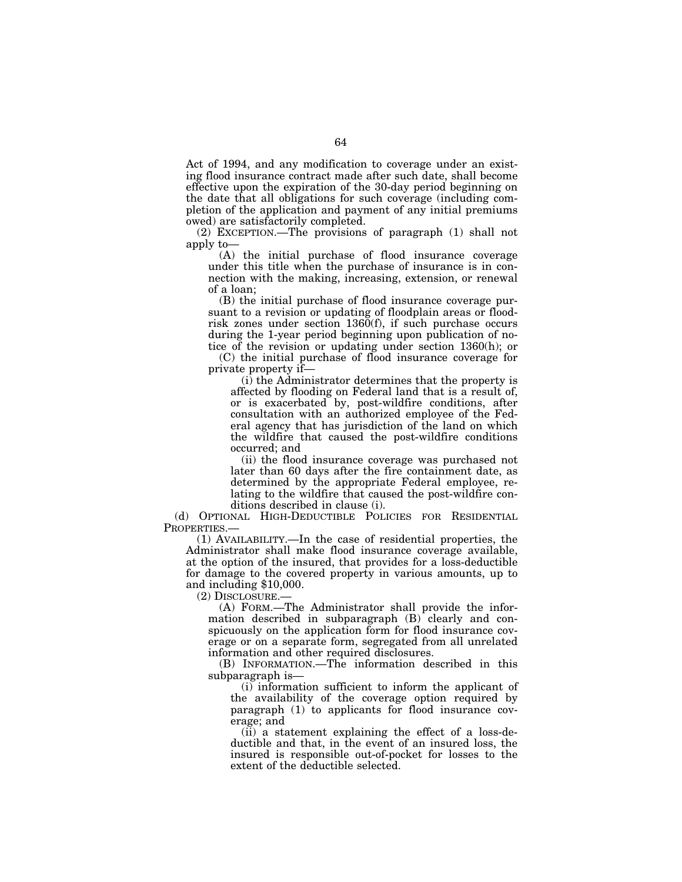Act of 1994, and any modification to coverage under an existing flood insurance contract made after such date, shall become effective upon the expiration of the 30-day period beginning on the date that all obligations for such coverage (including completion of the application and payment of any initial premiums owed) are satisfactorily completed.

(2) EXCEPTION.—The provisions of paragraph (1) shall not apply to—

(A) the initial purchase of flood insurance coverage under this title when the purchase of insurance is in connection with the making, increasing, extension, or renewal of a loan;

(B) the initial purchase of flood insurance coverage pursuant to a revision or updating of floodplain areas or floodrisk zones under section 1360(f), if such purchase occurs during the 1-year period beginning upon publication of notice of the revision or updating under section 1360(h); or

(C) the initial purchase of flood insurance coverage for private property if—

(i) the Administrator determines that the property is affected by flooding on Federal land that is a result of, or is exacerbated by, post-wildfire conditions, after consultation with an authorized employee of the Federal agency that has jurisdiction of the land on which the wildfire that caused the post-wildfire conditions occurred; and

(ii) the flood insurance coverage was purchased not later than 60 days after the fire containment date, as determined by the appropriate Federal employee, relating to the wildfire that caused the post-wildfire conditions described in clause (i).

(d) OPTIONAL HIGH-DEDUCTIBLE POLICIES FOR RESIDENTIAL PROPERTIES.

(1) AVAILABILITY.—In the case of residential properties, the Administrator shall make flood insurance coverage available, at the option of the insured, that provides for a loss-deductible for damage to the covered property in various amounts, up to and including \$10,000.

(2) DISCLOSURE.—

(A) FORM.—The Administrator shall provide the information described in subparagraph (B) clearly and conspicuously on the application form for flood insurance coverage or on a separate form, segregated from all unrelated information and other required disclosures.

(B) INFORMATION.—The information described in this subparagraph is—

(i) information sufficient to inform the applicant of the availability of the coverage option required by paragraph (1) to applicants for flood insurance coverage; and

(ii) a statement explaining the effect of a loss-deductible and that, in the event of an insured loss, the insured is responsible out-of-pocket for losses to the extent of the deductible selected.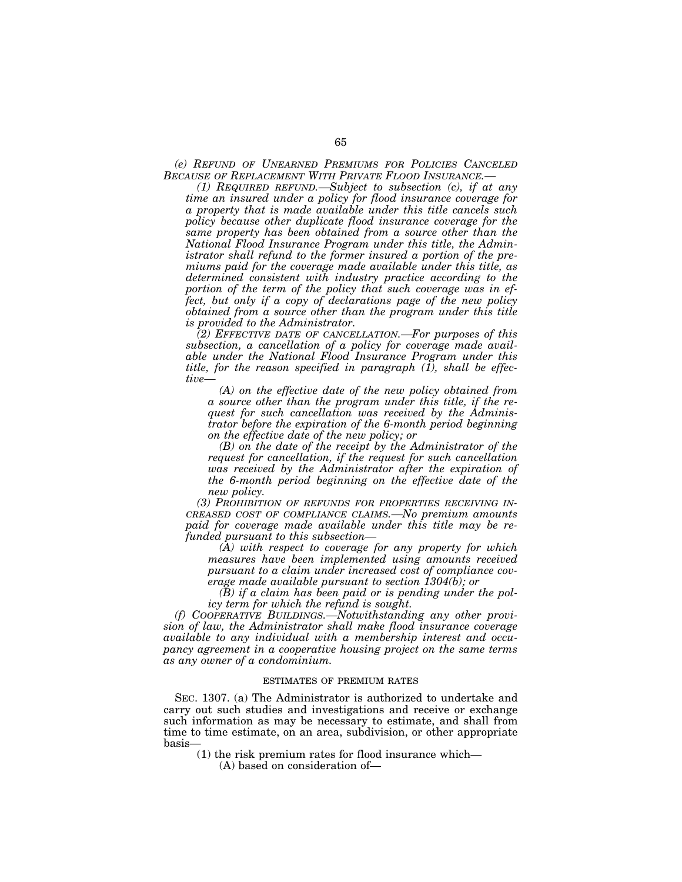*(e) REFUND OF UNEARNED PREMIUMS FOR POLICIES CANCELED BECAUSE OF REPLACEMENT WITH PRIVATE FLOOD INSURANCE.—* 

*(1) REQUIRED REFUND.—Subject to subsection (c), if at any time an insured under a policy for flood insurance coverage for a property that is made available under this title cancels such policy because other duplicate flood insurance coverage for the same property has been obtained from a source other than the National Flood Insurance Program under this title, the Administrator shall refund to the former insured a portion of the premiums paid for the coverage made available under this title, as determined consistent with industry practice according to the portion of the term of the policy that such coverage was in effect, but only if a copy of declarations page of the new policy obtained from a source other than the program under this title is provided to the Administrator.* 

*(2) EFFECTIVE DATE OF CANCELLATION.—For purposes of this subsection, a cancellation of a policy for coverage made available under the National Flood Insurance Program under this title, for the reason specified in paragraph (1), shall be effective—* 

*(A) on the effective date of the new policy obtained from a source other than the program under this title, if the request for such cancellation was received by the Administrator before the expiration of the 6-month period beginning on the effective date of the new policy; or* 

*(B) on the date of the receipt by the Administrator of the request for cancellation, if the request for such cancellation was received by the Administrator after the expiration of the 6-month period beginning on the effective date of the new policy.* 

*(3) PROHIBITION OF REFUNDS FOR PROPERTIES RECEIVING IN-CREASED COST OF COMPLIANCE CLAIMS.—No premium amounts paid for coverage made available under this title may be refunded pursuant to this subsection—* 

*(A) with respect to coverage for any property for which measures have been implemented using amounts received pursuant to a claim under increased cost of compliance coverage made available pursuant to section 1304(b); or* 

*(B) if a claim has been paid or is pending under the policy term for which the refund is sought.* 

*(f) COOPERATIVE BUILDINGS.—Notwithstanding any other provision of law, the Administrator shall make flood insurance coverage available to any individual with a membership interest and occupancy agreement in a cooperative housing project on the same terms as any owner of a condominium.* 

### ESTIMATES OF PREMIUM RATES

SEC. 1307. (a) The Administrator is authorized to undertake and carry out such studies and investigations and receive or exchange such information as may be necessary to estimate, and shall from time to time estimate, on an area, subdivision, or other appropriate basis—

(1) the risk premium rates for flood insurance which—

(A) based on consideration of—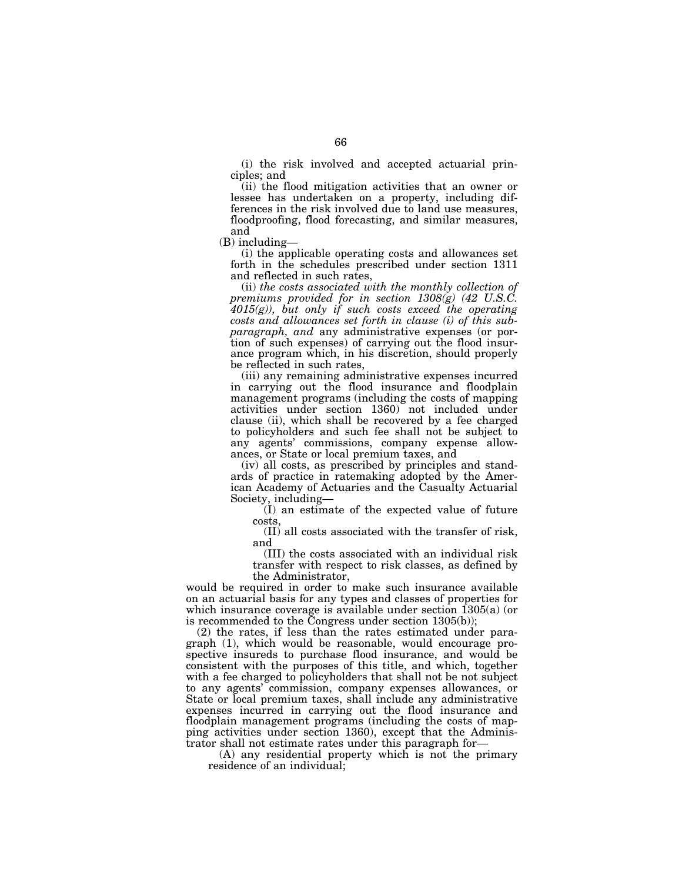(i) the risk involved and accepted actuarial principles; and

(ii) the flood mitigation activities that an owner or lessee has undertaken on a property, including differences in the risk involved due to land use measures, floodproofing, flood forecasting, and similar measures, and

(B) including—

(i) the applicable operating costs and allowances set forth in the schedules prescribed under section 1311 and reflected in such rates,

(ii) *the costs associated with the monthly collection of premiums provided for in section 1308(g) (42 U.S.C. 4015(g)), but only if such costs exceed the operating costs and allowances set forth in clause (i) of this subparagraph, and* any administrative expenses (or portion of such expenses) of carrying out the flood insurance program which, in his discretion, should properly be reflected in such rates,

(iii) any remaining administrative expenses incurred in carrying out the flood insurance and floodplain management programs (including the costs of mapping activities under section 1360) not included under clause (ii), which shall be recovered by a fee charged to policyholders and such fee shall not be subject to any agents' commissions, company expense allowances, or State or local premium taxes, and

(iv) all costs, as prescribed by principles and standards of practice in ratemaking adopted by the American Academy of Actuaries and the Casualty Actuarial Society, including—

(I) an estimate of the expected value of future costs,

(II) all costs associated with the transfer of risk, and

(III) the costs associated with an individual risk transfer with respect to risk classes, as defined by the Administrator,

would be required in order to make such insurance available on an actuarial basis for any types and classes of properties for which insurance coverage is available under section 1305(a) (or is recommended to the Congress under section 1305(b));

(2) the rates, if less than the rates estimated under paragraph (1), which would be reasonable, would encourage prospective insureds to purchase flood insurance, and would be consistent with the purposes of this title, and which, together with a fee charged to policyholders that shall not be not subject to any agents' commission, company expenses allowances, or State or local premium taxes, shall include any administrative expenses incurred in carrying out the flood insurance and floodplain management programs (including the costs of mapping activities under section 1360), except that the Administrator shall not estimate rates under this paragraph for—

(A) any residential property which is not the primary residence of an individual;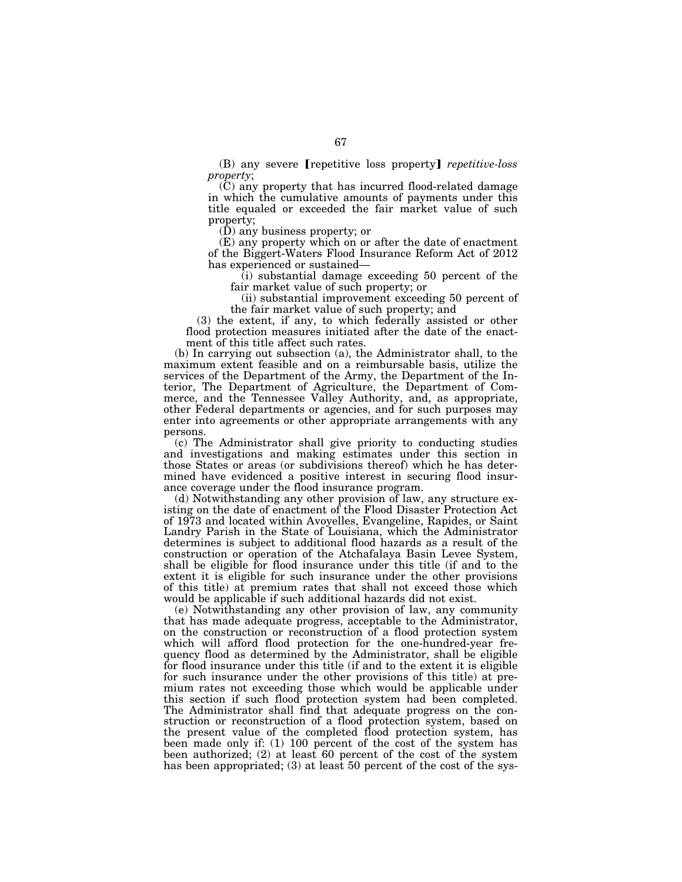(B) any severe **repetitive** loss property *repetitive-loss property*;

(C) any property that has incurred flood-related damage in which the cumulative amounts of payments under this title equaled or exceeded the fair market value of such property;

(D) any business property; or

(E) any property which on or after the date of enactment of the Biggert-Waters Flood Insurance Reform Act of 2012 has experienced or sustained—

(i) substantial damage exceeding 50 percent of the fair market value of such property; or

(ii) substantial improvement exceeding 50 percent of the fair market value of such property; and

(3) the extent, if any, to which federally assisted or other flood protection measures initiated after the date of the enactment of this title affect such rates.

(b) In carrying out subsection (a), the Administrator shall, to the maximum extent feasible and on a reimbursable basis, utilize the services of the Department of the Army, the Department of the Interior, The Department of Agriculture, the Department of Commerce, and the Tennessee Valley Authority, and, as appropriate, other Federal departments or agencies, and for such purposes may enter into agreements or other appropriate arrangements with any persons.

(c) The Administrator shall give priority to conducting studies and investigations and making estimates under this section in those States or areas (or subdivisions thereof) which he has determined have evidenced a positive interest in securing flood insurance coverage under the flood insurance program.

(d) Notwithstanding any other provision of law, any structure existing on the date of enactment of the Flood Disaster Protection Act of 1973 and located within Avoyelles, Evangeline, Rapides, or Saint Landry Parish in the State of Louisiana, which the Administrator determines is subject to additional flood hazards as a result of the construction or operation of the Atchafalaya Basin Levee System, shall be eligible for flood insurance under this title (if and to the extent it is eligible for such insurance under the other provisions of this title) at premium rates that shall not exceed those which would be applicable if such additional hazards did not exist.

(e) Notwithstanding any other provision of law, any community that has made adequate progress, acceptable to the Administrator, on the construction or reconstruction of a flood protection system which will afford flood protection for the one-hundred-year frequency flood as determined by the Administrator, shall be eligible for flood insurance under this title (if and to the extent it is eligible for such insurance under the other provisions of this title) at premium rates not exceeding those which would be applicable under this section if such flood protection system had been completed. The Administrator shall find that adequate progress on the construction or reconstruction of a flood protection system, based on the present value of the completed flood protection system, has been made only if: (1) 100 percent of the cost of the system has been authorized; (2) at least 60 percent of the cost of the system has been appropriated; (3) at least 50 percent of the cost of the sys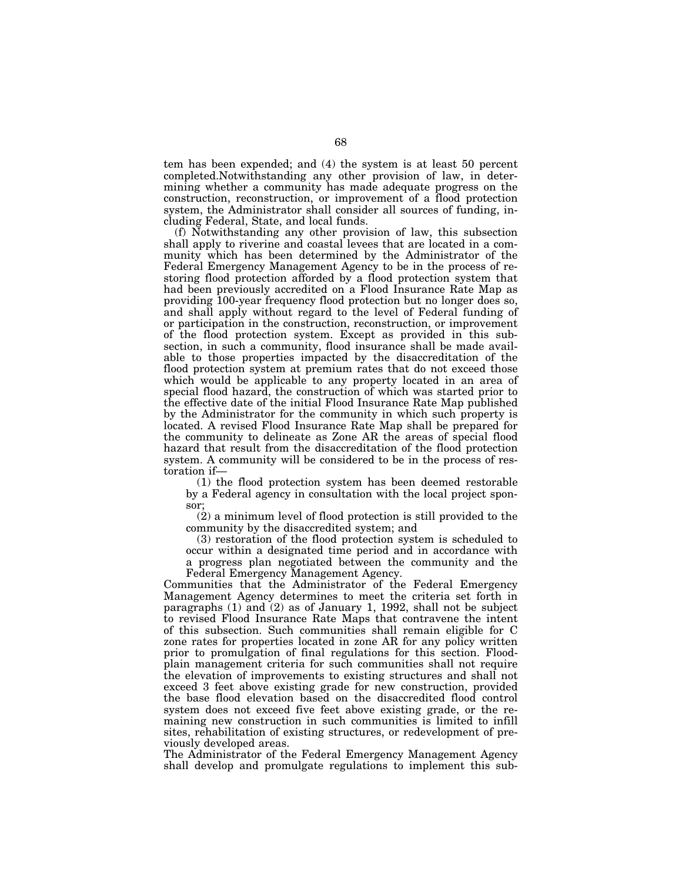tem has been expended; and (4) the system is at least 50 percent completed.Notwithstanding any other provision of law, in determining whether a community has made adequate progress on the construction, reconstruction, or improvement of a flood protection system, the Administrator shall consider all sources of funding, including Federal, State, and local funds.

(f) Notwithstanding any other provision of law, this subsection shall apply to riverine and coastal levees that are located in a community which has been determined by the Administrator of the Federal Emergency Management Agency to be in the process of restoring flood protection afforded by a flood protection system that had been previously accredited on a Flood Insurance Rate Map as providing 100-year frequency flood protection but no longer does so, and shall apply without regard to the level of Federal funding of or participation in the construction, reconstruction, or improvement of the flood protection system. Except as provided in this subsection, in such a community, flood insurance shall be made available to those properties impacted by the disaccreditation of the flood protection system at premium rates that do not exceed those which would be applicable to any property located in an area of special flood hazard, the construction of which was started prior to the effective date of the initial Flood Insurance Rate Map published by the Administrator for the community in which such property is located. A revised Flood Insurance Rate Map shall be prepared for the community to delineate as Zone AR the areas of special flood hazard that result from the disaccreditation of the flood protection system. A community will be considered to be in the process of restoration if—

(1) the flood protection system has been deemed restorable by a Federal agency in consultation with the local project sponsor;

(2) a minimum level of flood protection is still provided to the community by the disaccredited system; and

(3) restoration of the flood protection system is scheduled to occur within a designated time period and in accordance with a progress plan negotiated between the community and the Federal Emergency Management Agency.

Communities that the Administrator of the Federal Emergency Management Agency determines to meet the criteria set forth in paragraphs (1) and (2) as of January 1, 1992, shall not be subject to revised Flood Insurance Rate Maps that contravene the intent of this subsection. Such communities shall remain eligible for C zone rates for properties located in zone AR for any policy written prior to promulgation of final regulations for this section. Floodplain management criteria for such communities shall not require the elevation of improvements to existing structures and shall not exceed 3 feet above existing grade for new construction, provided the base flood elevation based on the disaccredited flood control system does not exceed five feet above existing grade, or the remaining new construction in such communities is limited to infill sites, rehabilitation of existing structures, or redevelopment of previously developed areas.

The Administrator of the Federal Emergency Management Agency shall develop and promulgate regulations to implement this sub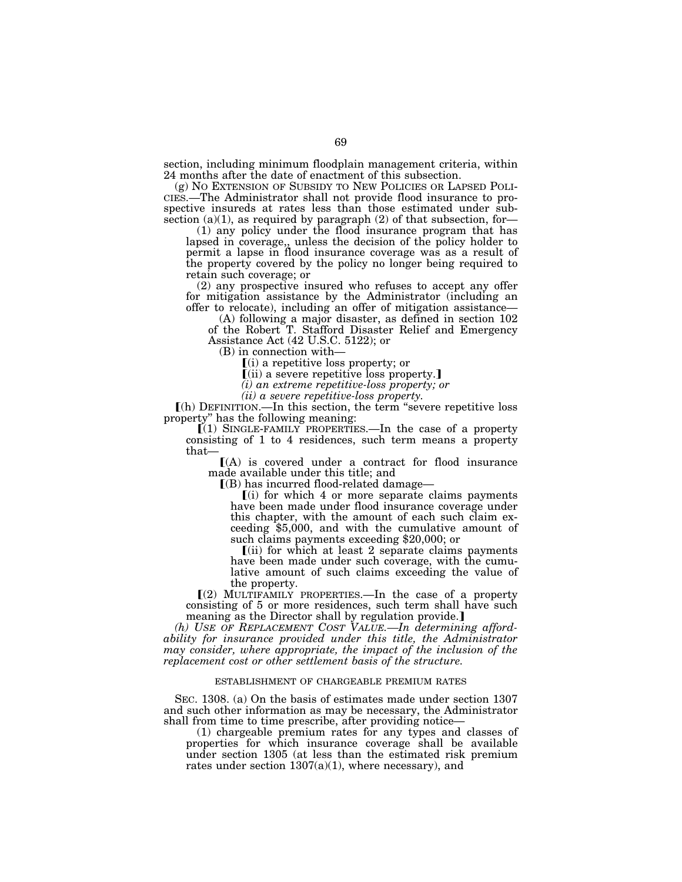section, including minimum floodplain management criteria, within 24 months after the date of enactment of this subsection.<br>(g) No EXTENSION OF SUBSIDY TO NEW POLICIES OR LAPSED POLI-

CIES.—The Administrator shall not provide flood insurance to prospective insureds at rates less than those estimated under subsection  $(a)(1)$ , as required by paragraph  $(2)$  of that subsection, for-

(1) any policy under the flood insurance program that has lapsed in coverage,, unless the decision of the policy holder to permit a lapse in flood insurance coverage was as a result of the property covered by the policy no longer being required to retain such coverage; or

(2) any prospective insured who refuses to accept any offer for mitigation assistance by the Administrator (including an offer to relocate), including an offer of mitigation assistance—

(A) following a major disaster, as defined in section 102 of the Robert T. Stafford Disaster Relief and Emergency Assistance Act (42 U.S.C. 5122); or

(B) in connection with—

 $(i)$  a repetitive loss property; or

 $(iii)$  a severe repetitive loss property.]

*(i) an extreme repetitive-loss property; or* 

*(ii) a severe repetitive-loss property.* 

ø(h) DEFINITION.—In this section, the term ''severe repetitive loss property'' has the following meaning:

 $(1)$  SINGLE-FAMILY PROPERTIES.—In the case of a property consisting of 1 to 4 residences, such term means a property that—

 $(A)$  is covered under a contract for flood insurance made available under this title; and

 $I(B)$  has incurred flood-related damage—

 $(i)$  for which 4 or more separate claims payments have been made under flood insurance coverage under this chapter, with the amount of each such claim exceeding \$5,000, and with the cumulative amount of such claims payments exceeding \$20,000; or

 $\lceil$ (ii) for which at least 2 separate claims payments have been made under such coverage, with the cumulative amount of such claims exceeding the value of the property.

 $(2)$  MULTIFAMILY PROPERTIES.—In the case of a property consisting of 5 or more residences, such term shall have such meaning as the Director shall by regulation provide.]

*(h) USE OF REPLACEMENT COST VALUE.—In determining affordability for insurance provided under this title, the Administrator may consider, where appropriate, the impact of the inclusion of the replacement cost or other settlement basis of the structure.* 

### ESTABLISHMENT OF CHARGEABLE PREMIUM RATES

SEC. 1308. (a) On the basis of estimates made under section 1307 and such other information as may be necessary, the Administrator shall from time to time prescribe, after providing notice—

(1) chargeable premium rates for any types and classes of properties for which insurance coverage shall be available under section 1305 (at less than the estimated risk premium rates under section  $1307(a)(1)$ , where necessary), and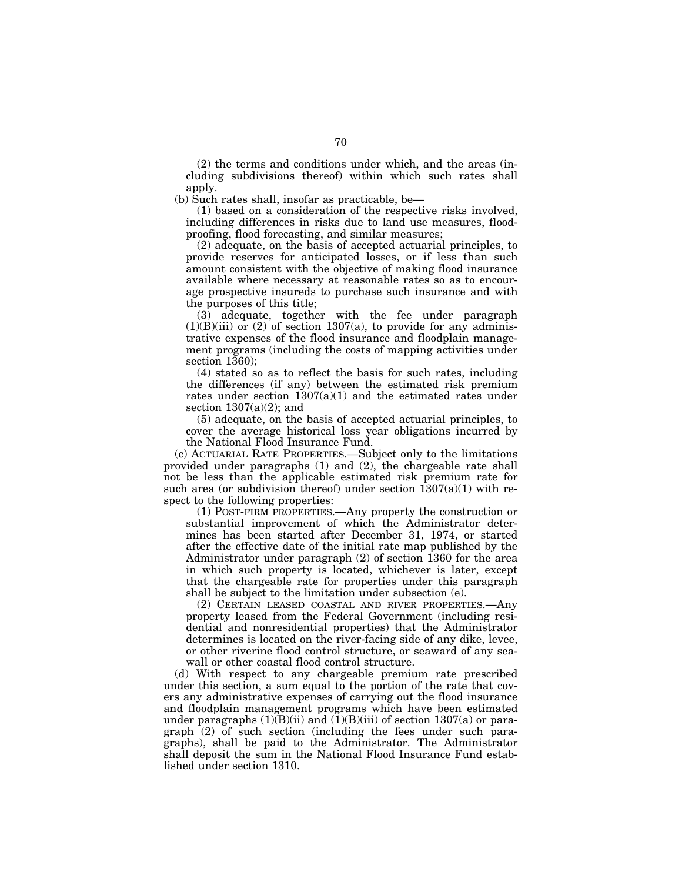(2) the terms and conditions under which, and the areas (including subdivisions thereof) within which such rates shall apply.

(b) Such rates shall, insofar as practicable, be—

(1) based on a consideration of the respective risks involved, including differences in risks due to land use measures, floodproofing, flood forecasting, and similar measures;

(2) adequate, on the basis of accepted actuarial principles, to provide reserves for anticipated losses, or if less than such amount consistent with the objective of making flood insurance available where necessary at reasonable rates so as to encourage prospective insureds to purchase such insurance and with the purposes of this title;

(3) adequate, together with the fee under paragraph  $(1)(B)(iii)$  or  $(2)$  of section 1307(a), to provide for any administrative expenses of the flood insurance and floodplain management programs (including the costs of mapping activities under section 1360);

(4) stated so as to reflect the basis for such rates, including the differences (if any) between the estimated risk premium rates under section 1307(a)(1) and the estimated rates under section  $1307(a)(2)$ ; and

(5) adequate, on the basis of accepted actuarial principles, to cover the average historical loss year obligations incurred by the National Flood Insurance Fund.

(c) ACTUARIAL RATE PROPERTIES.—Subject only to the limitations provided under paragraphs (1) and (2), the chargeable rate shall not be less than the applicable estimated risk premium rate for such area (or subdivision thereof) under section  $1307(a)(1)$  with respect to the following properties:

(1) POST-FIRM PROPERTIES.—Any property the construction or substantial improvement of which the Administrator determines has been started after December 31, 1974, or started after the effective date of the initial rate map published by the Administrator under paragraph (2) of section 1360 for the area in which such property is located, whichever is later, except that the chargeable rate for properties under this paragraph shall be subject to the limitation under subsection (e).

(2) CERTAIN LEASED COASTAL AND RIVER PROPERTIES.—Any property leased from the Federal Government (including residential and nonresidential properties) that the Administrator determines is located on the river-facing side of any dike, levee, or other riverine flood control structure, or seaward of any seawall or other coastal flood control structure.

(d) With respect to any chargeable premium rate prescribed under this section, a sum equal to the portion of the rate that covers any administrative expenses of carrying out the flood insurance and floodplain management programs which have been estimated under paragraphs  $(1)(B)(ii)$  and  $(1)(B)(iii)$  of section 1307(a) or paragraph (2) of such section (including the fees under such paragraphs), shall be paid to the Administrator. The Administrator shall deposit the sum in the National Flood Insurance Fund established under section 1310.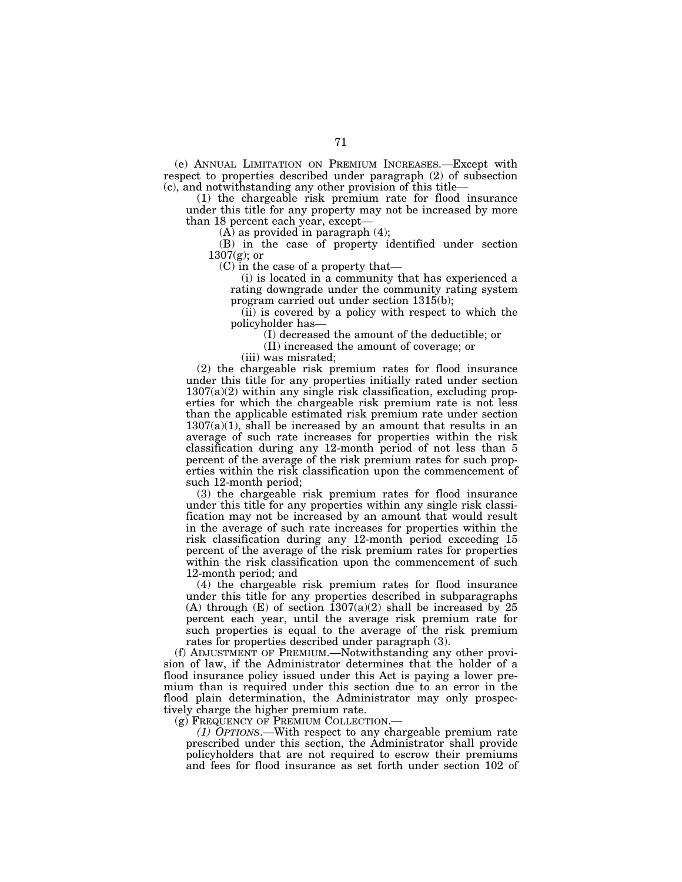(e) ANNUAL LIMITATION ON PREMIUM INCREASES.—Except with respect to properties described under paragraph (2) of subsection (c), and notwithstanding any other provision of this title—

(1) the chargeable risk premium rate for flood insurance under this title for any property may not be increased by more than 18 percent each year, except—

 $(A)$  as provided in paragraph  $(4)$ ;

(B) in the case of property identified under section  $1307(g)$ ; or

(C) in the case of a property that—

(i) is located in a community that has experienced a rating downgrade under the community rating system program carried out under section 1315(b);

(ii) is covered by a policy with respect to which the policyholder has—

(I) decreased the amount of the deductible; or

(II) increased the amount of coverage; or

(iii) was misrated;

(2) the chargeable risk premium rates for flood insurance under this title for any properties initially rated under section 1307(a)(2) within any single risk classification, excluding properties for which the chargeable risk premium rate is not less than the applicable estimated risk premium rate under section  $1307(a)(1)$ , shall be increased by an amount that results in an average of such rate increases for properties within the risk classification during any 12-month period of not less than 5 percent of the average of the risk premium rates for such properties within the risk classification upon the commencement of such 12-month period;

(3) the chargeable risk premium rates for flood insurance under this title for any properties within any single risk classification may not be increased by an amount that would result in the average of such rate increases for properties within the risk classification during any 12-month period exceeding 15 percent of the average of the risk premium rates for properties within the risk classification upon the commencement of such 12-month period; and

(4) the chargeable risk premium rates for flood insurance under this title for any properties described in subparagraphs (A) through  $(E)$  of section 1307(a)(2) shall be increased by 25 percent each year, until the average risk premium rate for such properties is equal to the average of the risk premium rates for properties described under paragraph (3).

(f) ADJUSTMENT OF PREMIUM.—Notwithstanding any other provision of law, if the Administrator determines that the holder of a flood insurance policy issued under this Act is paying a lower premium than is required under this section due to an error in the flood plain determination, the Administrator may only prospectively charge the higher premium rate.

(g) FREQUENCY OF PREMIUM COLLECTION.—

*(1) OPTIONS*.—With respect to any chargeable premium rate prescribed under this section, the Administrator shall provide policyholders that are not required to escrow their premiums and fees for flood insurance as set forth under section 102 of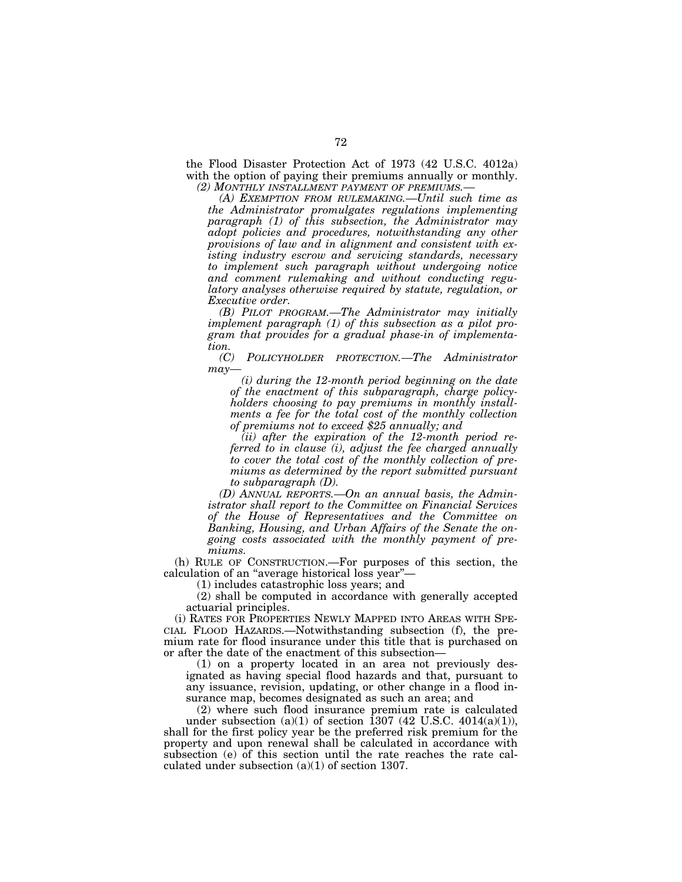the Flood Disaster Protection Act of 1973 (42 U.S.C. 4012a) with the option of paying their premiums annually or monthly. *(2) MONTHLY INSTALLMENT PAYMENT OF PREMIUMS.—* 

*(A) EXEMPTION FROM RULEMAKING.—Until such time as the Administrator promulgates regulations implementing paragraph (1) of this subsection, the Administrator may adopt policies and procedures, notwithstanding any other provisions of law and in alignment and consistent with existing industry escrow and servicing standards, necessary to implement such paragraph without undergoing notice and comment rulemaking and without conducting regulatory analyses otherwise required by statute, regulation, or Executive order.* 

*(B) PILOT PROGRAM.—The Administrator may initially implement paragraph (1) of this subsection as a pilot program that provides for a gradual phase-in of implementation.* 

*(C) POLICYHOLDER PROTECTION.—The Administrator may—* 

*(i) during the 12-month period beginning on the date of the enactment of this subparagraph, charge policyholders choosing to pay premiums in monthly installments a fee for the total cost of the monthly collection of premiums not to exceed \$25 annually; and* 

*(ii) after the expiration of the 12-month period referred to in clause (i), adjust the fee charged annually to cover the total cost of the monthly collection of premiums as determined by the report submitted pursuant to subparagraph (D).* 

*(D) ANNUAL REPORTS.—On an annual basis, the Administrator shall report to the Committee on Financial Services of the House of Representatives and the Committee on Banking, Housing, and Urban Affairs of the Senate the ongoing costs associated with the monthly payment of premiums.* 

(h) RULE OF CONSTRUCTION.—For purposes of this section, the calculation of an ''average historical loss year''—

(1) includes catastrophic loss years; and

(2) shall be computed in accordance with generally accepted actuarial principles.

(i) RATES FOR PROPERTIES NEWLY MAPPED INTO AREAS WITH SPE-CIAL FLOOD HAZARDS.—Notwithstanding subsection (f), the premium rate for flood insurance under this title that is purchased on or after the date of the enactment of this subsection—

(1) on a property located in an area not previously designated as having special flood hazards and that, pursuant to any issuance, revision, updating, or other change in a flood insurance map, becomes designated as such an area; and

(2) where such flood insurance premium rate is calculated under subsection  $(a)(1)$  of section 1307 (42 U.S.C. 4014 $(a)(1)$ ), shall for the first policy year be the preferred risk premium for the property and upon renewal shall be calculated in accordance with subsection (e) of this section until the rate reaches the rate calculated under subsection (a)(1) of section 1307.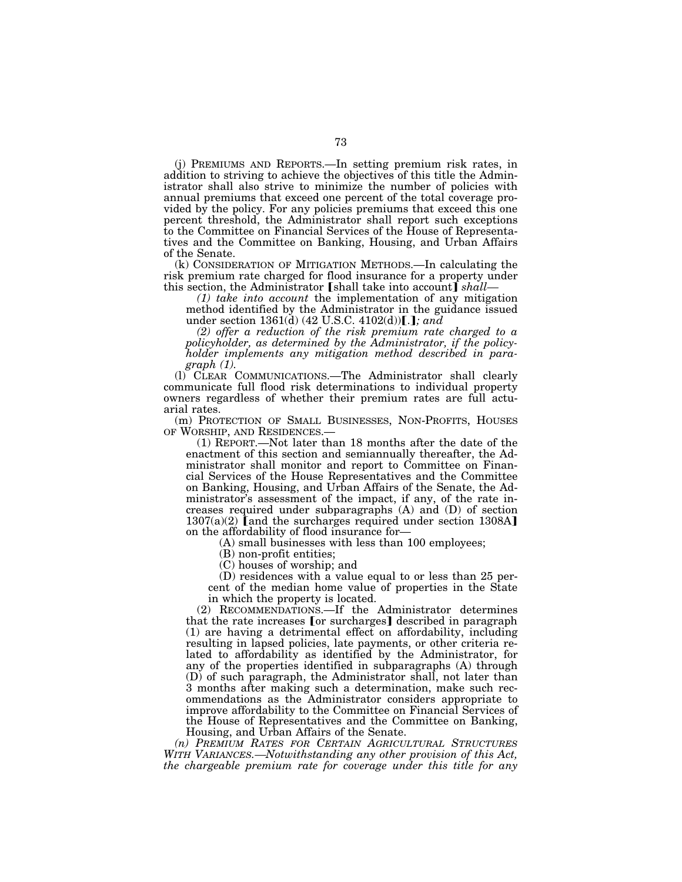(j) PREMIUMS AND REPORTS.—In setting premium risk rates, in addition to striving to achieve the objectives of this title the Administrator shall also strive to minimize the number of policies with annual premiums that exceed one percent of the total coverage provided by the policy. For any policies premiums that exceed this one percent threshold, the Administrator shall report such exceptions to the Committee on Financial Services of the House of Representatives and the Committee on Banking, Housing, and Urban Affairs of the Senate.

(k) CONSIDERATION OF MITIGATION METHODS.—In calculating the risk premium rate charged for flood insurance for a property under this section, the Administrator [shall take into account] shall—

*(1) take into account* the implementation of any mitigation method identified by the Administrator in the guidance issued under section  $1361(d)$  (42 U.S.C. 4102(d))....}; and

*(2) offer a reduction of the risk premium rate charged to a policyholder, as determined by the Administrator, if the policyholder implements any mitigation method described in paragraph (1).* 

(l) CLEAR COMMUNICATIONS.—The Administrator shall clearly communicate full flood risk determinations to individual property owners regardless of whether their premium rates are full actuarial rates.

(m) PROTECTION OF SMALL BUSINESSES, NON-PROFITS, HOUSES OF WORSHIP, AND RESIDENCES.— (1) REPORT.—Not later than 18 months after the date of the

enactment of this section and semiannually thereafter, the Administrator shall monitor and report to Committee on Financial Services of the House Representatives and the Committee on Banking, Housing, and Urban Affairs of the Senate, the Administrator's assessment of the impact, if any, of the rate increases required under subparagraphs (A) and (D) of section  $1307(a)(2)$  [and the surcharges required under section 1308A] on the affordability of flood insurance for—

(A) small businesses with less than 100 employees;

(B) non-profit entities;

(C) houses of worship; and

(D) residences with a value equal to or less than 25 percent of the median home value of properties in the State in which the property is located.

(2) RECOMMENDATIONS.—If the Administrator determines that the rate increases [or surcharges] described in paragraph (1) are having a detrimental effect on affordability, including resulting in lapsed policies, late payments, or other criteria related to affordability as identified by the Administrator, for any of the properties identified in subparagraphs (A) through (D) of such paragraph, the Administrator shall, not later than 3 months after making such a determination, make such recommendations as the Administrator considers appropriate to improve affordability to the Committee on Financial Services of the House of Representatives and the Committee on Banking, Housing, and Urban Affairs of the Senate.

*(n) PREMIUM RATES FOR CERTAIN AGRICULTURAL STRUCTURES WITH VARIANCES.—Notwithstanding any other provision of this Act, the chargeable premium rate for coverage under this title for any*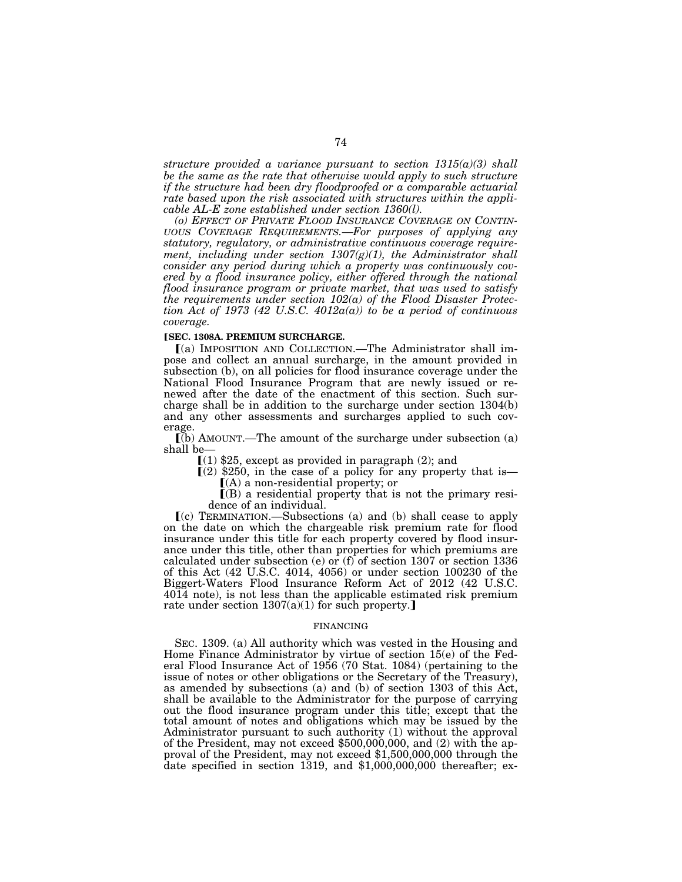*structure provided a variance pursuant to section 1315(a)(3) shall be the same as the rate that otherwise would apply to such structure if the structure had been dry floodproofed or a comparable actuarial rate based upon the risk associated with structures within the applicable AL-E zone established under section 1360(l).* 

*(o) EFFECT OF PRIVATE FLOOD INSURANCE COVERAGE ON CONTIN-UOUS COVERAGE REQUIREMENTS.—For purposes of applying any statutory, regulatory, or administrative continuous coverage requirement, including under section 1307(g)(1), the Administrator shall consider any period during which a property was continuously covered by a flood insurance policy, either offered through the national flood insurance program or private market, that was used to satisfy the requirements under section 102(a) of the Flood Disaster Protection Act of 1973 (42 U.S.C. 4012a(a)) to be a period of continuous coverage.* 

### ø**SEC. 1308A. PREMIUM SURCHARGE.**

ø(a) IMPOSITION AND COLLECTION.—The Administrator shall impose and collect an annual surcharge, in the amount provided in subsection (b), on all policies for flood insurance coverage under the National Flood Insurance Program that are newly issued or renewed after the date of the enactment of this section. Such surcharge shall be in addition to the surcharge under section 1304(b) and any other assessments and surcharges applied to such coverage.

 $\overline{I(b)}$  AMOUNT.—The amount of the surcharge under subsection (a) shall be—

 $(1)$  \$25, except as provided in paragraph  $(2)$ ; and

 $(2)$  \$250, in the case of a policy for any property that is—  $(A)$  a non-residential property; or

 $($ B) a residential property that is not the primary residence of an individual.

 $(c)$  TERMINATION.—Subsections (a) and (b) shall cease to apply on the date on which the chargeable risk premium rate for flood insurance under this title for each property covered by flood insurance under this title, other than properties for which premiums are calculated under subsection (e) or (f) of section 1307 or section 1336 of this Act (42 U.S.C. 4014, 4056) or under section 100230 of the Biggert-Waters Flood Insurance Reform Act of 2012 (42 U.S.C. 4014 note), is not less than the applicable estimated risk premium rate under section  $1307(a)(1)$  for such property.]

## FINANCING

SEC. 1309. (a) All authority which was vested in the Housing and Home Finance Administrator by virtue of section 15(e) of the Federal Flood Insurance Act of 1956 (70 Stat. 1084) (pertaining to the issue of notes or other obligations or the Secretary of the Treasury), as amended by subsections (a) and (b) of section 1303 of this Act, shall be available to the Administrator for the purpose of carrying out the flood insurance program under this title; except that the total amount of notes and obligations which may be issued by the Administrator pursuant to such authority (1) without the approval of the President, may not exceed \$500,000,000, and (2) with the approval of the President, may not exceed \$1,500,000,000 through the date specified in section 1319, and \$1,000,000,000 thereafter; ex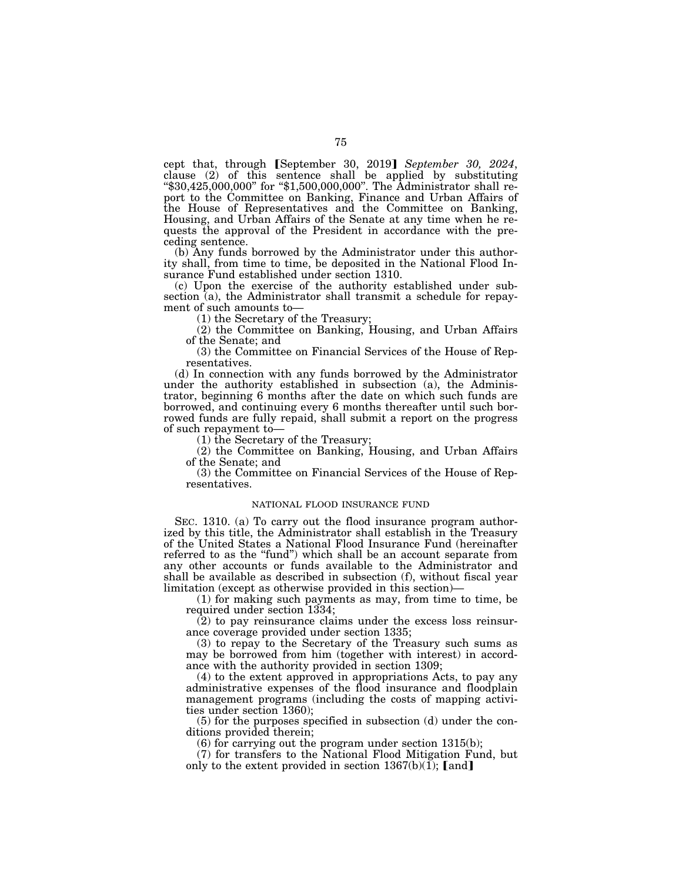cept that, through *[September 30, 2019] September 30, 2024*, clause (2) of this sentence shall be applied by substituting ''\$30,425,000,000'' for ''\$1,500,000,000''. The Administrator shall report to the Committee on Banking, Finance and Urban Affairs of the House of Representatives and the Committee on Banking, Housing, and Urban Affairs of the Senate at any time when he requests the approval of the President in accordance with the preceding sentence.

(b) Any funds borrowed by the Administrator under this authority shall, from time to time, be deposited in the National Flood Insurance Fund established under section 1310.

(c) Upon the exercise of the authority established under subsection (a), the Administrator shall transmit a schedule for repayment of such amounts to—

(1) the Secretary of the Treasury;

(2) the Committee on Banking, Housing, and Urban Affairs of the Senate; and

(3) the Committee on Financial Services of the House of Representatives.

(d) In connection with any funds borrowed by the Administrator under the authority established in subsection (a), the Administrator, beginning 6 months after the date on which such funds are borrowed, and continuing every 6 months thereafter until such borrowed funds are fully repaid, shall submit a report on the progress of such repayment to—

(1) the Secretary of the Treasury;

(2) the Committee on Banking, Housing, and Urban Affairs of the Senate; and

(3) the Committee on Financial Services of the House of Representatives.

## NATIONAL FLOOD INSURANCE FUND

SEC. 1310. (a) To carry out the flood insurance program authorized by this title, the Administrator shall establish in the Treasury of the United States a National Flood Insurance Fund (hereinafter referred to as the "fund") which shall be an account separate from any other accounts or funds available to the Administrator and shall be available as described in subsection (f), without fiscal year limitation (except as otherwise provided in this section)—

(1) for making such payments as may, from time to time, be required under section 1334;

(2) to pay reinsurance claims under the excess loss reinsurance coverage provided under section 1335;

(3) to repay to the Secretary of the Treasury such sums as may be borrowed from him (together with interest) in accordance with the authority provided in section 1309;

(4) to the extent approved in appropriations Acts, to pay any administrative expenses of the flood insurance and floodplain management programs (including the costs of mapping activities under section 1360);

(5) for the purposes specified in subsection (d) under the conditions provided therein;

(6) for carrying out the program under section 1315(b);

(7) for transfers to the National Flood Mitigation Fund, but only to the extent provided in section  $1367(b)(1)$ ; [and]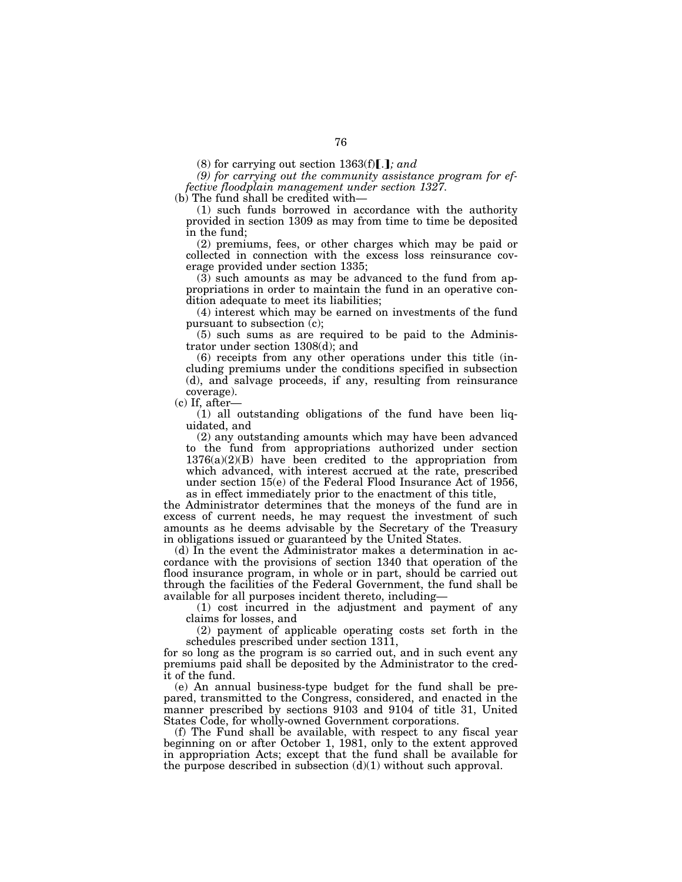*(9) for carrying out the community assistance program for effective floodplain management under section 1327.* 

(b) The fund shall be credited with—

(1) such funds borrowed in accordance with the authority provided in section 1309 as may from time to time be deposited in the fund;

(2) premiums, fees, or other charges which may be paid or collected in connection with the excess loss reinsurance coverage provided under section 1335;

(3) such amounts as may be advanced to the fund from appropriations in order to maintain the fund in an operative condition adequate to meet its liabilities;

(4) interest which may be earned on investments of the fund pursuant to subsection (c);

(5) such sums as are required to be paid to the Administrator under section 1308(d); and

(6) receipts from any other operations under this title (including premiums under the conditions specified in subsection (d), and salvage proceeds, if any, resulting from reinsurance coverage).

(c) If, after—

(1) all outstanding obligations of the fund have been liquidated, and

(2) any outstanding amounts which may have been advanced to the fund from appropriations authorized under section  $1376(a)(2)(B)$  have been credited to the appropriation from which advanced, with interest accrued at the rate, prescribed under section 15(e) of the Federal Flood Insurance Act of 1956, as in effect immediately prior to the enactment of this title,

the Administrator determines that the moneys of the fund are in excess of current needs, he may request the investment of such amounts as he deems advisable by the Secretary of the Treasury in obligations issued or guaranteed by the United States.

(d) In the event the Administrator makes a determination in accordance with the provisions of section 1340 that operation of the flood insurance program, in whole or in part, should be carried out through the facilities of the Federal Government, the fund shall be available for all purposes incident thereto, including—

(1) cost incurred in the adjustment and payment of any claims for losses, and

(2) payment of applicable operating costs set forth in the schedules prescribed under section 1311,

for so long as the program is so carried out, and in such event any premiums paid shall be deposited by the Administrator to the credit of the fund.

(e) An annual business-type budget for the fund shall be prepared, transmitted to the Congress, considered, and enacted in the manner prescribed by sections 9103 and 9104 of title 31, United States Code, for wholly-owned Government corporations.

(f) The Fund shall be available, with respect to any fiscal year beginning on or after October 1, 1981, only to the extent approved in appropriation Acts; except that the fund shall be available for the purpose described in subsection  $(d)(1)$  without such approval.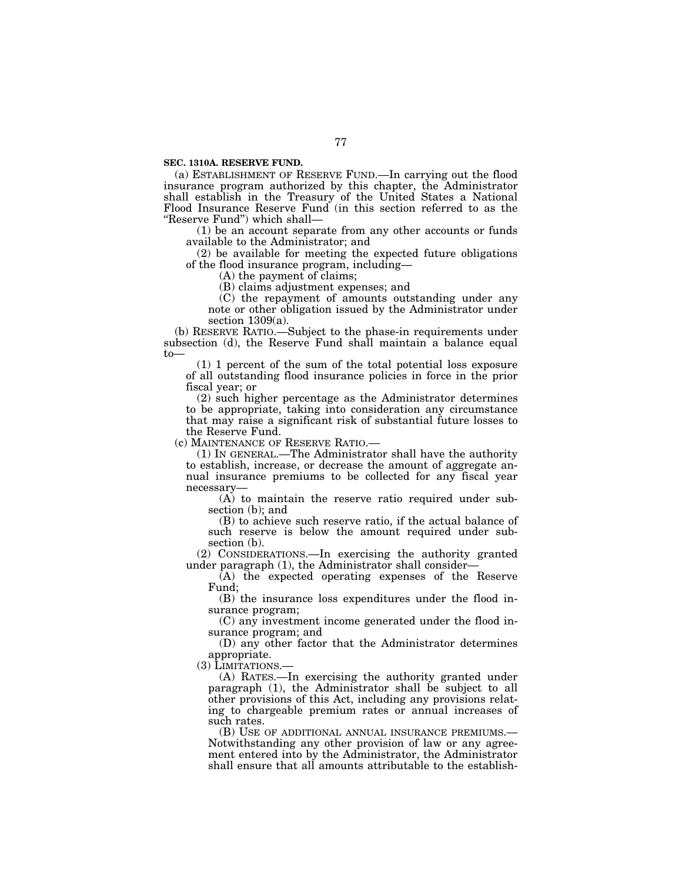**SEC. 1310A. RESERVE FUND.** 

(a) ESTABLISHMENT OF RESERVE FUND.—In carrying out the flood insurance program authorized by this chapter, the Administrator shall establish in the Treasury of the United States a National Flood Insurance Reserve Fund (in this section referred to as the ''Reserve Fund'') which shall—

(1) be an account separate from any other accounts or funds available to the Administrator; and

(2) be available for meeting the expected future obligations of the flood insurance program, including—

(A) the payment of claims;

(B) claims adjustment expenses; and

(C) the repayment of amounts outstanding under any note or other obligation issued by the Administrator under section  $1309(a)$ .

(b) RESERVE RATIO.—Subject to the phase-in requirements under subsection (d), the Reserve Fund shall maintain a balance equal to—

(1) 1 percent of the sum of the total potential loss exposure of all outstanding flood insurance policies in force in the prior fiscal year; or

(2) such higher percentage as the Administrator determines to be appropriate, taking into consideration any circumstance that may raise a significant risk of substantial future losses to the Reserve Fund.

(c) MAINTENANCE OF RESERVE RATIO.—

(1) IN GENERAL.—The Administrator shall have the authority to establish, increase, or decrease the amount of aggregate annual insurance premiums to be collected for any fiscal year necessary—

(A) to maintain the reserve ratio required under subsection (b); and

(B) to achieve such reserve ratio, if the actual balance of such reserve is below the amount required under subsection (b).

(2) CONSIDERATIONS.—In exercising the authority granted under paragraph (1), the Administrator shall consider—

(A) the expected operating expenses of the Reserve Fund;

(B) the insurance loss expenditures under the flood insurance program;

(C) any investment income generated under the flood insurance program; and

(D) any other factor that the Administrator determines appropriate.

(3) LIMITATIONS.—

(A) RATES.—In exercising the authority granted under paragraph (1), the Administrator shall be subject to all other provisions of this Act, including any provisions relating to chargeable premium rates or annual increases of such rates.

(B) USE OF ADDITIONAL ANNUAL INSURANCE PREMIUMS.— Notwithstanding any other provision of law or any agreement entered into by the Administrator, the Administrator shall ensure that all amounts attributable to the establish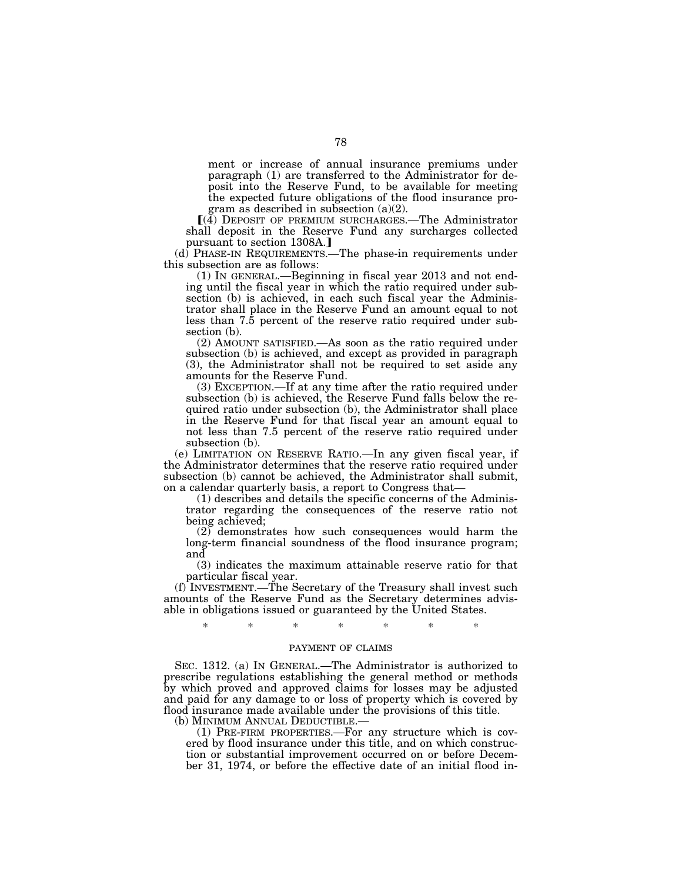ment or increase of annual insurance premiums under paragraph (1) are transferred to the Administrator for deposit into the Reserve Fund, to be available for meeting the expected future obligations of the flood insurance program as described in subsection (a)(2).

 $\left( \left( \tilde{4} \right)$  DEPOSIT OF PREMIUM SURCHARGES.—The Administrator shall deposit in the Reserve Fund any surcharges collected pursuant to section 1308A.]

(d) PHASE-IN REQUIREMENTS.—The phase-in requirements under this subsection are as follows:

(1) IN GENERAL.—Beginning in fiscal year 2013 and not ending until the fiscal year in which the ratio required under subsection (b) is achieved, in each such fiscal year the Administrator shall place in the Reserve Fund an amount equal to not less than 7.5 percent of the reserve ratio required under subsection (b).

(2) AMOUNT SATISFIED.—As soon as the ratio required under subsection (b) is achieved, and except as provided in paragraph (3), the Administrator shall not be required to set aside any amounts for the Reserve Fund.

(3) EXCEPTION.—If at any time after the ratio required under subsection (b) is achieved, the Reserve Fund falls below the required ratio under subsection (b), the Administrator shall place in the Reserve Fund for that fiscal year an amount equal to not less than 7.5 percent of the reserve ratio required under subsection (b).

(e) LIMITATION ON RESERVE RATIO.—In any given fiscal year, if the Administrator determines that the reserve ratio required under subsection (b) cannot be achieved, the Administrator shall submit, on a calendar quarterly basis, a report to Congress that—

(1) describes and details the specific concerns of the Administrator regarding the consequences of the reserve ratio not being achieved;

(2) demonstrates how such consequences would harm the long-term financial soundness of the flood insurance program; and

(3) indicates the maximum attainable reserve ratio for that particular fiscal year.

(f) INVESTMENT.—The Secretary of the Treasury shall invest such amounts of the Reserve Fund as the Secretary determines advisable in obligations issued or guaranteed by the United States.

\* \* \* \* \* \* \*

# PAYMENT OF CLAIMS

SEC. 1312. (a) IN GENERAL.—The Administrator is authorized to prescribe regulations establishing the general method or methods by which proved and approved claims for losses may be adjusted and paid for any damage to or loss of property which is covered by flood insurance made available under the provisions of this title.

 $(1)$  PRE-FIRM PROPERTIES.—For any structure which is covered by flood insurance under this title, and on which construction or substantial improvement occurred on or before December 31, 1974, or before the effective date of an initial flood in-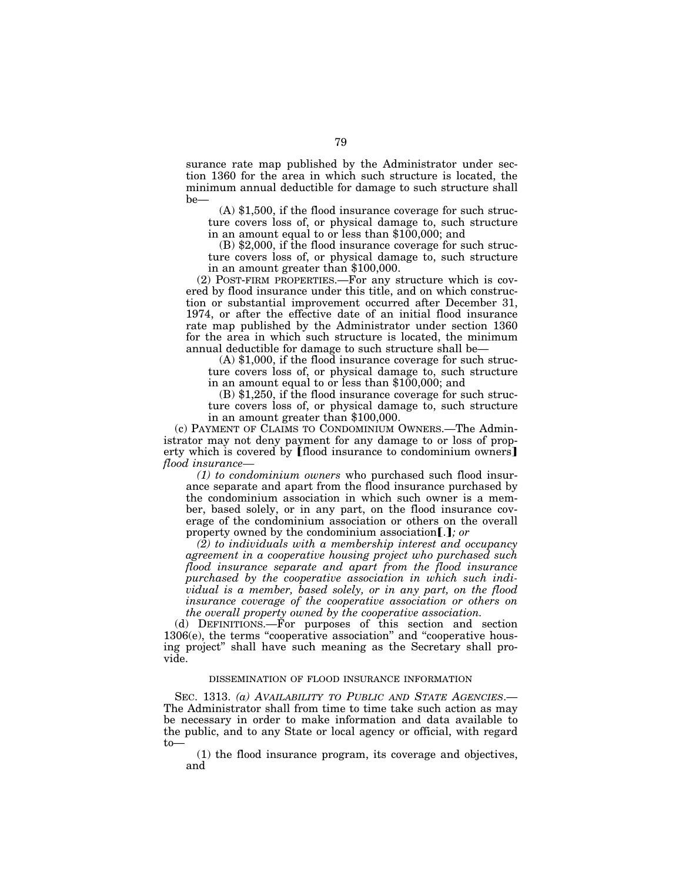surance rate map published by the Administrator under section 1360 for the area in which such structure is located, the minimum annual deductible for damage to such structure shall be—

(A) \$1,500, if the flood insurance coverage for such structure covers loss of, or physical damage to, such structure in an amount equal to or less than \$100,000; and

(B) \$2,000, if the flood insurance coverage for such structure covers loss of, or physical damage to, such structure in an amount greater than \$100,000.

(2) POST-FIRM PROPERTIES.—For any structure which is covered by flood insurance under this title, and on which construction or substantial improvement occurred after December 31, 1974, or after the effective date of an initial flood insurance rate map published by the Administrator under section 1360 for the area in which such structure is located, the minimum annual deductible for damage to such structure shall be—

(A) \$1,000, if the flood insurance coverage for such structure covers loss of, or physical damage to, such structure in an amount equal to or less than \$100,000; and

(B) \$1,250, if the flood insurance coverage for such structure covers loss of, or physical damage to, such structure in an amount greater than \$100,000.

(c) PAYMENT OF CLAIMS TO CONDOMINIUM OWNERS.—The Administrator may not deny payment for any damage to or loss of property which is covered by [flood insurance to condominium owners] *flood insurance—* 

*(1) to condominium owners* who purchased such flood insurance separate and apart from the flood insurance purchased by the condominium association in which such owner is a member, based solely, or in any part, on the flood insurance coverage of the condominium association or others on the overall property owned by the condominium association[.]; or

*(2) to individuals with a membership interest and occupancy agreement in a cooperative housing project who purchased such flood insurance separate and apart from the flood insurance purchased by the cooperative association in which such individual is a member, based solely, or in any part, on the flood insurance coverage of the cooperative association or others on the overall property owned by the cooperative association.* 

(d) DEFINITIONS.—For purposes of this section and section 1306(e), the terms "cooperative association" and "cooperative housing project'' shall have such meaning as the Secretary shall provide.

# DISSEMINATION OF FLOOD INSURANCE INFORMATION

SEC. 1313. *(a) AVAILABILITY TO PUBLIC AND STATE AGENCIES*.— The Administrator shall from time to time take such action as may be necessary in order to make information and data available to the public, and to any State or local agency or official, with regard to—

(1) the flood insurance program, its coverage and objectives, and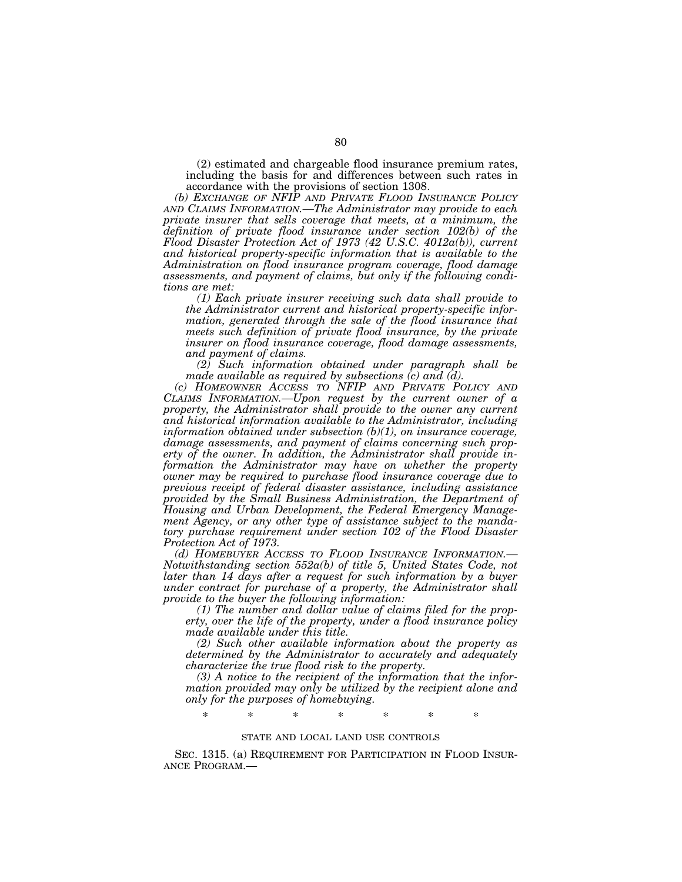(2) estimated and chargeable flood insurance premium rates, including the basis for and differences between such rates in accordance with the provisions of section 1308.

*(b) EXCHANGE OF NFIP AND PRIVATE FLOOD INSURANCE POLICY AND CLAIMS INFORMATION.—The Administrator may provide to each private insurer that sells coverage that meets, at a minimum, the definition of private flood insurance under section 102(b) of the Flood Disaster Protection Act of 1973 (42 U.S.C. 4012a(b)), current and historical property-specific information that is available to the Administration on flood insurance program coverage, flood damage assessments, and payment of claims, but only if the following conditions are met:* 

*(1) Each private insurer receiving such data shall provide to the Administrator current and historical property-specific information, generated through the sale of the flood insurance that meets such definition of private flood insurance, by the private insurer on flood insurance coverage, flood damage assessments, and payment of claims.* 

*(2) Such information obtained under paragraph shall be made available as required by subsections (c) and (d).* 

*(c) HOMEOWNER ACCESS TO NFIP AND PRIVATE POLICY AND CLAIMS INFORMATION.—Upon request by the current owner of a property, the Administrator shall provide to the owner any current and historical information available to the Administrator, including information obtained under subsection (b)(1), on insurance coverage, damage assessments, and payment of claims concerning such property of the owner. In addition, the Administrator shall provide information the Administrator may have on whether the property owner may be required to purchase flood insurance coverage due to previous receipt of federal disaster assistance, including assistance provided by the Small Business Administration, the Department of Housing and Urban Development, the Federal Emergency Management Agency, or any other type of assistance subject to the mandatory purchase requirement under section 102 of the Flood Disaster* 

*Protection Act of 1973. Motwithstanding section 552a(b) of title 5, United States Code, not later than 14 days after a request for such information by a buyer under contract for purchase of a property, the Administrator shall provide to the buyer the following information:* 

*(1) The number and dollar value of claims filed for the property, over the life of the property, under a flood insurance policy made available under this title.* 

*(2) Such other available information about the property as determined by the Administrator to accurately and adequately characterize the true flood risk to the property.* 

*(3) A notice to the recipient of the information that the information provided may only be utilized by the recipient alone and only for the purposes of homebuying.* 

\* \* \* \* \* \* \*

## STATE AND LOCAL LAND USE CONTROLS

SEC. 1315. (a) REQUIREMENT FOR PARTICIPATION IN FLOOD INSUR-ANCE PROGRAM.—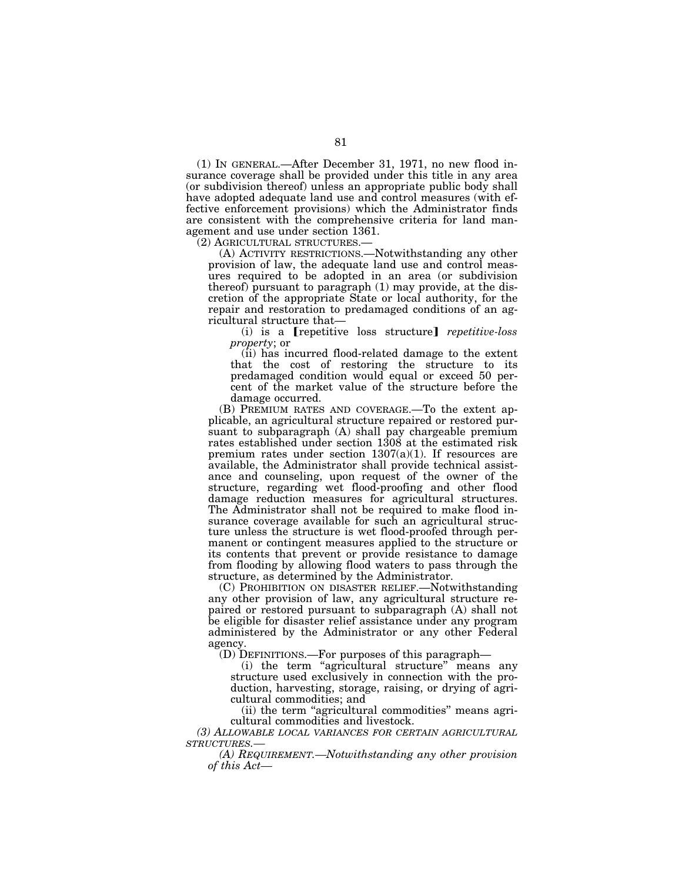(1) IN GENERAL.—After December 31, 1971, no new flood insurance coverage shall be provided under this title in any area (or subdivision thereof) unless an appropriate public body shall have adopted adequate land use and control measures (with effective enforcement provisions) which the Administrator finds are consistent with the comprehensive criteria for land management and use under section 1361.

(2) AGRICULTURAL STRUCTURES.— (A) ACTIVITY RESTRICTIONS.—Notwithstanding any other provision of law, the adequate land use and control measures required to be adopted in an area (or subdivision thereof) pursuant to paragraph (1) may provide, at the discretion of the appropriate State or local authority, for the repair and restoration to predamaged conditions of an agricultural structure that—

(i) is a **[repetitive loss structure]** *repetitive-loss property*; or

(ii) has incurred flood-related damage to the extent that the cost of restoring the structure to its predamaged condition would equal or exceed 50 percent of the market value of the structure before the damage occurred.

(B) PREMIUM RATES AND COVERAGE.—To the extent applicable, an agricultural structure repaired or restored pursuant to subparagraph (A) shall pay chargeable premium rates established under section 1308 at the estimated risk premium rates under section  $1307(a)(1)$ . If resources are available, the Administrator shall provide technical assistance and counseling, upon request of the owner of the structure, regarding wet flood-proofing and other flood damage reduction measures for agricultural structures. The Administrator shall not be required to make flood insurance coverage available for such an agricultural structure unless the structure is wet flood-proofed through permanent or contingent measures applied to the structure or its contents that prevent or provide resistance to damage from flooding by allowing flood waters to pass through the structure, as determined by the Administrator.

(C) PROHIBITION ON DISASTER RELIEF.—Notwithstanding any other provision of law, any agricultural structure repaired or restored pursuant to subparagraph (A) shall not be eligible for disaster relief assistance under any program administered by the Administrator or any other Federal agency.

(D) DEFINITIONS.—For purposes of this paragraph—

(i) the term "agricultural structure" means any structure used exclusively in connection with the production, harvesting, storage, raising, or drying of agricultural commodities; and

(ii) the term "agricultural commodities" means agricultural commodities and livestock.

*(3) ALLOWABLE LOCAL VARIANCES FOR CERTAIN AGRICULTURAL STRUCTURES.—* 

*(A) REQUIREMENT.—Notwithstanding any other provision of this Act—*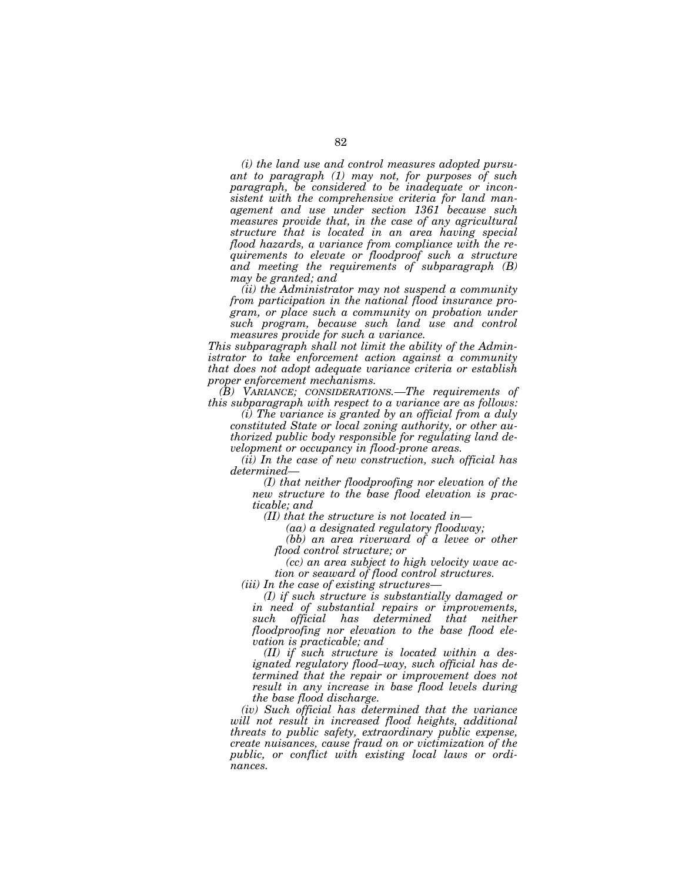*(i) the land use and control measures adopted pursuant to paragraph (1) may not, for purposes of such paragraph, be considered to be inadequate or inconsistent with the comprehensive criteria for land management and use under section 1361 because such measures provide that, in the case of any agricultural structure that is located in an area having special flood hazards, a variance from compliance with the requirements to elevate or floodproof such a structure and meeting the requirements of subparagraph (B) may be granted; and* 

*(ii) the Administrator may not suspend a community from participation in the national flood insurance program, or place such a community on probation under such program, because such land use and control measures provide for such a variance.* 

*This subparagraph shall not limit the ability of the Administrator to take enforcement action against a community that does not adopt adequate variance criteria or establish proper enforcement mechanisms.* 

*(B) VARIANCE; CONSIDERATIONS.—The requirements of this subparagraph with respect to a variance are as follows:* 

*(i) The variance is granted by an official from a duly constituted State or local zoning authority, or other authorized public body responsible for regulating land development or occupancy in flood-prone areas.* 

*(ii) In the case of new construction, such official has determined—* 

*(I) that neither floodproofing nor elevation of the new structure to the base flood elevation is practicable; and* 

*(II) that the structure is not located in—* 

*(aa) a designated regulatory floodway;* 

*(bb) an area riverward of a levee or other flood control structure; or* 

*(cc) an area subject to high velocity wave action or seaward of flood control structures.* 

*(iii) In the case of existing structures—* 

*(I) if such structure is substantially damaged or in need of substantial repairs or improvements, such official has determined that neither floodproofing nor elevation to the base flood elevation is practicable; and* 

*(II) if such structure is located within a designated regulatory flood–way, such official has determined that the repair or improvement does not result in any increase in base flood levels during the base flood discharge.* 

*(iv) Such official has determined that the variance will not result in increased flood heights, additional threats to public safety, extraordinary public expense, create nuisances, cause fraud on or victimization of the public, or conflict with existing local laws or ordinances.*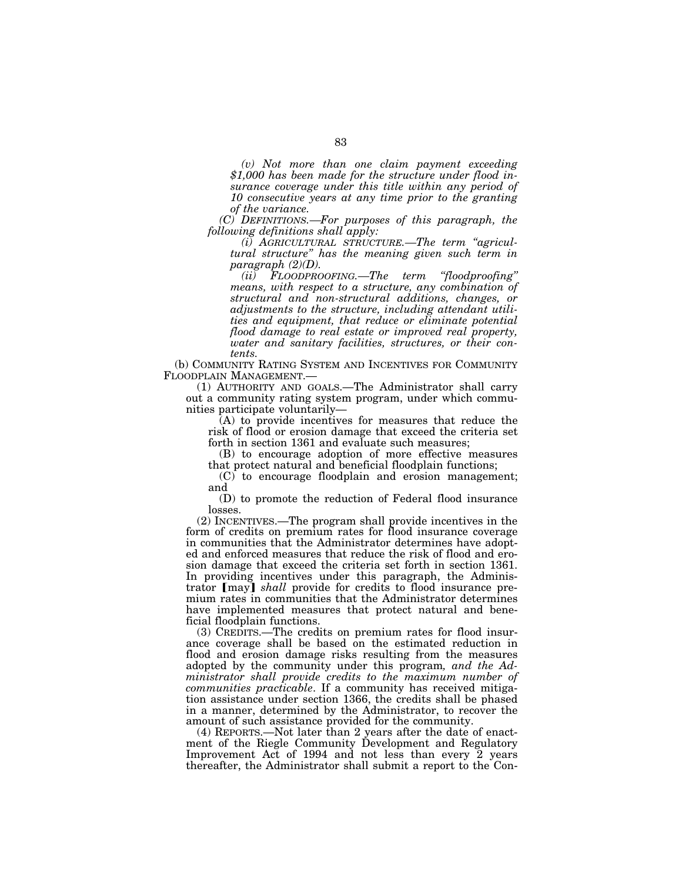*(v) Not more than one claim payment exceeding \$1,000 has been made for the structure under flood insurance coverage under this title within any period of 10 consecutive years at any time prior to the granting of the variance.* 

*(C) DEFINITIONS.—For purposes of this paragraph, the following definitions shall apply:* 

*(i) AGRICULTURAL STRUCTURE.—The term ''agricultural structure'' has the meaning given such term in paragraph (2)(D).* 

*(ii) FLOODPROOFING.—The term ''floodproofing'' means, with respect to a structure, any combination of structural and non-structural additions, changes, or adjustments to the structure, including attendant utilities and equipment, that reduce or eliminate potential flood damage to real estate or improved real property, water and sanitary facilities, structures, or their contents.* 

(b) COMMUNITY RATING SYSTEM AND INCENTIVES FOR COMMUNITY FLOODPLAIN MANAGEMENT.—

(1) AUTHORITY AND GOALS.—The Administrator shall carry out a community rating system program, under which communities participate voluntarily—

 $(A)$  to provide incentives for measures that reduce the risk of flood or erosion damage that exceed the criteria set forth in section 1361 and evaluate such measures;

(B) to encourage adoption of more effective measures that protect natural and beneficial floodplain functions;

(C) to encourage floodplain and erosion management; and

(D) to promote the reduction of Federal flood insurance losses.

(2) INCENTIVES.—The program shall provide incentives in the form of credits on premium rates for flood insurance coverage in communities that the Administrator determines have adopted and enforced measures that reduce the risk of flood and erosion damage that exceed the criteria set forth in section 1361. In providing incentives under this paragraph, the Administrator [may] *shall* provide for credits to flood insurance premium rates in communities that the Administrator determines have implemented measures that protect natural and beneficial floodplain functions.

(3) CREDITS.—The credits on premium rates for flood insurance coverage shall be based on the estimated reduction in flood and erosion damage risks resulting from the measures adopted by the community under this program*, and the Administrator shall provide credits to the maximum number of communities practicable*. If a community has received mitigation assistance under section 1366, the credits shall be phased in a manner, determined by the Administrator, to recover the amount of such assistance provided for the community.

(4) REPORTS.—Not later than 2 years after the date of enactment of the Riegle Community Development and Regulatory Improvement Act of 1994 and not less than every 2 years thereafter, the Administrator shall submit a report to the Con-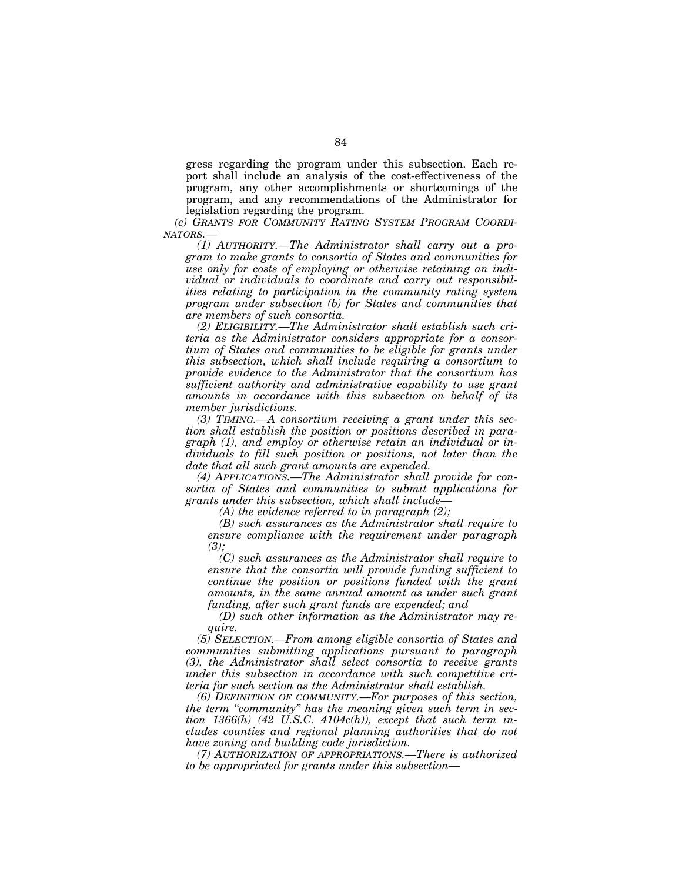gress regarding the program under this subsection. Each report shall include an analysis of the cost-effectiveness of the program, any other accomplishments or shortcomings of the program, and any recommendations of the Administrator for legislation regarding the program.

*(c) GRANTS FOR COMMUNITY RATING SYSTEM PROGRAM COORDI-NATORS.—* 

*(1) AUTHORITY.—The Administrator shall carry out a program to make grants to consortia of States and communities for use only for costs of employing or otherwise retaining an individual or individuals to coordinate and carry out responsibilities relating to participation in the community rating system program under subsection (b) for States and communities that are members of such consortia.* 

*(2) ELIGIBILITY.—The Administrator shall establish such criteria as the Administrator considers appropriate for a consortium of States and communities to be eligible for grants under this subsection, which shall include requiring a consortium to provide evidence to the Administrator that the consortium has sufficient authority and administrative capability to use grant amounts in accordance with this subsection on behalf of its member jurisdictions.* 

*(3) TIMING.—A consortium receiving a grant under this section shall establish the position or positions described in paragraph (1), and employ or otherwise retain an individual or individuals to fill such position or positions, not later than the date that all such grant amounts are expended.* 

*(4) APPLICATIONS.—The Administrator shall provide for consortia of States and communities to submit applications for grants under this subsection, which shall include—* 

*(A) the evidence referred to in paragraph (2);* 

*(B) such assurances as the Administrator shall require to ensure compliance with the requirement under paragraph (3);* 

*(C) such assurances as the Administrator shall require to ensure that the consortia will provide funding sufficient to continue the position or positions funded with the grant amounts, in the same annual amount as under such grant funding, after such grant funds are expended; and* 

*(D) such other information as the Administrator may require.* 

*(5) SELECTION.—From among eligible consortia of States and communities submitting applications pursuant to paragraph (3), the Administrator shall select consortia to receive grants under this subsection in accordance with such competitive criteria for such section as the Administrator shall establish.* 

*(6) DEFINITION OF COMMUNITY.—For purposes of this section, the term ''community'' has the meaning given such term in section 1366(h) (42 U.S.C. 4104c(h)), except that such term includes counties and regional planning authorities that do not have zoning and building code jurisdiction.* 

*(7) AUTHORIZATION OF APPROPRIATIONS.—There is authorized to be appropriated for grants under this subsection—*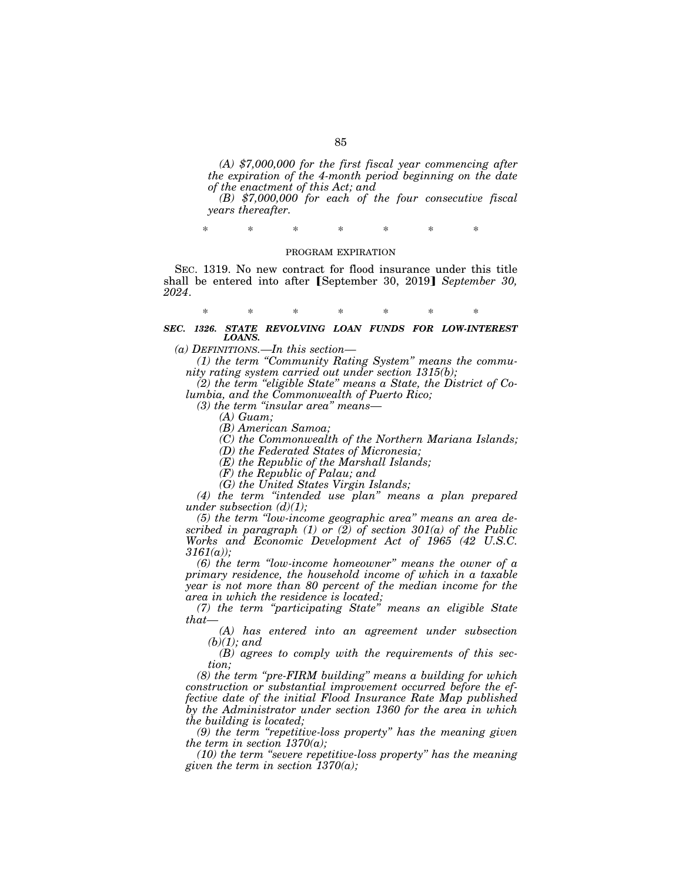*(A) \$7,000,000 for the first fiscal year commencing after the expiration of the 4-month period beginning on the date of the enactment of this Act; and* 

*(B) \$7,000,000 for each of the four consecutive fiscal years thereafter.* 

\* \* \* \* \* \* \*

### PROGRAM EXPIRATION

SEC. 1319. No new contract for flood insurance under this title shall be entered into after [September 30, 2019] *September 30, 2024*.

\* \* \* \* \* \* \*

*SEC. 1326. STATE REVOLVING LOAN FUNDS FOR LOW-INTEREST LOANS.* 

*(a) DEFINITIONS.—In this section—* 

*(1) the term ''Community Rating System'' means the community rating system carried out under section 1315(b);* 

*(2) the term ''eligible State'' means a State, the District of Columbia, and the Commonwealth of Puerto Rico;* 

*(3) the term ''insular area'' means—* 

*(A) Guam;* 

*(B) American Samoa;* 

*(C) the Commonwealth of the Northern Mariana Islands;* 

*(D) the Federated States of Micronesia;* 

*(E) the Republic of the Marshall Islands;* 

*(F) the Republic of Palau; and* 

*(G) the United States Virgin Islands;* 

*(4) the term ''intended use plan'' means a plan prepared under subsection (d)(1);* 

*(5) the term ''low-income geographic area'' means an area described in paragraph (1) or (2) of section 301(a) of the Public Works and Economic Development Act of 1965 (42 U.S.C. 3161(a));* 

*(6) the term ''low-income homeowner'' means the owner of a primary residence, the household income of which in a taxable year is not more than 80 percent of the median income for the area in which the residence is located;* 

*(7) the term ''participating State'' means an eligible State that—* 

*(A) has entered into an agreement under subsection (b)(1); and* 

*(B) agrees to comply with the requirements of this section;* 

*(8) the term ''pre-FIRM building'' means a building for which construction or substantial improvement occurred before the effective date of the initial Flood Insurance Rate Map published by the Administrator under section 1360 for the area in which the building is located;* 

*(9) the term ''repetitive-loss property'' has the meaning given the term in section 1370(a);* 

*(10) the term ''severe repetitive-loss property'' has the meaning given the term in section 1370(a);*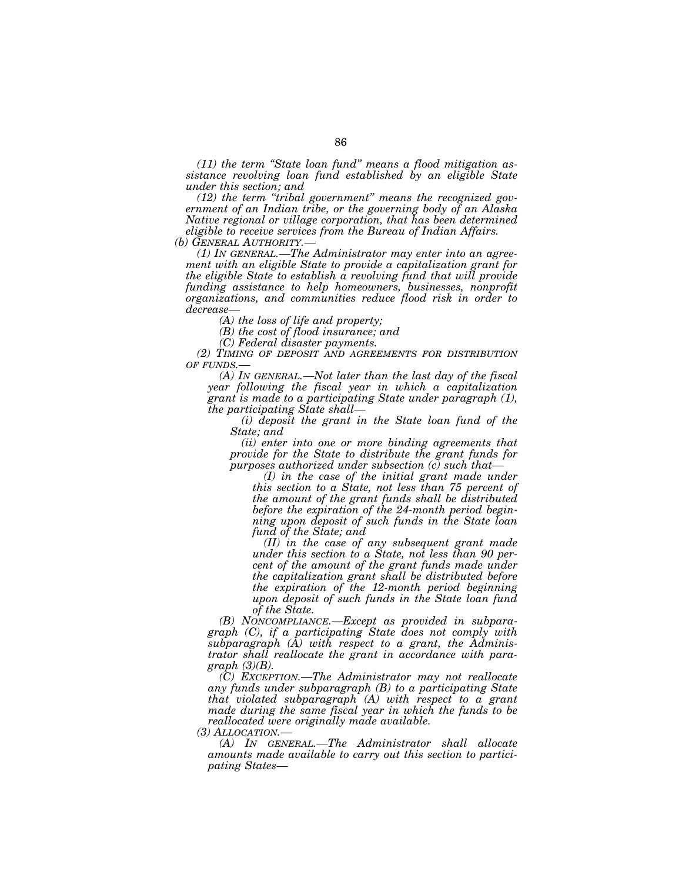*(11) the term ''State loan fund'' means a flood mitigation assistance revolving loan fund established by an eligible State under this section; and* 

*(12) the term ''tribal government'' means the recognized government of an Indian tribe, or the governing body of an Alaska Native regional or village corporation, that has been determined eligible to receive services from the Bureau of Indian Affairs.* 

*(b) GENERAL AUTHORITY.— (1) IN GENERAL.—The Administrator may enter into an agreement with an eligible State to provide a capitalization grant for the eligible State to establish a revolving fund that will provide funding assistance to help homeowners, businesses, nonprofit organizations, and communities reduce flood risk in order to decrease—* 

*(A) the loss of life and property;* 

*(B) the cost of flood insurance; and* 

*(C) Federal disaster payments.* 

*(2) TIMING OF DEPOSIT AND AGREEMENTS FOR DISTRIBUTION OF FUNDS.—* 

*(A) IN GENERAL.—Not later than the last day of the fiscal year following the fiscal year in which a capitalization grant is made to a participating State under paragraph (1), the participating State shall—* 

*(i) deposit the grant in the State loan fund of the State; and* 

*(ii) enter into one or more binding agreements that provide for the State to distribute the grant funds for purposes authorized under subsection (c) such that—* 

*(I) in the case of the initial grant made under this section to a State, not less than 75 percent of the amount of the grant funds shall be distributed before the expiration of the 24-month period beginning upon deposit of such funds in the State loan fund of the State; and* 

*(II) in the case of any subsequent grant made under this section to a State, not less than 90 percent of the amount of the grant funds made under the capitalization grant shall be distributed before the expiration of the 12-month period beginning upon deposit of such funds in the State loan fund of the State.* 

*(B) NONCOMPLIANCE.—Except as provided in subparagraph (C), if a participating State does not comply with subparagraph (A) with respect to a grant, the Administrator shall reallocate the grant in accordance with paragraph (3)(B).* 

*(C) EXCEPTION.—The Administrator may not reallocate any funds under subparagraph (B) to a participating State that violated subparagraph (A) with respect to a grant made during the same fiscal year in which the funds to be reallocated were originally made available.* 

*(3) ALLOCATION.— (A) IN GENERAL.—The Administrator shall allocate amounts made available to carry out this section to participating States—*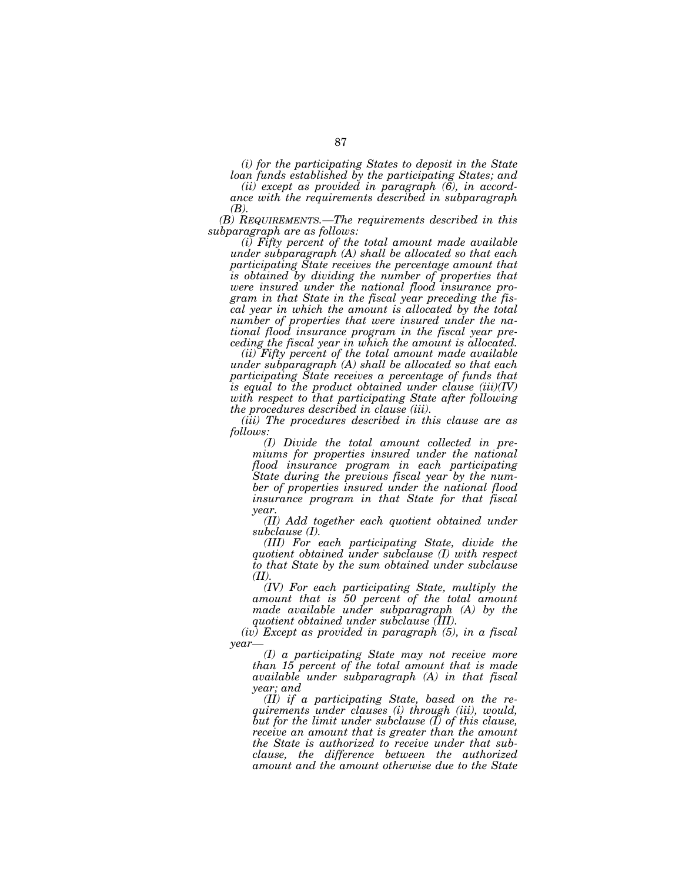*(i) for the participating States to deposit in the State loan funds established by the participating States; and* 

*(ii) except as provided in paragraph (6), in accordance with the requirements described in subparagraph (B).* 

*(B) REQUIREMENTS.—The requirements described in this subparagraph are as follows:* 

*(i) Fifty percent of the total amount made available under subparagraph (A) shall be allocated so that each participating State receives the percentage amount that is obtained by dividing the number of properties that were insured under the national flood insurance program in that State in the fiscal year preceding the fiscal year in which the amount is allocated by the total number of properties that were insured under the national flood insurance program in the fiscal year preceding the fiscal year in which the amount is allocated.* 

*(ii) Fifty percent of the total amount made available under subparagraph (A) shall be allocated so that each participating State receives a percentage of funds that is equal to the product obtained under clause (iii)(IV) with respect to that participating State after following the procedures described in clause (iii).* 

*(iii) The procedures described in this clause are as follows:* 

*(I) Divide the total amount collected in premiums for properties insured under the national flood insurance program in each participating State during the previous fiscal year by the number of properties insured under the national flood insurance program in that State for that fiscal year.* 

*(II) Add together each quotient obtained under subclause (I).* 

*(III) For each participating State, divide the quotient obtained under subclause (I) with respect to that State by the sum obtained under subclause (II).* 

*(IV) For each participating State, multiply the amount that is 50 percent of the total amount made available under subparagraph (A) by the quotient obtained under subclause (III).* 

*(iv) Except as provided in paragraph (5), in a fiscal year—* 

*(I) a participating State may not receive more than 15 percent of the total amount that is made available under subparagraph (A) in that fiscal year; and* 

*(II) if a participating State, based on the requirements under clauses (i) through (iii), would, but for the limit under subclause (I) of this clause, receive an amount that is greater than the amount the State is authorized to receive under that subclause, the difference between the authorized amount and the amount otherwise due to the State*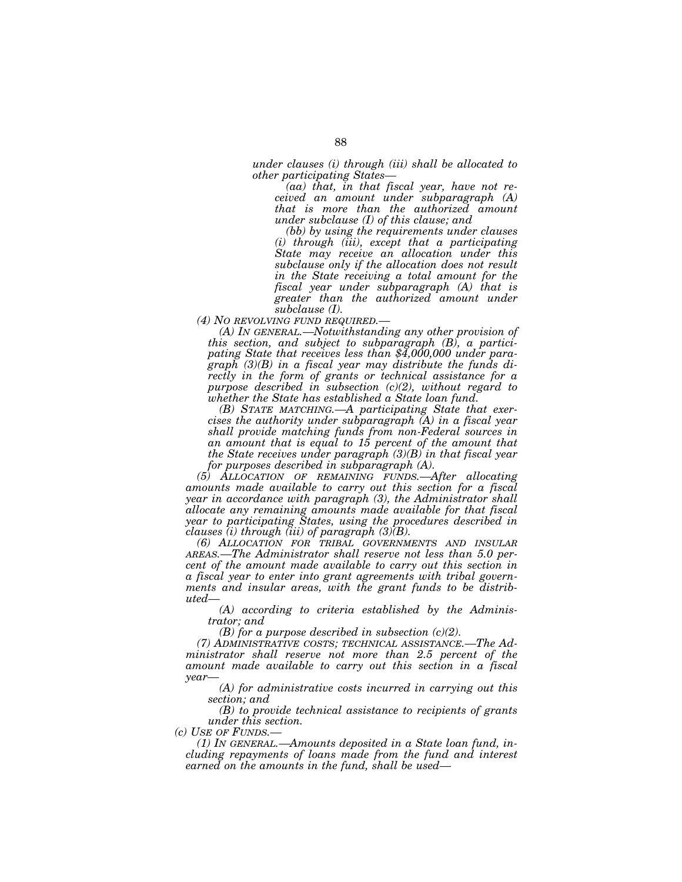*under clauses (i) through (iii) shall be allocated to other participating States—* 

*(aa) that, in that fiscal year, have not received an amount under subparagraph (A) that is more than the authorized amount under subclause (I) of this clause; and* 

*(bb) by using the requirements under clauses (i) through (iii), except that a participating State may receive an allocation under this subclause only if the allocation does not result in the State receiving a total amount for the fiscal year under subparagraph (A) that is greater than the authorized amount under subclause (I).* 

*(4) NO REVOLVING FUND REQUIRED.—* 

*(A) IN GENERAL.—Notwithstanding any other provision of this section, and subject to subparagraph (B), a participating State that receives less than \$4,000,000 under paragraph (3)(B) in a fiscal year may distribute the funds directly in the form of grants or technical assistance for a purpose described in subsection (c)(2), without regard to whether the State has established a State loan fund.* 

*(B) STATE MATCHING.—A participating State that exercises the authority under subparagraph (A) in a fiscal year shall provide matching funds from non-Federal sources in an amount that is equal to 15 percent of the amount that the State receives under paragraph (3)(B) in that fiscal year for purposes described in subparagraph (A).* 

*(5) ALLOCATION OF REMAINING FUNDS.—After allocating amounts made available to carry out this section for a fiscal year in accordance with paragraph (3), the Administrator shall allocate any remaining amounts made available for that fiscal year to participating States, using the procedures described in clauses (i) through (iii) of paragraph (3)(B).* 

*(6) ALLOCATION FOR TRIBAL GOVERNMENTS AND INSULAR AREAS.—The Administrator shall reserve not less than 5.0 percent of the amount made available to carry out this section in a fiscal year to enter into grant agreements with tribal governments and insular areas, with the grant funds to be distributed—* 

*(A) according to criteria established by the Administrator; and* 

*(B) for a purpose described in subsection (c)(2).* 

*(7) ADMINISTRATIVE COSTS; TECHNICAL ASSISTANCE.—The Administrator shall reserve not more than 2.5 percent of the amount made available to carry out this section in a fiscal year—* 

*(A) for administrative costs incurred in carrying out this section; and* 

*(B) to provide technical assistance to recipients of grants under this section.*<br> *(c)* USE OF FUNDS.—

(1) IN GENERAL.—Amounts deposited in a State loan fund, in*cluding repayments of loans made from the fund and interest earned on the amounts in the fund, shall be used—*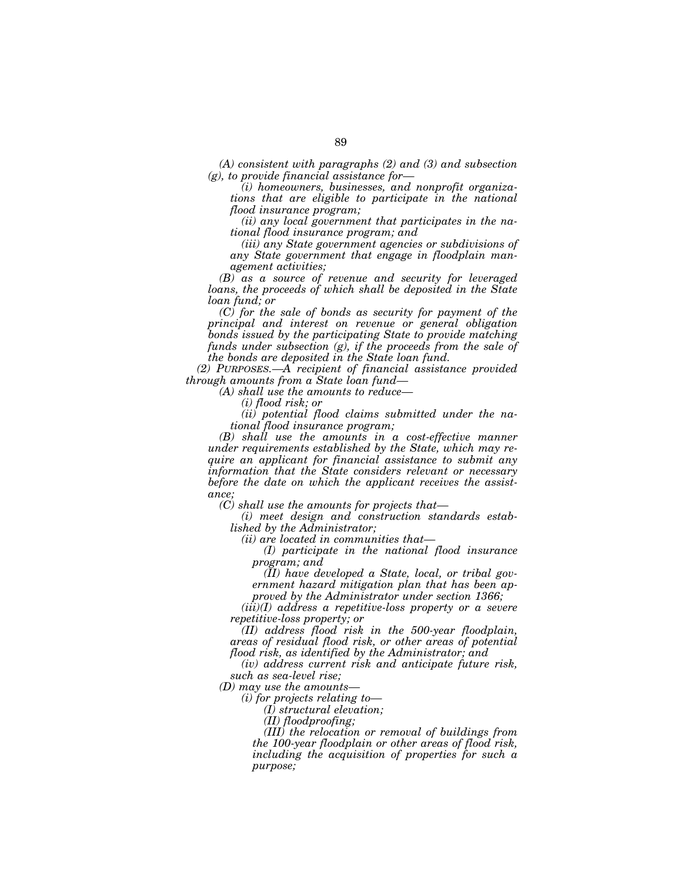*(A) consistent with paragraphs (2) and (3) and subsection (g), to provide financial assistance for—* 

*(i) homeowners, businesses, and nonprofit organizations that are eligible to participate in the national flood insurance program;* 

*(ii) any local government that participates in the national flood insurance program; and* 

*(iii) any State government agencies or subdivisions of any State government that engage in floodplain management activities;* 

*(B) as a source of revenue and security for leveraged loans, the proceeds of which shall be deposited in the State loan fund; or* 

*(C) for the sale of bonds as security for payment of the principal and interest on revenue or general obligation bonds issued by the participating State to provide matching funds under subsection (g), if the proceeds from the sale of the bonds are deposited in the State loan fund.* 

*(2) PURPOSES.—A recipient of financial assistance provided through amounts from a State loan fund—* 

*(A) shall use the amounts to reduce—* 

*(i) flood risk; or* 

*(ii) potential flood claims submitted under the national flood insurance program;* 

*(B) shall use the amounts in a cost-effective manner under requirements established by the State, which may require an applicant for financial assistance to submit any information that the State considers relevant or necessary before the date on which the applicant receives the assistance;* 

*(C) shall use the amounts for projects that—* 

*(i) meet design and construction standards established by the Administrator;* 

*(ii) are located in communities that—* 

*(I) participate in the national flood insurance program; and* 

*(II) have developed a State, local, or tribal government hazard mitigation plan that has been approved by the Administrator under section 1366;* 

*(iii)(I) address a repetitive-loss property or a severe repetitive-loss property; or* 

*(II) address flood risk in the 500-year floodplain, areas of residual flood risk, or other areas of potential flood risk, as identified by the Administrator; and* 

*(iv) address current risk and anticipate future risk, such as sea-level rise;* 

*(D) may use the amounts—* 

*(i) for projects relating to—* 

*(I) structural elevation;* 

*(II) floodproofing;* 

*(III) the relocation or removal of buildings from the 100-year floodplain or other areas of flood risk, including the acquisition of properties for such a purpose;*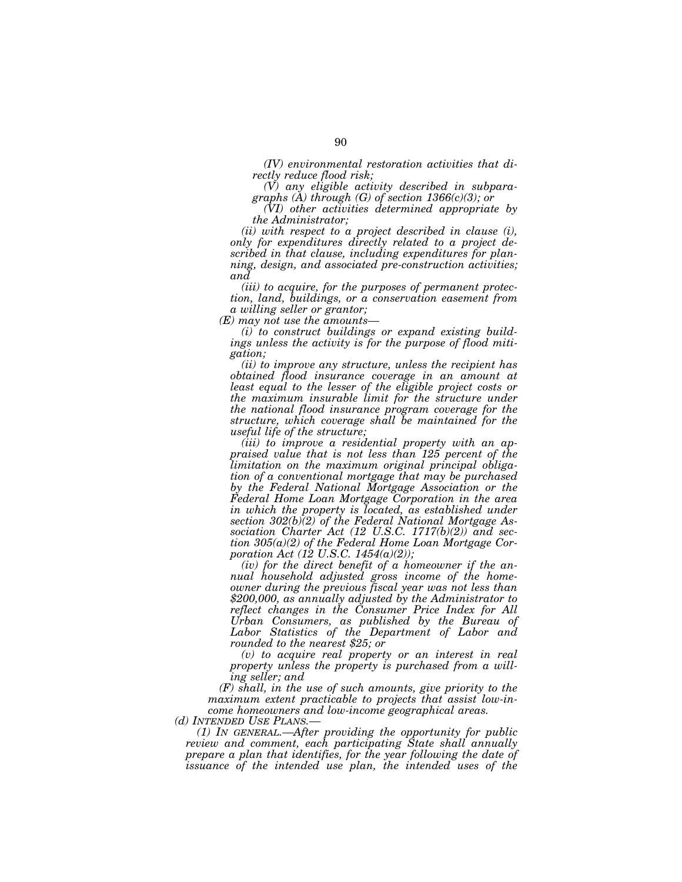*(IV) environmental restoration activities that directly reduce flood risk;* 

*(V) any eligible activity described in subparagraphs (A) through (G) of section 1366(c)(3); or* 

*(VI) other activities determined appropriate by the Administrator;* 

*(ii) with respect to a project described in clause (i), only for expenditures directly related to a project described in that clause, including expenditures for planning, design, and associated pre-construction activities; and* 

*(iii) to acquire, for the purposes of permanent protection, land, buildings, or a conservation easement from a willing seller or grantor;* 

*(E) may not use the amounts—* 

*(i) to construct buildings or expand existing buildings unless the activity is for the purpose of flood mitigation;* 

*(ii) to improve any structure, unless the recipient has obtained flood insurance coverage in an amount at least equal to the lesser of the eligible project costs or the maximum insurable limit for the structure under the national flood insurance program coverage for the structure, which coverage shall be maintained for the useful life of the structure;* 

*(iii) to improve a residential property with an appraised value that is not less than 125 percent of the limitation on the maximum original principal obligation of a conventional mortgage that may be purchased by the Federal National Mortgage Association or the Federal Home Loan Mortgage Corporation in the area in which the property is located, as established under section 302(b)(2) of the Federal National Mortgage Association Charter Act (12 U.S.C. 1717(b)(2)) and section 305(a)(2) of the Federal Home Loan Mortgage Corporation Act (12 U.S.C. 1454(a)(2));* 

*(iv) for the direct benefit of a homeowner if the annual household adjusted gross income of the homeowner during the previous fiscal year was not less than \$200,000, as annually adjusted by the Administrator to reflect changes in the Consumer Price Index for All Urban Consumers, as published by the Bureau of Labor Statistics of the Department of Labor and rounded to the nearest \$25; or* 

*(v) to acquire real property or an interest in real property unless the property is purchased from a willing seller; and* 

*(F) shall, in the use of such amounts, give priority to the maximum extent practicable to projects that assist low-income homeowners and low-income geographical areas.* 

*(1) IN GENERAL.—After providing the opportunity for public review and comment, each participating State shall annually prepare a plan that identifies, for the year following the date of issuance of the intended use plan, the intended uses of the*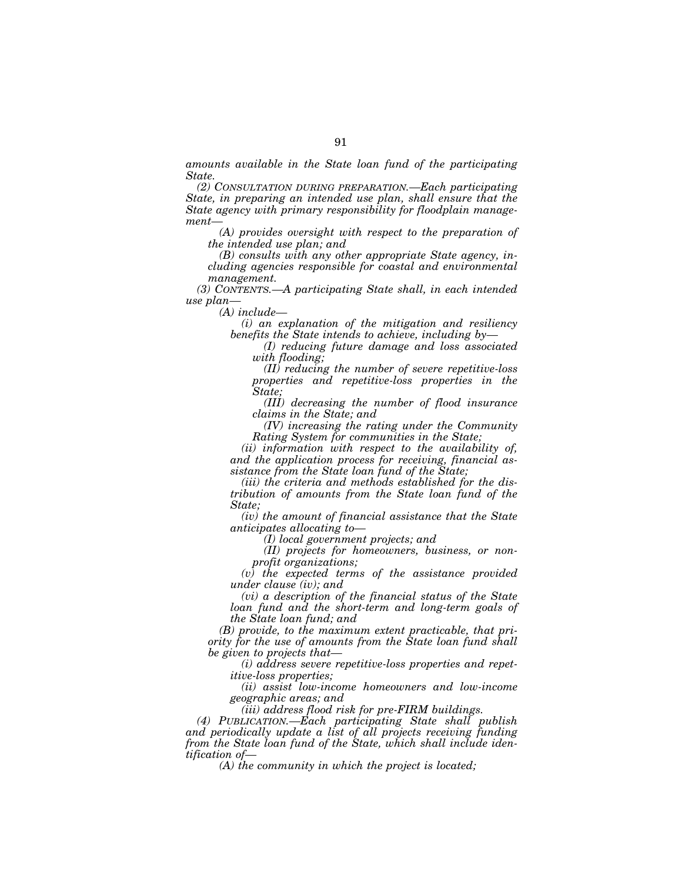*amounts available in the State loan fund of the participating State.* 

*(2) CONSULTATION DURING PREPARATION.—Each participating State, in preparing an intended use plan, shall ensure that the State agency with primary responsibility for floodplain management—* 

*(A) provides oversight with respect to the preparation of the intended use plan; and* 

*(B) consults with any other appropriate State agency, including agencies responsible for coastal and environmental management.* 

*(3) CONTENTS.—A participating State shall, in each intended use plan—* 

*(A) include—* 

*(i) an explanation of the mitigation and resiliency benefits the State intends to achieve, including by—* 

*(I) reducing future damage and loss associated with flooding;* 

*(II) reducing the number of severe repetitive-loss properties and repetitive-loss properties in the State;* 

*(III) decreasing the number of flood insurance claims in the State; and* 

*(IV) increasing the rating under the Community Rating System for communities in the State;* 

*(ii) information with respect to the availability of, and the application process for receiving, financial assistance from the State loan fund of the State;* 

*(iii) the criteria and methods established for the distribution of amounts from the State loan fund of the State;* 

*(iv) the amount of financial assistance that the State anticipates allocating to—* 

*(I) local government projects; and* 

*(II) projects for homeowners, business, or nonprofit organizations;* 

*(v) the expected terms of the assistance provided under clause (iv); and* 

*(vi) a description of the financial status of the State loan fund and the short-term and long-term goals of the State loan fund; and* 

*(B) provide, to the maximum extent practicable, that priority for the use of amounts from the State loan fund shall be given to projects that—* 

*(i) address severe repetitive-loss properties and repetitive-loss properties;* 

*(ii) assist low-income homeowners and low-income geographic areas; and* 

*(iii) address flood risk for pre-FIRM buildings.* 

*(4) PUBLICATION.—Each participating State shall publish*  and periodically update a list of all projects receiving funding *from the State loan fund of the State, which shall include identification of—* 

*(A) the community in which the project is located;*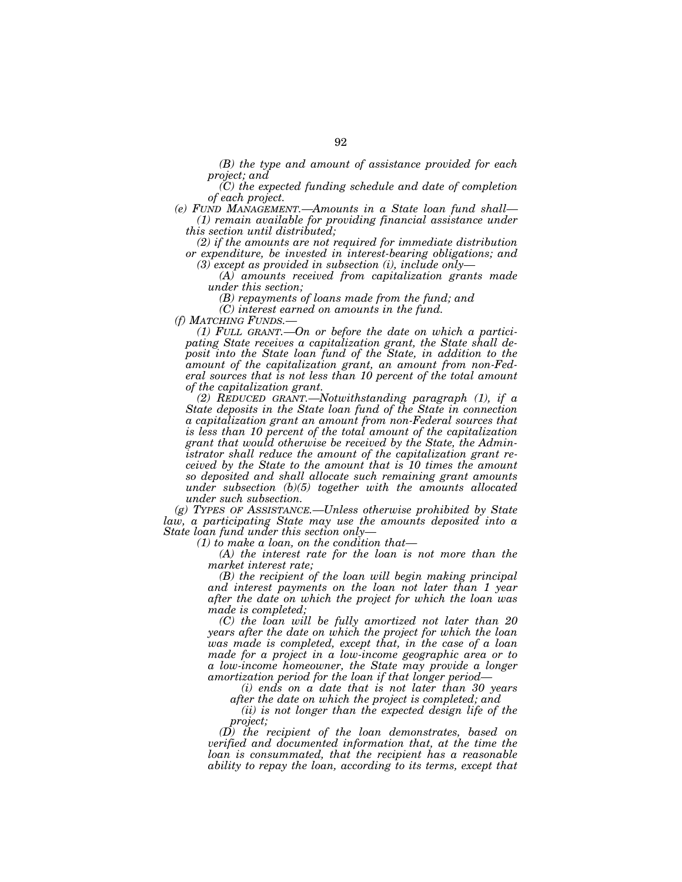*(B) the type and amount of assistance provided for each project; and* 

*(C) the expected funding schedule and date of completion of each project.* 

*(e) FUND MANAGEMENT.—Amounts in a State loan fund shall— (1) remain available for providing financial assistance under this section until distributed;* 

*(2) if the amounts are not required for immediate distribution or expenditure, be invested in interest-bearing obligations; and (3) except as provided in subsection (i), include only—* 

*(A) amounts received from capitalization grants made under this section;* 

*(B) repayments of loans made from the fund; and* 

*(C) interest earned on amounts in the fund.* 

*(f) MATCHING FUNDS.—* 

*(1) FULL GRANT.—On or before the date on which a participating State receives a capitalization grant, the State shall de*posit into the State loan fund of the State, in addition to the *amount of the capitalization grant, an amount from non-Federal sources that is not less than 10 percent of the total amount of the capitalization grant.* 

*(2) REDUCED GRANT.—Notwithstanding paragraph (1), if a State deposits in the State loan fund of the State in connection a capitalization grant an amount from non-Federal sources that is less than 10 percent of the total amount of the capitalization grant that would otherwise be received by the State, the Administrator shall reduce the amount of the capitalization grant received by the State to the amount that is 10 times the amount so deposited and shall allocate such remaining grant amounts under subsection (b)(5) together with the amounts allocated under such subsection.* 

*(g) TYPES OF ASSISTANCE.—Unless otherwise prohibited by State law, a participating State may use the amounts deposited into a State loan fund under this section only—* 

*(1) to make a loan, on the condition that—* 

*(A) the interest rate for the loan is not more than the market interest rate;* 

*(B) the recipient of the loan will begin making principal and interest payments on the loan not later than 1 year after the date on which the project for which the loan was made is completed;* 

*(C) the loan will be fully amortized not later than 20 years after the date on which the project for which the loan was made is completed, except that, in the case of a loan made for a project in a low-income geographic area or to a low-income homeowner, the State may provide a longer amortization period for the loan if that longer period—* 

*(i) ends on a date that is not later than 30 years after the date on which the project is completed; and* 

*(ii) is not longer than the expected design life of the project;* 

*(D) the recipient of the loan demonstrates, based on verified and documented information that, at the time the loan is consummated, that the recipient has a reasonable ability to repay the loan, according to its terms, except that*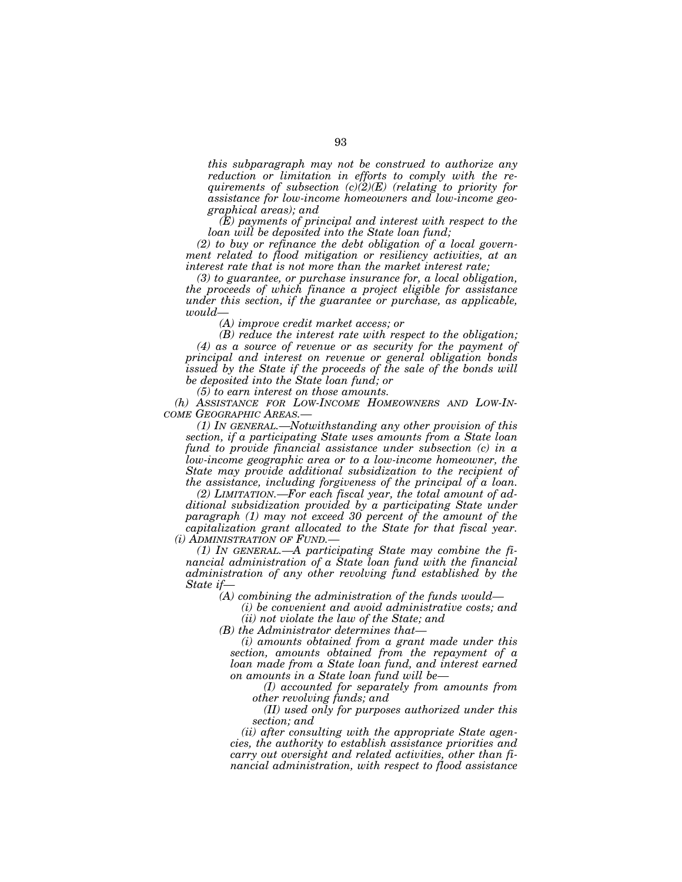*this subparagraph may not be construed to authorize any reduction or limitation in efforts to comply with the requirements of subsection (c)(2)(E) (relating to priority for assistance for low-income homeowners and low-income geographical areas); and* 

*(E) payments of principal and interest with respect to the loan will be deposited into the State loan fund;* 

*(2) to buy or refinance the debt obligation of a local government related to flood mitigation or resiliency activities, at an interest rate that is not more than the market interest rate;* 

*(3) to guarantee, or purchase insurance for, a local obligation, the proceeds of which finance a project eligible for assistance under this section, if the guarantee or purchase, as applicable, would—* 

*(A) improve credit market access; or* 

*(B) reduce the interest rate with respect to the obligation; (4) as a source of revenue or as security for the payment of principal and interest on revenue or general obligation bonds issued by the State if the proceeds of the sale of the bonds will be deposited into the State loan fund; or* 

*(5) to earn interest on those amounts.* 

*(h) ASSISTANCE FOR LOW-INCOME HOMEOWNERS AND LOW-IN-COME GEOGRAPHIC AREAS.—* 

*(1) IN GENERAL.—Notwithstanding any other provision of this section, if a participating State uses amounts from a State loan fund to provide financial assistance under subsection (c) in a low-income geographic area or to a low-income homeowner, the State may provide additional subsidization to the recipient of the assistance, including forgiveness of the principal of a loan.* 

*(2) LIMITATION.—For each fiscal year, the total amount of additional subsidization provided by a participating State under paragraph (1) may not exceed 30 percent of the amount of the capitalization grant allocated to the State for that fiscal year. (i) ADMINISTRATION OF FUND.—* 

*(1) IN GENERAL.—A participating State may combine the financial administration of a State loan fund with the financial administration of any other revolving fund established by the State if—* 

*(A) combining the administration of the funds would—* 

*(i) be convenient and avoid administrative costs; and (ii) not violate the law of the State; and* 

*(B) the Administrator determines that—* 

*(i) amounts obtained from a grant made under this section, amounts obtained from the repayment of a loan made from a State loan fund, and interest earned on amounts in a State loan fund will be—* 

*(I) accounted for separately from amounts from other revolving funds; and* 

*(II) used only for purposes authorized under this section; and* 

*(ii) after consulting with the appropriate State agencies, the authority to establish assistance priorities and carry out oversight and related activities, other than financial administration, with respect to flood assistance*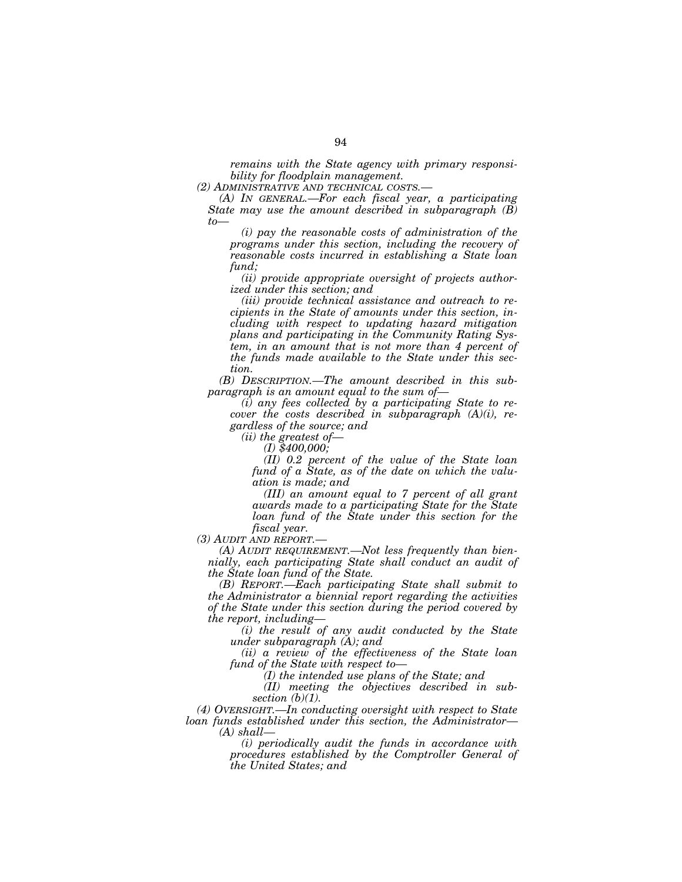*remains with the State agency with primary responsibility for floodplain management.* 

*(2) ADMINISTRATIVE AND TECHNICAL COSTS.—* 

*(A) IN GENERAL.—For each fiscal year, a participating State may use the amount described in subparagraph (B)*   $t_0$ 

*(i) pay the reasonable costs of administration of the programs under this section, including the recovery of reasonable costs incurred in establishing a State loan fund;* 

*(ii) provide appropriate oversight of projects authorized under this section; and* 

*(iii) provide technical assistance and outreach to recipients in the State of amounts under this section, including with respect to updating hazard mitigation plans and participating in the Community Rating System, in an amount that is not more than 4 percent of the funds made available to the State under this section.* 

*(B) DESCRIPTION.—The amount described in this subparagraph is an amount equal to the sum of—* 

*(i) any fees collected by a participating State to recover the costs described in subparagraph (A)(i), regardless of the source; and* 

*(ii) the greatest of—* 

*(I) \$400,000;* 

*(II) 0.2 percent of the value of the State loan fund of a State, as of the date on which the valuation is made; and* 

*(III) an amount equal to 7 percent of all grant awards made to a participating State for the State loan fund of the State under this section for the fiscal year.* 

*(3) AUDIT AND REPORT.—* 

*(A) AUDIT REQUIREMENT.—Not less frequently than biennially, each participating State shall conduct an audit of the State loan fund of the State.* 

*(B) REPORT.—Each participating State shall submit to the Administrator a biennial report regarding the activities of the State under this section during the period covered by the report, including—* 

*(i) the result of any audit conducted by the State under subparagraph (A); and* 

*(ii) a review of the effectiveness of the State loan fund of the State with respect to—* 

*(I) the intended use plans of the State; and* 

*(II) meeting the objectives described in subsection (b)(1).* 

*(4) OVERSIGHT.—In conducting oversight with respect to State loan funds established under this section, the Administrator— (A) shall—* 

> *(i) periodically audit the funds in accordance with procedures established by the Comptroller General of the United States; and*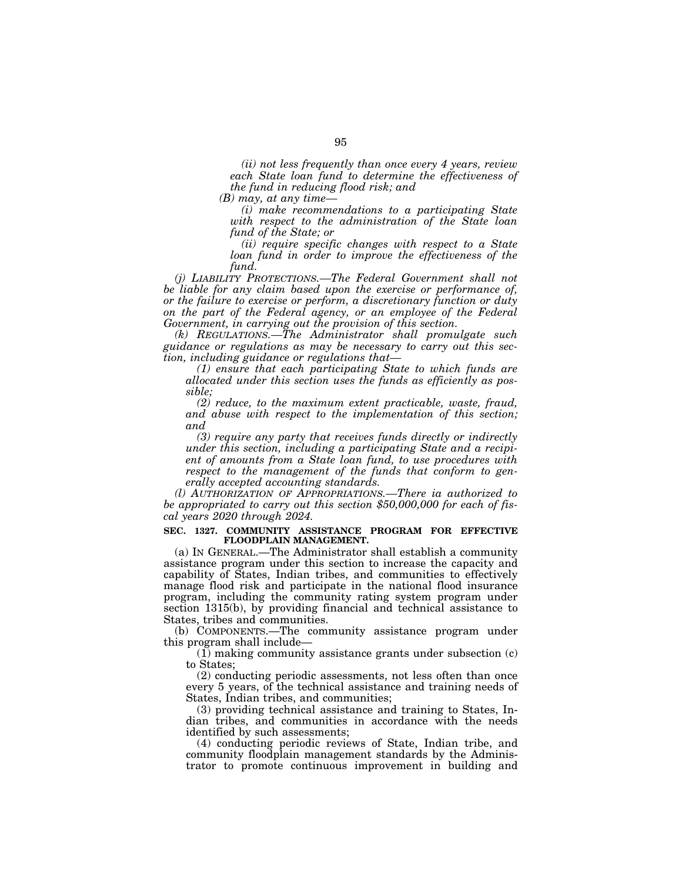*(ii) not less frequently than once every 4 years, review each State loan fund to determine the effectiveness of the fund in reducing flood risk; and* 

*(B) may, at any time—* 

*(i) make recommendations to a participating State with respect to the administration of the State loan fund of the State; or* 

*(ii) require specific changes with respect to a State loan fund in order to improve the effectiveness of the fund.* 

*(j) LIABILITY PROTECTIONS.—The Federal Government shall not be liable for any claim based upon the exercise or performance of, or the failure to exercise or perform, a discretionary function or duty on the part of the Federal agency, or an employee of the Federal Government, in carrying out the provision of this section.* 

*(k) REGULATIONS.—The Administrator shall promulgate such guidance or regulations as may be necessary to carry out this section, including guidance or regulations that—* 

*(1) ensure that each participating State to which funds are allocated under this section uses the funds as efficiently as possible;* 

*(2) reduce, to the maximum extent practicable, waste, fraud, and abuse with respect to the implementation of this section; and* 

*(3) require any party that receives funds directly or indirectly under this section, including a participating State and a recipient of amounts from a State loan fund, to use procedures with respect to the management of the funds that conform to generally accepted accounting standards.* 

*(l) AUTHORIZATION OF APPROPRIATIONS.—There ia authorized to be appropriated to carry out this section \$50,000,000 for each of fiscal years 2020 through 2024.* 

## **SEC. 1327. COMMUNITY ASSISTANCE PROGRAM FOR EFFECTIVE FLOODPLAIN MANAGEMENT.**

(a) IN GENERAL.—The Administrator shall establish a community assistance program under this section to increase the capacity and capability of States, Indian tribes, and communities to effectively manage flood risk and participate in the national flood insurance program, including the community rating system program under section 1315(b), by providing financial and technical assistance to States, tribes and communities.

(b) COMPONENTS.—The community assistance program under this program shall include—

(1) making community assistance grants under subsection (c) to States;

(2) conducting periodic assessments, not less often than once every 5 years, of the technical assistance and training needs of States, Indian tribes, and communities;

(3) providing technical assistance and training to States, Indian tribes, and communities in accordance with the needs identified by such assessments;

(4) conducting periodic reviews of State, Indian tribe, and community floodplain management standards by the Administrator to promote continuous improvement in building and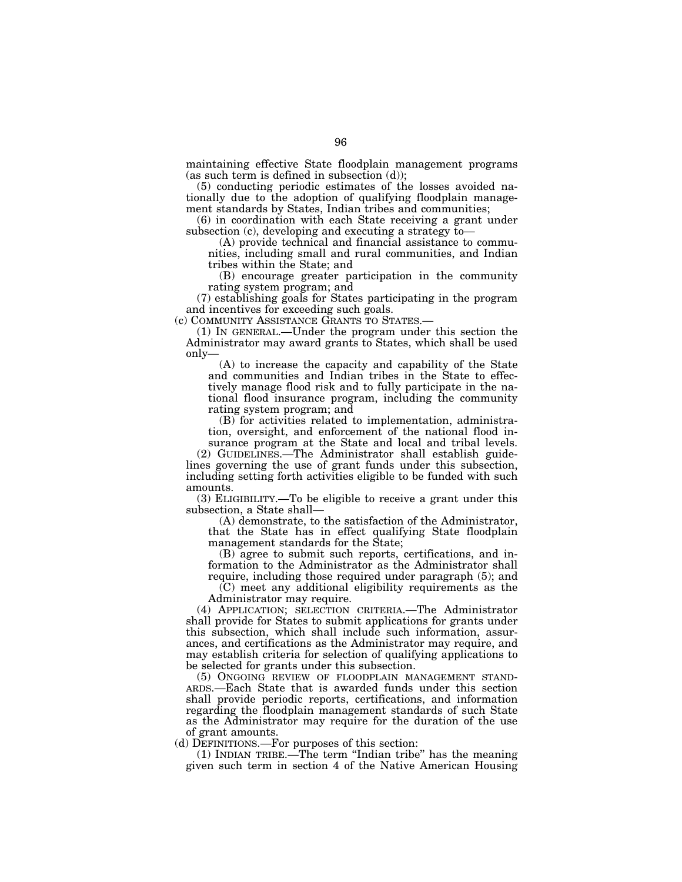maintaining effective State floodplain management programs (as such term is defined in subsection (d));

(5) conducting periodic estimates of the losses avoided nationally due to the adoption of qualifying floodplain management standards by States, Indian tribes and communities;

(6) in coordination with each State receiving a grant under subsection (c), developing and executing a strategy to—

(A) provide technical and financial assistance to communities, including small and rural communities, and Indian tribes within the State; and

(B) encourage greater participation in the community rating system program; and

(7) establishing goals for States participating in the program and incentives for exceeding such goals.

(c) COMMUNITY ASSISTANCE GRANTS TO STATES.—

(1) IN GENERAL.—Under the program under this section the Administrator may award grants to States, which shall be used only—

(A) to increase the capacity and capability of the State and communities and Indian tribes in the State to effectively manage flood risk and to fully participate in the national flood insurance program, including the community rating system program; and

(B) for activities related to implementation, administration, oversight, and enforcement of the national flood in-

surance program at the State and local and tribal levels. (2) GUIDELINES.—The Administrator shall establish guidelines governing the use of grant funds under this subsection, including setting forth activities eligible to be funded with such amounts.

(3) ELIGIBILITY.—To be eligible to receive a grant under this subsection, a State shall—

(A) demonstrate, to the satisfaction of the Administrator, that the State has in effect qualifying State floodplain management standards for the State;

(B) agree to submit such reports, certifications, and information to the Administrator as the Administrator shall require, including those required under paragraph (5); and

(C) meet any additional eligibility requirements as the Administrator may require.

(4) APPLICATION; SELECTION CRITERIA.—The Administrator shall provide for States to submit applications for grants under this subsection, which shall include such information, assurances, and certifications as the Administrator may require, and may establish criteria for selection of qualifying applications to be selected for grants under this subsection.

(5) ONGOING REVIEW OF FLOODPLAIN MANAGEMENT STAND- ARDS.—Each State that is awarded funds under this section shall provide periodic reports, certifications, and information regarding the floodplain management standards of such State as the Administrator may require for the duration of the use of grant amounts.

(d) DEFINITIONS.—For purposes of this section:

(1) INDIAN TRIBE.—The term ''Indian tribe'' has the meaning given such term in section 4 of the Native American Housing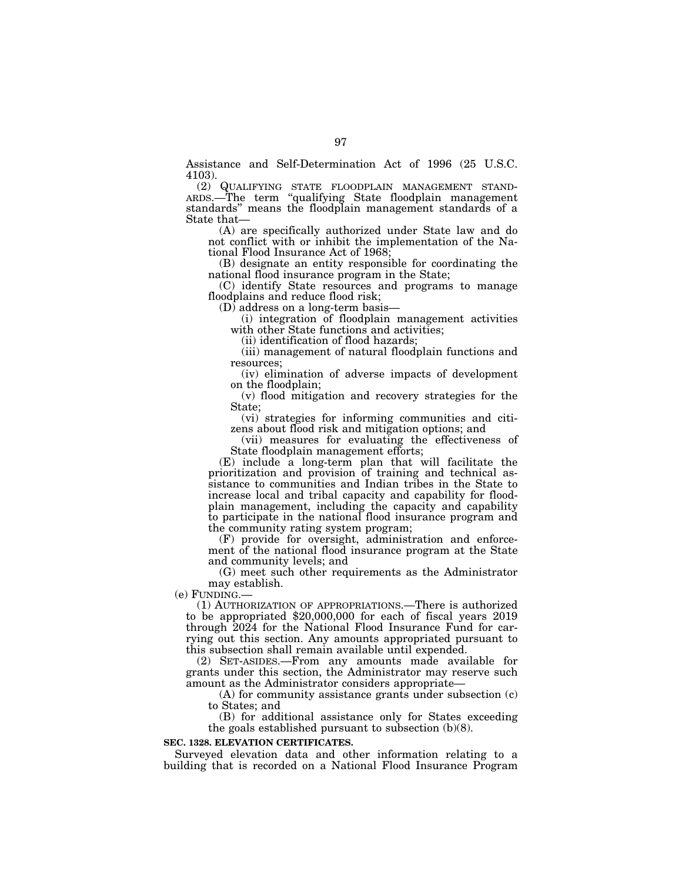Assistance and Self-Determination Act of 1996 (25 U.S.C. 4103).

(2) QUALIFYING STATE FLOODPLAIN MANAGEMENT STAND- ARDS.—The term ''qualifying State floodplain management standards'' means the floodplain management standards of a State that—

(A) are specifically authorized under State law and do not conflict with or inhibit the implementation of the National Flood Insurance Act of 1968;

(B) designate an entity responsible for coordinating the national flood insurance program in the State;

(C) identify State resources and programs to manage floodplains and reduce flood risk;

(D) address on a long-term basis—

(i) integration of floodplain management activities with other State functions and activities;

(ii) identification of flood hazards;

(iii) management of natural floodplain functions and resources;

(iv) elimination of adverse impacts of development on the floodplain;

(v) flood mitigation and recovery strategies for the State;

(vi) strategies for informing communities and citizens about flood risk and mitigation options; and

(vii) measures for evaluating the effectiveness of State floodplain management efforts;

(E) include a long-term plan that will facilitate the prioritization and provision of training and technical assistance to communities and Indian tribes in the State to increase local and tribal capacity and capability for floodplain management, including the capacity and capability to participate in the national flood insurance program and the community rating system program;

(F) provide for oversight, administration and enforcement of the national flood insurance program at the State and community levels; and

(G) meet such other requirements as the Administrator may establish.<br>(e) FUNDING.—

(1) AUTHORIZATION OF APPROPRIATIONS.—There is authorized to be appropriated \$20,000,000 for each of fiscal years 2019 through 2024 for the National Flood Insurance Fund for carrying out this section. Any amounts appropriated pursuant to this subsection shall remain available until expended.

(2) SET-ASIDES.—From any amounts made available for grants under this section, the Administrator may reserve such amount as the Administrator considers appropriate—

(A) for community assistance grants under subsection (c) to States; and

(B) for additional assistance only for States exceeding the goals established pursuant to subsection (b)(8).

# **SEC. 1328. ELEVATION CERTIFICATES.**

Surveyed elevation data and other information relating to a building that is recorded on a National Flood Insurance Program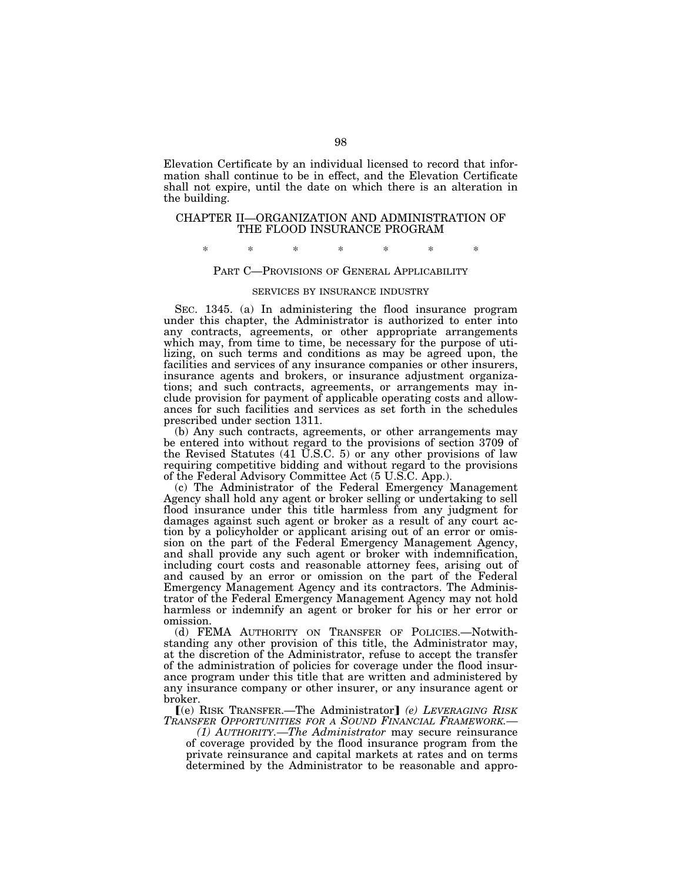Elevation Certificate by an individual licensed to record that information shall continue to be in effect, and the Elevation Certificate shall not expire, until the date on which there is an alteration in the building.

# CHAPTER II—ORGANIZATION AND ADMINISTRATION OF THE FLOOD INSURANCE PROGRAM

# \* \* \* \* \* \* \*

# PART C—PROVISIONS OF GENERAL APPLICABILITY

#### SERVICES BY INSURANCE INDUSTRY

SEC. 1345. (a) In administering the flood insurance program under this chapter, the Administrator is authorized to enter into any contracts, agreements, or other appropriate arrangements which may, from time to time, be necessary for the purpose of utilizing, on such terms and conditions as may be agreed upon, the facilities and services of any insurance companies or other insurers, insurance agents and brokers, or insurance adjustment organizations; and such contracts, agreements, or arrangements may include provision for payment of applicable operating costs and allowances for such facilities and services as set forth in the schedules prescribed under section 1311.

(b) Any such contracts, agreements, or other arrangements may be entered into without regard to the provisions of section 3709 of the Revised Statutes (41 U.S.C. 5) or any other provisions of law requiring competitive bidding and without regard to the provisions of the Federal Advisory Committee Act (5 U.S.C. App.).

(c) The Administrator of the Federal Emergency Management Agency shall hold any agent or broker selling or undertaking to sell flood insurance under this title harmless from any judgment for damages against such agent or broker as a result of any court action by a policyholder or applicant arising out of an error or omission on the part of the Federal Emergency Management Agency, and shall provide any such agent or broker with indemnification, including court costs and reasonable attorney fees, arising out of and caused by an error or omission on the part of the Federal Emergency Management Agency and its contractors. The Administrator of the Federal Emergency Management Agency may not hold harmless or indemnify an agent or broker for his or her error or omission.

(d) FEMA AUTHORITY ON TRANSFER OF POLICIES.—Notwithstanding any other provision of this title, the Administrator may, at the discretion of the Administrator, refuse to accept the transfer of the administration of policies for coverage under the flood insurance program under this title that are written and administered by any insurance company or other insurer, or any insurance agent or broker.

ø(e) RISK TRANSFER.—The Administrator¿ *(e) LEVERAGING RISK TRANSFER OPPORTUNITIES FOR A SOUND FINANCIAL FRAMEWORK.—* 

*(1) AUTHORITY.—The Administrator* may secure reinsurance of coverage provided by the flood insurance program from the private reinsurance and capital markets at rates and on terms determined by the Administrator to be reasonable and appro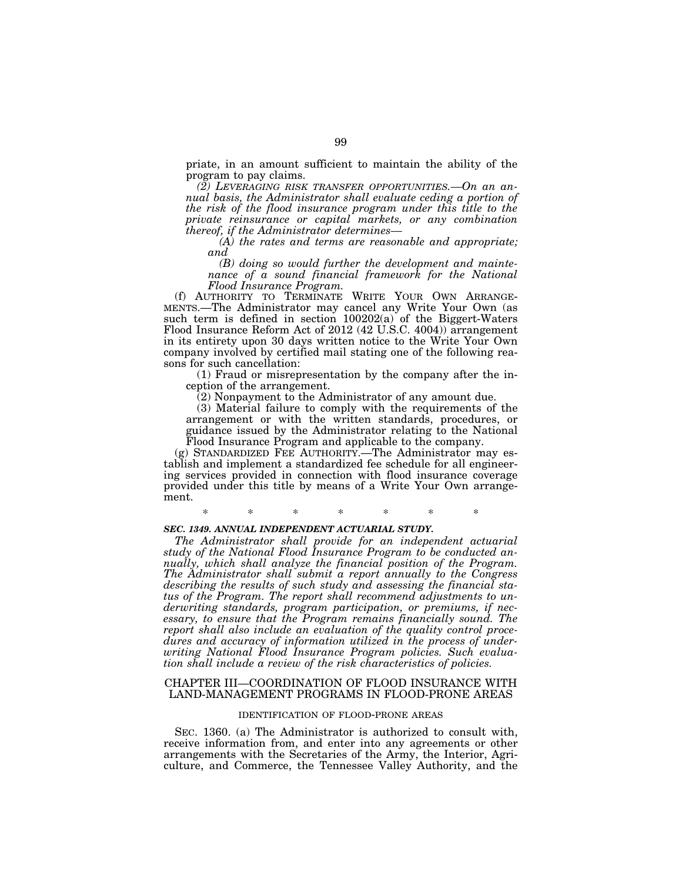priate, in an amount sufficient to maintain the ability of the program to pay claims.

*(2) LEVERAGING RISK TRANSFER OPPORTUNITIES.—On an annual basis, the Administrator shall evaluate ceding a portion of the risk of the flood insurance program under this title to the private reinsurance or capital markets, or any combination thereof, if the Administrator determines—* 

*(A) the rates and terms are reasonable and appropriate; and* 

*(B) doing so would further the development and maintenance of a sound financial framework for the National Flood Insurance Program.* 

(f) AUTHORITY TO TERMINATE WRITE YOUR OWN ARRANGE-MENTS.—The Administrator may cancel any Write Your Own (as such term is defined in section 100202(a) of the Biggert-Waters Flood Insurance Reform Act of 2012 (42 U.S.C. 4004)) arrangement in its entirety upon 30 days written notice to the Write Your Own company involved by certified mail stating one of the following reasons for such cancellation:

(1) Fraud or misrepresentation by the company after the inception of the arrangement.

(2) Nonpayment to the Administrator of any amount due.

(3) Material failure to comply with the requirements of the arrangement or with the written standards, procedures, or guidance issued by the Administrator relating to the National Flood Insurance Program and applicable to the company.

(g) STANDARDIZED FEE AUTHORITY.—The Administrator may establish and implement a standardized fee schedule for all engineering services provided in connection with flood insurance coverage provided under this title by means of a Write Your Own arrangement.

\* \* \* \* \* \* \*

## *SEC. 1349. ANNUAL INDEPENDENT ACTUARIAL STUDY.*

*The Administrator shall provide for an independent actuarial study of the National Flood Insurance Program to be conducted annually, which shall analyze the financial position of the Program. The Administrator shall submit a report annually to the Congress describing the results of such study and assessing the financial status of the Program. The report shall recommend adjustments to underwriting standards, program participation, or premiums, if nec*essary, to ensure that the Program remains financially sound. The *report shall also include an evaluation of the quality control procedures and accuracy of information utilized in the process of underwriting National Flood Insurance Program policies. Such evaluation shall include a review of the risk characteristics of policies.* 

# CHAPTER III—COORDINATION OF FLOOD INSURANCE WITH LAND-MANAGEMENT PROGRAMS IN FLOOD-PRONE AREAS

### IDENTIFICATION OF FLOOD-PRONE AREAS

SEC. 1360. (a) The Administrator is authorized to consult with, receive information from, and enter into any agreements or other arrangements with the Secretaries of the Army, the Interior, Agriculture, and Commerce, the Tennessee Valley Authority, and the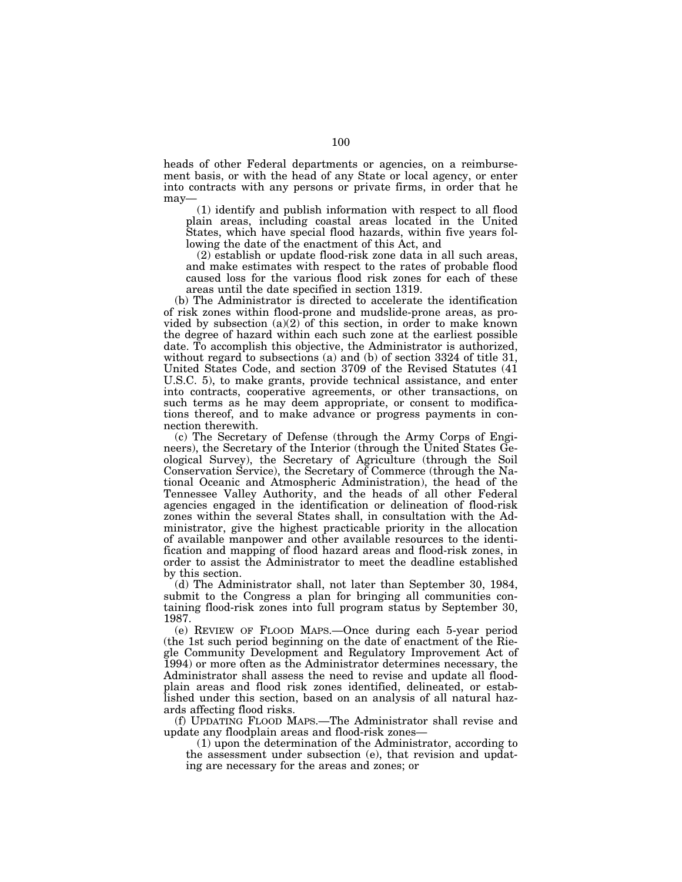heads of other Federal departments or agencies, on a reimbursement basis, or with the head of any State or local agency, or enter into contracts with any persons or private firms, in order that he may—

(1) identify and publish information with respect to all flood plain areas, including coastal areas located in the United States, which have special flood hazards, within five years following the date of the enactment of this Act, and

(2) establish or update flood-risk zone data in all such areas, and make estimates with respect to the rates of probable flood caused loss for the various flood risk zones for each of these areas until the date specified in section 1319.

(b) The Administrator is directed to accelerate the identification of risk zones within flood-prone and mudslide-prone areas, as provided by subsection  $(a)(2)$  of this section, in order to make known the degree of hazard within each such zone at the earliest possible date. To accomplish this objective, the Administrator is authorized, without regard to subsections (a) and (b) of section 3324 of title 31, United States Code, and section 3709 of the Revised Statutes (41 U.S.C. 5), to make grants, provide technical assistance, and enter into contracts, cooperative agreements, or other transactions, on such terms as he may deem appropriate, or consent to modifications thereof, and to make advance or progress payments in connection therewith.

(c) The Secretary of Defense (through the Army Corps of Engineers), the Secretary of the Interior (through the United States Geological Survey), the Secretary of Agriculture (through the Soil Conservation Service), the Secretary of Commerce (through the National Oceanic and Atmospheric Administration), the head of the Tennessee Valley Authority, and the heads of all other Federal agencies engaged in the identification or delineation of flood-risk zones within the several States shall, in consultation with the Administrator, give the highest practicable priority in the allocation of available manpower and other available resources to the identification and mapping of flood hazard areas and flood-risk zones, in order to assist the Administrator to meet the deadline established by this section.

(d) The Administrator shall, not later than September 30, 1984, submit to the Congress a plan for bringing all communities containing flood-risk zones into full program status by September 30, 1987.

(e) REVIEW OF FLOOD MAPS.—Once during each 5-year period (the 1st such period beginning on the date of enactment of the Riegle Community Development and Regulatory Improvement Act of 1994) or more often as the Administrator determines necessary, the Administrator shall assess the need to revise and update all floodplain areas and flood risk zones identified, delineated, or established under this section, based on an analysis of all natural hazards affecting flood risks.

(f) UPDATING FLOOD MAPS.—The Administrator shall revise and update any floodplain areas and flood-risk zones—

(1) upon the determination of the Administrator, according to the assessment under subsection (e), that revision and updating are necessary for the areas and zones; or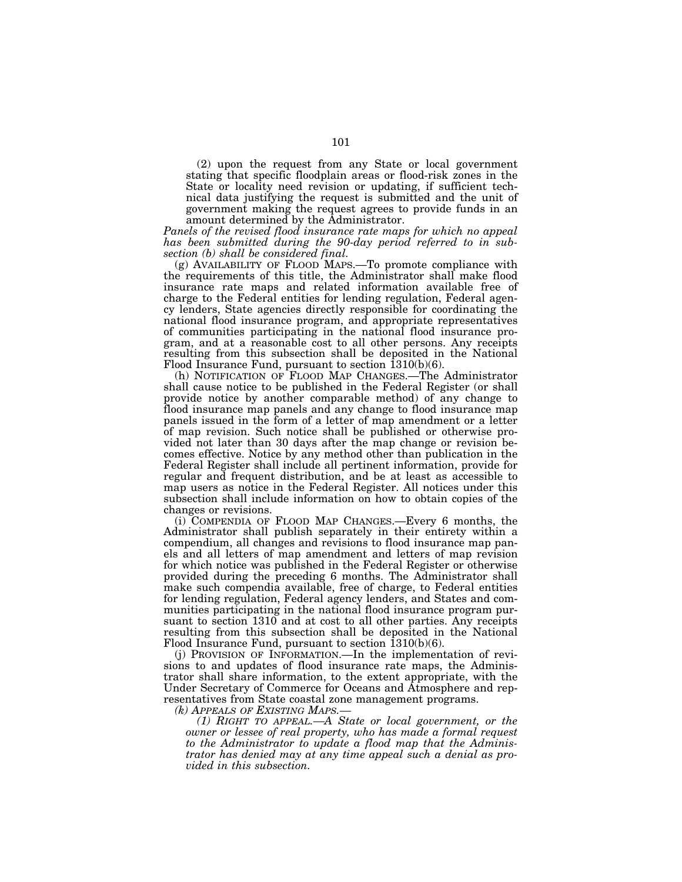(2) upon the request from any State or local government stating that specific floodplain areas or flood-risk zones in the State or locality need revision or updating, if sufficient technical data justifying the request is submitted and the unit of government making the request agrees to provide funds in an amount determined by the Administrator.

*Panels of the revised flood insurance rate maps for which no appeal has been submitted during the 90-day period referred to in subsection (b) shall be considered final.* 

(g) AVAILABILITY OF FLOOD MAPS.—To promote compliance with the requirements of this title, the Administrator shall make flood insurance rate maps and related information available free of charge to the Federal entities for lending regulation, Federal agency lenders, State agencies directly responsible for coordinating the national flood insurance program, and appropriate representatives of communities participating in the national flood insurance program, and at a reasonable cost to all other persons. Any receipts resulting from this subsection shall be deposited in the National Flood Insurance Fund, pursuant to section 1310(b)(6).

(h) NOTIFICATION OF FLOOD MAP CHANGES.—The Administrator shall cause notice to be published in the Federal Register (or shall provide notice by another comparable method) of any change to flood insurance map panels and any change to flood insurance map panels issued in the form of a letter of map amendment or a letter of map revision. Such notice shall be published or otherwise provided not later than 30 days after the map change or revision becomes effective. Notice by any method other than publication in the Federal Register shall include all pertinent information, provide for regular and frequent distribution, and be at least as accessible to map users as notice in the Federal Register. All notices under this subsection shall include information on how to obtain copies of the changes or revisions.

(i) COMPENDIA OF FLOOD MAP CHANGES.—Every 6 months, the Administrator shall publish separately in their entirety within a compendium, all changes and revisions to flood insurance map panels and all letters of map amendment and letters of map revision for which notice was published in the Federal Register or otherwise provided during the preceding 6 months. The Administrator shall make such compendia available, free of charge, to Federal entities for lending regulation, Federal agency lenders, and States and communities participating in the national flood insurance program pursuant to section 1310 and at cost to all other parties. Any receipts resulting from this subsection shall be deposited in the National Flood Insurance Fund, pursuant to section  $\overline{1310(b)(6)}$ .

(j) PROVISION OF INFORMATION.—In the implementation of revisions to and updates of flood insurance rate maps, the Administrator shall share information, to the extent appropriate, with the Under Secretary of Commerce for Oceans and Atmosphere and representatives from State coastal zone management programs.

*(k) APPEALS OF EXISTING MAPS.— (1) RIGHT TO APPEAL.—A State or local government, or the owner or lessee of real property, who has made a formal request to the Administrator to update a flood map that the Administrator has denied may at any time appeal such a denial as provided in this subsection.*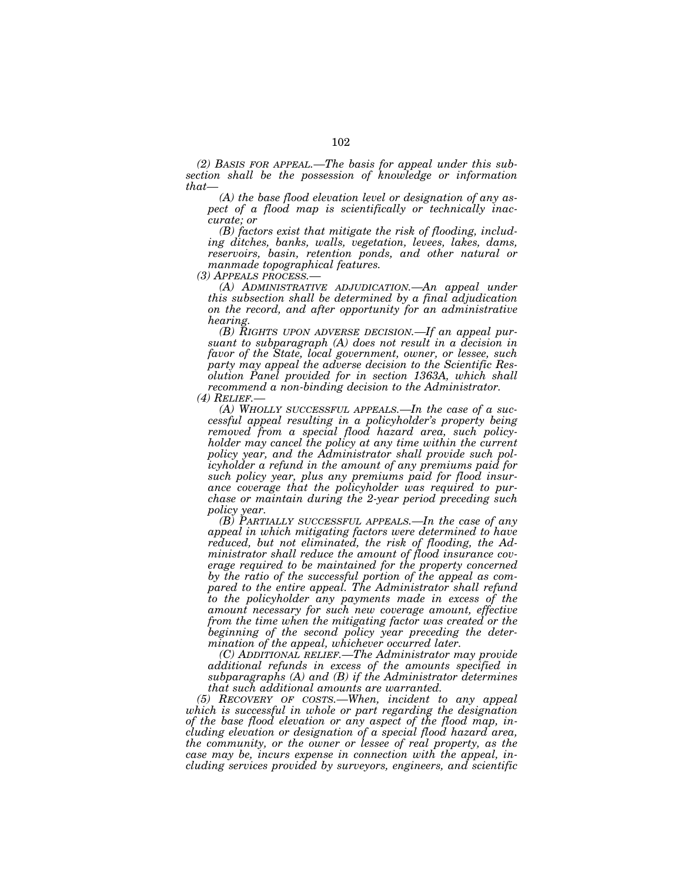*(2) BASIS FOR APPEAL.—The basis for appeal under this subsection shall be the possession of knowledge or information that—* 

*(A) the base flood elevation level or designation of any aspect of a flood map is scientifically or technically inaccurate; or* 

*(B) factors exist that mitigate the risk of flooding, including ditches, banks, walls, vegetation, levees, lakes, dams, reservoirs, basin, retention ponds, and other natural or manmade topographical features.*<br>
(3) APPEALS PROCESS.—

*(A) ADMINISTRATIVE ADJUDICATION.—An appeal under this subsection shall be determined by a final adjudication on the record, and after opportunity for an administrative hearing.* 

*(B) RIGHTS UPON ADVERSE DECISION.—If an appeal pursuant to subparagraph (A) does not result in a decision in favor of the State, local government, owner, or lessee, such party may appeal the adverse decision to the Scientific Resolution Panel provided for in section 1363A, which shall recommend a non-binding decision to the Administrator.* 

*(4) RELIEF.— (A) WHOLLY SUCCESSFUL APPEALS.—In the case of a successful appeal resulting in a policyholder's property being removed from a special flood hazard area, such policyholder may cancel the policy at any time within the current policy year, and the Administrator shall provide such policyholder a refund in the amount of any premiums paid for such policy year, plus any premiums paid for flood insurance coverage that the policyholder was required to purchase or maintain during the 2-year period preceding such policy year.* 

*(B) PARTIALLY SUCCESSFUL APPEALS.—In the case of any appeal in which mitigating factors were determined to have reduced, but not eliminated, the risk of flooding, the Administrator shall reduce the amount of flood insurance coverage required to be maintained for the property concerned by the ratio of the successful portion of the appeal as compared to the entire appeal. The Administrator shall refund to the policyholder any payments made in excess of the amount necessary for such new coverage amount, effective from the time when the mitigating factor was created or the beginning of the second policy year preceding the determination of the appeal, whichever occurred later.* 

*(C) ADDITIONAL RELIEF.—The Administrator may provide additional refunds in excess of the amounts specified in subparagraphs (A) and (B) if the Administrator determines that such additional amounts are warranted.* 

*(5) RECOVERY OF COSTS.—When, incident to any appeal which is successful in whole or part regarding the designation of the base flood elevation or any aspect of the flood map, including elevation or designation of a special flood hazard area, the community, or the owner or lessee of real property, as the case may be, incurs expense in connection with the appeal, including services provided by surveyors, engineers, and scientific*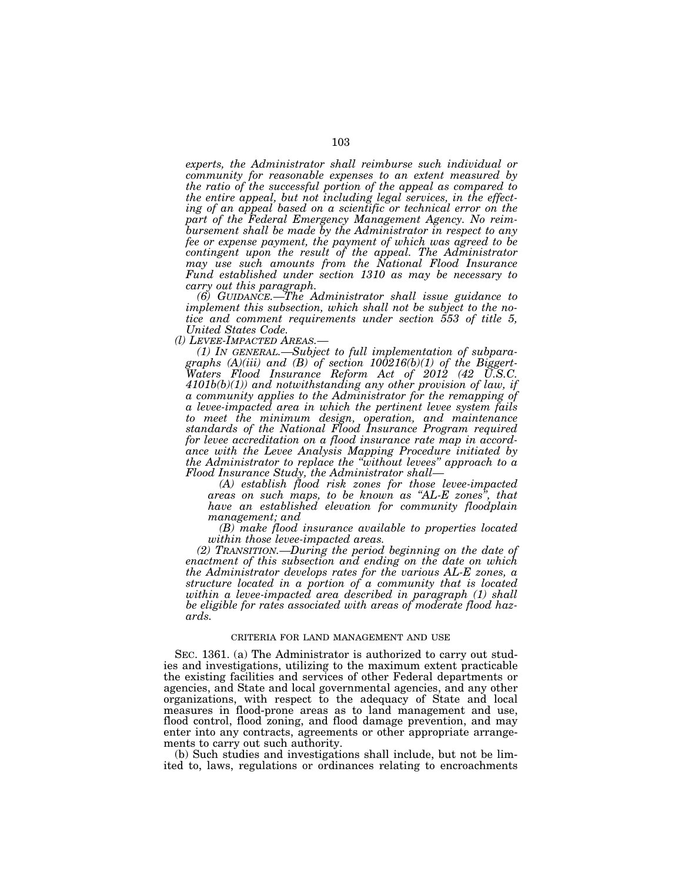*experts, the Administrator shall reimburse such individual or community for reasonable expenses to an extent measured by the ratio of the successful portion of the appeal as compared to the entire appeal, but not including legal services, in the effecting of an appeal based on a scientific or technical error on the part of the Federal Emergency Management Agency. No reimbursement shall be made by the Administrator in respect to any fee or expense payment, the payment of which was agreed to be contingent upon the result of the appeal. The Administrator may use such amounts from the National Flood Insurance Fund established under section 1310 as may be necessary to carry out this paragraph.* 

*(6) GUIDANCE.—The Administrator shall issue guidance to implement this subsection, which shall not be subject to the notice and comment requirements under section 553 of title 5, United States Code.* 

(1) IN GENERAL.—Subject to full implementation of subpara*graphs (A)(iii) and (B) of section 100216(b)(1) of the Biggert-Waters Flood Insurance Reform Act of 2012 (42 U.S.C. 4101b(b)(1)) and notwithstanding any other provision of law, if a community applies to the Administrator for the remapping of a levee-impacted area in which the pertinent levee system fails to meet the minimum design, operation, and maintenance standards of the National Flood Insurance Program required for levee accreditation on a flood insurance rate map in accordance with the Levee Analysis Mapping Procedure initiated by the Administrator to replace the ''without levees'' approach to a Flood Insurance Study, the Administrator shall—* 

*(A) establish flood risk zones for those levee-impacted areas on such maps, to be known as ''AL-E zones'', that have an established elevation for community floodplain management; and* 

*(B) make flood insurance available to properties located within those levee-impacted areas.* 

*(2) TRANSITION.—During the period beginning on the date of enactment of this subsection and ending on the date on which the Administrator develops rates for the various AL-E zones, a structure located in a portion of a community that is located within a levee-impacted area described in paragraph (1) shall be eligible for rates associated with areas of moderate flood hazards.* 

### CRITERIA FOR LAND MANAGEMENT AND USE

SEC. 1361. (a) The Administrator is authorized to carry out studies and investigations, utilizing to the maximum extent practicable the existing facilities and services of other Federal departments or agencies, and State and local governmental agencies, and any other organizations, with respect to the adequacy of State and local measures in flood-prone areas as to land management and use, flood control, flood zoning, and flood damage prevention, and may enter into any contracts, agreements or other appropriate arrangements to carry out such authority.

(b) Such studies and investigations shall include, but not be limited to, laws, regulations or ordinances relating to encroachments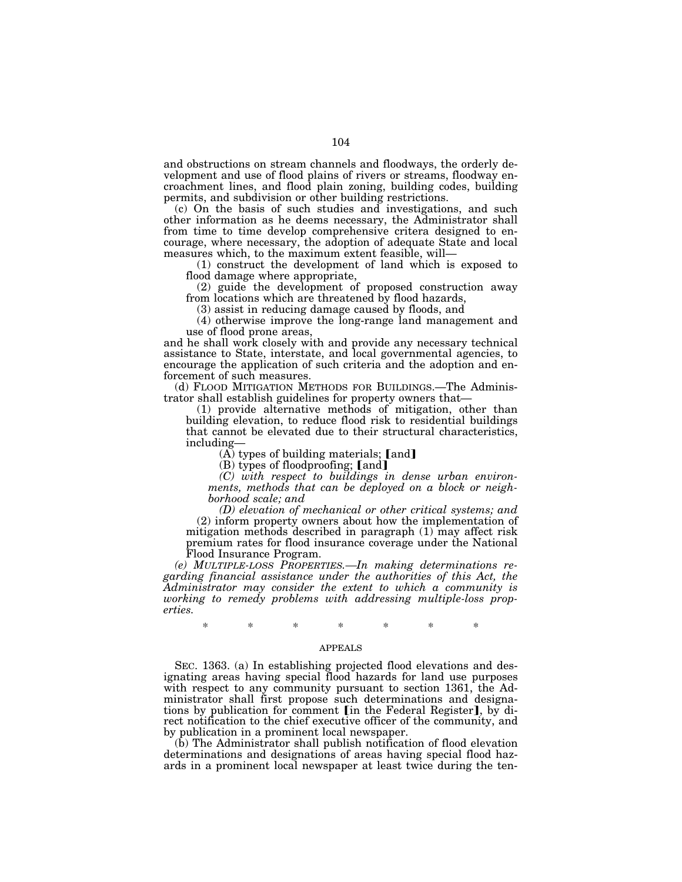and obstructions on stream channels and floodways, the orderly development and use of flood plains of rivers or streams, floodway encroachment lines, and flood plain zoning, building codes, building permits, and subdivision or other building restrictions.

(c) On the basis of such studies and investigations, and such other information as he deems necessary, the Administrator shall from time to time develop comprehensive critera designed to encourage, where necessary, the adoption of adequate State and local measures which, to the maximum extent feasible, will—

(1) construct the development of land which is exposed to flood damage where appropriate,

(2) guide the development of proposed construction away from locations which are threatened by flood hazards,

(3) assist in reducing damage caused by floods, and

(4) otherwise improve the long-range land management and use of flood prone areas,

and he shall work closely with and provide any necessary technical assistance to State, interstate, and local governmental agencies, to encourage the application of such criteria and the adoption and enforcement of such measures.

(d) FLOOD MITIGATION METHODS FOR BUILDINGS.—The Administrator shall establish guidelines for property owners that—

(1) provide alternative methods of mitigation, other than building elevation, to reduce flood risk to residential buildings that cannot be elevated due to their structural characteristics, including—

 $(A)$  types of building materials; [and]

 $(B)$  types of floodproofing; [and]

*(C) with respect to buildings in dense urban environments, methods that can be deployed on a block or neighborhood scale; and* 

*(D) elevation of mechanical or other critical systems; and*  (2) inform property owners about how the implementation of mitigation methods described in paragraph (1) may affect risk premium rates for flood insurance coverage under the National Flood Insurance Program.

*(e) MULTIPLE-LOSS PROPERTIES.—In making determinations regarding financial assistance under the authorities of this Act, the Administrator may consider the extent to which a community is working to remedy problems with addressing multiple-loss properties.* 

\* \* \* \* \* \* \*

# APPEALS

SEC. 1363. (a) In establishing projected flood elevations and designating areas having special flood hazards for land use purposes with respect to any community pursuant to section 1361, the Administrator shall first propose such determinations and designations by publication for comment [in the Federal Register], by direct notification to the chief executive officer of the community, and by publication in a prominent local newspaper.

(b) The Administrator shall publish notification of flood elevation determinations and designations of areas having special flood hazards in a prominent local newspaper at least twice during the ten-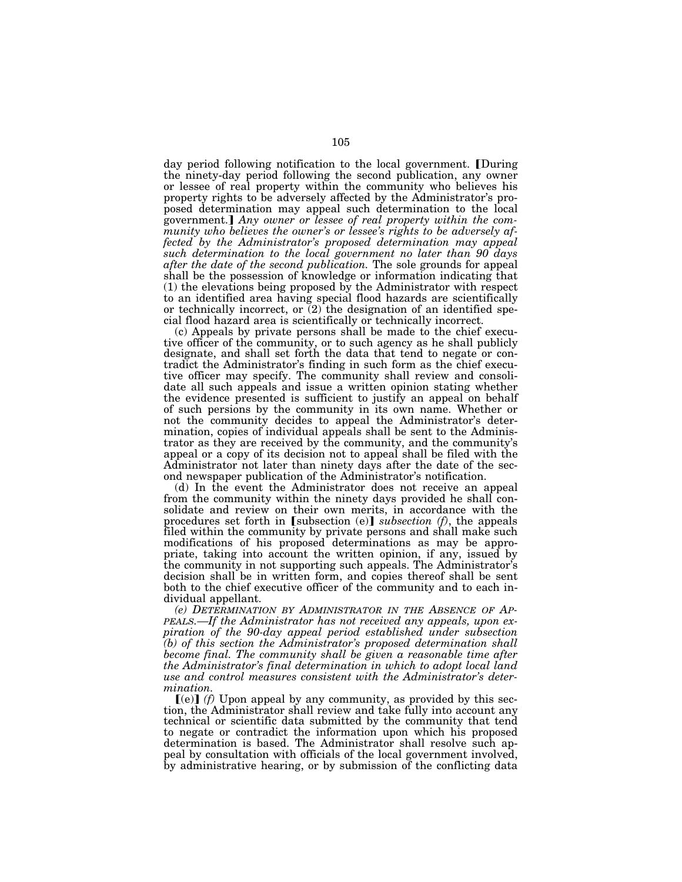day period following notification to the local government. During the ninety-day period following the second publication, any owner or lessee of real property within the community who believes his property rights to be adversely affected by the Administrator's proposed determination may appeal such determination to the local government.] Any owner or lessee of real property within the com*munity who believes the owner's or lessee's rights to be adversely affected by the Administrator's proposed determination may appeal such determination to the local government no later than 90 days after the date of the second publication.* The sole grounds for appeal shall be the possession of knowledge or information indicating that (1) the elevations being proposed by the Administrator with respect to an identified area having special flood hazards are scientifically or technically incorrect, or (2) the designation of an identified special flood hazard area is scientifically or technically incorrect.

(c) Appeals by private persons shall be made to the chief executive officer of the community, or to such agency as he shall publicly designate, and shall set forth the data that tend to negate or contradict the Administrator's finding in such form as the chief executive officer may specify. The community shall review and consolidate all such appeals and issue a written opinion stating whether the evidence presented is sufficient to justify an appeal on behalf of such persions by the community in its own name. Whether or not the community decides to appeal the Administrator's determination, copies of individual appeals shall be sent to the Administrator as they are received by the community, and the community's appeal or a copy of its decision not to appeal shall be filed with the Administrator not later than ninety days after the date of the second newspaper publication of the Administrator's notification.

(d) In the event the Administrator does not receive an appeal from the community within the ninety days provided he shall consolidate and review on their own merits, in accordance with the procedures set forth in  $[subsection (e)]$  *subsection (f)*, the appeals filed within the community by private persons and shall make such modifications of his proposed determinations as may be appropriate, taking into account the written opinion, if any, issued by the community in not supporting such appeals. The Administrator's decision shall be in written form, and copies thereof shall be sent both to the chief executive officer of the community and to each individual appellant.

*(e) DETERMINATION BY ADMINISTRATOR IN THE ABSENCE OF AP-PEALS.—If the Administrator has not received any appeals, upon expiration of the 90-day appeal period established under subsection (b) of this section the Administrator's proposed determination shall become final. The community shall be given a reasonable time after the Administrator's final determination in which to adopt local land use and control measures consistent with the Administrator's determination.* 

 $\left[ \text{(e)} \right]$  *(f)* Upon appeal by any community, as provided by this section, the Administrator shall review and take fully into account any technical or scientific data submitted by the community that tend to negate or contradict the information upon which his proposed determination is based. The Administrator shall resolve such appeal by consultation with officials of the local government involved, by administrative hearing, or by submission of the conflicting data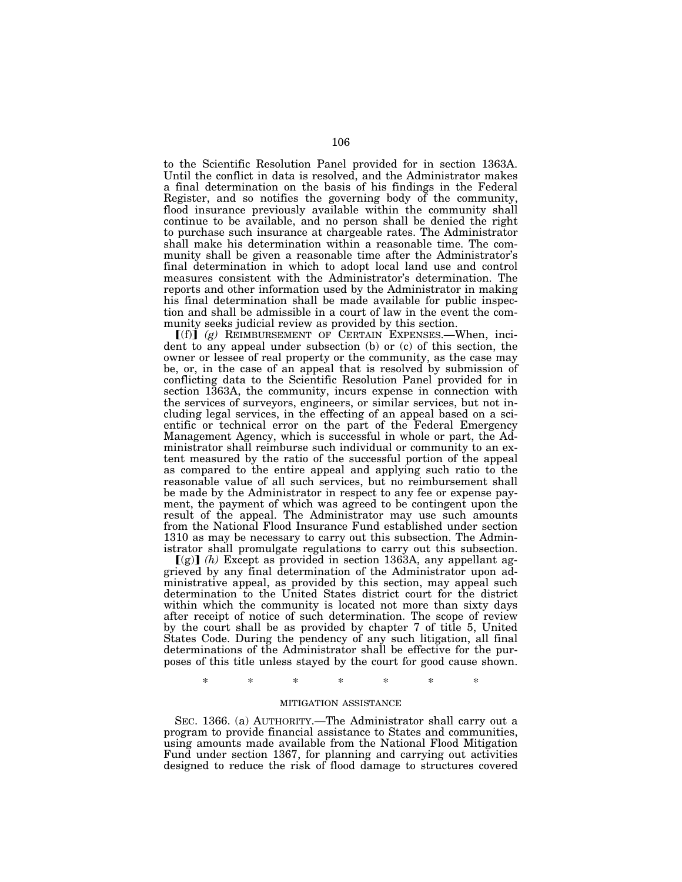to the Scientific Resolution Panel provided for in section 1363A. Until the conflict in data is resolved, and the Administrator makes a final determination on the basis of his findings in the Federal Register, and so notifies the governing body of the community, flood insurance previously available within the community shall continue to be available, and no person shall be denied the right to purchase such insurance at chargeable rates. The Administrator shall make his determination within a reasonable time. The community shall be given a reasonable time after the Administrator's final determination in which to adopt local land use and control measures consistent with the Administrator's determination. The reports and other information used by the Administrator in making his final determination shall be made available for public inspection and shall be admissible in a court of law in the event the community seeks judicial review as provided by this section.

 $[(f)]$   $(g)$  REIMBURSEMENT OF CERTAIN EXPENSES. When, incident to any appeal under subsection (b) or (c) of this section, the owner or lessee of real property or the community, as the case may be, or, in the case of an appeal that is resolved by submission of conflicting data to the Scientific Resolution Panel provided for in section 1363A, the community, incurs expense in connection with the services of surveyors, engineers, or similar services, but not including legal services, in the effecting of an appeal based on a scientific or technical error on the part of the Federal Emergency Management Agency, which is successful in whole or part, the Administrator shall reimburse such individual or community to an extent measured by the ratio of the successful portion of the appeal as compared to the entire appeal and applying such ratio to the reasonable value of all such services, but no reimbursement shall be made by the Administrator in respect to any fee or expense payment, the payment of which was agreed to be contingent upon the result of the appeal. The Administrator may use such amounts from the National Flood Insurance Fund established under section 1310 as may be necessary to carry out this subsection. The Administrator shall promulgate regulations to carry out this subsection.

 $\left[\right(\mathbf{g})\right]$  (h) Except as provided in section 1363A, any appellant aggrieved by any final determination of the Administrator upon administrative appeal, as provided by this section, may appeal such determination to the United States district court for the district within which the community is located not more than sixty days after receipt of notice of such determination. The scope of review by the court shall be as provided by chapter 7 of title 5, United States Code. During the pendency of any such litigation, all final determinations of the Administrator shall be effective for the purposes of this title unless stayed by the court for good cause shown.

\* \* \* \* \* \* \*

# MITIGATION ASSISTANCE

SEC. 1366. (a) AUTHORITY.—The Administrator shall carry out a program to provide financial assistance to States and communities, using amounts made available from the National Flood Mitigation Fund under section 1367, for planning and carrying out activities designed to reduce the risk of flood damage to structures covered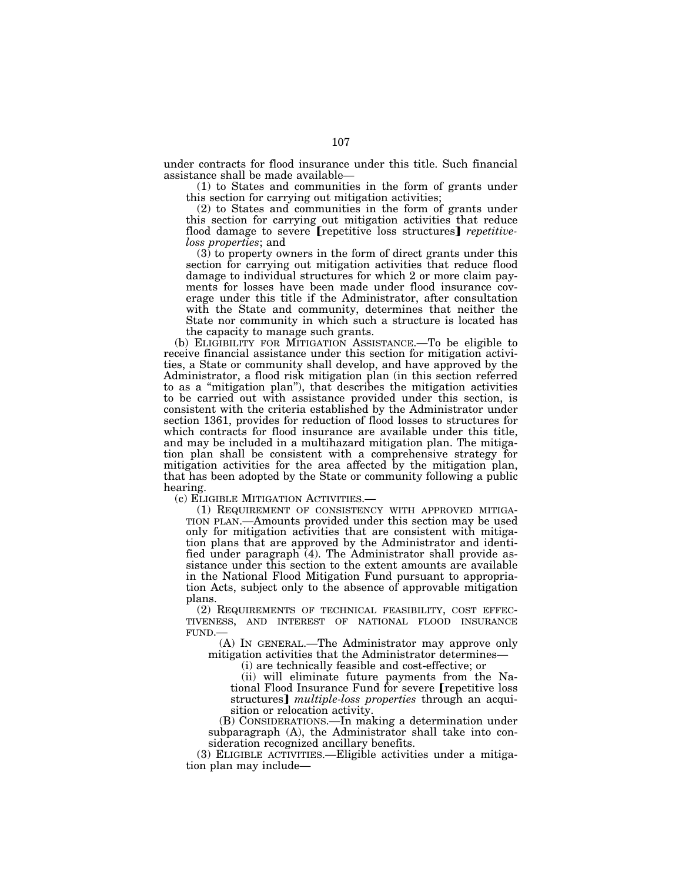under contracts for flood insurance under this title. Such financial assistance shall be made available—

(1) to States and communities in the form of grants under this section for carrying out mitigation activities;

(2) to States and communities in the form of grants under this section for carrying out mitigation activities that reduce flood damage to severe [repetitive loss structures] *repetitiveloss properties*; and

 $(3)$  to property owners in the form of direct grants under this section for carrying out mitigation activities that reduce flood damage to individual structures for which 2 or more claim payments for losses have been made under flood insurance coverage under this title if the Administrator, after consultation with the State and community, determines that neither the State nor community in which such a structure is located has the capacity to manage such grants.

(b) ELIGIBILITY FOR MITIGATION ASSISTANCE.—To be eligible to receive financial assistance under this section for mitigation activities, a State or community shall develop, and have approved by the Administrator, a flood risk mitigation plan (in this section referred to as a ''mitigation plan''), that describes the mitigation activities to be carried out with assistance provided under this section, is consistent with the criteria established by the Administrator under section 1361, provides for reduction of flood losses to structures for which contracts for flood insurance are available under this title, and may be included in a multihazard mitigation plan. The mitigation plan shall be consistent with a comprehensive strategy for mitigation activities for the area affected by the mitigation plan, that has been adopted by the State or community following a public hearing.

(c) ELIGIBLE MITIGATION ACTIVITIES.— (1) REQUIREMENT OF CONSISTENCY WITH APPROVED MITIGA-TION PLAN.—Amounts provided under this section may be used only for mitigation activities that are consistent with mitigation plans that are approved by the Administrator and identified under paragraph (4). The Administrator shall provide assistance under this section to the extent amounts are available in the National Flood Mitigation Fund pursuant to appropriation Acts, subject only to the absence of approvable mitigation plans.

(2) REQUIREMENTS OF TECHNICAL FEASIBILITY, COST EFFEC-TIVENESS, AND INTEREST OF NATIONAL FLOOD INSURANCE FUND.—

(A) IN GENERAL.—The Administrator may approve only mitigation activities that the Administrator determines—

(i) are technically feasible and cost-effective; or

(ii) will eliminate future payments from the National Flood Insurance Fund for severe [repetitive loss] structures] *multiple-loss properties* through an acquisition or relocation activity.

(B) CONSIDERATIONS.—In making a determination under subparagraph (A), the Administrator shall take into consideration recognized ancillary benefits.

(3) ELIGIBLE ACTIVITIES.—Eligible activities under a mitigation plan may include—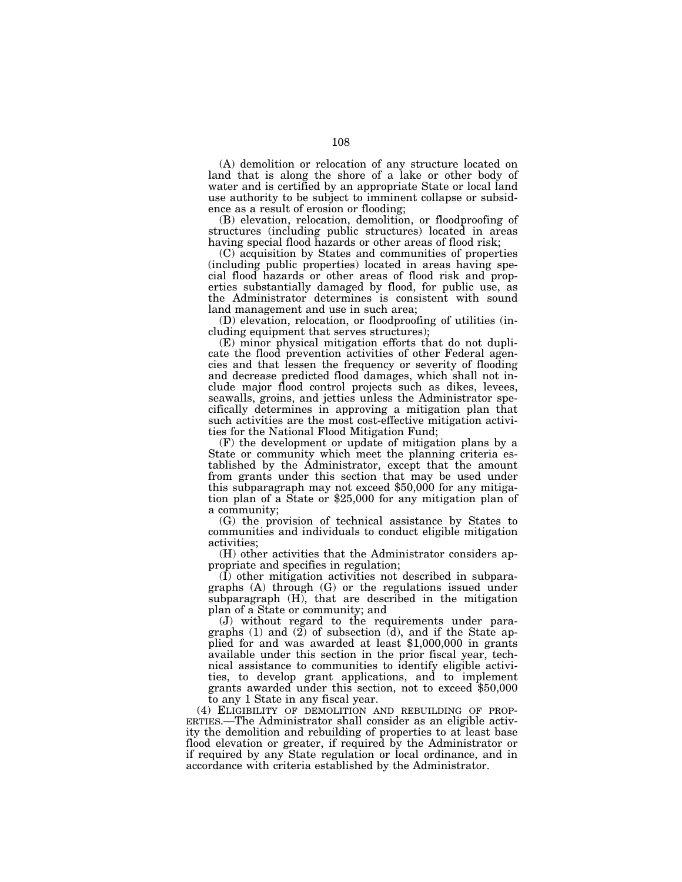(A) demolition or relocation of any structure located on land that is along the shore of a lake or other body of water and is certified by an appropriate State or local land use authority to be subject to imminent collapse or subsidence as a result of erosion or flooding;

(B) elevation, relocation, demolition, or floodproofing of structures (including public structures) located in areas having special flood hazards or other areas of flood risk;

(C) acquisition by States and communities of properties (including public properties) located in areas having special flood hazards or other areas of flood risk and properties substantially damaged by flood, for public use, as the Administrator determines is consistent with sound land management and use in such area;

(D) elevation, relocation, or floodproofing of utilities (including equipment that serves structures);

(E) minor physical mitigation efforts that do not duplicate the flood prevention activities of other Federal agencies and that lessen the frequency or severity of flooding and decrease predicted flood damages, which shall not include major flood control projects such as dikes, levees, seawalls, groins, and jetties unless the Administrator specifically determines in approving a mitigation plan that such activities are the most cost-effective mitigation activities for the National Flood Mitigation Fund;

(F) the development or update of mitigation plans by a State or community which meet the planning criteria established by the Administrator, except that the amount from grants under this section that may be used under this subparagraph may not exceed \$50,000 for any mitigation plan of a State or \$25,000 for any mitigation plan of a community;

(G) the provision of technical assistance by States to communities and individuals to conduct eligible mitigation activities;

(H) other activities that the Administrator considers appropriate and specifies in regulation;

(I) other mitigation activities not described in subparagraphs (A) through (G) or the regulations issued under subparagraph (H), that are described in the mitigation plan of a State or community; and

(J) without regard to the requirements under paragraphs (1) and  $(2)$  of subsection  $(d)$ , and if the State applied for and was awarded at least \$1,000,000 in grants available under this section in the prior fiscal year, technical assistance to communities to identify eligible activities, to develop grant applications, and to implement grants awarded under this section, not to exceed \$50,000

to any 1 State in any fiscal year.<br>(4) ELIGIBILITY OF DEMOLITION AND REBUILDING OF PROP-ERTIES.—The Administrator shall consider as an eligible activity the demolition and rebuilding of properties to at least base flood elevation or greater, if required by the Administrator or if required by any State regulation or local ordinance, and in accordance with criteria established by the Administrator.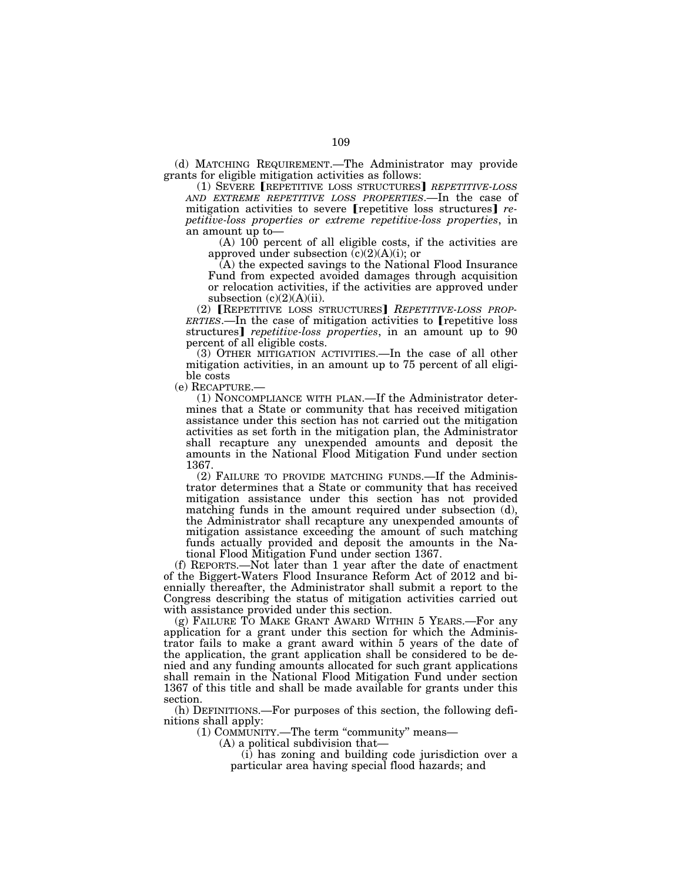(d) MATCHING REQUIREMENT.—The Administrator may provide grants for eligible mitigation activities as follows:

(1) SEVERE *[REPETITIVE LOSS STRUCTURES] REPETITIVE-LOSS AND EXTREME REPETITIVE LOSS PROPERTIES*.—In the case of mitigation activities to severe [repetitive loss structures] *repetitive-loss properties or extreme repetitive-loss properties*, in an amount up to—

(A) 100 percent of all eligible costs, if the activities are approved under subsection (c)(2)(A)(i); or

(A) the expected savings to the National Flood Insurance Fund from expected avoided damages through acquisition or relocation activities, if the activities are approved under subsection  $(c)(2)(A)(ii)$ .

(2) **[REPETITIVE LOSS STRUCTURES] REPETITIVE-LOSS PROP-***ERTIES*.—In the case of mitigation activities to **repetitive** loss structures] *repetitive-loss properties*, in an amount up to 90 percent of all eligible costs.

(3) OTHER MITIGATION ACTIVITIES.—In the case of all other mitigation activities, in an amount up to 75 percent of all eligible costs

(e) RECAPTURE.— (1) NONCOMPLIANCE WITH PLAN.—If the Administrator determines that a State or community that has received mitigation assistance under this section has not carried out the mitigation activities as set forth in the mitigation plan, the Administrator shall recapture any unexpended amounts and deposit the amounts in the National Flood Mitigation Fund under section 1367.

(2) FAILURE TO PROVIDE MATCHING FUNDS.—If the Administrator determines that a State or community that has received mitigation assistance under this section has not provided matching funds in the amount required under subsection (d), the Administrator shall recapture any unexpended amounts of mitigation assistance exceeding the amount of such matching funds actually provided and deposit the amounts in the National Flood Mitigation Fund under section 1367.

(f) REPORTS.—Not later than 1 year after the date of enactment of the Biggert-Waters Flood Insurance Reform Act of 2012 and biennially thereafter, the Administrator shall submit a report to the Congress describing the status of mitigation activities carried out with assistance provided under this section.

(g) FAILURE TO MAKE GRANT AWARD WITHIN 5 YEARS.—For any application for a grant under this section for which the Administrator fails to make a grant award within 5 years of the date of the application, the grant application shall be considered to be denied and any funding amounts allocated for such grant applications shall remain in the National Flood Mitigation Fund under section 1367 of this title and shall be made available for grants under this section.

(h) DEFINITIONS.—For purposes of this section, the following definitions shall apply:

(1) COMMUNITY.—The term ''community'' means—

(A) a political subdivision that—

(i) has zoning and building code jurisdiction over a particular area having special flood hazards; and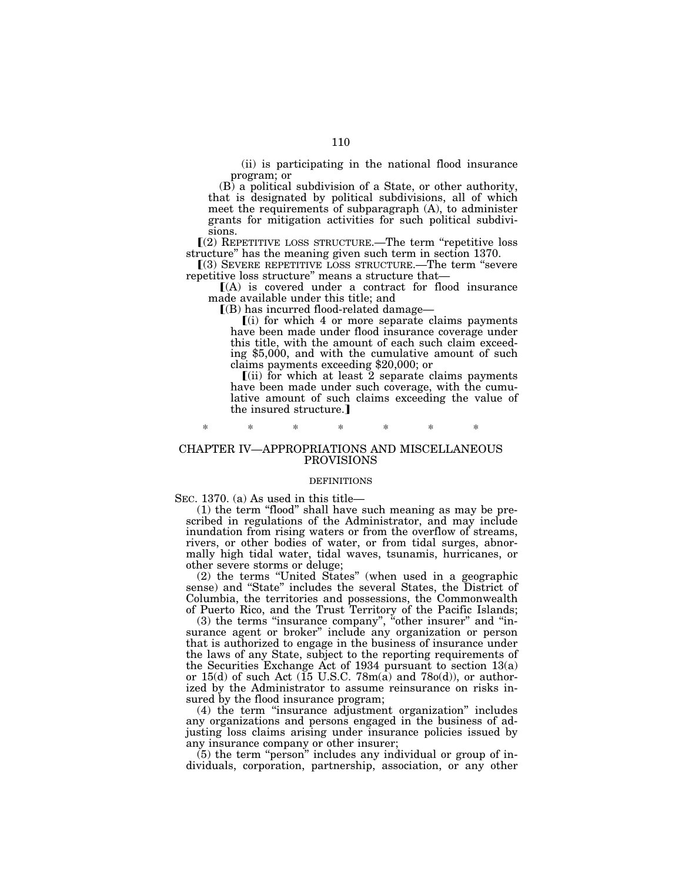(ii) is participating in the national flood insurance program; or

(B) a political subdivision of a State, or other authority, that is designated by political subdivisions, all of which meet the requirements of subparagraph (A), to administer grants for mitigation activities for such political subdivisions.

 $(2)$  REPETITIVE LOSS STRUCTURE.—The term "repetitive loss" structure'' has the meaning given such term in section 1370.

ø(3) SEVERE REPETITIVE LOSS STRUCTURE.—The term ''severe repetitive loss structure'' means a structure that—

 $[(A)$  is covered under a contract for flood insurance made available under this title; and

 $($ B) has incurred flood-related damage-

 $(i)$  for which 4 or more separate claims payments have been made under flood insurance coverage under this title, with the amount of each such claim exceeding \$5,000, and with the cumulative amount of such claims payments exceeding \$20,000; or

 $(iii)$  for which at least  $2$  separate claims payments have been made under such coverage, with the cumulative amount of such claims exceeding the value of the insured structure.]

## \* \* \* \* \* \* \*

### CHAPTER IV—APPROPRIATIONS AND MISCELLANEOUS PROVISIONS

#### DEFINITIONS

SEC. 1370. (a) As used in this title—

(1) the term ''flood'' shall have such meaning as may be prescribed in regulations of the Administrator, and may include inundation from rising waters or from the overflow of streams, rivers, or other bodies of water, or from tidal surges, abnormally high tidal water, tidal waves, tsunamis, hurricanes, or other severe storms or deluge;

(2) the terms ''United States'' (when used in a geographic sense) and ''State'' includes the several States, the District of Columbia, the territories and possessions, the Commonwealth of Puerto Rico, and the Trust Territory of the Pacific Islands;

(3) the terms "insurance company", "other insurer" and "insurance agent or broker'' include any organization or person that is authorized to engage in the business of insurance under the laws of any State, subject to the reporting requirements of the Securities Exchange Act of 1934 pursuant to section 13(a) or  $15(d)$  of such Act (15 U.S.C. 78m(a) and 78o(d)), or authorized by the Administrator to assume reinsurance on risks insured by the flood insurance program;

(4) the term ''insurance adjustment organization'' includes any organizations and persons engaged in the business of adjusting loss claims arising under insurance policies issued by any insurance company or other insurer;

 $(5)$  the term "person" includes any individual or group of individuals, corporation, partnership, association, or any other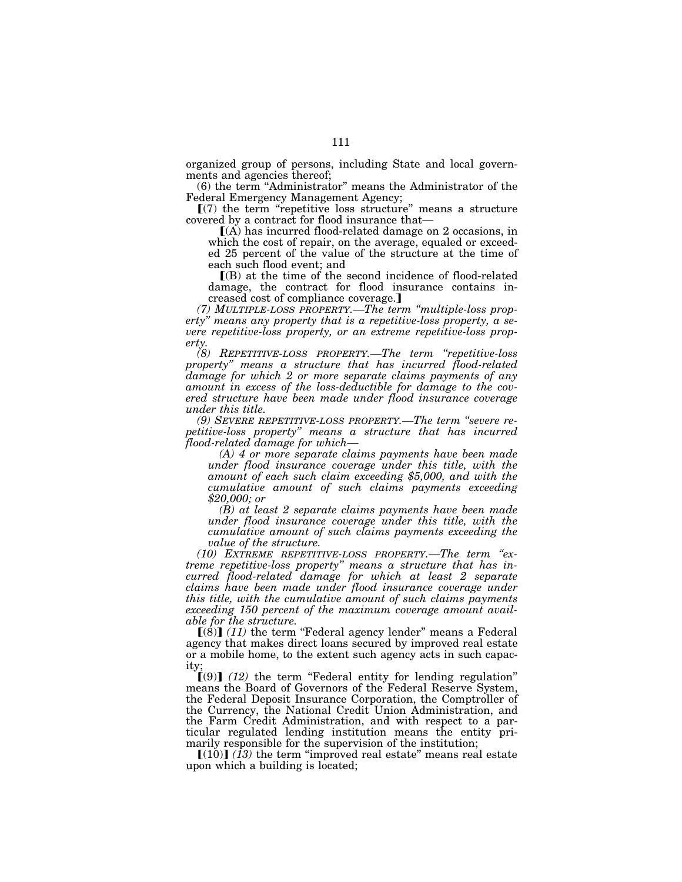organized group of persons, including State and local governments and agencies thereof;

(6) the term ''Administrator'' means the Administrator of the Federal Emergency Management Agency;

 $(7)$  the term "repetitive loss structure" means a structure covered by a contract for flood insurance that—

 $(A)$  has incurred flood-related damage on 2 occasions, in which the cost of repair, on the average, equaled or exceeded 25 percent of the value of the structure at the time of each such flood event; and

 $($ B) at the time of the second incidence of flood-related damage, the contract for flood insurance contains increased cost of compliance coverage.]

*(7) MULTIPLE-LOSS PROPERTY.—The term ''multiple-loss property'' means any property that is a repetitive-loss property, a severe repetitive-loss property, or an extreme repetitive-loss property.* 

*(8) REPETITIVE-LOSS PROPERTY.—The term ''repetitive-loss property'' means a structure that has incurred flood-related damage for which 2 or more separate claims payments of any amount in excess of the loss-deductible for damage to the covered structure have been made under flood insurance coverage under this title.* 

*(9) SEVERE REPETITIVE-LOSS PROPERTY.—The term ''severe repetitive-loss property'' means a structure that has incurred flood-related damage for which—* 

*(A) 4 or more separate claims payments have been made under flood insurance coverage under this title, with the amount of each such claim exceeding \$5,000, and with the cumulative amount of such claims payments exceeding \$20,000; or* 

*(B) at least 2 separate claims payments have been made under flood insurance coverage under this title, with the cumulative amount of such claims payments exceeding the value of the structure.* 

*(10) EXTREME REPETITIVE-LOSS PROPERTY.—The term ''extreme repetitive-loss property'' means a structure that has incurred flood-related damage for which at least 2 separate claims have been made under flood insurance coverage under this title, with the cumulative amount of such claims payments exceeding 150 percent of the maximum coverage amount available for the structure.* 

 $\left[\left(\dot{8}\right)\right]$  (11) the term "Federal agency lender" means a Federal agency that makes direct loans secured by improved real estate or a mobile home, to the extent such agency acts in such capacity;

 $(9)$  (12) the term "Federal entity for lending regulation" means the Board of Governors of the Federal Reserve System, the Federal Deposit Insurance Corporation, the Comptroller of the Currency, the National Credit Union Administration, and the Farm Credit Administration, and with respect to a particular regulated lending institution means the entity primarily responsible for the supervision of the institution;

 $\lceil (10) \rceil$  (13) the term "improved real estate" means real estate upon which a building is located;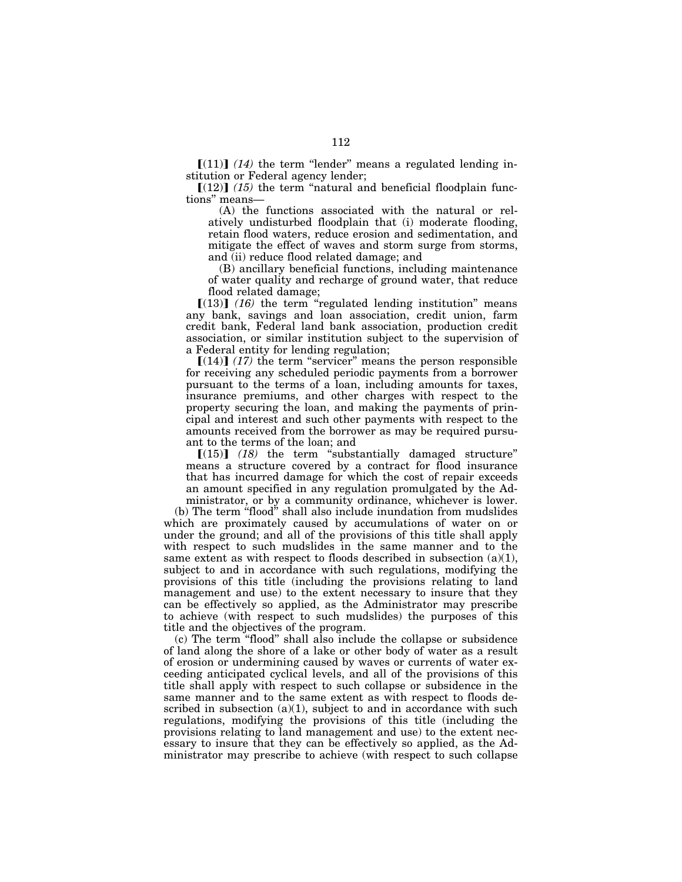$\lceil (11) \rceil$  (14) the term "lender" means a regulated lending institution or Federal agency lender;

 $[(12)]$   $(15)$  the term "natural and beneficial floodplain functions'' means—

(A) the functions associated with the natural or relatively undisturbed floodplain that (i) moderate flooding, retain flood waters, reduce erosion and sedimentation, and mitigate the effect of waves and storm surge from storms, and (ii) reduce flood related damage; and

(B) ancillary beneficial functions, including maintenance of water quality and recharge of ground water, that reduce flood related damage;

 $[(13)]$   $(16)$  the term "regulated lending institution" means any bank, savings and loan association, credit union, farm credit bank, Federal land bank association, production credit association, or similar institution subject to the supervision of a Federal entity for lending regulation;

 $[(14)]$  (17) the term "servicer" means the person responsible for receiving any scheduled periodic payments from a borrower pursuant to the terms of a loan, including amounts for taxes, insurance premiums, and other charges with respect to the property securing the loan, and making the payments of principal and interest and such other payments with respect to the amounts received from the borrower as may be required pursuant to the terms of the loan; and

 $[(15)]$   $(18)$  the term "substantially damaged structure" means a structure covered by a contract for flood insurance that has incurred damage for which the cost of repair exceeds an amount specified in any regulation promulgated by the Administrator, or by a community ordinance, whichever is lower.

(b) The term ''flood'' shall also include inundation from mudslides which are proximately caused by accumulations of water on or under the ground; and all of the provisions of this title shall apply with respect to such mudslides in the same manner and to the same extent as with respect to floods described in subsection  $(a)(1)$ , subject to and in accordance with such regulations, modifying the provisions of this title (including the provisions relating to land management and use) to the extent necessary to insure that they can be effectively so applied, as the Administrator may prescribe to achieve (with respect to such mudslides) the purposes of this title and the objectives of the program.

(c) The term ''flood'' shall also include the collapse or subsidence of land along the shore of a lake or other body of water as a result of erosion or undermining caused by waves or currents of water exceeding anticipated cyclical levels, and all of the provisions of this title shall apply with respect to such collapse or subsidence in the same manner and to the same extent as with respect to floods described in subsection  $(a)(1)$ , subject to and in accordance with such regulations, modifying the provisions of this title (including the provisions relating to land management and use) to the extent necessary to insure that they can be effectively so applied, as the Administrator may prescribe to achieve (with respect to such collapse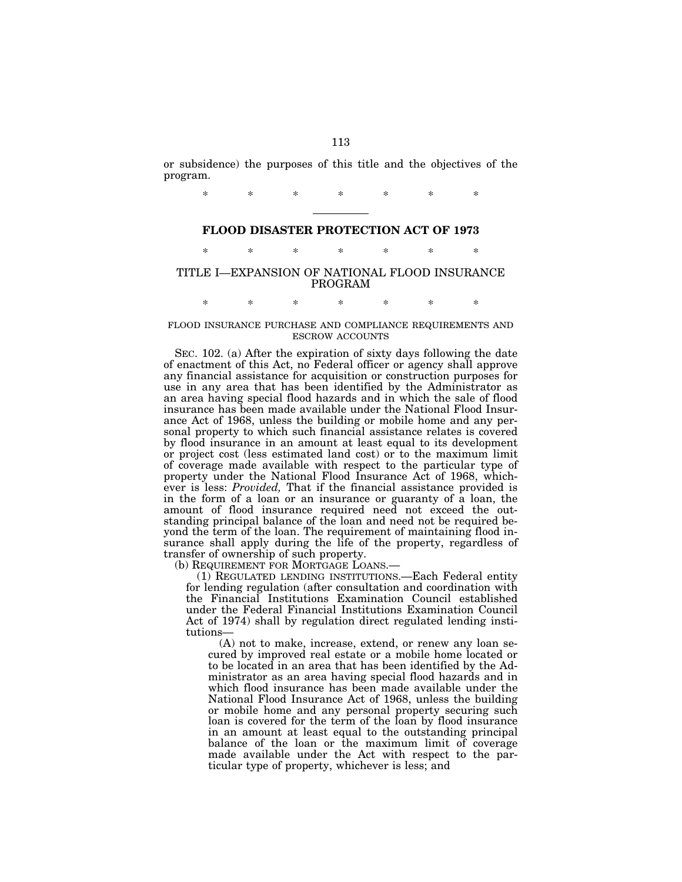or subsidence) the purposes of this title and the objectives of the program.

\* \* \* \* \* \* \*

## **FLOOD DISASTER PROTECTION ACT OF 1973**

\* \* \* \* \* \* \*

## TITLE I—EXPANSION OF NATIONAL FLOOD INSURANCE PROGRAM

\* \* \* \* \* \* \*

## FLOOD INSURANCE PURCHASE AND COMPLIANCE REQUIREMENTS AND ESCROW ACCOUNTS

SEC. 102. (a) After the expiration of sixty days following the date of enactment of this Act, no Federal officer or agency shall approve any financial assistance for acquisition or construction purposes for use in any area that has been identified by the Administrator as an area having special flood hazards and in which the sale of flood insurance has been made available under the National Flood Insurance Act of 1968, unless the building or mobile home and any personal property to which such financial assistance relates is covered by flood insurance in an amount at least equal to its development or project cost (less estimated land cost) or to the maximum limit of coverage made available with respect to the particular type of property under the National Flood Insurance Act of 1968, whichever is less: *Provided,* That if the financial assistance provided is in the form of a loan or an insurance or guaranty of a loan, the amount of flood insurance required need not exceed the outstanding principal balance of the loan and need not be required beyond the term of the loan. The requirement of maintaining flood insurance shall apply during the life of the property, regardless of transfer of ownership of such property.

(b) REQUIREMENT FOR MORTGAGE LOANS.—

(1) REGULATED LENDING INSTITUTIONS.—Each Federal entity for lending regulation (after consultation and coordination with the Financial Institutions Examination Council established under the Federal Financial Institutions Examination Council Act of 1974) shall by regulation direct regulated lending institutions—

(A) not to make, increase, extend, or renew any loan secured by improved real estate or a mobile home located or to be located in an area that has been identified by the Administrator as an area having special flood hazards and in which flood insurance has been made available under the National Flood Insurance Act of 1968, unless the building or mobile home and any personal property securing such loan is covered for the term of the loan by flood insurance in an amount at least equal to the outstanding principal balance of the loan or the maximum limit of coverage made available under the Act with respect to the particular type of property, whichever is less; and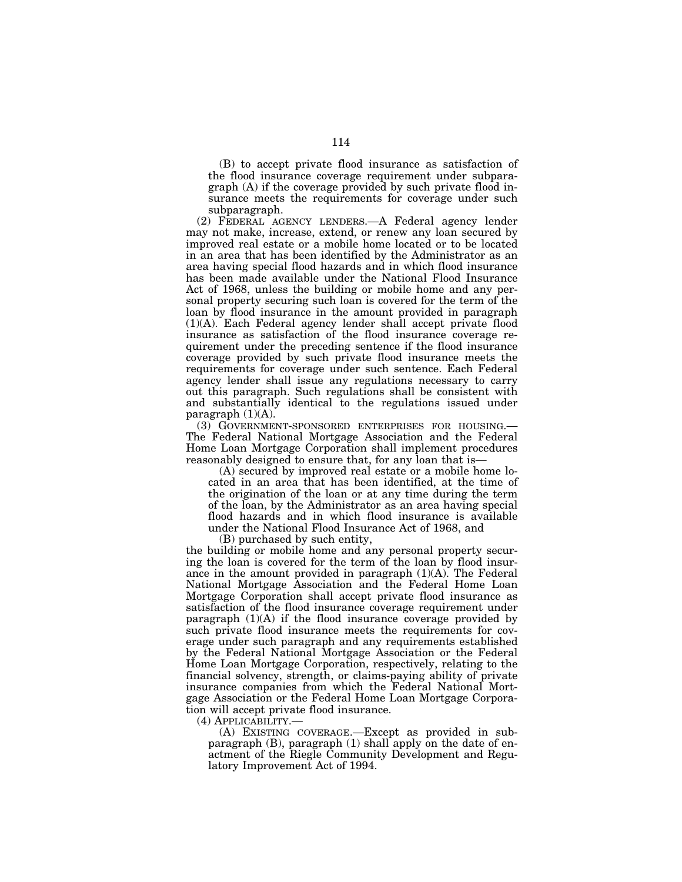(B) to accept private flood insurance as satisfaction of the flood insurance coverage requirement under subparagraph (A) if the coverage provided by such private flood insurance meets the requirements for coverage under such subparagraph.

(2) FEDERAL AGENCY LENDERS.—A Federal agency lender may not make, increase, extend, or renew any loan secured by improved real estate or a mobile home located or to be located in an area that has been identified by the Administrator as an area having special flood hazards and in which flood insurance has been made available under the National Flood Insurance Act of 1968, unless the building or mobile home and any personal property securing such loan is covered for the term of the loan by flood insurance in the amount provided in paragraph (1)(A). Each Federal agency lender shall accept private flood insurance as satisfaction of the flood insurance coverage requirement under the preceding sentence if the flood insurance coverage provided by such private flood insurance meets the requirements for coverage under such sentence. Each Federal agency lender shall issue any regulations necessary to carry out this paragraph. Such regulations shall be consistent with and substantially identical to the regulations issued under paragraph  $(1)(A)$ .

(3) GOVERNMENT-SPONSORED ENTERPRISES FOR HOUSING.— The Federal National Mortgage Association and the Federal Home Loan Mortgage Corporation shall implement procedures reasonably designed to ensure that, for any loan that is—

(A) secured by improved real estate or a mobile home located in an area that has been identified, at the time of the origination of the loan or at any time during the term of the loan, by the Administrator as an area having special flood hazards and in which flood insurance is available under the National Flood Insurance Act of 1968, and

(B) purchased by such entity,

the building or mobile home and any personal property securing the loan is covered for the term of the loan by flood insurance in the amount provided in paragraph (1)(A). The Federal National Mortgage Association and the Federal Home Loan Mortgage Corporation shall accept private flood insurance as satisfaction of the flood insurance coverage requirement under paragraph (1)(A) if the flood insurance coverage provided by such private flood insurance meets the requirements for coverage under such paragraph and any requirements established by the Federal National Mortgage Association or the Federal Home Loan Mortgage Corporation, respectively, relating to the financial solvency, strength, or claims-paying ability of private insurance companies from which the Federal National Mortgage Association or the Federal Home Loan Mortgage Corporation will accept private flood insurance.

(4) APPLICABILITY.—

(A) EXISTING COVERAGE.—Except as provided in subparagraph (B), paragraph (1) shall apply on the date of enactment of the Riegle Community Development and Regulatory Improvement Act of 1994.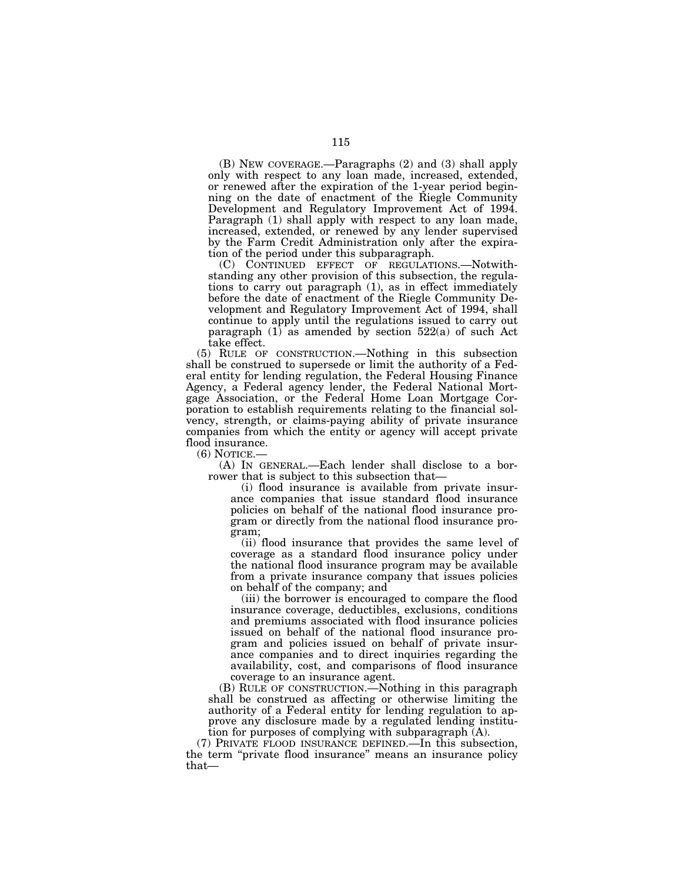(B) NEW COVERAGE.—Paragraphs (2) and (3) shall apply only with respect to any loan made, increased, extended, or renewed after the expiration of the 1-year period beginning on the date of enactment of the Riegle Community Development and Regulatory Improvement Act of 1994. Paragraph (1) shall apply with respect to any loan made, increased, extended, or renewed by any lender supervised by the Farm Credit Administration only after the expiration of the period under this subparagraph.

(C) CONTINUED EFFECT OF REGULATIONS.—Notwithstanding any other provision of this subsection, the regulations to carry out paragraph (1), as in effect immediately before the date of enactment of the Riegle Community Development and Regulatory Improvement Act of 1994, shall continue to apply until the regulations issued to carry out paragraph (1) as amended by section 522(a) of such Act take effect.

(5) RULE OF CONSTRUCTION.—Nothing in this subsection shall be construed to supersede or limit the authority of a Federal entity for lending regulation, the Federal Housing Finance Agency, a Federal agency lender, the Federal National Mortgage Association, or the Federal Home Loan Mortgage Corporation to establish requirements relating to the financial solvency, strength, or claims-paying ability of private insurance companies from which the entity or agency will accept private flood insurance.<br>(6) NOTICE.—

 $(A)$  In GENERAL.—Each lender shall disclose to a borrower that is subject to this subsection that—

(i) flood insurance is available from private insurance companies that issue standard flood insurance policies on behalf of the national flood insurance program or directly from the national flood insurance program;

(ii) flood insurance that provides the same level of coverage as a standard flood insurance policy under the national flood insurance program may be available from a private insurance company that issues policies on behalf of the company; and

(iii) the borrower is encouraged to compare the flood insurance coverage, deductibles, exclusions, conditions and premiums associated with flood insurance policies issued on behalf of the national flood insurance program and policies issued on behalf of private insurance companies and to direct inquiries regarding the availability, cost, and comparisons of flood insurance coverage to an insurance agent.

(B) RULE OF CONSTRUCTION.—Nothing in this paragraph shall be construed as affecting or otherwise limiting the authority of a Federal entity for lending regulation to approve any disclosure made by a regulated lending institution for purposes of complying with subparagraph (A).

(7) PRIVATE FLOOD INSURANCE DEFINED.—In this subsection, the term ''private flood insurance'' means an insurance policy that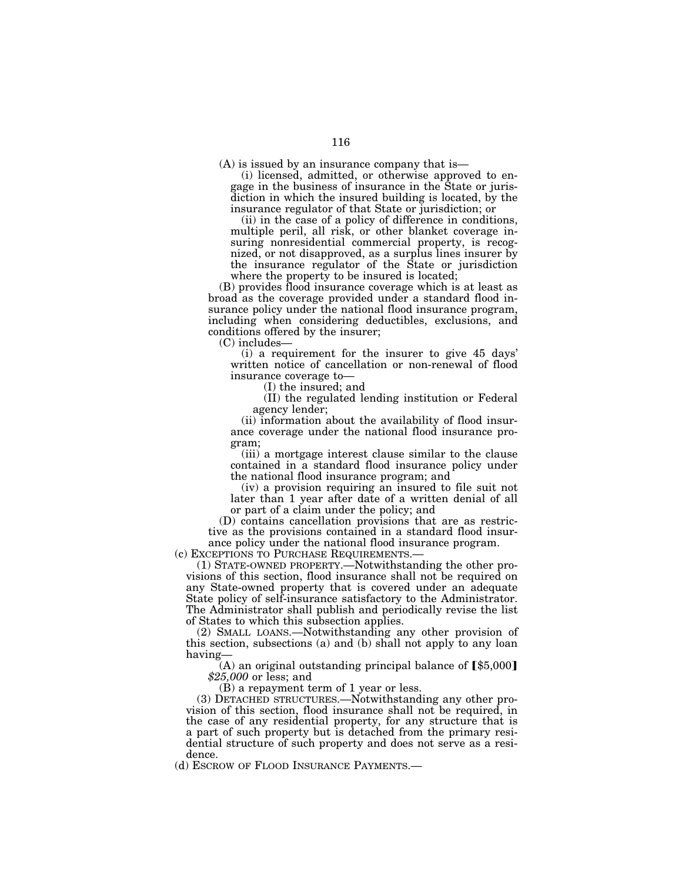(A) is issued by an insurance company that is—

(i) licensed, admitted, or otherwise approved to engage in the business of insurance in the State or jurisdiction in which the insured building is located, by the insurance regulator of that State or jurisdiction; or

(ii) in the case of a policy of difference in conditions, multiple peril, all risk, or other blanket coverage insuring nonresidential commercial property, is recognized, or not disapproved, as a surplus lines insurer by the insurance regulator of the State or jurisdiction where the property to be insured is located;

(B) provides flood insurance coverage which is at least as broad as the coverage provided under a standard flood insurance policy under the national flood insurance program, including when considering deductibles, exclusions, and conditions offered by the insurer;

(C) includes—

(i) a requirement for the insurer to give 45 days' written notice of cancellation or non-renewal of flood insurance coverage to—

(I) the insured; and

(II) the regulated lending institution or Federal agency lender;

(ii) information about the availability of flood insurance coverage under the national flood insurance program;

(iii) a mortgage interest clause similar to the clause contained in a standard flood insurance policy under the national flood insurance program; and

(iv) a provision requiring an insured to file suit not later than 1 year after date of a written denial of all or part of a claim under the policy; and

(D) contains cancellation provisions that are as restrictive as the provisions contained in a standard flood insurance policy under the national flood insurance program.<br>(c) EXCEPTIONS TO PURCHASE REQUIREMENTS.—

 $(1)$  STATE-OWNED PROPERTY.—Notwithstanding the other provisions of this section, flood insurance shall not be required on any State-owned property that is covered under an adequate State policy of self-insurance satisfactory to the Administrator. The Administrator shall publish and periodically revise the list of States to which this subsection applies.

(2) SMALL LOANS.—Notwithstanding any other provision of this section, subsections (a) and (b) shall not apply to any loan having—

(A) an original outstanding principal balance of  $\llbracket$ \$5,000] *\$25,000* or less; and

(B) a repayment term of 1 year or less.

(3) DETACHED STRUCTURES.—Notwithstanding any other provision of this section, flood insurance shall not be required, in the case of any residential property, for any structure that is a part of such property but is detached from the primary residential structure of such property and does not serve as a residence.

(d) ESCROW OF FLOOD INSURANCE PAYMENTS.—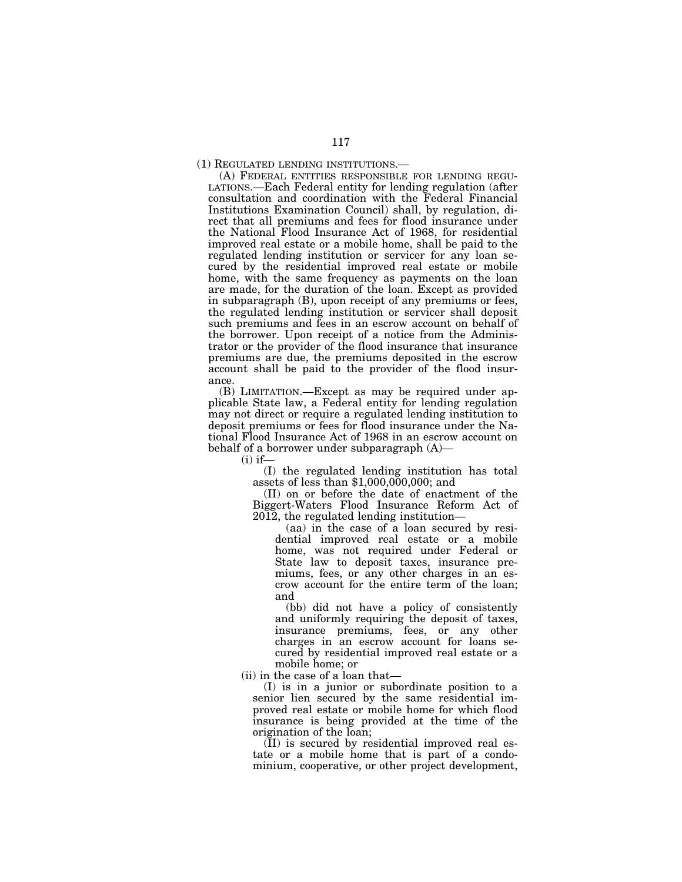### (1) REGULATED LENDING INSTITUTIONS.—

(A) FEDERAL ENTITIES RESPONSIBLE FOR LENDING REGU-LATIONS.—Each Federal entity for lending regulation (after consultation and coordination with the Federal Financial Institutions Examination Council) shall, by regulation, direct that all premiums and fees for flood insurance under the National Flood Insurance Act of 1968, for residential improved real estate or a mobile home, shall be paid to the regulated lending institution or servicer for any loan secured by the residential improved real estate or mobile home, with the same frequency as payments on the loan are made, for the duration of the loan. Except as provided in subparagraph (B), upon receipt of any premiums or fees, the regulated lending institution or servicer shall deposit such premiums and fees in an escrow account on behalf of the borrower. Upon receipt of a notice from the Administrator or the provider of the flood insurance that insurance premiums are due, the premiums deposited in the escrow account shall be paid to the provider of the flood insurance.

(B) LIMITATION.—Except as may be required under applicable State law, a Federal entity for lending regulation may not direct or require a regulated lending institution to deposit premiums or fees for flood insurance under the National Flood Insurance Act of 1968 in an escrow account on behalf of a borrower under subparagraph (A)—

 $(i)$  if—

(I) the regulated lending institution has total assets of less than \$1,000,000,000; and

(II) on or before the date of enactment of the Biggert-Waters Flood Insurance Reform Act of 2012, the regulated lending institution—

(aa) in the case of a loan secured by residential improved real estate or a mobile home, was not required under Federal or State law to deposit taxes, insurance premiums, fees, or any other charges in an escrow account for the entire term of the loan; and

(bb) did not have a policy of consistently and uniformly requiring the deposit of taxes, insurance premiums, fees, or any other charges in an escrow account for loans secured by residential improved real estate or a mobile home; or

(ii) in the case of a loan that—

(I) is in a junior or subordinate position to a senior lien secured by the same residential improved real estate or mobile home for which flood insurance is being provided at the time of the origination of the loan;

(II) is secured by residential improved real estate or a mobile home that is part of a condominium, cooperative, or other project development,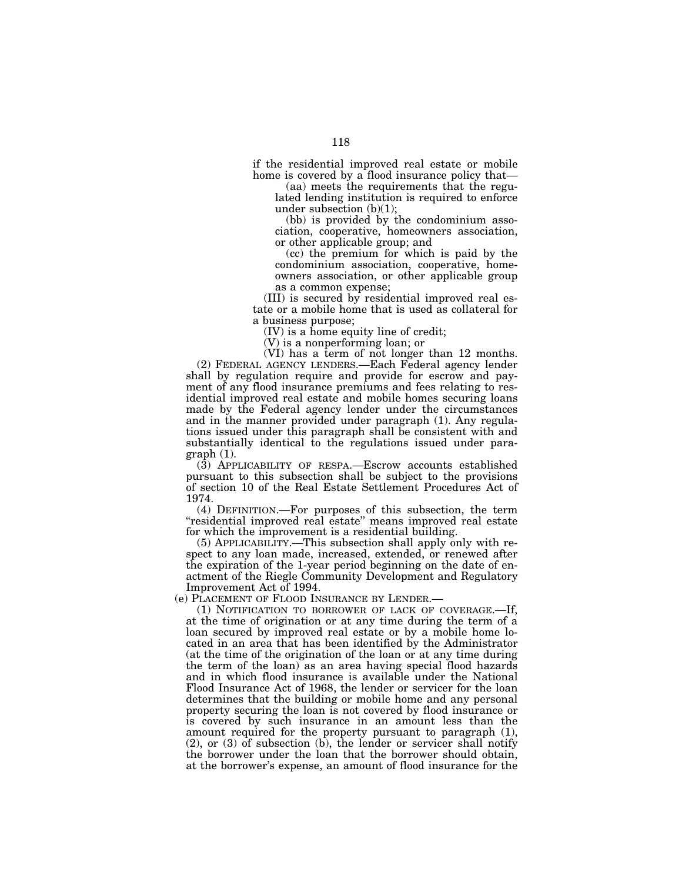if the residential improved real estate or mobile home is covered by a flood insurance policy that—

(aa) meets the requirements that the regulated lending institution is required to enforce under subsection (b)(1);

(bb) is provided by the condominium association, cooperative, homeowners association, or other applicable group; and

(cc) the premium for which is paid by the condominium association, cooperative, homeowners association, or other applicable group as a common expense;

(III) is secured by residential improved real estate or a mobile home that is used as collateral for a business purpose;

(IV) is a home equity line of credit;

(V) is a nonperforming loan; or

(VI) has a term of not longer than 12 months. (2) FEDERAL AGENCY LENDERS.—Each Federal agency lender shall by regulation require and provide for escrow and payment of any flood insurance premiums and fees relating to residential improved real estate and mobile homes securing loans made by the Federal agency lender under the circumstances and in the manner provided under paragraph (1). Any regulations issued under this paragraph shall be consistent with and substantially identical to the regulations issued under paragraph (1).

(3) APPLICABILITY OF RESPA.—Escrow accounts established pursuant to this subsection shall be subject to the provisions of section 10 of the Real Estate Settlement Procedures Act of 1974.

(4) DEFINITION.—For purposes of this subsection, the term "residential improved real estate" means improved real estate for which the improvement is a residential building.

(5) APPLICABILITY.—This subsection shall apply only with respect to any loan made, increased, extended, or renewed after the expiration of the 1-year period beginning on the date of enactment of the Riegle Community Development and Regulatory Improvement Act of 1994.

(e) PLACEMENT OF FLOOD INSURANCE BY LENDER.—

(1) NOTIFICATION TO BORROWER OF LACK OF COVERAGE.—If, at the time of origination or at any time during the term of a loan secured by improved real estate or by a mobile home located in an area that has been identified by the Administrator (at the time of the origination of the loan or at any time during the term of the loan) as an area having special flood hazards and in which flood insurance is available under the National Flood Insurance Act of 1968, the lender or servicer for the loan determines that the building or mobile home and any personal property securing the loan is not covered by flood insurance or is covered by such insurance in an amount less than the amount required for the property pursuant to paragraph (1), (2), or (3) of subsection (b), the lender or servicer shall notify the borrower under the loan that the borrower should obtain, at the borrower's expense, an amount of flood insurance for the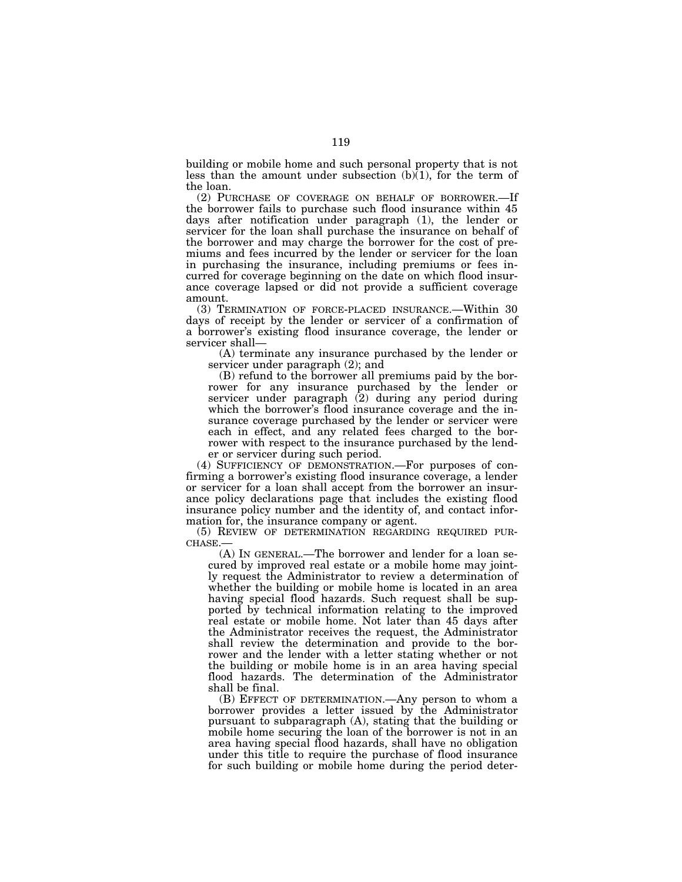building or mobile home and such personal property that is not less than the amount under subsection  $(b)(1)$ , for the term of the loan.

(2) PURCHASE OF COVERAGE ON BEHALF OF BORROWER.—If the borrower fails to purchase such flood insurance within 45 days after notification under paragraph (1), the lender or servicer for the loan shall purchase the insurance on behalf of the borrower and may charge the borrower for the cost of premiums and fees incurred by the lender or servicer for the loan in purchasing the insurance, including premiums or fees incurred for coverage beginning on the date on which flood insurance coverage lapsed or did not provide a sufficient coverage amount.

(3) TERMINATION OF FORCE-PLACED INSURANCE.—Within 30 days of receipt by the lender or servicer of a confirmation of a borrower's existing flood insurance coverage, the lender or servicer shall—

(A) terminate any insurance purchased by the lender or servicer under paragraph (2); and

(B) refund to the borrower all premiums paid by the borrower for any insurance purchased by the lender or servicer under paragraph (2) during any period during which the borrower's flood insurance coverage and the insurance coverage purchased by the lender or servicer were each in effect, and any related fees charged to the borrower with respect to the insurance purchased by the lender or servicer during such period.

(4) SUFFICIENCY OF DEMONSTRATION.—For purposes of confirming a borrower's existing flood insurance coverage, a lender or servicer for a loan shall accept from the borrower an insurance policy declarations page that includes the existing flood insurance policy number and the identity of, and contact information for, the insurance company or agent.

(5) REVIEW OF DETERMINATION REGARDING REQUIRED PUR-CHASE.

(A) IN GENERAL.—The borrower and lender for a loan secured by improved real estate or a mobile home may jointly request the Administrator to review a determination of whether the building or mobile home is located in an area having special flood hazards. Such request shall be supported by technical information relating to the improved real estate or mobile home. Not later than 45 days after the Administrator receives the request, the Administrator shall review the determination and provide to the borrower and the lender with a letter stating whether or not the building or mobile home is in an area having special flood hazards. The determination of the Administrator shall be final.

(B) EFFECT OF DETERMINATION.—Any person to whom a borrower provides a letter issued by the Administrator pursuant to subparagraph (A), stating that the building or mobile home securing the loan of the borrower is not in an area having special flood hazards, shall have no obligation under this title to require the purchase of flood insurance for such building or mobile home during the period deter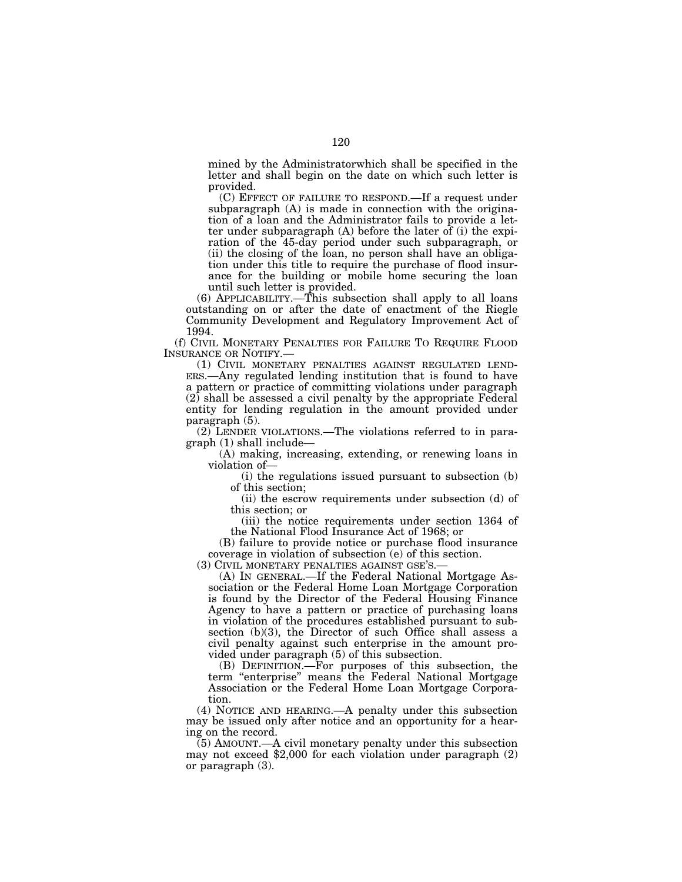mined by the Administratorwhich shall be specified in the letter and shall begin on the date on which such letter is provided.

(C) EFFECT OF FAILURE TO RESPOND.—If a request under subparagraph (A) is made in connection with the origination of a loan and the Administrator fails to provide a letter under subparagraph (A) before the later of (i) the expiration of the 45-day period under such subparagraph, or (ii) the closing of the loan, no person shall have an obligation under this title to require the purchase of flood insurance for the building or mobile home securing the loan until such letter is provided.

(6) APPLICABILITY.—This subsection shall apply to all loans outstanding on or after the date of enactment of the Riegle Community Development and Regulatory Improvement Act of 1994.

(f) CIVIL MONETARY PENALTIES FOR FAILURE TO REQUIRE FLOOD INSURANCE OR NOTIFY.—

(1) CIVIL MONETARY PENALTIES AGAINST REGULATED LEND-ERS.—Any regulated lending institution that is found to have a pattern or practice of committing violations under paragraph (2) shall be assessed a civil penalty by the appropriate Federal entity for lending regulation in the amount provided under paragraph (5).

(2) LENDER VIOLATIONS.—The violations referred to in paragraph (1) shall include—

(A) making, increasing, extending, or renewing loans in violation of—

(i) the regulations issued pursuant to subsection (b) of this section;

(ii) the escrow requirements under subsection (d) of this section; or

(iii) the notice requirements under section 1364 of the National Flood Insurance Act of 1968; or

(B) failure to provide notice or purchase flood insurance coverage in violation of subsection (e) of this section.<br>(3) CIVIL MONETARY PENALTIES AGAINST GSE'S.—

 $(A)$  In GENERAL.—If the Federal National Mortgage Association or the Federal Home Loan Mortgage Corporation is found by the Director of the Federal Housing Finance Agency to have a pattern or practice of purchasing loans in violation of the procedures established pursuant to subsection (b)(3), the Director of such Office shall assess a civil penalty against such enterprise in the amount provided under paragraph (5) of this subsection.

(B) DEFINITION.—For purposes of this subsection, the term ''enterprise'' means the Federal National Mortgage Association or the Federal Home Loan Mortgage Corporation.

(4) NOTICE AND HEARING.—A penalty under this subsection may be issued only after notice and an opportunity for a hearing on the record.

(5) AMOUNT.—A civil monetary penalty under this subsection may not exceed \$2,000 for each violation under paragraph (2) or paragraph (3).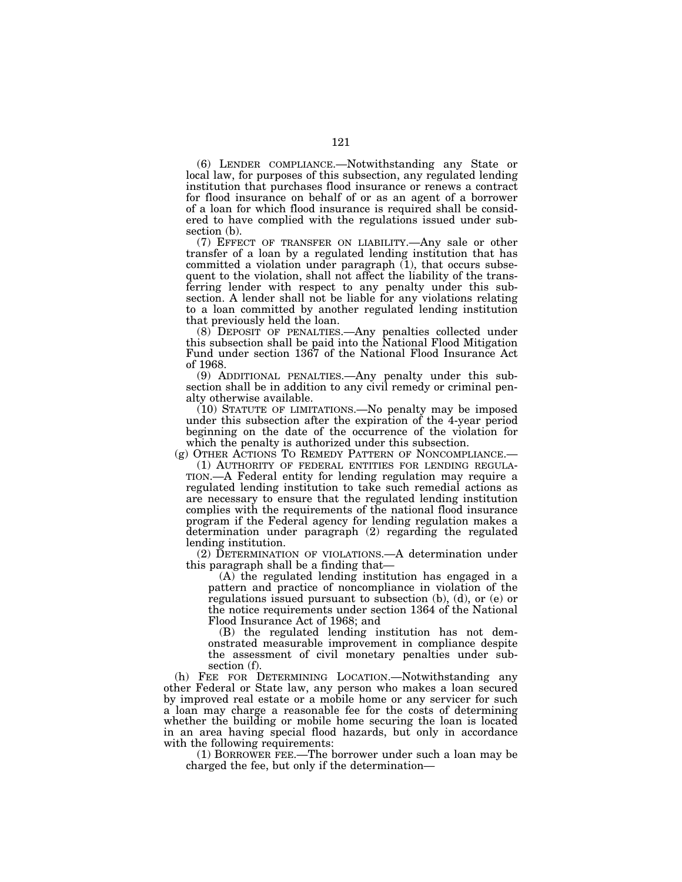(6) LENDER COMPLIANCE.—Notwithstanding any State or local law, for purposes of this subsection, any regulated lending institution that purchases flood insurance or renews a contract for flood insurance on behalf of or as an agent of a borrower of a loan for which flood insurance is required shall be considered to have complied with the regulations issued under subsection (b).

(7) EFFECT OF TRANSFER ON LIABILITY.—Any sale or other transfer of a loan by a regulated lending institution that has committed a violation under paragraph  $(1)$ , that occurs subsequent to the violation, shall not affect the liability of the transferring lender with respect to any penalty under this subsection. A lender shall not be liable for any violations relating to a loan committed by another regulated lending institution that previously held the loan.

(8) DEPOSIT OF PENALTIES.—Any penalties collected under this subsection shall be paid into the National Flood Mitigation Fund under section 1367 of the National Flood Insurance Act of 1968.

(9) ADDITIONAL PENALTIES.—Any penalty under this subsection shall be in addition to any civil remedy or criminal penalty otherwise available.

(10) STATUTE OF LIMITATIONS.—No penalty may be imposed under this subsection after the expiration of the 4-year period beginning on the date of the occurrence of the violation for

which the penalty is authorized under this subsection.<br>(g) OTHER ACTIONS TO REMEDY PATTERN OF NONCOMPLIANCE.—

(1) AUTHORITY OF FEDERAL ENTITIES FOR LENDING REGULA-TION.—A Federal entity for lending regulation may require a regulated lending institution to take such remedial actions as are necessary to ensure that the regulated lending institution complies with the requirements of the national flood insurance program if the Federal agency for lending regulation makes a determination under paragraph (2) regarding the regulated lending institution.

(2) DETERMINATION OF VIOLATIONS.—A determination under this paragraph shall be a finding that—

(A) the regulated lending institution has engaged in a pattern and practice of noncompliance in violation of the regulations issued pursuant to subsection (b), (d), or (e) or the notice requirements under section 1364 of the National Flood Insurance Act of 1968; and

(B) the regulated lending institution has not demonstrated measurable improvement in compliance despite the assessment of civil monetary penalties under subsection (f).

(h) FEE FOR DETERMINING LOCATION.—Notwithstanding any other Federal or State law, any person who makes a loan secured by improved real estate or a mobile home or any servicer for such a loan may charge a reasonable fee for the costs of determining whether the building or mobile home securing the loan is located in an area having special flood hazards, but only in accordance with the following requirements:

(1) BORROWER FEE.—The borrower under such a loan may be charged the fee, but only if the determination—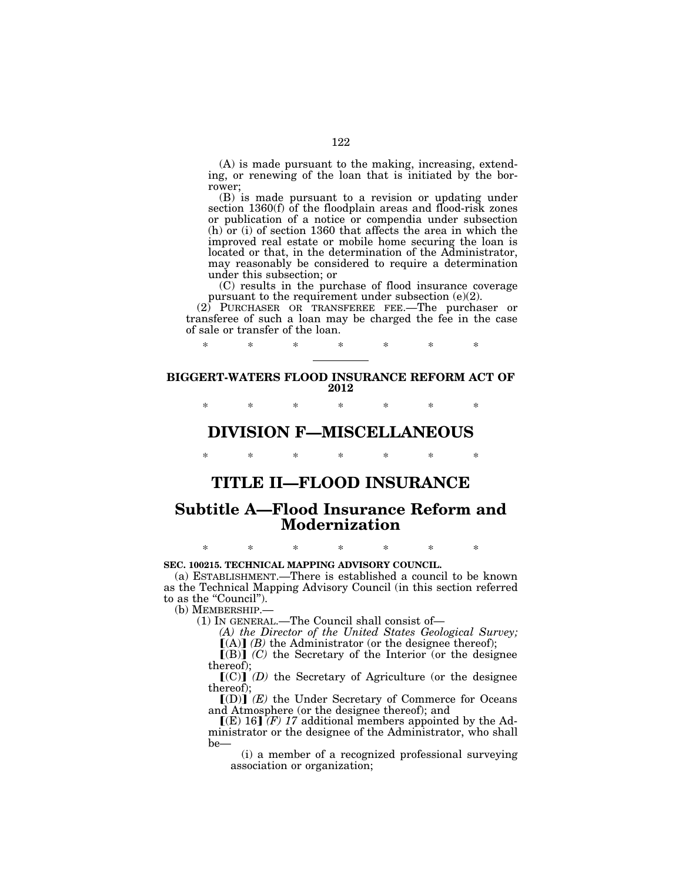(A) is made pursuant to the making, increasing, extending, or renewing of the loan that is initiated by the borrower;

(B) is made pursuant to a revision or updating under section 1360(f) of the floodplain areas and flood-risk zones or publication of a notice or compendia under subsection (h) or (i) of section 1360 that affects the area in which the improved real estate or mobile home securing the loan is located or that, in the determination of the Administrator, may reasonably be considered to require a determination under this subsection; or

(C) results in the purchase of flood insurance coverage pursuant to the requirement under subsection (e)(2).

(2) PURCHASER OR TRANSFEREE FEE.—The purchaser or transferee of such a loan may be charged the fee in the case of sale or transfer of the loan.

## **BIGGERT-WATERS FLOOD INSURANCE REFORM ACT OF 2012**

\* \* \* \* \* \* \*

\* \* \* \* \* \* \*

# **DIVISION F—MISCELLANEOUS**

\* \* \* \* \* \* \*

# **TITLE II—FLOOD INSURANCE**

# **Subtitle A—Flood Insurance Reform and Modernization**

## \* \* \* \* \* \* \*

## **SEC. 100215. TECHNICAL MAPPING ADVISORY COUNCIL.**

(a) ESTABLISHMENT.—There is established a council to be known as the Technical Mapping Advisory Council (in this section referred to as the "Council").

(b) MEMBERSHIP.—

(1) IN GENERAL.—The Council shall consist of—

*(A) the Director of the United States Geological Survey;*   $[(A)]$  *(B)* the Administrator (or the designee thereof);

 $[(B)]$   $(C)$  the Secretary of the Interior (or the designee thereof);

 $[(C)]$  *(D)* the Secretary of Agriculture (or the designee thereof);

 $[(D)]$   $(E)$  the Under Secretary of Commerce for Oceans and Atmosphere (or the designee thereof); and

 $\left[\right(\mathbf{E})$  16] *(F)* 17 additional members appointed by the Administrator or the designee of the Administrator, who shall be—

(i) a member of a recognized professional surveying association or organization;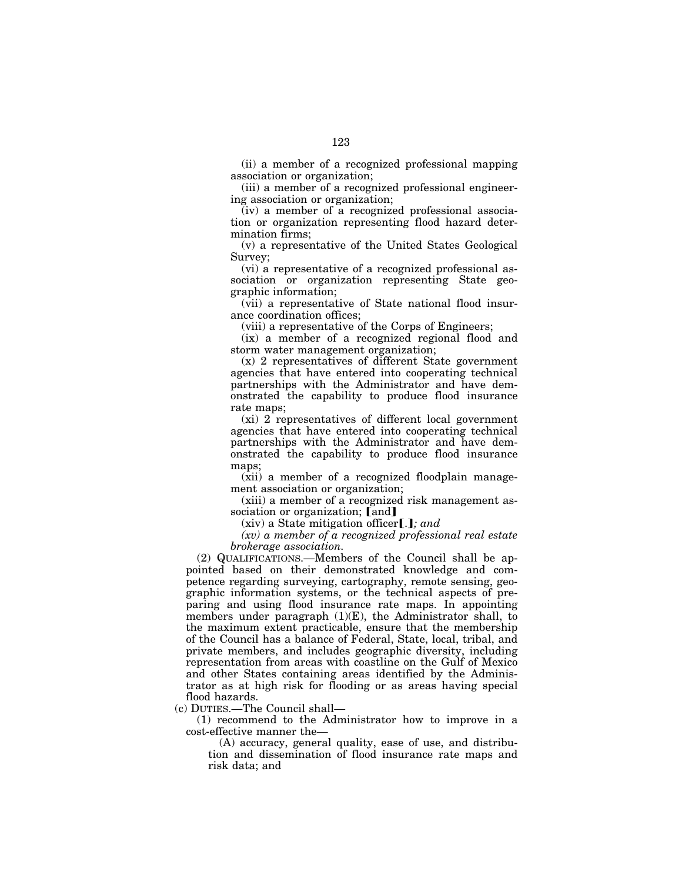(ii) a member of a recognized professional mapping association or organization;

(iii) a member of a recognized professional engineering association or organization;

(iv) a member of a recognized professional association or organization representing flood hazard determination firms;

(v) a representative of the United States Geological Survey;

(vi) a representative of a recognized professional association or organization representing State geographic information;

(vii) a representative of State national flood insurance coordination offices;

(viii) a representative of the Corps of Engineers;

(ix) a member of a recognized regional flood and storm water management organization;

(x) 2 representatives of different State government agencies that have entered into cooperating technical partnerships with the Administrator and have demonstrated the capability to produce flood insurance rate maps;

(xi) 2 representatives of different local government agencies that have entered into cooperating technical partnerships with the Administrator and have demonstrated the capability to produce flood insurance maps;

(xii) a member of a recognized floodplain management association or organization;

(xiii) a member of a recognized risk management association or organization; [and]

 $(xiv)$  a State mitigation officer [.]; and

*(xv) a member of a recognized professional real estate brokerage association.* 

(2) QUALIFICATIONS.—Members of the Council shall be appointed based on their demonstrated knowledge and competence regarding surveying, cartography, remote sensing, geographic information systems, or the technical aspects of preparing and using flood insurance rate maps. In appointing members under paragraph (1)(E), the Administrator shall, to the maximum extent practicable, ensure that the membership of the Council has a balance of Federal, State, local, tribal, and private members, and includes geographic diversity, including representation from areas with coastline on the Gulf of Mexico and other States containing areas identified by the Administrator as at high risk for flooding or as areas having special flood hazards.

(c) DUTIES.—The Council shall—

(1) recommend to the Administrator how to improve in a cost-effective manner the—

(A) accuracy, general quality, ease of use, and distribution and dissemination of flood insurance rate maps and risk data; and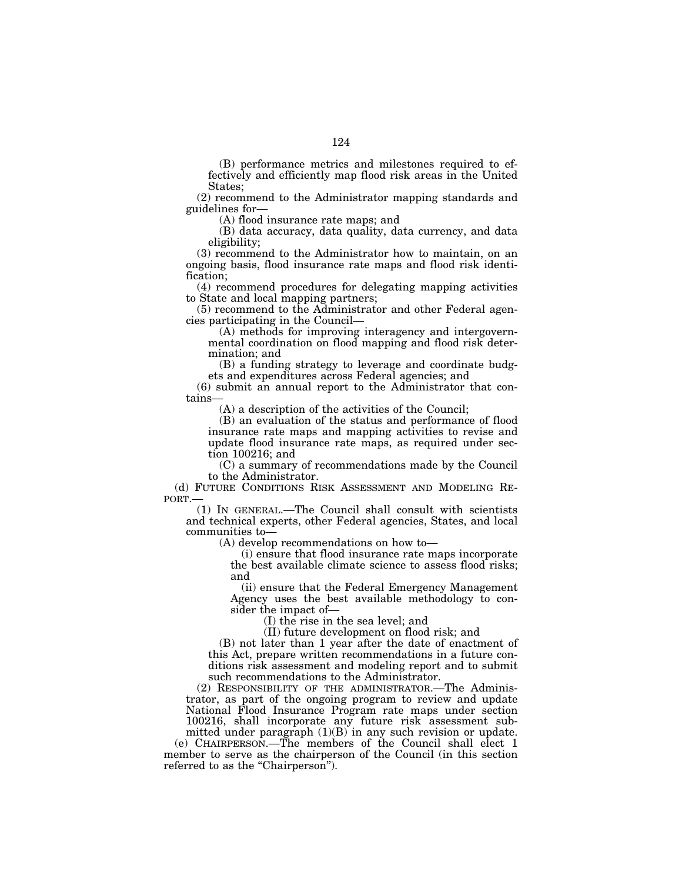(B) performance metrics and milestones required to effectively and efficiently map flood risk areas in the United States;

(2) recommend to the Administrator mapping standards and guidelines for—

(A) flood insurance rate maps; and

(B) data accuracy, data quality, data currency, and data eligibility;

(3) recommend to the Administrator how to maintain, on an ongoing basis, flood insurance rate maps and flood risk identification;

(4) recommend procedures for delegating mapping activities to State and local mapping partners;

(5) recommend to the Administrator and other Federal agencies participating in the Council—

(A) methods for improving interagency and intergovernmental coordination on flood mapping and flood risk determination; and

(B) a funding strategy to leverage and coordinate budgets and expenditures across Federal agencies; and

(6) submit an annual report to the Administrator that contains—

(A) a description of the activities of the Council;

(B) an evaluation of the status and performance of flood insurance rate maps and mapping activities to revise and update flood insurance rate maps, as required under section 100216; and

(C) a summary of recommendations made by the Council to the Administrator.

(d) FUTURE CONDITIONS RISK ASSESSMENT AND MODELING REPORT.—

(1) IN GENERAL.—The Council shall consult with scientists and technical experts, other Federal agencies, States, and local communities to—

(A) develop recommendations on how to—

(i) ensure that flood insurance rate maps incorporate the best available climate science to assess flood risks; and

(ii) ensure that the Federal Emergency Management Agency uses the best available methodology to consider the impact of—

(I) the rise in the sea level; and

(II) future development on flood risk; and

(B) not later than 1 year after the date of enactment of this Act, prepare written recommendations in a future conditions risk assessment and modeling report and to submit such recommendations to the Administrator.

(2) RESPONSIBILITY OF THE ADMINISTRATOR.—The Administrator, as part of the ongoing program to review and update National Flood Insurance Program rate maps under section 100216, shall incorporate any future risk assessment submitted under paragraph  $(1)(B)$  in any such revision or update.

(e) CHAIRPERSON.—The members of the Council shall elect 1 member to serve as the chairperson of the Council (in this section referred to as the "Chairperson").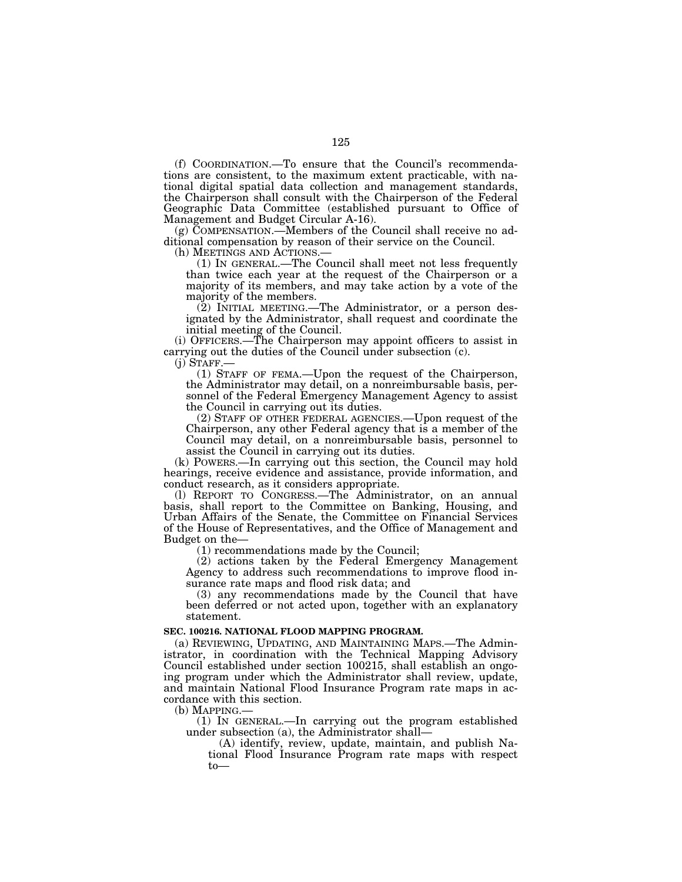(f) COORDINATION.—To ensure that the Council's recommendations are consistent, to the maximum extent practicable, with national digital spatial data collection and management standards, the Chairperson shall consult with the Chairperson of the Federal Geographic Data Committee (established pursuant to Office of Management and Budget Circular A-16).

(g) COMPENSATION.—Members of the Council shall receive no additional compensation by reason of their service on the Council.

(h) MEETINGS AND ACTIONS.— (1) IN GENERAL.—The Council shall meet not less frequently than twice each year at the request of the Chairperson or a majority of its members, and may take action by a vote of the majority of the members.

(2) INITIAL MEETING.—The Administrator, or a person designated by the Administrator, shall request and coordinate the initial meeting of the Council.

(i) OFFICERS.—The Chairperson may appoint officers to assist in carrying out the duties of the Council under subsection  $(c)$ .<br>(j) STAFF.—

 $(1)$  STAFF OF FEMA.—Upon the request of the Chairperson, the Administrator may detail, on a nonreimbursable basis, personnel of the Federal Emergency Management Agency to assist the Council in carrying out its duties.

(2) STAFF OF OTHER FEDERAL AGENCIES.—Upon request of the Chairperson, any other Federal agency that is a member of the Council may detail, on a nonreimbursable basis, personnel to assist the Council in carrying out its duties.

(k) POWERS.—In carrying out this section, the Council may hold hearings, receive evidence and assistance, provide information, and conduct research, as it considers appropriate.

(l) REPORT TO CONGRESS.—The Administrator, on an annual basis, shall report to the Committee on Banking, Housing, and Urban Affairs of the Senate, the Committee on Financial Services of the House of Representatives, and the Office of Management and Budget on the—

(1) recommendations made by the Council;

(2) actions taken by the Federal Emergency Management Agency to address such recommendations to improve flood insurance rate maps and flood risk data; and

(3) any recommendations made by the Council that have been deferred or not acted upon, together with an explanatory statement.

#### **SEC. 100216. NATIONAL FLOOD MAPPING PROGRAM.**

(a) REVIEWING, UPDATING, AND MAINTAINING MAPS.—The Administrator, in coordination with the Technical Mapping Advisory Council established under section 100215, shall establish an ongoing program under which the Administrator shall review, update, and maintain National Flood Insurance Program rate maps in accordance with this section.

(b) MAPPING.—

(1) IN GENERAL.—In carrying out the program established under subsection (a), the Administrator shall—

(A) identify, review, update, maintain, and publish National Flood Insurance Program rate maps with respect to—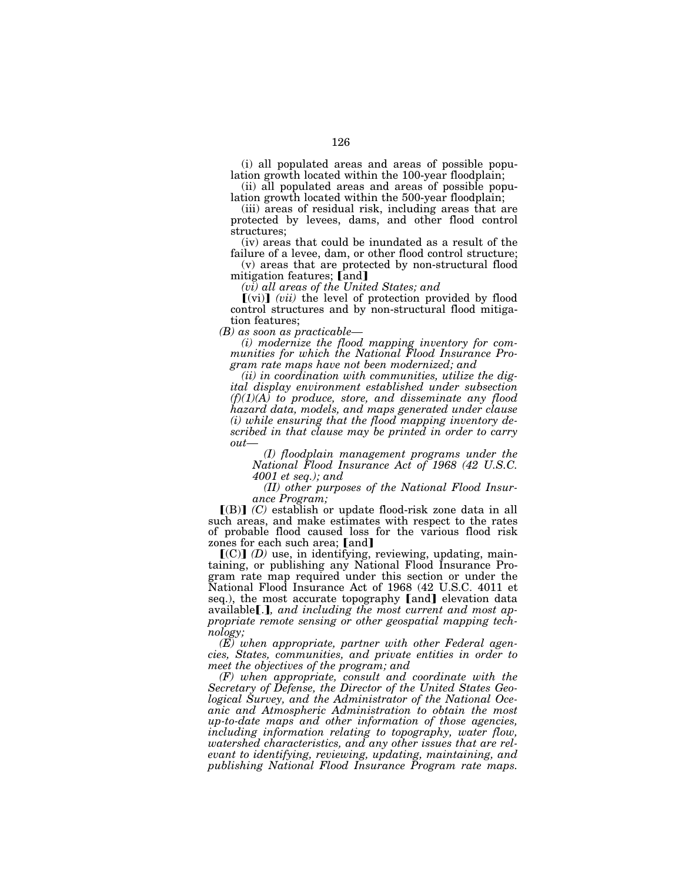(i) all populated areas and areas of possible population growth located within the 100-year floodplain;

(ii) all populated areas and areas of possible population growth located within the 500-year floodplain;

(iii) areas of residual risk, including areas that are protected by levees, dams, and other flood control structures;

(iv) areas that could be inundated as a result of the failure of a levee, dam, or other flood control structure;

(v) areas that are protected by non-structural flood mitigation features; [and]

*(vi) all areas of the United States; and* 

 $\left[$ (vi) $\right]$  (*vii*) the level of protection provided by flood control structures and by non-structural flood mitigation features;

*(B) as soon as practicable—* 

*(i) modernize the flood mapping inventory for communities for which the National Flood Insurance Program rate maps have not been modernized; and* 

*(ii) in coordination with communities, utilize the digital display environment established under subsection (f)(1)(A) to produce, store, and disseminate any flood hazard data, models, and maps generated under clause (i) while ensuring that the flood mapping inventory described in that clause may be printed in order to carry out—* 

*(I) floodplain management programs under the National Flood Insurance Act of 1968 (42 U.S.C. 4001 et seq.); and* 

*(II) other purposes of the National Flood Insurance Program;* 

 $[(B)]$   $(C)$  establish or update flood-risk zone data in all such areas, and make estimates with respect to the rates of probable flood caused loss for the various flood risk zones for each such area; [and]

 $\left[\text{(C)}\right]$  (D) use, in identifying, reviewing, updating, maintaining, or publishing any National Flood Insurance Program rate map required under this section or under the National Flood Insurance Act of 1968 (42 U.S.C. 4011 et seq.), the most accurate topography [and] elevation data available.*]*, and including the most current and most ap*propriate remote sensing or other geospatial mapping technology;* 

*(E) when appropriate, partner with other Federal agencies, States, communities, and private entities in order to meet the objectives of the program; and* 

*(F) when appropriate, consult and coordinate with the Secretary of Defense, the Director of the United States Geological Survey, and the Administrator of the National Oceanic and Atmospheric Administration to obtain the most up-to-date maps and other information of those agencies, including information relating to topography, water flow, watershed characteristics, and any other issues that are relevant to identifying, reviewing, updating, maintaining, and publishing National Flood Insurance Program rate maps.*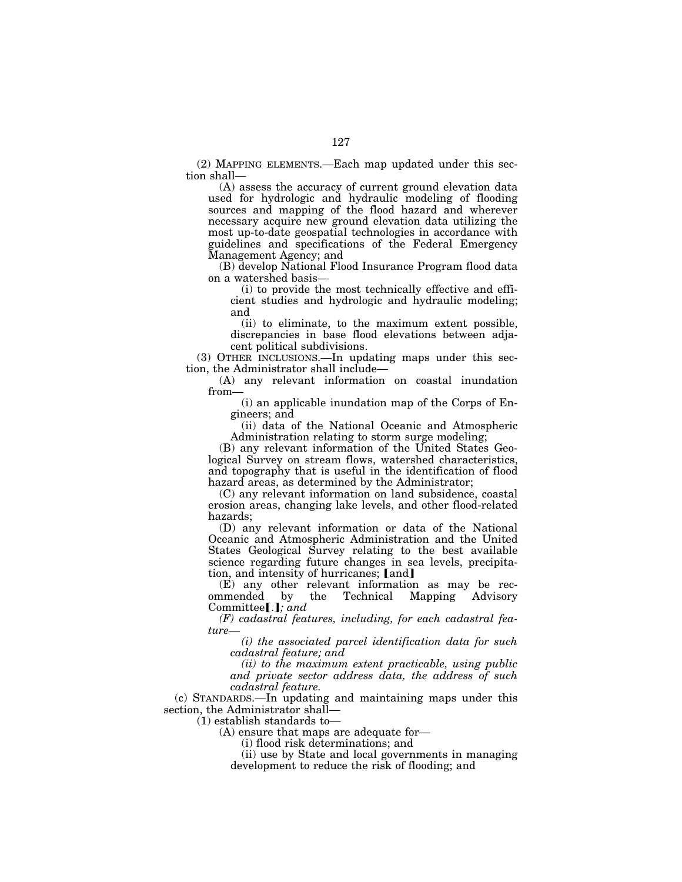(2) MAPPING ELEMENTS.—Each map updated under this section shall—

(A) assess the accuracy of current ground elevation data used for hydrologic and hydraulic modeling of flooding sources and mapping of the flood hazard and wherever necessary acquire new ground elevation data utilizing the most up-to-date geospatial technologies in accordance with guidelines and specifications of the Federal Emergency Management Agency; and

(B) develop National Flood Insurance Program flood data on a watershed basis—

(i) to provide the most technically effective and efficient studies and hydrologic and hydraulic modeling; and

(ii) to eliminate, to the maximum extent possible, discrepancies in base flood elevations between adjacent political subdivisions.

(3) OTHER INCLUSIONS.—In updating maps under this section, the Administrator shall include—

(A) any relevant information on coastal inundation from—

(i) an applicable inundation map of the Corps of Engineers; and

(ii) data of the National Oceanic and Atmospheric Administration relating to storm surge modeling;

(B) any relevant information of the United States Geological Survey on stream flows, watershed characteristics, and topography that is useful in the identification of flood hazard areas, as determined by the Administrator;

(C) any relevant information on land subsidence, coastal erosion areas, changing lake levels, and other flood-related hazards;

(D) any relevant information or data of the National Oceanic and Atmospheric Administration and the United States Geological Survey relating to the best available science regarding future changes in sea levels, precipitation, and intensity of hurricanes; [and]

(E) any other relevant information as may be recommended by the Technical Mapping Advisory Committee[.]; and

*(F) cadastral features, including, for each cadastral feature—* 

*(i) the associated parcel identification data for such cadastral feature; and* 

*(ii) to the maximum extent practicable, using public and private sector address data, the address of such cadastral feature.* 

(c) STANDARDS.—In updating and maintaining maps under this section, the Administrator shall—

(1) establish standards to—

(A) ensure that maps are adequate for—

(i) flood risk determinations; and

(ii) use by State and local governments in managing development to reduce the risk of flooding; and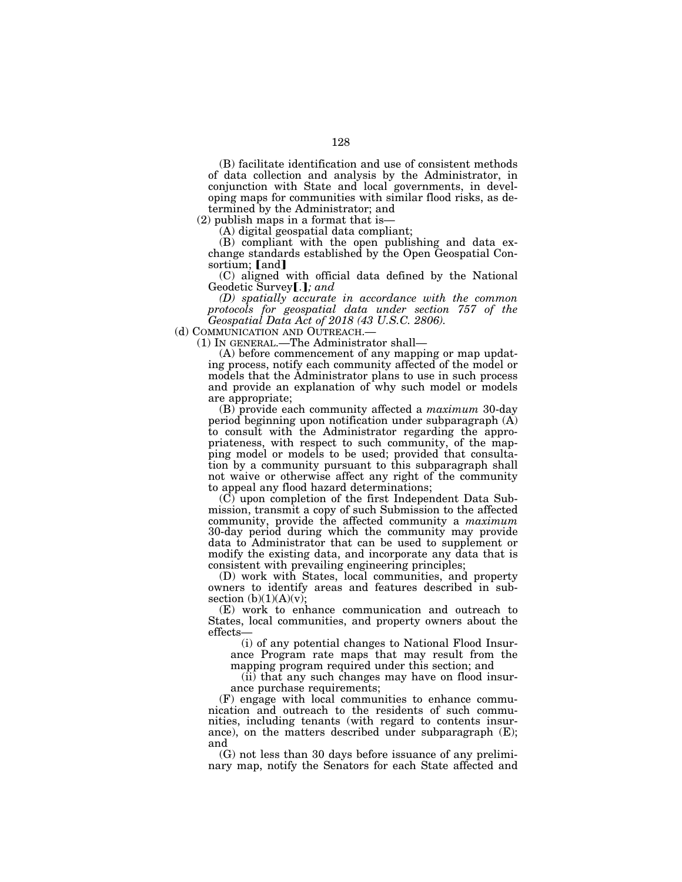(B) facilitate identification and use of consistent methods of data collection and analysis by the Administrator, in conjunction with State and local governments, in developing maps for communities with similar flood risks, as determined by the Administrator; and

(2) publish maps in a format that is—

(A) digital geospatial data compliant;

(B) compliant with the open publishing and data exchange standards established by the Open Geospatial Consortium; [and]

(C) aligned with official data defined by the National Geodetic Survey [.]; and

*(D) spatially accurate in accordance with the common protocols for geospatial data under section 757 of the Geospatial Data Act of 2018 (43 U.S.C. 2806).* 

(d) COMMUNICATION AND OUTREACH.—

(1) IN GENERAL.—The Administrator shall—

(A) before commencement of any mapping or map updating process, notify each community affected of the model or models that the Administrator plans to use in such process and provide an explanation of why such model or models are appropriate;

(B) provide each community affected a *maximum* 30-day period beginning upon notification under subparagraph (A) to consult with the Administrator regarding the appropriateness, with respect to such community, of the mapping model or models to be used; provided that consultation by a community pursuant to this subparagraph shall not waive or otherwise affect any right of the community to appeal any flood hazard determinations;

 $(\vec{C})$  upon completion of the first Independent Data Submission, transmit a copy of such Submission to the affected community, provide the affected community a *maximum*  30-day period during which the community may provide data to Administrator that can be used to supplement or modify the existing data, and incorporate any data that is consistent with prevailing engineering principles;

(D) work with States, local communities, and property owners to identify areas and features described in subsection  $(b)(1)(A)(v);$ 

(E) work to enhance communication and outreach to States, local communities, and property owners about the effects—

(i) of any potential changes to National Flood Insurance Program rate maps that may result from the mapping program required under this section; and

(ii) that any such changes may have on flood insurance purchase requirements;

(F) engage with local communities to enhance communication and outreach to the residents of such communities, including tenants (with regard to contents insurance), on the matters described under subparagraph (E); and

(G) not less than 30 days before issuance of any preliminary map, notify the Senators for each State affected and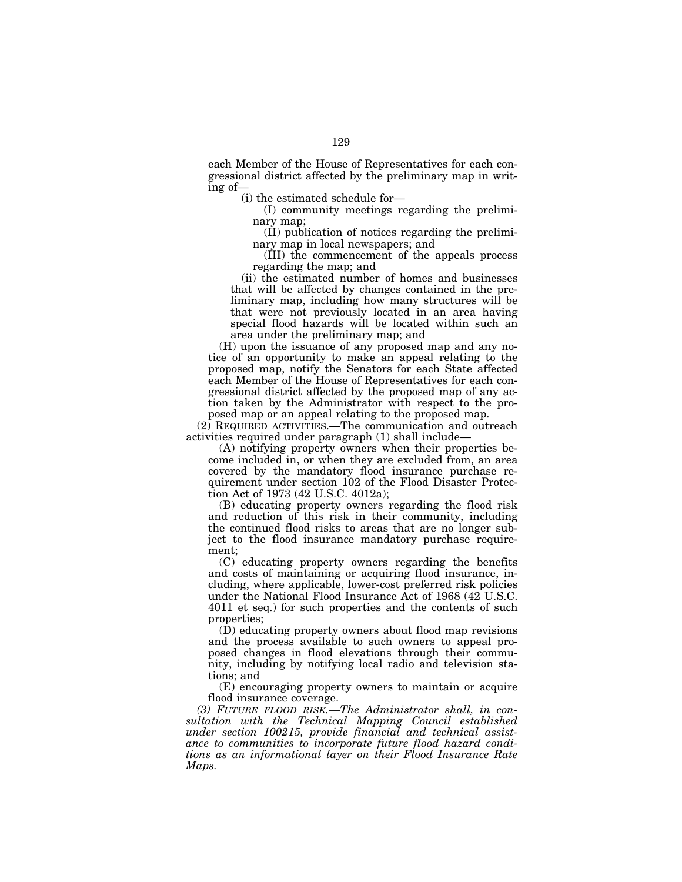each Member of the House of Representatives for each congressional district affected by the preliminary map in writing of—

(i) the estimated schedule for—

(I) community meetings regarding the preliminary map;

(II) publication of notices regarding the preliminary map in local newspapers; and

(III) the commencement of the appeals process regarding the map; and

(ii) the estimated number of homes and businesses that will be affected by changes contained in the preliminary map, including how many structures will be that were not previously located in an area having special flood hazards will be located within such an area under the preliminary map; and

(H) upon the issuance of any proposed map and any notice of an opportunity to make an appeal relating to the proposed map, notify the Senators for each State affected each Member of the House of Representatives for each congressional district affected by the proposed map of any action taken by the Administrator with respect to the proposed map or an appeal relating to the proposed map.

(2) REQUIRED ACTIVITIES.—The communication and outreach activities required under paragraph (1) shall include—

(A) notifying property owners when their properties become included in, or when they are excluded from, an area covered by the mandatory flood insurance purchase requirement under section 102 of the Flood Disaster Protection Act of 1973 (42 U.S.C. 4012a);

(B) educating property owners regarding the flood risk and reduction of this risk in their community, including the continued flood risks to areas that are no longer subject to the flood insurance mandatory purchase requirement;

(C) educating property owners regarding the benefits and costs of maintaining or acquiring flood insurance, including, where applicable, lower-cost preferred risk policies under the National Flood Insurance Act of 1968 (42 U.S.C. 4011 et seq.) for such properties and the contents of such properties;

(D) educating property owners about flood map revisions and the process available to such owners to appeal proposed changes in flood elevations through their community, including by notifying local radio and television stations; and

(E) encouraging property owners to maintain or acquire flood insurance coverage.

*(3) FUTURE FLOOD RISK.—The Administrator shall, in consultation with the Technical Mapping Council established under section 100215, provide financial and technical assistance to communities to incorporate future flood hazard conditions as an informational layer on their Flood Insurance Rate Maps.*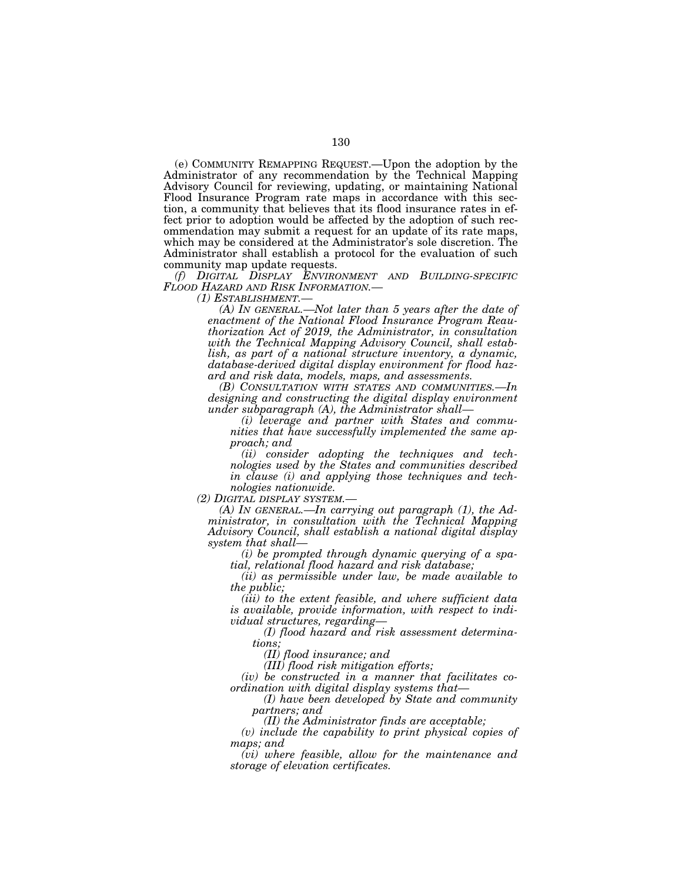(e) COMMUNITY REMAPPING REQUEST.—Upon the adoption by the Administrator of any recommendation by the Technical Mapping Advisory Council for reviewing, updating, or maintaining National Flood Insurance Program rate maps in accordance with this section, a community that believes that its flood insurance rates in effect prior to adoption would be affected by the adoption of such recommendation may submit a request for an update of its rate maps, which may be considered at the Administrator's sole discretion. The Administrator shall establish a protocol for the evaluation of such community map update requests.

*(f) DIGITAL DISPLAY ENVIRONMENT AND BUILDING-SPECIFIC FLOOD HAZARD AND RISK INFORMATION.—* 

*(1) ESTABLISHMENT.—* 

*(A) IN GENERAL.—Not later than 5 years after the date of enactment of the National Flood Insurance Program Reauthorization Act of 2019, the Administrator, in consultation with the Technical Mapping Advisory Council, shall establish, as part of a national structure inventory, a dynamic, database-derived digital display environment for flood hazard and risk data, models, maps, and assessments.* 

*(B) CONSULTATION WITH STATES AND COMMUNITIES.—In designing and constructing the digital display environment under subparagraph (A), the Administrator shall—* 

*(i) leverage and partner with States and communities that have successfully implemented the same approach; and* 

*(ii) consider adopting the techniques and technologies used by the States and communities described in clause (i) and applying those techniques and technologies nationwide.* 

*(2) DIGITAL DISPLAY SYSTEM.— (A) IN GENERAL.—In carrying out paragraph (1), the Administrator, in consultation with the Technical Mapping Advisory Council, shall establish a national digital display system that shall—* 

*(i) be prompted through dynamic querying of a spatial, relational flood hazard and risk database;* 

*(ii) as permissible under law, be made available to the public;* 

*(iii) to the extent feasible, and where sufficient data is available, provide information, with respect to individual structures, regarding—* 

*(I) flood hazard and risk assessment determinations;* 

*(II) flood insurance; and* 

*(III) flood risk mitigation efforts;* 

*(iv) be constructed in a manner that facilitates coordination with digital display systems that—* 

*(I) have been developed by State and community partners; and* 

*(II) the Administrator finds are acceptable;* 

*(v) include the capability to print physical copies of maps; and* 

*(vi) where feasible, allow for the maintenance and storage of elevation certificates.*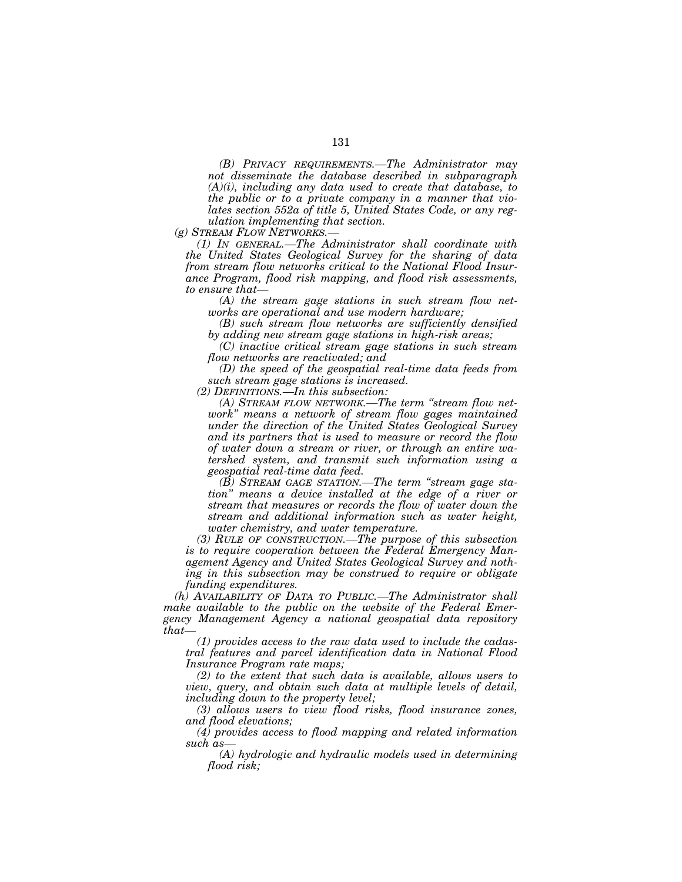*(B) PRIVACY REQUIREMENTS.—The Administrator may not disseminate the database described in subparagraph (A)(i), including any data used to create that database, to the public or to a private company in a manner that violates section 552a of title 5, United States Code, or any regulation implementing that section.* 

*(g) STREAM FLOW NETWORKS.—* 

*(1) IN GENERAL.—The Administrator shall coordinate with the United States Geological Survey for the sharing of data from stream flow networks critical to the National Flood Insurance Program, flood risk mapping, and flood risk assessments, to ensure that—* 

*(A) the stream gage stations in such stream flow networks are operational and use modern hardware;* 

*(B) such stream flow networks are sufficiently densified by adding new stream gage stations in high-risk areas;* 

*(C) inactive critical stream gage stations in such stream flow networks are reactivated; and* 

*(D) the speed of the geospatial real-time data feeds from such stream gage stations is increased.* 

*(2) DEFINITIONS.—In this subsection:* 

*(A) STREAM FLOW NETWORK.—The term ''stream flow network'' means a network of stream flow gages maintained under the direction of the United States Geological Survey and its partners that is used to measure or record the flow of water down a stream or river, or through an entire watershed system, and transmit such information using a geospatial real-time data feed.* 

*(B) STREAM GAGE STATION.—The term ''stream gage station'' means a device installed at the edge of a river or stream that measures or records the flow of water down the stream and additional information such as water height, water chemistry, and water temperature.* 

*(3) RULE OF CONSTRUCTION.—The purpose of this subsection is to require cooperation between the Federal Emergency Management Agency and United States Geological Survey and nothing in this subsection may be construed to require or obligate funding expenditures.* 

*(h) AVAILABILITY OF DATA TO PUBLIC.—The Administrator shall make available to the public on the website of the Federal Emergency Management Agency a national geospatial data repository that—* 

*(1) provides access to the raw data used to include the cadastral features and parcel identification data in National Flood Insurance Program rate maps;* 

*(2) to the extent that such data is available, allows users to view, query, and obtain such data at multiple levels of detail, including down to the property level;* 

*(3) allows users to view flood risks, flood insurance zones, and flood elevations;* 

*(4) provides access to flood mapping and related information such as—* 

*(A) hydrologic and hydraulic models used in determining flood risk;*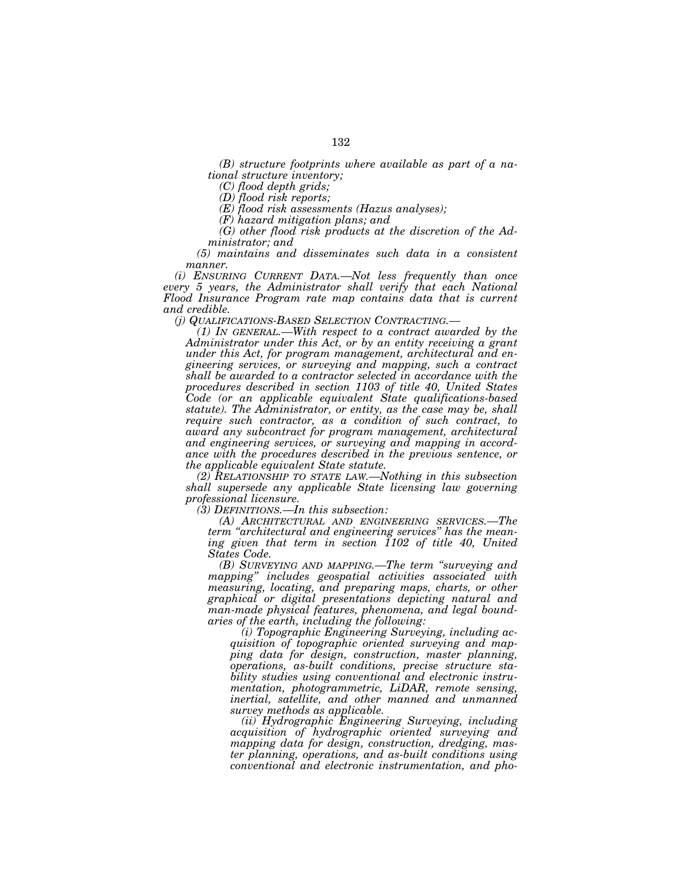132

*(B) structure footprints where available as part of a national structure inventory;* 

*(C) flood depth grids;* 

*(D) flood risk reports;* 

*(E) flood risk assessments (Hazus analyses);* 

*(F) hazard mitigation plans; and* 

*(G) other flood risk products at the discretion of the Administrator; and* 

*(5) maintains and disseminates such data in a consistent manner.* 

*(i) ENSURING CURRENT DATA.—Not less frequently than once every 5 years, the Administrator shall verify that each National Flood Insurance Program rate map contains data that is current and credible.* 

*(j) QUALIFICATIONS-BASED SELECTION CONTRACTING.—* 

*(1) IN GENERAL.—With respect to a contract awarded by the Administrator under this Act, or by an entity receiving a grant under this Act, for program management, architectural and engineering services, or surveying and mapping, such a contract shall be awarded to a contractor selected in accordance with the procedures described in section 1103 of title 40, United States Code (or an applicable equivalent State qualifications-based statute). The Administrator, or entity, as the case may be, shall require such contractor, as a condition of such contract, to award any subcontract for program management, architectural and engineering services, or surveying and mapping in accordance with the procedures described in the previous sentence, or the applicable equivalent State statute.* 

*(2) RELATIONSHIP TO STATE LAW.—Nothing in this subsection shall supersede any applicable State licensing law governing professional licensure.* 

*(3) DEFINITIONS.—In this subsection:* 

*(A) ARCHITECTURAL AND ENGINEERING SERVICES.—The term ''architectural and engineering services'' has the mean*ing given that term in section 1102 of title 40, United *States Code.* 

*(B) SURVEYING AND MAPPING.—The term ''surveying and mapping'' includes geospatial activities associated with measuring, locating, and preparing maps, charts, or other graphical or digital presentations depicting natural and man-made physical features, phenomena, and legal boundaries of the earth, including the following:* 

*(i) Topographic Engineering Surveying, including acquisition of topographic oriented surveying and mapping data for design, construction, master planning, operations, as-built conditions, precise structure stability studies using conventional and electronic instrumentation, photogrammetric, LiDAR, remote sensing, inertial, satellite, and other manned and unmanned survey methods as applicable.* 

*(ii) Hydrographic Engineering Surveying, including acquisition of hydrographic oriented surveying and mapping data for design, construction, dredging, master planning, operations, and as-built conditions using conventional and electronic instrumentation, and pho-*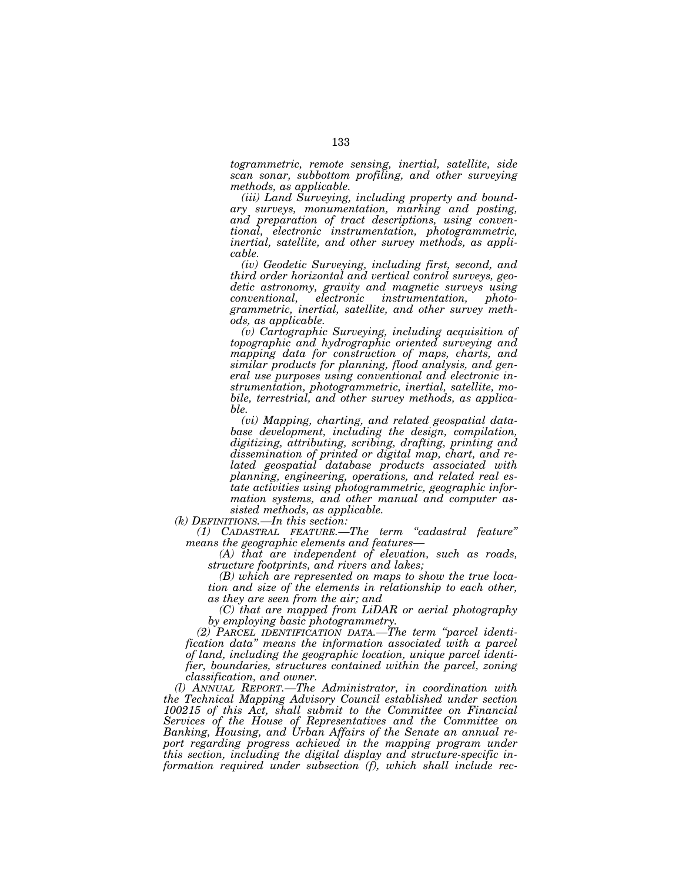*togrammetric, remote sensing, inertial, satellite, side scan sonar, subbottom profiling, and other surveying methods, as applicable.* 

*(iii) Land Surveying, including property and boundary surveys, monumentation, marking and posting, and preparation of tract descriptions, using conventional, electronic instrumentation, photogrammetric, inertial, satellite, and other survey methods, as applicable.* 

*(iv) Geodetic Surveying, including first, second, and third order horizontal and vertical control surveys, geodetic astronomy, gravity and magnetic surveys using conventional, electronic instrumentation, photogrammetric, inertial, satellite, and other survey methods, as applicable.* 

*(v) Cartographic Surveying, including acquisition of topographic and hydrographic oriented surveying and mapping data for construction of maps, charts, and similar products for planning, flood analysis, and general use purposes using conventional and electronic instrumentation, photogrammetric, inertial, satellite, mobile, terrestrial, and other survey methods, as applicable.* 

*(vi) Mapping, charting, and related geospatial database development, including the design, compilation, digitizing, attributing, scribing, drafting, printing and dissemination of printed or digital map, chart, and related geospatial database products associated with planning, engineering, operations, and related real estate activities using photogrammetric, geographic information systems, and other manual and computer assisted methods, as applicable.* 

*(k) DEFINITIONS.—In this section:* 

*(1) CADASTRAL FEATURE.—The term ''cadastral feature'' means the geographic elements and features—* 

*(A) that are independent of elevation, such as roads, structure footprints, and rivers and lakes;* 

*(B) which are represented on maps to show the true location and size of the elements in relationship to each other, as they are seen from the air; and* 

*(C) that are mapped from LiDAR or aerial photography by employing basic photogrammetry.* 

*(2) PARCEL IDENTIFICATION DATA.—The term ''parcel identification data'' means the information associated with a parcel of land, including the geographic location, unique parcel identifier, boundaries, structures contained within the parcel, zoning classification, and owner.* 

*(l) ANNUAL REPORT.—The Administrator, in coordination with the Technical Mapping Advisory Council established under section 100215 of this Act, shall submit to the Committee on Financial Services of the House of Representatives and the Committee on Banking, Housing, and Urban Affairs of the Senate an annual report regarding progress achieved in the mapping program under this section, including the digital display and structure-specific information required under subsection (f), which shall include rec-*